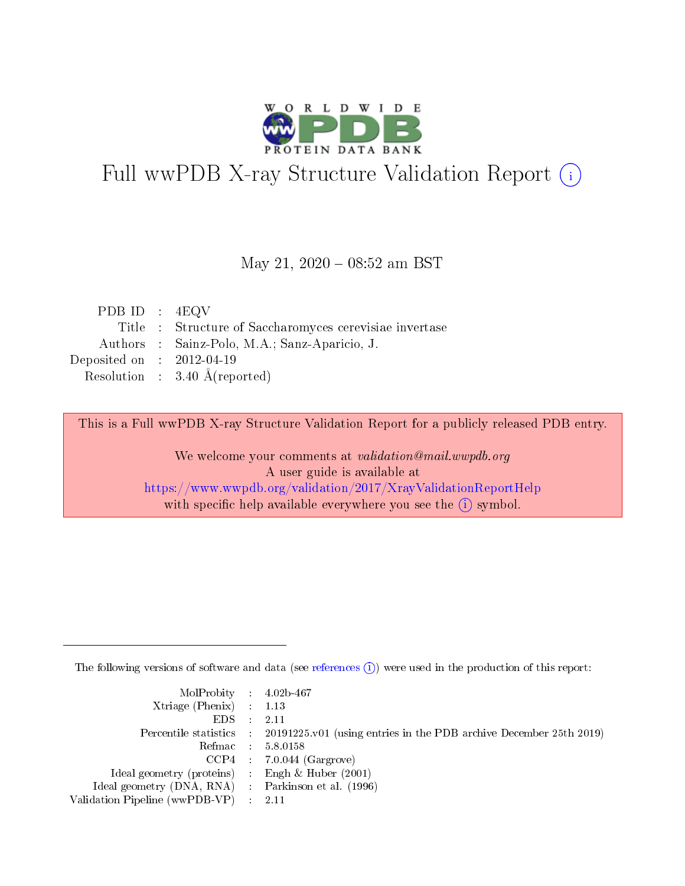

# Full wwPDB X-ray Structure Validation Report (i)

### May 21,  $2020 - 08:52$  am BST

| PDB ID : $4EQV$             |                                                         |
|-----------------------------|---------------------------------------------------------|
|                             | Title : Structure of Saccharomyces cerevisiae invertase |
|                             | Authors : Sainz-Polo, M.A.; Sanz-Aparicio, J.           |
| Deposited on : $2012-04-19$ |                                                         |
|                             | Resolution : $3.40 \text{ Å}$ (reported)                |

This is a Full wwPDB X-ray Structure Validation Report for a publicly released PDB entry.

We welcome your comments at validation@mail.wwpdb.org A user guide is available at <https://www.wwpdb.org/validation/2017/XrayValidationReportHelp> with specific help available everywhere you see the  $(i)$  symbol.

The following versions of software and data (see [references](https://www.wwpdb.org/validation/2017/XrayValidationReportHelp#references)  $(i)$ ) were used in the production of this report:

| MolProbity : 4.02b-467                              |                                                                                            |
|-----------------------------------------------------|--------------------------------------------------------------------------------------------|
| $Xtriangle (Phenix)$ : 1.13                         |                                                                                            |
| $EDS = 2.11$                                        |                                                                                            |
|                                                     | Percentile statistics : 20191225.v01 (using entries in the PDB archive December 25th 2019) |
|                                                     | Refmac : 5.8.0158                                                                          |
|                                                     | $CCP4$ : 7.0.044 (Gargrove)                                                                |
| Ideal geometry (proteins) : Engh $\&$ Huber (2001)  |                                                                                            |
| Ideal geometry (DNA, RNA) : Parkinson et al. (1996) |                                                                                            |
| Validation Pipeline (wwPDB-VP) : 2.11               |                                                                                            |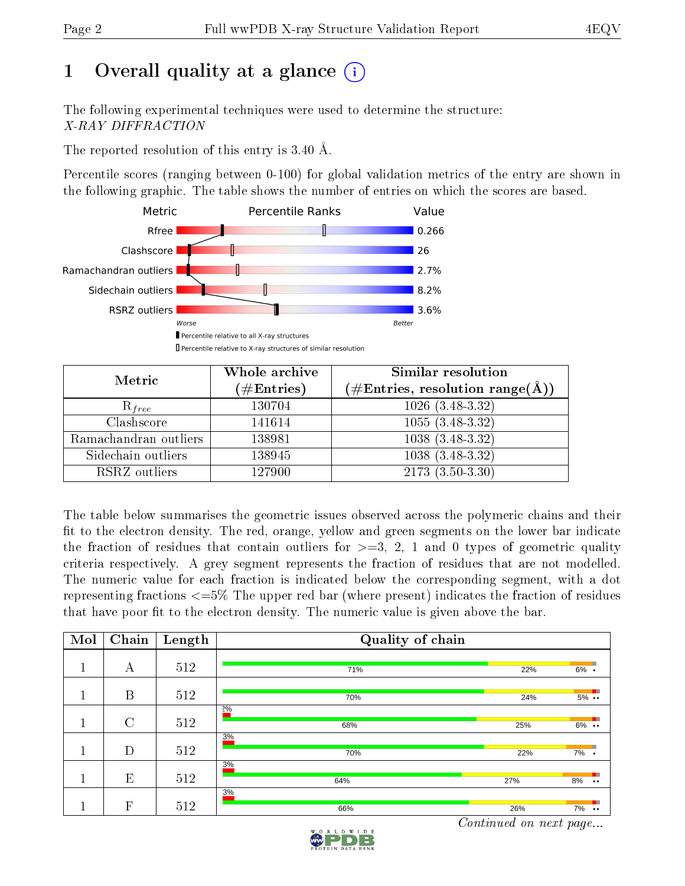## 1 [O](https://www.wwpdb.org/validation/2017/XrayValidationReportHelp#overall_quality)verall quality at a glance  $(i)$

The following experimental techniques were used to determine the structure: X-RAY DIFFRACTION

The reported resolution of this entry is 3.40 Å.

Percentile scores (ranging between 0-100) for global validation metrics of the entry are shown in the following graphic. The table shows the number of entries on which the scores are based.



| Metric                | Whole archive<br>$(\#\mathrm{Entries})$ | Similar resolution<br>$(\#\text{Entries},\,\text{resolution}\,\,\text{range}(\textup{\AA}))$ |
|-----------------------|-----------------------------------------|----------------------------------------------------------------------------------------------|
| $R_{free}$            | 130704                                  | $1026$ $(3.\overline{48-3.32)}$                                                              |
| Clashscore            | 141614                                  | $1055(3.48-3.32)$                                                                            |
| Ramachandran outliers | 138981                                  | $1038(3.48-3.32)$                                                                            |
| Sidechain outliers    | 138945                                  | $1038(3.48-3.32)$                                                                            |
| RSRZ outliers         | 127900                                  | $2173(3.50-3.30)$                                                                            |

The table below summarises the geometric issues observed across the polymeric chains and their fit to the electron density. The red, orange, yellow and green segments on the lower bar indicate the fraction of residues that contain outliers for  $>=3, 2, 1$  and 0 types of geometric quality criteria respectively. A grey segment represents the fraction of residues that are not modelled. The numeric value for each fraction is indicated below the corresponding segment, with a dot representing fractions <=5% The upper red bar (where present) indicates the fraction of residues that have poor fit to the electron density. The numeric value is given above the bar.

| Mol | Chain       | Length | Quality of chain |     |                                                     |
|-----|-------------|--------|------------------|-----|-----------------------------------------------------|
|     | А           | 512    | 71%              | 22% | $6\%$ .                                             |
|     | B           | 512    | 70%              | 24% | $5\%$                                               |
|     | $\rm C$     | 512    | 20/6<br>68%      | 25% | $6\%$                                               |
|     | D           | 512    | 3%<br>70%        | 22% | 7%<br>$\bullet$                                     |
|     | E           | 512    | 3%<br>64%        | 27% | 8%<br>$\bullet\bullet$                              |
|     | $\mathbf F$ | 512    | 3%<br>66%        | 26% | 7%<br>$\ddot{\phantom{0}}\phantom{0}\bullet\bullet$ |

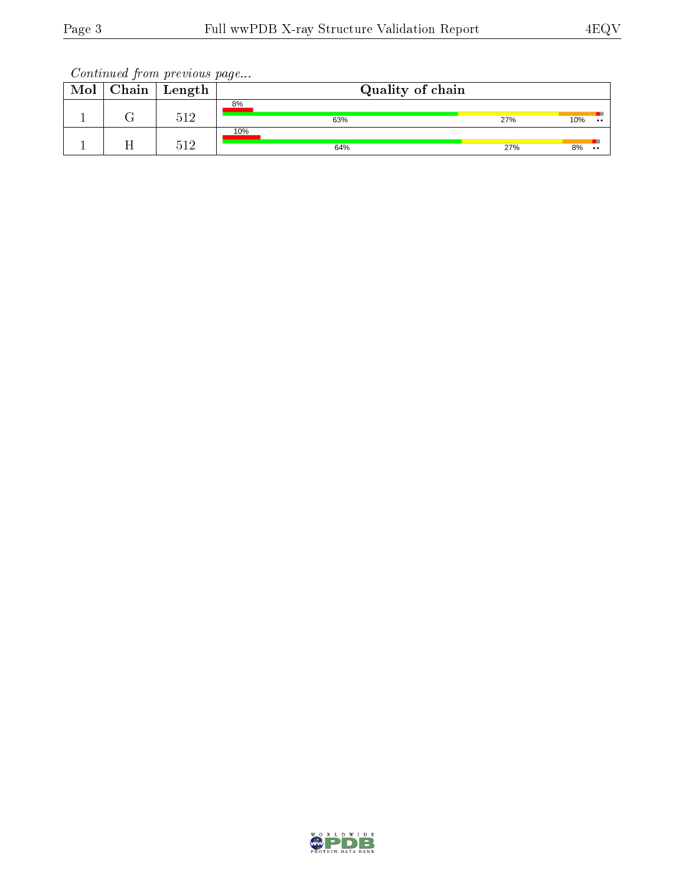| Mol | Chain | $\bold{Length}$ | Quality of chain |     |     |               |  |
|-----|-------|-----------------|------------------|-----|-----|---------------|--|
|     |       | 512             | 8%<br>63%        | 27% | 10% | $\cdot \cdot$ |  |
|     |       | 512             | 10%<br>64%       | 27% | 8%  | $\cdot \cdot$ |  |

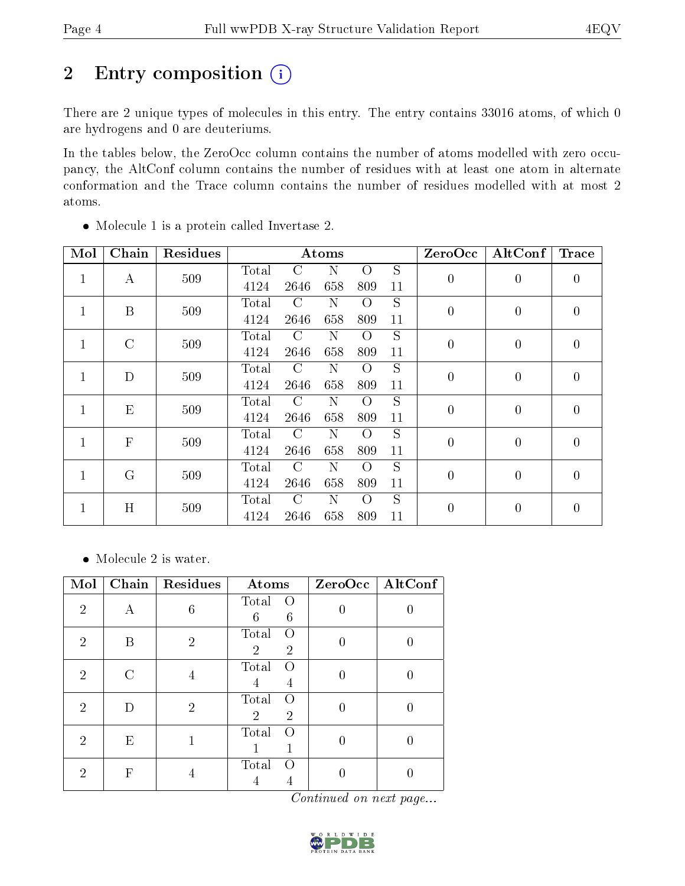# 2 Entry composition (i)

There are 2 unique types of molecules in this entry. The entry contains 33016 atoms, of which 0 are hydrogens and 0 are deuteriums.

In the tables below, the ZeroOcc column contains the number of atoms modelled with zero occupancy, the AltConf column contains the number of residues with at least one atom in alternate conformation and the Trace column contains the number of residues modelled with at most 2 atoms.

| Mol          | Chain        | <b>Residues</b> |       |               | Atoms |          |                | ZeroOcc          | AltConf        | <b>Trace</b>     |
|--------------|--------------|-----------------|-------|---------------|-------|----------|----------------|------------------|----------------|------------------|
| $\mathbf{1}$ | А            | 509             | Total | C             | N     | О        | S              | $\boldsymbol{0}$ | $\overline{0}$ |                  |
|              |              |                 | 4124  | 2646          | 658   | 809      | 11             |                  |                | $\boldsymbol{0}$ |
| $\mathbf{1}$ | B            | 509             | Total | $\mathcal{C}$ | N     | $\Omega$ | S              | $\overline{0}$   | $\overline{0}$ | $\overline{0}$   |
|              |              |                 | 4124  | 2646          | 658   | 809      | 11             |                  |                |                  |
| $\mathbf{1}$ | $\rm C$      | 509             | Total | $\rm C$       | N     | Ω        | S              | $\boldsymbol{0}$ | $\overline{0}$ | $\overline{0}$   |
|              |              |                 | 4124  | 2646          | 658   | 809      | 11             |                  |                |                  |
| $\mathbf{1}$ | D            | 509             | Total | $\rm C$       | N     | Ω        | S              | $\overline{0}$   | $\overline{0}$ | $\boldsymbol{0}$ |
|              |              |                 | 4124  | 2646          | 658   | 809      | 11             |                  |                |                  |
| 1            | E            | 509             | Total | $\mathcal{C}$ | N     | $\Omega$ | S              | $\overline{0}$   | 0              | $\overline{0}$   |
|              |              |                 | 4124  | 2646          | 658   | 809      | 11             |                  |                |                  |
| $\mathbf{1}$ | $\mathbf{F}$ | 509             | Total | $\mathcal{C}$ | N     | $\Omega$ | S              | $\boldsymbol{0}$ | $\overline{0}$ | $\overline{0}$   |
|              |              |                 | 4124  | 2646          | 658   | 809      | 11             |                  |                |                  |
| $\mathbf{1}$ | G            | 509             | Total | C             | N     | Ω        | $\overline{S}$ | $\overline{0}$   | $\overline{0}$ | $\overline{0}$   |
|              |              |                 | 4124  | 2646          | 658   | 809      | 11             |                  |                |                  |
|              | H<br>1       |                 | Total | C             | Ν     | Ω        | S              | $\boldsymbol{0}$ | $\overline{0}$ | $\theta$         |
|              |              | 509             | 4124  | 2646          | 658   | 809      | 11             |                  |                |                  |

Molecule 1 is a protein called Invertase 2.

• Molecule 2 is water.

| Mol            | Chain | Residues       | Atoms                                                         | $ZeroOcc \   \ AltConf$ |
|----------------|-------|----------------|---------------------------------------------------------------|-------------------------|
| $\overline{2}$ | А     | 6              | Total<br>$\left( \right)$<br>6<br>6                           |                         |
| $\overline{2}$ | В     | $\overline{2}$ | Total<br>$\left( \right)$<br>$\overline{2}$<br>$\overline{2}$ |                         |
| $\overline{2}$ |       | 4              | Total<br>$\left( \right)$<br>4<br>4                           |                         |
| $\overline{2}$ |       | $\overline{2}$ | Total<br>$\left( \right)$<br>$\overline{2}$<br>$\overline{2}$ |                         |
| $\overline{2}$ | E     |                | Total                                                         |                         |
| $\overline{2}$ | F     |                | Total                                                         |                         |

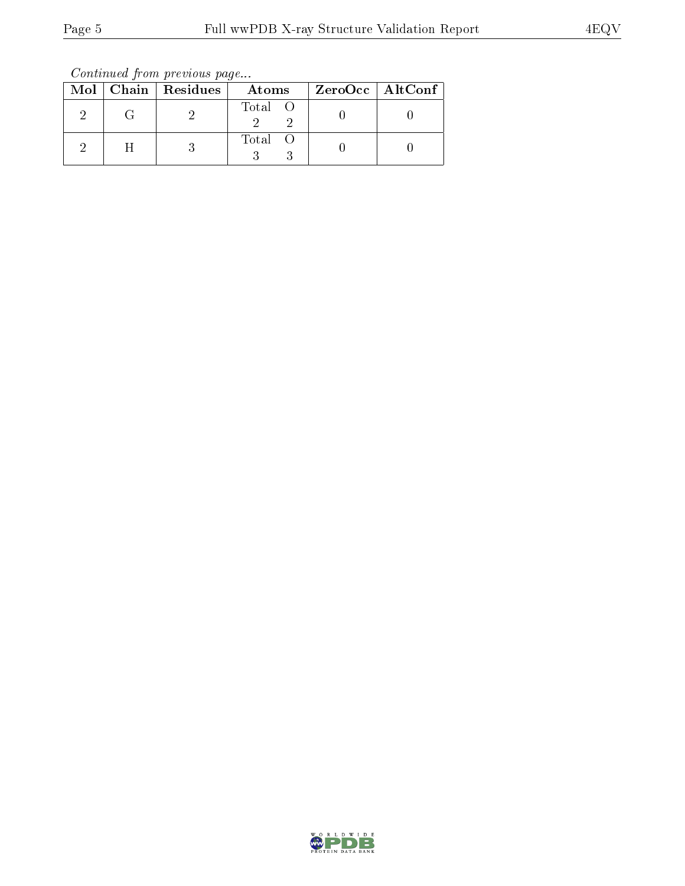Continued from previous page...

|  | Mol   Chain   Residues | Atoms   | $ZeroOcc$   AltConf |
|--|------------------------|---------|---------------------|
|  |                        | Total O |                     |
|  |                        | Total O |                     |

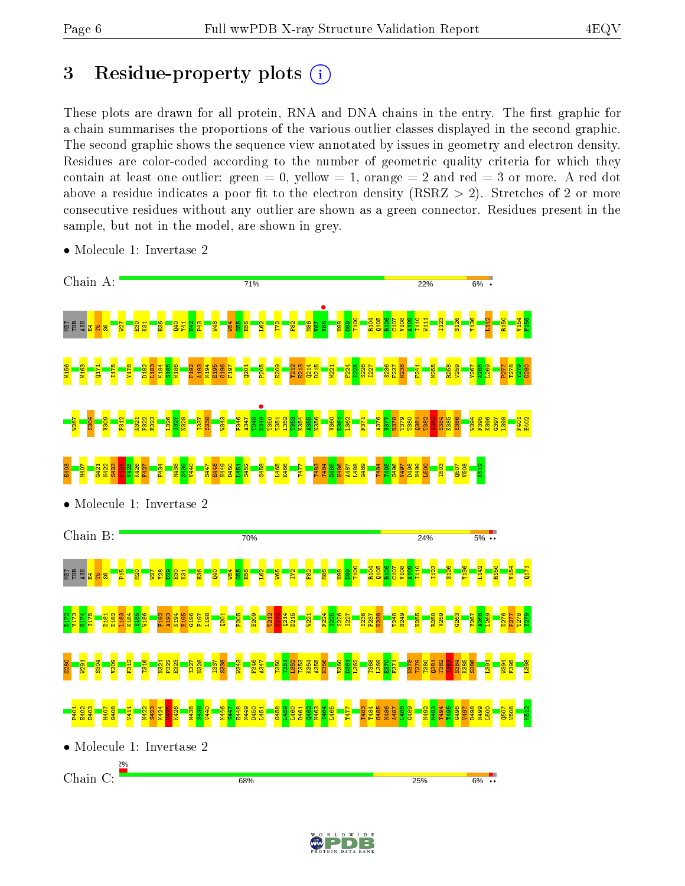### 3 Residue-property plots  $(i)$

These plots are drawn for all protein, RNA and DNA chains in the entry. The first graphic for a chain summarises the proportions of the various outlier classes displayed in the second graphic. The second graphic shows the sequence view annotated by issues in geometry and electron density. Residues are color-coded according to the number of geometric quality criteria for which they contain at least one outlier: green  $= 0$ , yellow  $= 1$ , orange  $= 2$  and red  $= 3$  or more. A red dot above a residue indicates a poor fit to the electron density (RSRZ  $> 2$ ). Stretches of 2 or more consecutive residues without any outlier are shown as a green connector. Residues present in the sample, but not in the model, are shown in grey.



• Molecule 1: Invertase 2

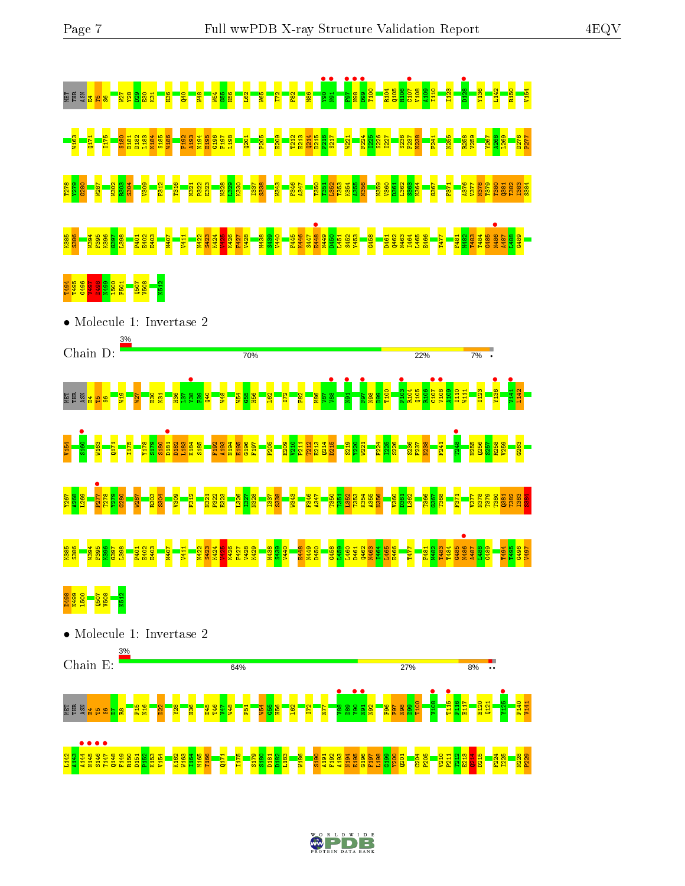



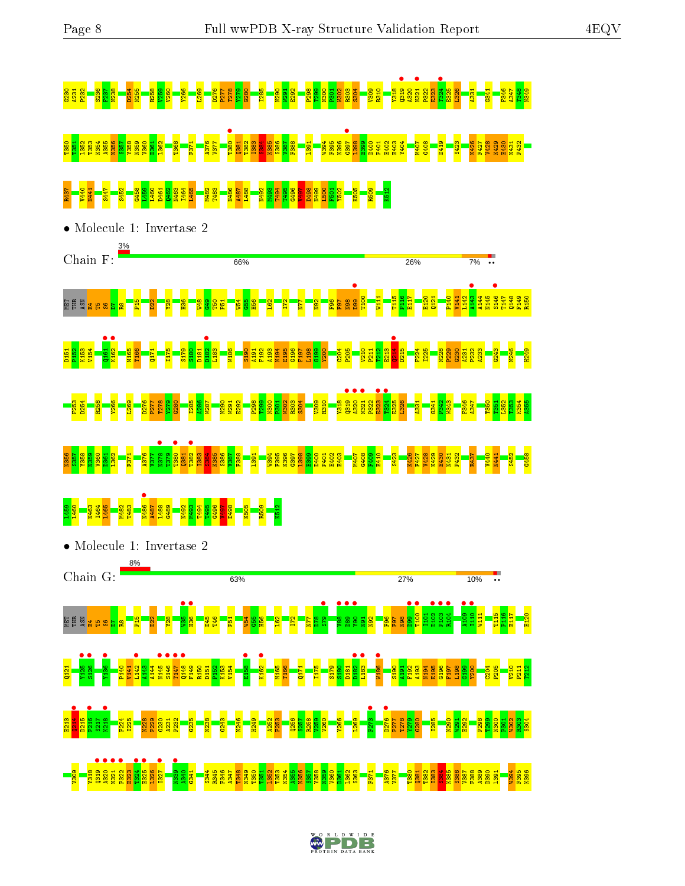#### G230 A231 P232 S236 F237 N238 D254 N255 R258 V259 V260 Y266 L269 D276 P277 T278 Y279 G280 I285 N290 W291 E292 P298 T299 N300 P301 W302 R303 S304 V309 R310 Y318 Q319 • A320 N321 • P322 E323 T324 • E325 L326 A331 G341 F346 A347 T348 N349 T350 T351 L352 T353 K354 A355 N356 S357 Y358 N359 V360 D361 L362 T368 F371 A376 V377 T380 • Q381 T382 I383 S384 K385 S386 V387 F388 L391 W394 F395 K396 G397 • L398 E399 D400 P401 E402 E403 Y404 M407 G408 D419 S423 K426 F427 V428 K429 E430 N431 P432 R437 V440 N441 S447 S452 G458 L459 L460 D461 Q462 N463 I464 L465 M482 T483 N486 A487 L488 N492 M493 T494 T495 G496 V497 D498 N499 L500 F501 Y502 K505 R509 K512 • Molecule 1: Invertase 2 3% Chain  $F:$ 66% 26%  $7%$  $\begin{array}{c} \bullet \\ \bullet \\ \bullet \end{array}$  $\frac{143}{144}$  $\frac{146}{143}$ T100 W111 T115 P116 E117 E120  $\frac{121}{2}$ P140 V141 L142 A144 N145 T147 Q148 F149 R150 ម្មី ឪិ<mark>នមននន</mark> P15 D22 Y28 H36  $\frac{48}{1}$ G49 T50 P51  $154$  $\frac{55}{25}$ H56 L62 I72 N77 N92  $\frac{8}{5}$ F97 N98  $\frac{161}{2460}$ K162 • **•**<br>D182  $\frac{1}{2}$

D151 P152 K153 V154 M165 T166 Q171 I175 S179 S180 D181 L183 W186 S190 A191 F192 A193 N194 E195 G196 F197 L198  $\frac{99}{21}$ Y200  $\frac{64}{20}$ P205 V210  $\frac{11}{2}$  $\frac{12}{2}$  $\frac{23}{2}$ D215 F224 I225 N228 P229  $\frac{30}{2}$ A231 P232 A233 G243 N246 H249 F253 D254 R258 Y266 L269 D276 P277 T278 Y279 G280 I285  $\frac{86}{2}$ W287 N290 W291 E292 P298 T299 N300  $\frac{51}{20}$ W302 R303 S304 នន<mark>្ទា</mark> ● ● ● ●<br>ਸ਼ੁਸ਼ੁਕ ਸ<br>ਸ਼ੁਸ਼ੁਕ ਸ਼ੁਸ਼ੁ P322  $\frac{8}{23}$ **1**324 • E325 L326 A331  $6341$  $\frac{942}{25}$ W343 F346  $47$ T350 T351 L352 T353 K354 A355



#### L460<br>L<mark>460</mark> n48<br><u>148 • 2008 • 2008 • 2008 • 2008 • 2009</u><br>2009 • 2009 • 2009 • 2009 • 2009 • 2009 • 2009<br>2009 • 2009 • 2009 • 2009 • 2009 • 2009 • 2009 • 2009 • 2009 • 2009 • 2009 • 2009 • 2009 • 2009 • 2009 • 2009 G496 V497 D498 K505 R509 K512



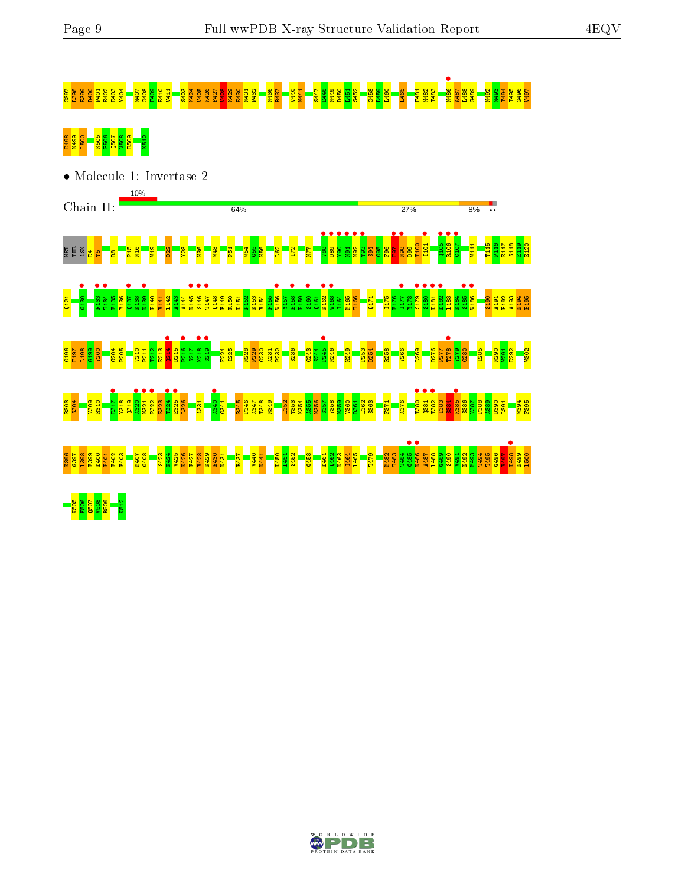# 88888828383 - 288883 - 288888 - 288888 - 288888 - 28888 - 28888 - 28888 - 28888 - 2888 - 2888 - 2888 - 2888 -<br>88888 - 2888 - 2888 - 2888 - 2888 - 2888 - 2888 - 2888 - 2888 - 2888 - 2888 - 2888 - 2888 - 2888 - 2888 - 288<br>8





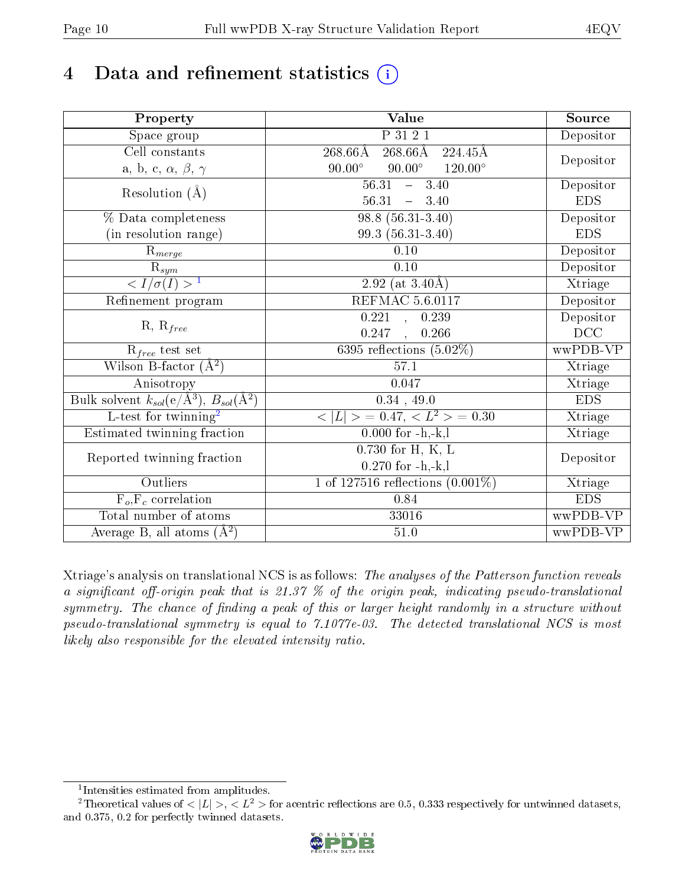# 4 Data and refinement statistics  $(i)$

| Property                                                      | Value                                            | Source     |
|---------------------------------------------------------------|--------------------------------------------------|------------|
| $\overline{\text{Space}}$ group                               | P 31 2 1                                         | Depositor  |
| Cell constants                                                | $268.66\text{\AA}$<br>$268.66\rm\AA$<br>224.45Å  |            |
| a, b, c, $\alpha$ , $\beta$ , $\gamma$                        | $90.00^\circ$<br>$90.00^\circ$<br>$120.00^\circ$ | Depositor  |
| Resolution $(A)$                                              | 56.31<br>3.40<br>$\frac{1}{2}$                   | Depositor  |
|                                                               | 56.31<br>$-3.40$                                 | <b>EDS</b> |
| % Data completeness                                           | $98.8(56.31-3.40)$                               | Depositor  |
| (in resolution range)                                         | 99.3 (56.31-3.40)                                | <b>EDS</b> |
| $R_{merge}$                                                   | 0.10                                             | Depositor  |
| $\mathbf{\bar{R}}_{sym}$                                      | 0.10                                             | Depositor  |
| $\frac{1}{\sqrt{1/\sigma(I)}} > 1$                            | 2.92 (at $3.40\text{\AA}$ )                      | Xtriage    |
| Refinement program                                            | <b>REFMAC 5.6.0117</b>                           | Depositor  |
|                                                               | 0.221<br>0.239<br>$\mathbf{A}$                   | Depositor  |
| $R, R_{free}$                                                 | 0.247<br>, 0.266                                 | DCC        |
| $R_{free}$ test set                                           | 6395 reflections $(5.02\%)$                      | wwPDB-VP   |
| Wilson B-factor $(A^2)$                                       | 57.1                                             | Xtriage    |
| Anisotropy                                                    | 0.047                                            | Xtriage    |
| Bulk solvent $k_{sol}(e/\text{\AA}^3), B_{sol}(\text{\AA}^2)$ | $0.34$ , 49.0                                    | <b>EDS</b> |
| L-test for twinning <sup>2</sup>                              | $< L >$ = 0.47, $< L2 >$ = 0.30                  | Xtriage    |
| Estimated twinning fraction                                   | $0.000$ for $-h,-k,l$                            | Xtriage    |
| Reported twinning fraction                                    | $0.730$ for H, K, L                              | Depositor  |
|                                                               | $0.270$ for $-h,-k,l$                            |            |
| Outliers                                                      | 1 of 127516 reflections $(0.001\%)$              | Xtriage    |
| $F_o, F_c$ correlation                                        | 0.84                                             | <b>EDS</b> |
| Total number of atoms                                         | 33016                                            | wwPDB-VP   |
| Average B, all atoms $(A^2)$                                  | $51.0\,$                                         | wwPDB-VP   |

Xtriage's analysis on translational NCS is as follows: The analyses of the Patterson function reveals a significant off-origin peak that is 21.37  $\%$  of the origin peak, indicating pseudo-translational symmetry. The chance of finding a peak of this or larger height randomly in a structure without pseudo-translational symmetry is equal to 7.1077e-03. The detected translational NCS is most likely also responsible for the elevated intensity ratio.

<sup>&</sup>lt;sup>2</sup>Theoretical values of  $\langle |L| \rangle$ ,  $\langle L^2 \rangle$  for acentric reflections are 0.5, 0.333 respectively for untwinned datasets, and 0.375, 0.2 for perfectly twinned datasets.



<span id="page-9-1"></span><span id="page-9-0"></span><sup>1</sup> Intensities estimated from amplitudes.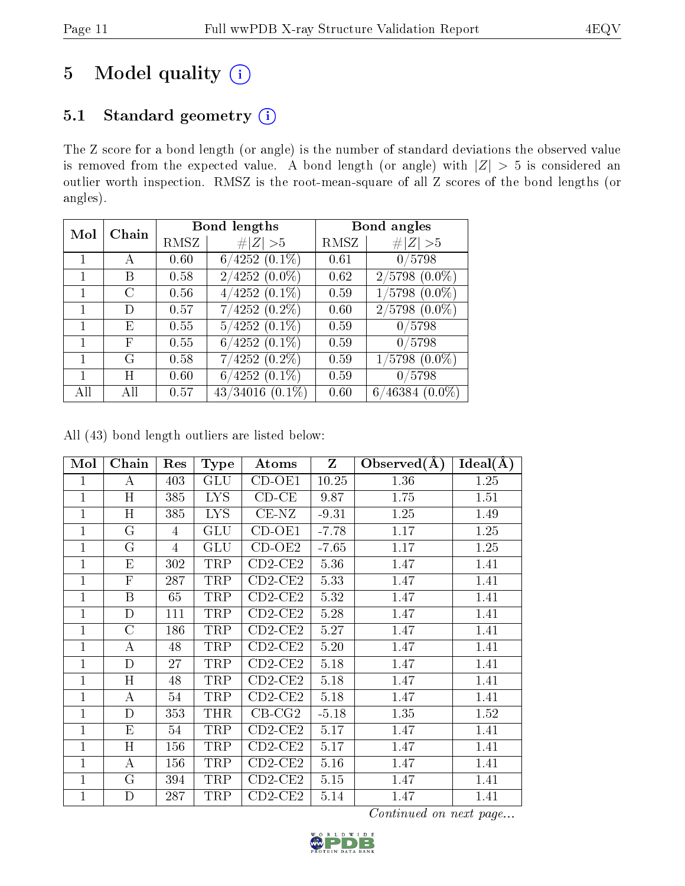## 5 Model quality  $(i)$

### 5.1 Standard geometry (i)

The Z score for a bond length (or angle) is the number of standard deviations the observed value is removed from the expected value. A bond length (or angle) with  $|Z| > 5$  is considered an outlier worth inspection. RMSZ is the root-mean-square of all Z scores of the bond lengths (or angles).

| Mol | Chain                  |      | <b>Bond lengths</b>  | Bond angles |                    |  |
|-----|------------------------|------|----------------------|-------------|--------------------|--|
|     |                        | RMSZ | # $ Z  > 5$          | RMSZ        | Z   > 5            |  |
|     | А                      | 0.60 | $6/4252(0.1\%)$      | 0.61        | 0/5798             |  |
|     | В                      | 0.58 | $2/4252(0.0\%)$      | 0.62        | $2/5798$ $(0.0\%)$ |  |
|     | $\left( \cdot \right)$ | 0.56 | $4/4252$ $(0.1\%)$   | 0.59        | $1/5798$ $(0.0\%)$ |  |
|     | D)                     | 0.57 | $7/4252(0.2\%)$      | 0.60        | $2/5798$ $(0.0\%)$ |  |
|     | E                      | 0.55 | $5/4252(0.1\%)$      | 0.59        | 0/5798             |  |
|     | F                      | 0.55 | $6/4252(0.1\%)$      | 0.59        | 0/5798             |  |
|     | G                      | 0.58 | $7/4252(0.2\%)$      | 0.59        | $1/5798$ $(0.0\%)$ |  |
|     | Η                      | 0.60 | $6/4252$ $(0.1\%)$   | 0.59        | 0/5798             |  |
| All | ΑH                     | 0.57 | $43/34016$ $(0.1\%)$ | 0.60        | $6/46384(0.0\%)$   |  |

All (43) bond length outliers are listed below:

| Mol            | Chain            | Res            | <b>Type</b> | Atoms       | $\mathbf{Z}$ | Observed $(A)$ | $\overline{\text{Ideal}}(\AA)$ |
|----------------|------------------|----------------|-------------|-------------|--------------|----------------|--------------------------------|
| 1              | А                | 403            | <b>GLU</b>  | $CD-OE1$    | 10.25        | 1.36           | 1.25                           |
| $\mathbf{1}$   | H                | 385            | <b>LYS</b>  | $CD$ - $CE$ | 9.87         | 1.75           | 1.51                           |
| $\overline{1}$ | H                | 385            | <b>LYS</b>  | $CE-NZ$     | $-9.31$      | 1.25           | 1.49                           |
| $\mathbf{1}$   | $\rm G$          | 4              | <b>GLU</b>  | $CD-OE1$    | $-7.78$      | 1.17           | 1.25                           |
| 1              | $G\$             | $\overline{4}$ | <b>GLU</b>  | $CD-OE2$    | $-7.65$      | 1.17           | 1.25                           |
| 1              | E                | 302            | TRP         | $CD2$ -CE2  | 5.36         | 1.47           | 1.41                           |
| $\overline{1}$ | $\mathbf{F}$     | 287            | TRP         | $CD2$ -CE2  | 5.33         | 1.47           | 1.41                           |
| $\mathbf{1}$   | $\boldsymbol{B}$ | 65             | TRP         | $CD2-CE2$   | 5.32         | 1.47           | 1.41                           |
| $\overline{1}$ | $\overline{D}$   | 111            | TRP         | $CD2-CE2$   | 5.28         | 1.47           | 1.41                           |
| 1              | $\overline{C}$   | 186            | TRP         | $CD2$ -CE2  | 5.27         | 1.47           | 1.41                           |
| $\overline{1}$ | A                | 48             | TRP         | $CD2$ -CE2  | 5.20         | 1.47           | 1.41                           |
| $\mathbf{1}$   | $\mathbf D$      | 27             | TRP         | $CD2$ -CE2  | 5.18         | 1.47           | 1.41                           |
| 1              | H                | 48             | TRP         | $CD2-CE2$   | 5.18         | 1.47           | 1.41                           |
| 1              | А                | 54             | TRP         | $CD2-CE2$   | 5.18         | 1.47           | 1.41                           |
| 1              | $\mathbf D$      | 353            | THR         | $CB-CG2$    | $-5.18$      | 1.35           | 1.52                           |
| $\mathbf{1}$   | E                | 54             | TRP         | $CD2-CE2$   | 5.17         | 1.47           | 1.41                           |
| $\mathbf{1}$   | H                | 156            | TRP         | $CD2-CE2$   | 5.17         | 1.47           | 1.41                           |
| $\mathbf{1}$   | А                | 156            | TRP         | $CD2$ -CE2  | 5.16         | 1.47           | 1.41                           |
| 1              | $\overline{G}$   | 394            | TRP         | $CD2$ -CE2  | 5.15         | 1.47           | 1.41                           |
| $\mathbf{1}$   | D                | 287            | TRP         | $CD2-CE2$   | 5.14         | 1.47           | 1.41                           |

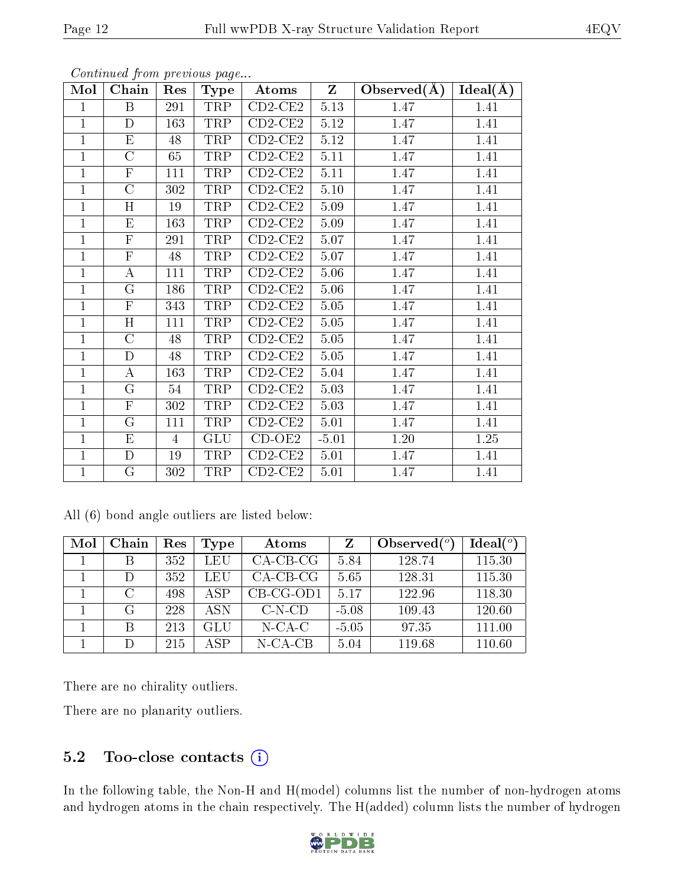| Mol            | Chain                   | Res | Type       | Atoms                        | Z        | Observed $(A)$ | $Ideal(\AA)$ |
|----------------|-------------------------|-----|------------|------------------------------|----------|----------------|--------------|
| $\mathbf{1}$   | B                       | 291 | TRP        | $CD2-CE2$                    | 5.13     | 1.47           | 1.41         |
| $\mathbf{1}$   | D                       | 163 | TRP        | $CD2-CE2$                    | $5.12\,$ | 1.47           | 1.41         |
| $\overline{1}$ | E                       | 48  | TRP        | $CD2-CE2$                    | 5.12     | 1.47           | 1.41         |
| $\mathbf{1}$   | $\mathcal{C}$           | 65  | TRP        | $CD2-CE2$                    | 5.11     | 1.47           | 1.41         |
| $\overline{1}$ | $\mathbf{F}$            | 111 | TRP        | $CD2-CE2$                    | 5.11     | 1.47           | 1.41         |
| $\mathbf{1}$   | $\overline{C}$          | 302 | TRP        | $CD2-CE2$                    | $5.10\,$ | 1.47           | 1.41         |
| $\mathbf{1}$   | H                       | 19  | TRP        | $CD2-CE2$                    | 5.09     | 1.47           | 1.41         |
| $\mathbf{1}$   | $\overline{\mathrm{E}}$ | 163 | TRP        | $CD2-CE2$                    | 5.09     | 1.47           | 1.41         |
| $\mathbf 1$    | $\mathbf F$             | 291 | TRP        | $CD2-CE2$                    | 5.07     | 1.47           | 1.41         |
| $\mathbf{1}$   | $\overline{\mathrm{F}}$ | 48  | TRP        | $CD2-CE2$                    | 5.07     | 1.47           | 1.41         |
| $\mathbf{1}$   | $\boldsymbol{A}$        | 111 | TRP        | $CD2-CE2$                    | 5.06     | 1.47           | 1.41         |
| $\mathbf{1}$   | G                       | 186 | TRP        | $CD2-CE2$                    | 5.06     | 1.47           | 1.41         |
| $\mathbf{1}$   | $\overline{F}$          | 343 | TRP        | $CD2-CE2$                    | 5.05     | 1.47           | 1.41         |
| $\mathbf{1}$   | H                       | 111 | TRP        | $CD2-CE2$                    | 5.05     | 1.47           | 1.41         |
| $\mathbf{1}$   | $\mathcal{C}$           | 48  | TRP        | $\overline{\text{CD2}}$ -CE2 | 5.05     | 1.47           | 1.41         |
| $\mathbf{1}$   | $\mathbf D$             | 48  | TRP        | $CD2-CE2$                    | 5.05     | 1.47           | 1.41         |
| $\mathbf{1}$   | $\boldsymbol{A}$        | 163 | TRP        | $CD2$ -CE2                   | 5.04     | 1.47           | 1.41         |
| $\mathbf{1}$   | $\overline{G}$          | 54  | TRP        | $CD2-CE2$                    | 5.03     | 1.47           | 1.41         |
| $\mathbf 1$    | $\mathbf F$             | 302 | TRP        | $CD2-CE2$                    | 5.03     | 1.47           | 1.41         |
| $\mathbf 1$    | G                       | 111 | TRP        | $CD2-CE2$                    | 5.01     | 1.47           | 1.41         |
| $\mathbf{1}$   | ${\rm E}$               | 4   | <b>GLU</b> | $CD-OE2$                     | $-5.01$  | 1.20           | 1.25         |
| $\mathbf{1}$   | D                       | 19  | TRP        | $CD2-CE2$                    | 5.01     | 1.47           | 1.41         |
| $\mathbf{1}$   | G                       | 302 | TRP        | $CD2-CE2$                    | 5.01     | 1.47           | 1.41         |

All (6) bond angle outliers are listed below:

| Mol | Chain         | Res | Type | Atoms       | Z       | Observed $(°)$ | Ideal $(^\circ)$ |
|-----|---------------|-----|------|-------------|---------|----------------|------------------|
|     | В             | 352 | LEU  | $CA-CB-CG$  | 5.84    | 128.74         | 115.30           |
|     | $\Box$        | 352 | LEU  | $CA-CB-CG$  | 5.65    | 128.31         | 115.30           |
|     | $\mathcal{C}$ | 498 | ASP  | $CB-CG-OD1$ | 5.17    | 122.96         | 118.30           |
|     | G             | 228 | A SN | $C-N-CD$    | $-5.08$ | 109.43         | 120.60           |
|     | В             | 213 | GLU  | $N$ -CA-C   | $-5.05$ | 97.35          | 111.00           |
|     | D             | 215 | ASP  | N-CA-CB     | 5.04    | 119.68         | 110.60           |

There are no chirality outliers.

There are no planarity outliers.

### 5.2 Too-close contacts  $(i)$

In the following table, the Non-H and H(model) columns list the number of non-hydrogen atoms and hydrogen atoms in the chain respectively. The H(added) column lists the number of hydrogen

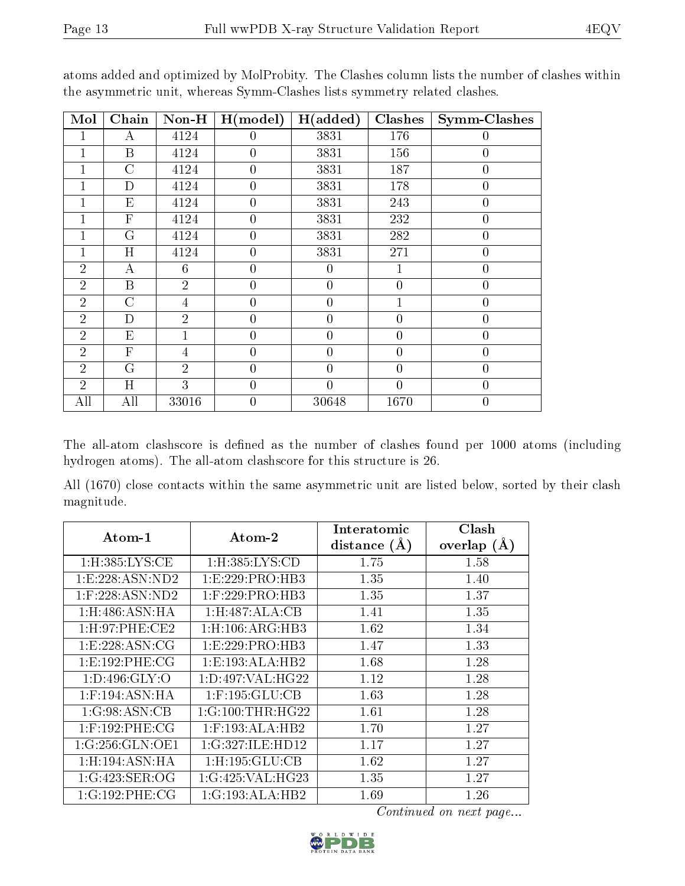| Mol            | Chain          | $Non-H$        | H (model)        | H(added)       | Clashes        | <b>Symm-Clashes</b> |
|----------------|----------------|----------------|------------------|----------------|----------------|---------------------|
| 1              | А              | 4124           | $\theta$         | 3831           | 176            | 0                   |
| 1              | B              | 4124           | $\theta$         | 3831           | 156            | $\overline{0}$      |
| 1              | $\overline{C}$ | 4124           | $\theta$         | 3831           | 187            | $\overline{0}$      |
|                | D              | 4124           | $\theta$         | 3831           | 178            | $\overline{0}$      |
|                | E              | 4124           | $\overline{0}$   | 3831           | 243            | $\overline{0}$      |
| 1              | $\mathbf{F}$   | 4124           | $\overline{0}$   | 3831           | 232            | $\boldsymbol{0}$    |
| 1              | G              | 4124           | $\overline{0}$   | 3831           | 282            | $\overline{0}$      |
| 1              | H              | 4124           | $\overline{0}$   | 3831           | 271            | $\boldsymbol{0}$    |
| $\overline{2}$ | А              | 6              | $\boldsymbol{0}$ | $\overline{0}$ | $\mathbf{1}$   | $\overline{0}$      |
| $\overline{2}$ | B              | $\overline{2}$ | $\overline{0}$   | $\overline{0}$ | $\overline{0}$ | $\overline{0}$      |
| $\overline{2}$ | $\overline{C}$ | 4              | $\boldsymbol{0}$ | $\overline{0}$ | $\mathbf 1$    | $\overline{0}$      |
| $\overline{2}$ | D              | $\overline{2}$ | $\overline{0}$   | $\overline{0}$ | $\overline{0}$ | $\overline{0}$      |
| $\overline{2}$ | E              | 1              | $\boldsymbol{0}$ | $\overline{0}$ | $\overline{0}$ | $\boldsymbol{0}$    |
| $\overline{2}$ | $\overline{F}$ | $\overline{4}$ | $\overline{0}$   | $\overline{0}$ | $\overline{0}$ | $\overline{0}$      |
| $\overline{2}$ | G              | $\overline{2}$ | $\overline{0}$   | $\overline{0}$ | $\overline{0}$ | $\overline{0}$      |
| $\overline{2}$ | H              | 3              | $\overline{0}$   | $\overline{0}$ | $\overline{0}$ | $\overline{0}$      |
| All            | All            | 33016          | $\overline{0}$   | 30648          | 1670           | $\overline{0}$      |

atoms added and optimized by MolProbity. The Clashes column lists the number of clashes within the asymmetric unit, whereas Symm-Clashes lists symmetry related clashes.

The all-atom clashscore is defined as the number of clashes found per 1000 atoms (including hydrogen atoms). The all-atom clashscore for this structure is 26.

All (1670) close contacts within the same asymmetric unit are listed below, sorted by their clash magnitude.

| Atom-1                    | Atom-2                    | Interatomic<br>distance $(\AA)$ | Clash<br>overlap $(A)$ |
|---------------------------|---------------------------|---------------------------------|------------------------|
| $1:$ H $:385:LYS:CE$      | 1:H:385:LYS:CD            | 1.75                            | 1.58                   |
| 1: E: 228: ASN: ND2       | 1:E:229:PRO:HB3           | 1.35                            | 1.40                   |
| $1:$ F:228:ASN:ND2        | $1:$ F:229:PRO:HB3        | 1.35                            | 1.37                   |
| $1:$ H $:486:$ ASN $:$ HA | 1:H:487:ALA:CB            | 1.41                            | 1.35                   |
| 1: H:97: PHE:CE2          | 1: H: 106: ARG: HB3       | 1.62                            | 1.34                   |
| 1: E: 228: ASN: CG        | 1:E:229:PRO:HB3           | 1.47                            | 1.33                   |
| 1: E: 192: PHE: CG        | 1: E: 193: ALA: HB2       | 1.68                            | 1.28                   |
| 1: D: 496: GLY: O         | 1: D: 497: VAL: HG22      | 1.12                            | 1.28                   |
| $1:$ F:194:ASN:HA         | $1:$ F:195:GLU:CB         | 1.63                            | 1.28                   |
| 1:G:98:ASN:CB             | 1:G:100:THR:HG22          | 1.61                            | 1.28                   |
| $1:$ F:192:PHE:CG         | $1:$ F:193:ALA:HB2        | 1.70                            | 1.27                   |
| 1:G:256:GLN:OE1           | 1:G:327:ILE:HD12          | 1.17                            | 1.27                   |
| 1:H:194:ASN:HA            | $1:$ H $:195:$ GLU $:$ CB | 1.62                            | 1.27                   |
| 1:G:423:SER:OG            | 1:G:425:VAL:HG23          | 1.35                            | 1.27                   |
| 1:G:192:PHE:CG            | 1:G:193:ALA:HB2           | 1.69                            | 1.26                   |

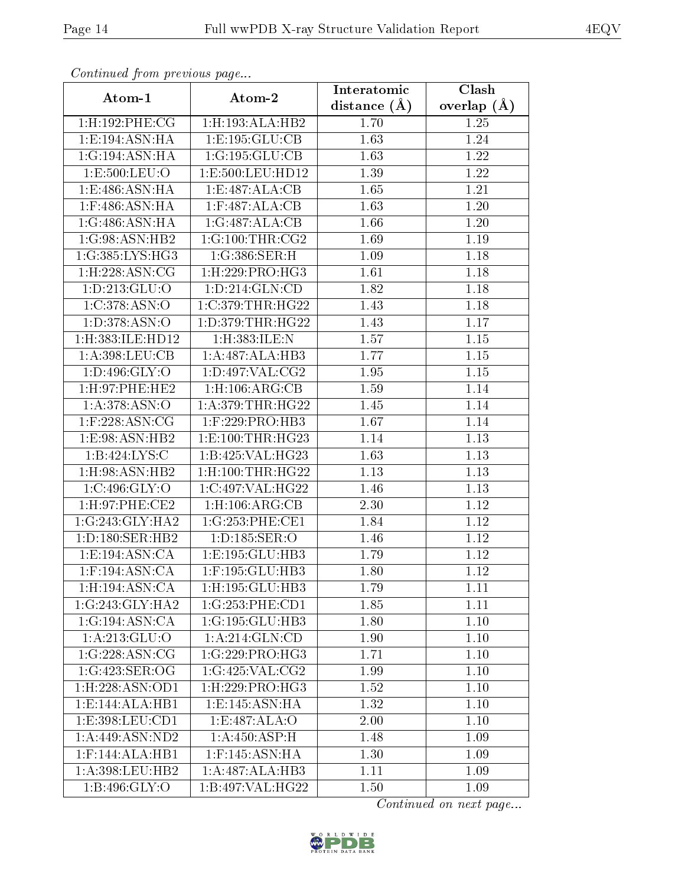| Continued from previous page     |                         | Interatomic      | Clash             |
|----------------------------------|-------------------------|------------------|-------------------|
| Atom-1                           | Atom-2                  | distance $(\AA)$ | overlap $(\AA)$   |
| 1:H:192:PHE:CG                   | 1:H:193:ALA:HB2         | 1.70             | 1.25              |
| 1:E:194:ASN:HA                   | 1: E: 195: GLU: CB      | 1.63             | 1.24              |
| 1:G:194:ASN:HA                   | 1:G:195:GLU:CB          | 1.63             | 1.22              |
| 1:E:500:LEU:O                    | 1:E:500:LEU:HD12        | 1.39             | 1.22              |
| 1:E:486:ASN:HA                   | 1:E:487:ALA:CB          | 1.65             | 1.21              |
| $1:$ F:486:ASN:HA                | $1:$ F:487:ALA:CB       | 1.63             | 1.20              |
| 1:G:486:ASN:HA                   | 1:G:487:ALA:CB          | 1.66             | 1.20              |
| 1:G:98:ASN:HB2                   | 1:G:100:THR:CG2         | 1.69             | 1.19              |
| 1:G:385:LYS:HG3                  | 1:G:386:SER:H           | 1.09             | $\overline{1.18}$ |
| 1:H:228:ASN:CG                   | 1:H:229:PRO:HG3         | 1.61             | 1.18              |
| 1: D: 213: GLU: O                | 1: D: 214: GLN: CD      | 1.82             | 1.18              |
| 1:C:378:ASN:O                    | 1:C:379:THR:HG22        | 1.43             | 1.18              |
| 1:D:378:ASN:O                    | 1:D:379:THR:HG22        | 1.43             | 1.17              |
| 1:H:383:ILE:HD12                 | 1:H:383:ILE:N           | 1.57             | 1.15              |
| 1:A:398:LEU:CB                   | 1:A:487:ALA:HB3         | 1.77             | 1.15              |
| 1: D: 496: GLY: O                | 1: D: 497: VAL: CG2     | 1.95             | 1.15              |
| $1:$ H:97:PHE:HE2                | $1:$ H $:106:$ ARG:CB   | 1.59             | 1.14              |
| 1: A: 378: ASN: O                | 1: A:379:THR:HG22       | 1.45             | 1.14              |
| $1:$ F:228:ASN:CG                | 1:F:229:PRO:HB3         | 1.67             | 1.14              |
| 1:E:98:ASN:HB2                   | 1: E:100: THR: HG23     | 1.14             | 1.13              |
| 1:B:424:LYS:C                    | 1:B:425:VAL:HG23        | 1.63             | 1.13              |
| 1: H:98: ASN: HB2                | $1:$ H: $100:$ THR:HG22 | 1.13             | 1.13              |
| 1:C:496:GLY:O                    | 1:C:497:VAL:HG22        | 1.46             | 1.13              |
| 1:H:97:PHE:CE2                   | $1:$ H $:106:$ ARG:CB   | 2.30             | 1.12              |
| 1:G:243:GLY:HA2                  | 1:G:253:PHE:CE1         | 1.84             | 1.12              |
| 1:D:180:SER:HB2                  | 1: D: 185: SER: O       | 1.46             | 1.12              |
| 1: E: 194: ASN: CA               | 1: E: 195: GLU: HB3     | 1.79             | 1.12              |
| $1:$ F:194:ASN:CA                | 1:F:195:GLU:HB3         | 1.80             | 1.12              |
| 1:H:194:ASN:CA                   | 1:H:195:GLU:HB3         | 1.79             | 1.11              |
| 1:G:243:GLY:HA2                  | 1:G:253:PHE:CD1         | 1.85             | 1.11              |
| 1:G:194:ASN:CA                   | 1:G:195:GLU:HB3         | 1.80             | 1.10              |
| 1: A:213: GLU:O                  | 1: A:214: GLN:CD        | 1.90             | 1.10              |
| 1:G:228:ASN:CG                   | 1:G:229:PRO:HG3         | 1.71             | 1.10              |
| 1:G:423:SER:OG                   | 1:G:425:VAL:CG2         | 1.99             | 1.10              |
| $1:$ H $:228:$ ASN $:$ OD $1$    | 1: H: 229: PRO:HG3      | 1.52             | 1.10              |
| $1: E: 144: ALA: \overline{HBI}$ | 1: E: 145: ASN: HA      | 1.32             | 1.10              |
| 1:E:398:LEU:CD1                  | 1:E:487:ALA:O           | 2.00             | 1.10              |
| 1: A:449: ASN:ND2                | 1: A:450:ASP:H          | 1.48             | 1.09              |
| $1:$ F:144:ALA:HB1               | $1:$ F:145:ASN:HA       | 1.30             | 1.09              |
| 1:A:398:LEU:HB2                  | 1:A:487:ALA:HB3         | 1.11             | 1.09              |
| 1: B:496: GLY:O                  | 1:B:497:VAL:HG22        | 1.50             | 1.09              |

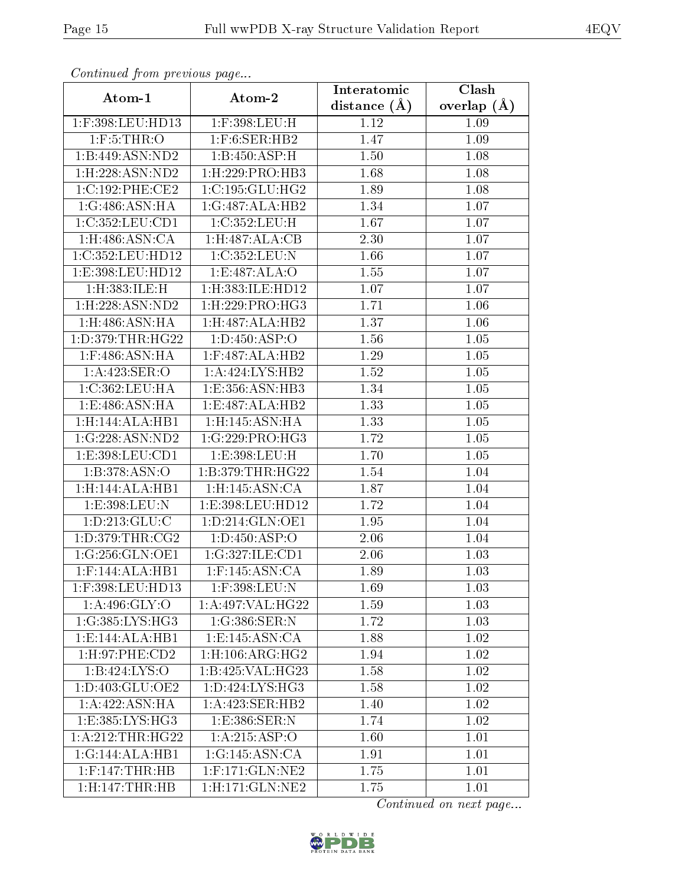| Continuati pom previous page  |                                         | Interatomic    | Clash             |
|-------------------------------|-----------------------------------------|----------------|-------------------|
| Atom-1                        | Atom-2                                  | distance $(A)$ | overlap $(A)$     |
| 1:F:398:LEU:HD13              | 1:F:398:LEU:H                           | 1.12           | 1.09              |
| $1:$ F:5:THR:O                | $1:$ F:6:SER:HB2                        | 1.47           | 1.09              |
| 1:B:449:ASN:ND2               | 1:B:450:ASP:H                           | 1.50           | 1.08              |
| $1:$ H $:228:$ ASN $:$ ND $2$ | $1:$ H $:229:$ PRO $:$ HB3              | 1.68           | 1.08              |
| 1:C:192:PHE:CE2               | 1:C:195:GLU:HG2                         | 1.89           | 1.08              |
| 1:G:486:ASN:HA                | 1:G:487:ALA:HB2                         | 1.34           | 1.07              |
| 1:C:352:LEU:CD1               | 1:C:352:LEU:H                           | 1.67           | 1.07              |
| 1: H:486: ASN:CA              | 1:H:487:ALA:CB                          | 2.30           | 1.07              |
| 1:C:352:LEU:HD12              | 1:C:352:LEU:N                           | 1.66           | 1.07              |
| 1:E:398:LEU:HD12              | 1:E:487:ALA:O                           | 1.55           | 1.07              |
| 1:H:383:ILE:H                 | 1:H:383:ILE:HD12                        | 1.07           | 1.07              |
| 1:H:228:ASN:ND2               | $1:$ H $:229:$ PRO $:$ HG3              | 1.71           | 1.06              |
| $1:$ H $:486:$ ASN $:$ HA     | 1: H:487: ALA:HB2                       | 1.37           | 1.06              |
| 1:D:379:THR:HG22              | 1: D: 450: ASP: O                       | 1.56           | 1.05              |
| $1:$ F:486:ASN:HA             | $1:$ F:487:ALA:HB2                      | 1.29           | 1.05              |
| 1:A:423:SER:O                 | 1: A:424: LYS:HB2                       | 1.52           | 1.05              |
| 1:C:362:LEU:HA                | 1:E:356:ASN:HB3                         | 1.34           | $\overline{1.05}$ |
| 1:E:486:ASN:HA                | 1:E:487:ALA:HB2                         | 1.33           | 1.05              |
| 1:H:144:ALA:HB1               | 1:H:145:ASN:HA                          | 1.33           | $1.05\,$          |
| 1:G:228:ASN:ND2               | 1:G:229:PRO:HG3                         | 1.72           | 1.05              |
| 1:E:398:LEU:CD1               | 1:E:398:LEU:H                           | 1.70           | 1.05              |
| 1:B:378:ASN:O                 | 1:B:379:THR:HG22                        | 1.54           | 1.04              |
| 1:H:144:ALA:HB1               | $1:$ H $:145:$ ASN $:$ CA               | 1.87           | 1.04              |
| 1:E:398:LEU:N                 | 1:E:398:LEU:HD12                        | 1.72           | 1.04              |
| 1: D: 213: GLU: C             | 1:D:214:GLN:OE1                         | 1.95           | $1.04\,$          |
| 1: D: 379: THR: CG2           | 1: D: 450: ASP: O                       | 2.06           | 1.04              |
| 1:G:256:GLN:OE1               | 1:G:327:ILE:CD1                         | 2.06           | 1.03              |
| $1:$ F:144:ALA:HB1            | $1:$ F:145:ASN:CA                       | 1.89           | 1.03              |
| 1:F:398:LEU:HD13              | 1:F:398:LEU:N                           | 1.69           | 1.03              |
| 1:A:496:GLY:O                 | 1:A:497:VAL:HG22                        | 1.59           | 1.03              |
| 1:G:385:LYS:HG3               | 1:G:386:SER:N                           | 1.72           | 1.03              |
| 1:E:144:ALA:HB1               | 1: E:145: ASN: CA                       | 1.88           | 1.02              |
| 1: H:97: PHE:CD2              | $1:$ H $:106:$ ARG:HG $2$               | 1.94           | 1.02              |
| 1:B:424:LYS:O                 | 1:B:425:VAL:HG23                        | 1.58           | 1.02              |
| 1: D: 403: GLU: OE2           | 1: D: 424: LYS: HG3                     | 1.58           | 1.02              |
| 1:A:422:ASN:HA                | 1:A:423:SER:HB2                         | 1.40           | 1.02              |
| 1:E:385:LYS:HG3               | 1:E:386:SER:N                           | 1.74           | 1.02              |
| 1:A:212:THR:HG22              | 1:A:215:ASP:O                           | 1.60           | 1.01              |
| 1:G:144:ALA:HB1               | 1:G:145:ASN:CA                          | 1.91           | 1.01              |
| $1:$ F:147:THR:HB             | $1:$ F:171:GLN:NE2                      | 1.75           | 1.01              |
| 1:H:147:THR:HB                | $1:$ H:171:GL $\overline{\text{N:NE2}}$ | 1.75           | 1.01              |

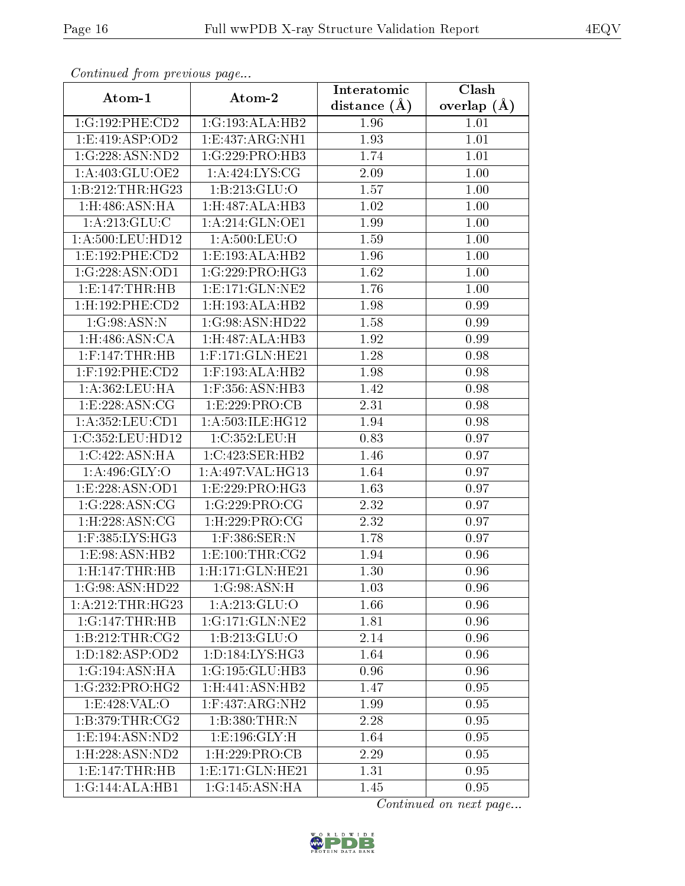| Communa from previous page   |                           | Interatomic    | Clash           |
|------------------------------|---------------------------|----------------|-----------------|
| Atom-1                       | Atom-2                    | distance $(A)$ | overlap $(\AA)$ |
| 1:G:192:PHE:CD2              | 1:G:193:ALA:HB2           | 1.96           | 1.01            |
| 1: E: 419: ASP: OD2          | 1:E:437:ARG:NH1           | 1.93           | 1.01            |
| 1:G:228:ASN:ND2              | 1:G:229:PRO:HB3           | 1.74           | 1.01            |
| 1: A:403: GLU:OE2            | 1: A:424: LYS: CG         | 2.09           | 1.00            |
| 1:B:212:THR:HG23             | 1:B:213:GLU:O             | 1.57           | 1.00            |
| $1:$ H $:486:$ ASN $:$ HA    | 1:H:487:ALA:HB3           | 1.02           | 1.00            |
| 1: A:213: GLU:C              | 1:A:214:GLN:OE1           | 1.99           | 1.00            |
| 1: A:500:LEU:HD12            | $1: A:500:$ LEU: $O$      | 1.59           | 1.00            |
| 1: E: 192: PHE: CD2          | 1:E:193:ALA:HB2           | 1.96           | 1.00            |
| 1:G:228:ASN:OD1              | 1:G:229:PRO:HG3           | 1.62           | 1.00            |
| 1: E: 147: THR: HB           | 1: E: 171: GLN: NE2       | 1.76           | 1.00            |
| 1:H:192:PHE:CD2              | 1:H:193:ALA:HB2           | 1.98           | 0.99            |
| 1:G:98:ASN:N                 | 1:G:98:ASN:HD22           | 1.58           | 0.99            |
| 1:H:486:ASN:CA               | 1: H:487: ALA:HB3         | 1.92           | 0.99            |
| $1:$ F:147:THR:HB            | $1:$ F:171:GLN:HE21       | 1.28           | 0.98            |
| $1:$ F:192:PHE:CD2           | $1:$ F:193:ALA:HB2        | 1.98           | 0.98            |
| 1:A:362:LEU:HA               | 1:F:356:ASN:HB3           | 1.42           | 0.98            |
| 1: E: 228: ASN: CG           | 1:E:229:PRO:CB            | 2.31           | 0.98            |
| 1:A:352:LEU:CD1              | 1:A:503:ILE:HG12          | 1.94           | 0.98            |
| 1:C:352:LEU:HD12             | 1:C:352:LEU:H             | 0.83           | 0.97            |
| 1:C:422:ASN:HA               | 1:C:423:SER:HB2           | 1.46           | 0.97            |
| $1:A:496:\overline{GLY:O}$   | 1:A:497:VAL:HG13          | 1.64           | 0.97            |
| 1: E: 228: ASN: OD1          | 1: E: 229: PRO:HG3        | 1.63           | 0.97            |
| 1:G:228:ASN:CG               | 1:G:229:PRO:CG            | 2.32           | 0.97            |
| 1: H:228: ASN: CG            | $1:$ H $:229:$ PRO $:$ CG | 2.32           | 0.97            |
| 1:F:385:LYS:HG3              | 1:F:386:SER:N             | 1.78           | 0.97            |
| 1:E:98:ASN:HB2               | 1: E: 100: THR: CG2       | 1.94           | 0.96            |
| 1:H:147:THR:HB               | 1:H:171:GLN:HE21          | 1.30           | 0.96            |
| $1:G:98:A\overline{SN:HD22}$ | 1:G:98:ASN:H              | 1.03           | 0.96            |
| 1:A:212:THR:HG23             | 1: A:213: GLU:O           | 1.66           | 0.96            |
| 1:G:147:THR:HB               | 1:G:171:GLN:NE2           | 1.81           | 0.96            |
| 1:B:212:THR:CG2              | 1:B:213:GLU:O             | 2.14           | 0.96            |
| 1: D: 182: ASP: OD2          | 1: D: 184: LYS: HG3       | 1.64           | 0.96            |
| 1:G:194:ASN:HA               | 1:G:195:GLU:HB3           | 0.96           | 0.96            |
| 1:G:232:PRO:HG2              | 1: H:441: ASN:HB2         | 1.47           | 0.95            |
| 1:E:428:VAL:O                | $1:$ F:437:ARG:NH2        | 1.99           | 0.95            |
| 1: B: 379: THR: CG2          | 1:B:380:THR:N             | 2.28           | 0.95            |
| 1:E:194:ASN:ND2              | 1: E: 196: GLY: H         | 1.64           | 0.95            |
| $1:$ H $:228:$ ASN:ND $2$    | $1:$ H $:229:$ PRO $:$ CB | 2.29           | 0.95            |
| 1: E: 147: THR: HB           | 1: E: 171: GLN: HE21      | 1.31           | 0.95            |
| 1:G:144:ALA:HB1              | 1:G:145:ASN:HA            | 1.45           | 0.95            |

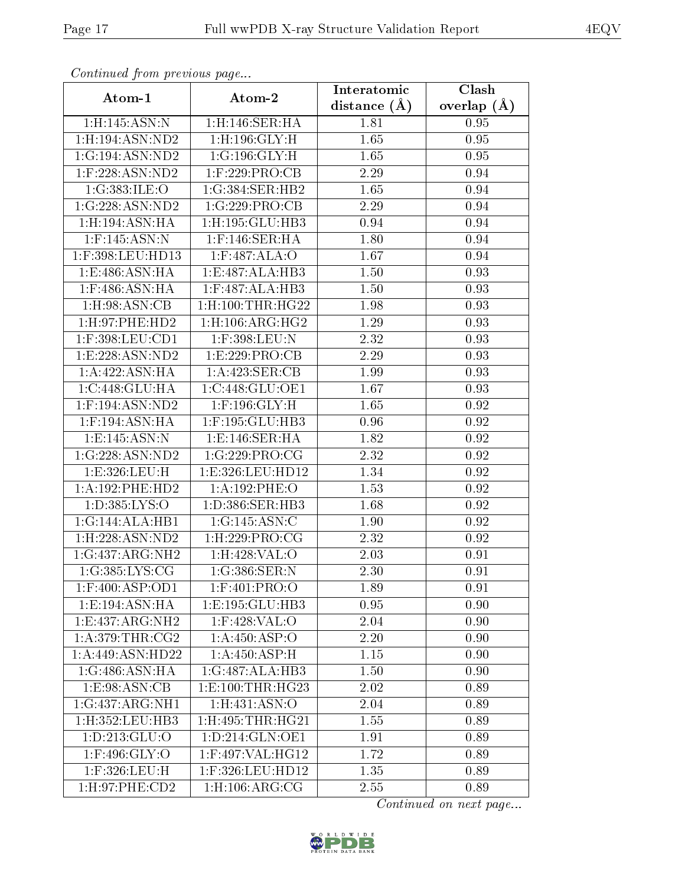| contentava promo provinciale pago |                                | Interatomic       | Clash           |
|-----------------------------------|--------------------------------|-------------------|-----------------|
| Atom-1                            | Atom-2                         | distance $(A)$    | overlap $(\AA)$ |
| $1:$ H $:145:$ ASN $:$ N          | 1:H:146:SER:HA                 | 1.81              | 0.95            |
| 1:H:194:ASN:ND2                   | $1:$ H $:196:$ GLY $:$ H       | 1.65              | 0.95            |
| 1:G:194:ASN:ND2                   | 1:G:196:GLY:H                  | 1.65              | 0.95            |
| $1:$ F:228:ASN:ND2                | $1:$ F:229:PRO:CB              | 2.29              | 0.94            |
| 1:G:383:ILE:O                     | 1:G:384:SER:HB2                | 1.65              | 0.94            |
| 1:G:228:ASN:ND2                   | 1:G:229:PRO:CB                 | 2.29              | 0.94            |
| $1:$ H:194:ASN:HA                 | 1:H:195:GLU:HB3                | 0.94              | 0.94            |
| $1:$ F:145:ASN:N                  | $1:$ F:146:SER:HA              | 1.80              | 0.94            |
| 1:F:398:LEU:HD13                  | 1:F:487:ALA:O                  | 1.67              | 0.94            |
| 1:E:486:ASN:HA                    | 1:E:487:ALA:HB3                | 1.50              | 0.93            |
| $1:$ F:486:ASN:HA                 | $1:$ F:487:ALA:HB3             | 1.50              | 0.93            |
| 1: H:98: ASN: CB                  | $1:$ H $:100:$ THR $:$ H $G22$ | 1.98              | 0.93            |
| 1: H:97: PHE:HD2                  | $1:$ H $:106:$ ARG:HG $2$      | 1.29              | 0.93            |
| 1:F:398:LEU:CD1                   | 1:F:398:LEU:N                  | $\overline{2}.32$ | 0.93            |
| 1: E: 228: ASN: ND2               | 1:E:229:PRO:CB                 | 2.29              | 0.93            |
| 1:A:422:ASN:HA                    | 1:A:423:SER:CB                 | 1.99              | 0.93            |
| 1:C:448:GLU:HA                    | 1:C:448:GLU:OE1                | 1.67              | 0.93            |
| $1:$ F:194:ASN:ND2                | $1:$ F:196:GLY:H               | 1.65              | 0.92            |
| $1:$ F:194:ASN:HA                 | 1:F:195:GLU:HB3                | 0.96              | 0.92            |
| 1: E: 145: ASN: N                 | 1:E:146:SER:HA                 | 1.82              | 0.92            |
| 1:G:228:ASN:ND2                   | 1:G:229:PRO:CG                 | 2.32              | 0.92            |
| 1:E:326:LEU:H                     | 1:E:326:LEU:HD12               | 1.34              | 0.92            |
| 1:A:192:PHE:HD2                   | 1:A:192:PHE:O                  | 1.53              | 0.92            |
| 1:D:385:LYS:O                     | 1:D:386:SER:HB3                | 1.68              | 0.92            |
| 1:G:144:ALA:HB1                   | 1:G:145:ASN:C                  | 1.90              | 0.92            |
| 1:H:228:ASN:ND2                   | $1:$ H $:229:$ PRO $:$ CG      | 2.32              | 0.92            |
| 1:G:437:ARG:NH2                   | 1: H:428: VAL:O                | 2.03              | 0.91            |
| 1:G:385:LYS:CG                    | 1:G:386:SER:N                  | 2.30              | 0.91            |
| 1:F:400:ASP:OD1                   | 1:F:401:PRO:O                  | 1.89              | 0.91            |
| 1:E:194:ASN:HA                    | 1:E:195:GLU:HB3                | 0.95              | 0.90            |
| 1:E:437:ARG:NH2                   | $1:$ F:428:VAL:O               | 2.04              | 0.90            |
| 1: A:379:THR:CG2                  | 1:A:450:ASP:O                  | 2.20              | 0.90            |
| 1:A:449:ASN:HD22                  | 1: A:450:ASP:H                 | 1.15              | 0.90            |
| 1:G:486:ASN:HA                    | 1:G:487:ALA:HB3                | 1.50              | 0.90            |
| 1:E:98:ASN:CB                     | 1: E:100: THR:HG23             | 2.02              | 0.89            |
| $1:G:437:ARG:\overline{NH1}$      | $1:$ H: $431:$ ASN: $O$        | 2.04              | 0.89            |
| 1:H:352:LEU:HB3                   | $1:$ H $:495:$ THR $:$ H $G21$ | 1.55              | 0.89            |
| 1: D: 213: GLU: O                 | 1:D:214:GLN:OE1                | 1.91              | 0.89            |
| 1:F:496:GLY:O                     | 1:F:497:VAL:HG12               | 1.72              | 0.89            |
| 1:F:326:LEU:H                     | 1:F:326:LEU:HD12               | 1.35              | 0.89            |
| 1:H:97:PHE:CD2                    | 1: H: 106: ARG: CG             | 2.55              | 0.89            |

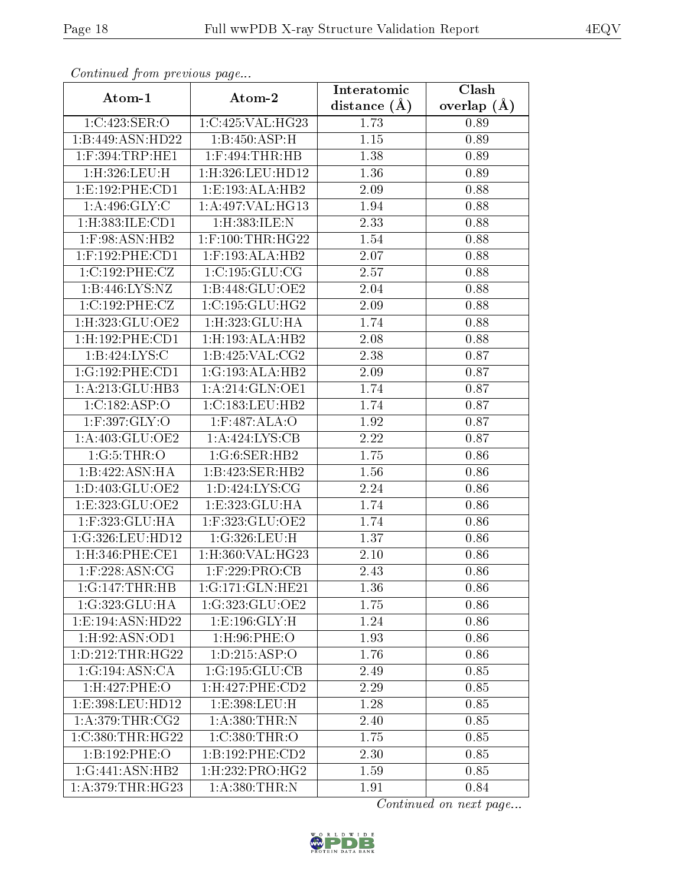| Continuea from previous page |                         | Interatomic       | Clash         |
|------------------------------|-------------------------|-------------------|---------------|
| Atom-1                       | Atom-2                  | distance $(A)$    | overlap $(A)$ |
| 1:C:423:SER:O                | 1:C:425:VAL:HG23        | 1.73              | 0.89          |
| 1:B:449:ASN:HD22             | 1:B:450:ASP:H           | $1.15\,$          | 0.89          |
| $1:$ F:394:TRP:HE1           | $1:$ F:494:THR:HB       | 1.38              | 0.89          |
| 1:H:326:LEU:H                | 1:H:326:LEU:HD12        | 1.36              | 0.89          |
| 1: E: 192: PHE: CD1          | 1:E:193:ALA:HB2         | 2.09              | 0.88          |
| 1: A:496: GLY: C             | 1:A:497:VAL:HG13        | 1.94              | 0.88          |
| 1:H:383:ILE:CD1              | 1:H:383:ILE:N           | $\overline{2}.33$ | 0.88          |
| $1:$ F:98:ASN:HB2            | $1:$ F:100:THR:HG22     | 1.54              | 0.88          |
| $1:$ F:192:PHE:CD1           | $1:$ F:193:ALA:HB2      | 2.07              | 0.88          |
| 1:C:192:PHE:CZ               | 1:C:195:GLU:CG          | 2.57              | 0.88          |
| 1:B:446:LYS:NZ               | 1:B:448:GLU:OE2         | 2.04              | 0.88          |
| 1:C:192:PHE:CZ               | 1:C:195:GLU:HG2         | 2.09              | 0.88          |
| 1:H:323:GLU:OE2              | 1:H:323:GLU:HA          | 1.74              | 0.88          |
| 1:H:192:PHE:CD1              | 1:H:193:ALA:HB2         | 2.08              | 0.88          |
| 1:B:424:LYS:C                | 1:B:425:VAL:CG2         | 2.38              | 0.87          |
| 1:G:192:PHE:CD1              | 1:G:193:ALA:HB2         | 2.09              | 0.87          |
| 1:A:213:GLU:HB3              | 1: A:214: GLN:OE1       | 1.74              | 0.87          |
| 1:C:182:ASP:O                | 1:C:183:LEU:HB2         | 1.74              | 0.87          |
| 1:F:397:GLY:O                | 1:F:487:ALA:O           | 1.92              | 0.87          |
| 1:A:403:GLU:OE2              | 1: A:424:LYS:CB         | 2.22              | 0.87          |
| 1:G:5:THR:O                  | 1:G:6:SER:HB2           | 1.75              | 0.86          |
| 1:B:422:ASN:HA               | 1:B:423:SER:HB2         | 1.56              | 0.86          |
| 1:D:403:GLU:OE2              | 1: D: 424: LYS: CG      | 2.24              | 0.86          |
| 1:E:323:GLU:OE2              | 1:E:323:GLU:HA          | 1.74              | 0.86          |
| 1:F:323:GLU:HA               | 1:F:323:GLU:OE2         | 1.74              | 0.86          |
| 1:G:326:LEU:HD12             | 1:G:326:LEU:H           | 1.37              | 0.86          |
| 1: H:346: PHE:CE1            | 1:H:360:VAL:HG23        | 2.10              | 0.86          |
| $1:$ F:228:ASN:CG            | 1:F:229:PRO:CB          | 2.43              | 0.86          |
| 1:G:147:THR:HB               | 1:G:171:GLN:HE21        | 1.36              | 0.86          |
| 1:G:323:GLU:HA               | 1:G:323:GLU:OE2         | 1.75              | 0.86          |
| 1:E:194:ASN:HD22             | 1: E: 196: GLY: H       | 1.24              | 0.86          |
| 1:H:92:ASN:OD1               | $1:$ H $:96:$ PHE $:$ O | 1.93              | 0.86          |
| 1: D: 212: THR: HG22         | 1: D: 215: ASP:O        | 1.76              | 0.86          |
| 1:G:194:ASN:CA               | 1:G:195:GLU:CB          | 2.49              | 0.85          |
| 1:H:427:PHE:O                | $1:$ H:427:PHE:CD2      | 2.29              | 0.85          |
| 1:E:398:LEU:HD12             | 1:E:398:LEU:H           | 1.28              | 0.85          |
| 1: A:379:THR:CG2             | 1:A:380:THR:N           | 2.40              | 0.85          |
| 1:C:380:THR:HG22             | 1:C:380:THR:O           | 1.75              | 0.85          |
| 1:B:192:PHE:O                | 1:B:192:PHE:CD2         | 2.30              | 0.85          |
| 1:G:441:ASN:HB2              | 1:H:232:PRO:HG2         | 1.59              | 0.85          |
| 1: A:379:THR:HG23            | 1:A:380:THR:N           | 1.91              | 0.84          |

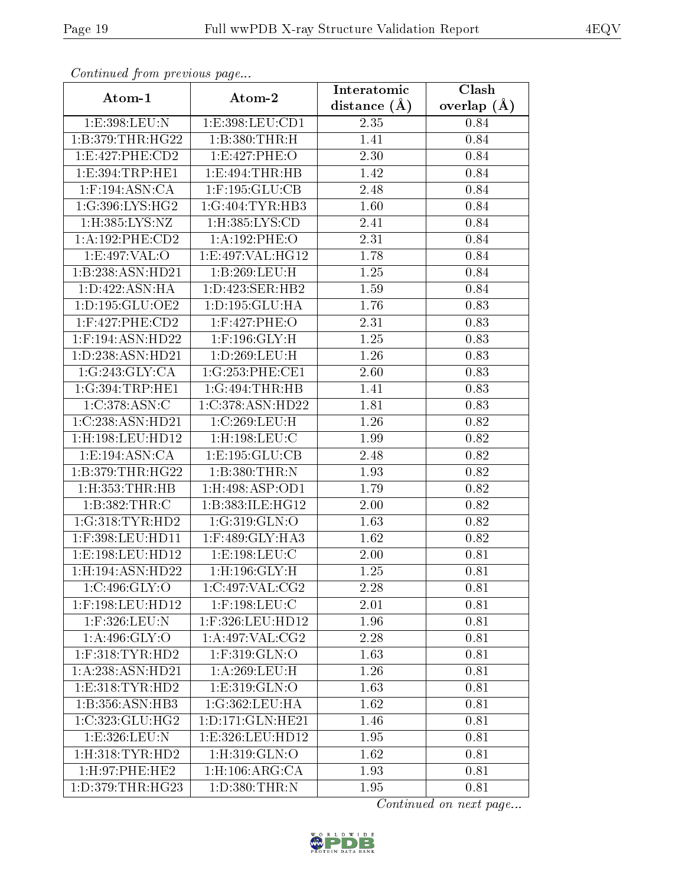| Communica from previous page |                                | Interatomic       | Clash           |
|------------------------------|--------------------------------|-------------------|-----------------|
| Atom-1                       | Atom-2                         | distance $(A)$    | overlap $(\AA)$ |
| 1:E:398:LEU:N                | 1:E:398:LEU:CD1                | 2.35              | 0.84            |
| 1:B:379:THR:HG22             | 1:B:380:THR:H                  | 1.41              | 0.84            |
| 1: E: 427: PHE: CD2          | 1:E:427:PHE:O                  | 2.30              | 0.84            |
| 1:E:394:TRP:HE1              | 1:E:494:THR:HB                 | $\overline{1.42}$ | 0.84            |
| $1:$ F:194:ASN:CA            | $1:$ F:195: $GLU$ :CB          | 2.48              | 0.84            |
| 1:G:396:LYS:HG2              | 1:G:404:TYR:HB3                | $\overline{1.60}$ | 0.84            |
| $1:$ H:385:LYS:NZ            | 1:H:385:LYS:CD                 | 2.41              | 0.84            |
| 1: A: 192: PHE: CD2          | 1:A:192:PHE:O                  | 2.31              | 0.84            |
| 1:E:497:VAL:O                | 1:E:497:VAL:HG12               | 1.78              | 0.84            |
| 1:B:238:ASN:HD21             | 1:B:269:LEU:H                  | 1.25              | 0.84            |
| 1:D:422:ASN:HA               | 1: D: 423: SER: HB2            | 1.59              | 0.84            |
| 1:D:195:GLU:OE2              | 1:D:195:GLU:HA                 | 1.76              | 0.83            |
| $1:$ F:427:PHE:CD2           | 1:F:427:PHE:O                  | 2.31              | 0.83            |
| 1:F:194:ASN:HD22             | $1:$ F:196:GLY:H               | 1.25              | 0.83            |
| 1:D:238:ASN:HD21             | 1:D:269:LEU:H                  | 1.26              | 0.83            |
| 1:G:243:GLY:CA               | 1:G:253:PHE:CE1                | 2.60              | 0.83            |
| 1:G:394:TRP:HE1              | 1:G:494:THR:HB                 | 1.41              | 0.83            |
| 1:C:378:ASN:C                | 1:C:378:ASN:HD22               | 1.81              | 0.83            |
| 1:C:238:ASN:HD21             | 1:C:269:LEU:H                  | 1.26              | 0.82            |
| 1:H:198:LEU:HD12             | $1:$ H $:198:$ LEU $:$ C       | 1.99              | 0.82            |
| 1: E: 194: ASN: CA           | 1:E:195:GLU:CB                 | $\overline{2.48}$ | 0.82            |
| 1:B:379:THR:HG22             | 1:B:380:THR:N                  | 1.93              | 0.82            |
| $1:$ H $:353:$ THR $:$ HB    | 1:H:498:ASP:OD1                | 1.79              | 0.82            |
| 1:B:382:THR:C                | 1:B:383:ILE:HG12               | 2.00              | 0.82            |
| 1:G:318:TYR:HD2              | 1:G:319:GLN:O                  | 1.63              | 0.82            |
| 1:F:398:LEU:HD11             | 1:F:489:GLY:HA3                | 1.62              | 0.82            |
| 1:E:198:LEU:HD12             | 1:E:198:LEU:C                  | 2.00              | 0.81            |
| 1: H: 194: ASN: HD22         | $1:$ H:196:GLY: $\overline{H}$ | 1.25              | 0.81            |
| 1:C:496:GLY:O                | 1:C:497:VAL:CG2                | 2.28              | 0.81            |
| 1:F:198:LEU:HD12             | $1:$ F:198:LEU:C               | 2.01              | 0.81            |
| 1:F:326:LEU:N                | 1:F:326:LEU:HD12               | 1.96              | 0.81            |
| 1: A:496: GLY:O              | 1:A:497:VAL:CG2                | 2.28              | 0.81            |
| $1:$ F:318:TYR:HD2           | $1:$ F:319: $GLN:$ O           | 1.63              | 0.81            |
| 1:A:238:ASN:HD21             | 1:A:269:LEU:H                  | 1.26              | 0.81            |
| 1: E: 318: TYR: HD2          | 1:E:319:GLN:O                  | 1.63              | 0.81            |
| 1:B:356:ASN:HB3              | 1:G:362:LEU:HA                 | 1.62              | 0.81            |
| 1:C:323:CLU:HG2              | 1: D: 171: GLN: HE21           | 1.46              | 0.81            |
| 1:E:326:LEU:N                | 1:E:326:LEU:HD12               | 1.95              | 0.81            |
| 1: H:318: TYR: HD2           | 1:H:319:GLN:O                  | 1.62              | 0.81            |
| 1:H:97:PHE:HE2               | 1: H: 106: ARG: CA             | 1.93              | 0.81            |
| 1:D:379:THR:HG23             | 1: D: 380: THR:N               | 1.95              | 0.81            |

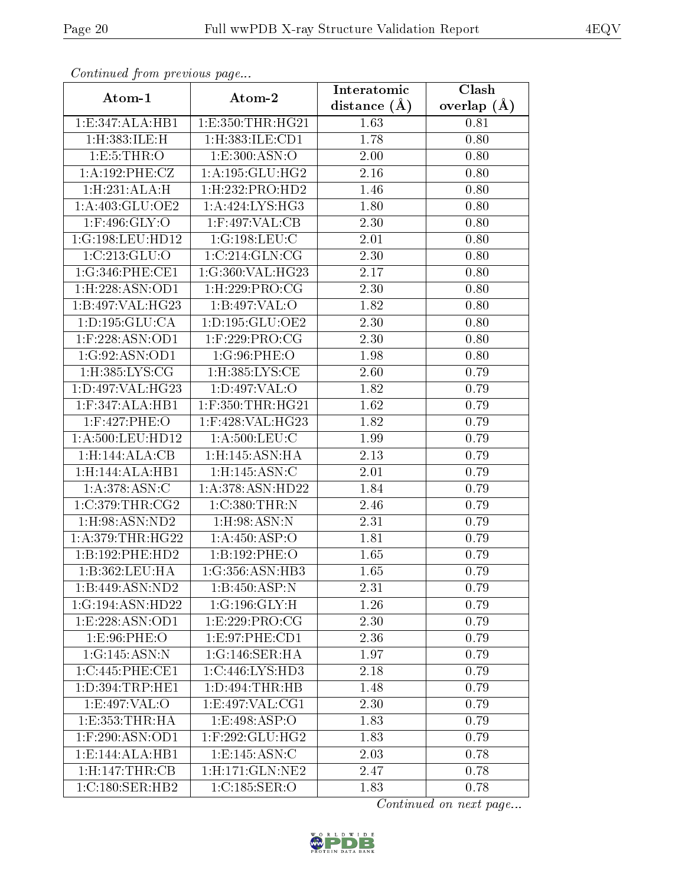| Continued from previous page |                              | Interatomic    | Clash           |
|------------------------------|------------------------------|----------------|-----------------|
| Atom-1                       | Atom-2                       | distance $(A)$ | overlap $(\AA)$ |
| 1:E:347:ALA:HB1              | 1: E: 350: THR: HG21         | 1.63           | 0.81            |
| 1:H:383:ILE:H                | 1:H:383:ILE:CD1              | 1.78           | 0.80            |
| 1: E: 5: THR: O              | 1: E:300: ASN:O              | 2.00           | 0.80            |
| 1:A:192:PHE:CZ               | 1: A: 195: GLU: HG2          | 2.16           | 0.80            |
| 1: H: 231: ALA: H            | 1:H:232:PRO:HD2              | 1.46           | 0.80            |
| 1:A:403:GLU:OE2              | 1:A:424:LYS:HG3              | 1.80           | 0.80            |
| $1:$ F:496:GLY:O             | 1:F:497:VAL:CB               | 2.30           | 0.80            |
| 1:G:198:LEU:HD12             | 1:G:198:LEU:C                | 2.01           | 0.80            |
| 1:C:213:GLU:O                | 1:C:214:GLN:CG               | 2.30           | 0.80            |
| 1:G:346:PHE:CE1              | 1:G:360:VAL:HG23             | 2.17           | 0.80            |
| 1:H:228:ASN:OD1              | 1:H:229:PRO:CG               | 2.30           | 0.80            |
| 1:B:497:VAL:H G23            | 1:B:497:VAL:O                | 1.82           | 0.80            |
| 1: D: 195: GLU: CA           | 1: D: 195: GLU: OE2          | 2.30           | 0.80            |
| $1:$ F:228:ASN:OD1           | $1:$ F:229:PRO:CG            | 2.30           | 0.80            |
| 1:G:92:ASN:OD1               | 1:G:96:PHE:O                 | 1.98           | 0.80            |
| 1:H:385:LYS:CG               | $1:$ H:385:LYS:CE            | 2.60           | 0.79            |
| 1:D:497:VAL:HG23             | 1: D:497: VAL:O              | 1.82           | 0.79            |
| $1:$ F:347:ALA:HB1           | $1:$ F:350:THR:HG21          | 1.62           | 0.79            |
| 1:F:427:PHE:O                | $1:$ F:428:VAL:HG23          | 1.82           | 0.79            |
| $1: A:500:$ LEU:HD12         | $1: A:500:$ LEU: $C$         | 1.99           | 0.79            |
| 1:H:144:ALA:CB               | $1:$ H $:145:$ ASN $:$ HA    | 2.13           | 0.79            |
| 1:H:144:ALA:HB1              | $1:$ H:145:ASN:C             | 2.01           | 0.79            |
| 1: A:378: ASN: C             | 1:A:378:ASN:HD22             | 1.84           | 0.79            |
| 1:C:379:THR:CG2              | 1:C:380:THR:N                | 2.46           | 0.79            |
| $1:$ H $:98:$ ASN $:$ ND $2$ | $1:$ H $:98:$ ASN $:$ N      | 2.31           | 0.79            |
| 1: A:379:THR:HG22            | $1:\overline{A:450:ASP:O}$   | 1.81           | 0.79            |
| 1:B:192:PHE:HD2              | 1:B:192:PHE:O                | 1.65           | 0.79            |
| 1:B:362:LEU:HA               | 1:G:356:ASN:HB3              | 1.65           | 0.79            |
| 1:B:449:ASN:ND2              | 1:B:450:ASP:N                | 2.31           | 0.79            |
| 1:G:194:ASN:HD22             | 1:G:196:GLY:H                | 1.26           | 0.79            |
| 1:E:228:ASN:OD1              | 1:E:229:PRO:CG               | 2.30           | 0.79            |
| 1:E:96:PHE:O                 | 1:E:97:PHE:CD1               | 2.36           | 0.79            |
| 1:G:145:ASN:N                | 1:G:146:SER:HA               | 1.97           | 0.79            |
| 1:C:445:PHE:CE1              | $1:C:446:LYS:H\overline{D3}$ | 2.18           | 0.79            |
| 1: D: 394: TRP: HE1          | 1: D: 494: THR: HB           | 1.48           | 0.79            |
| 1: E:497: VAL:O              | 1:E:497:VAL:CG1              | 2.30           | 0.79            |
| 1:E:353:THR:HA               | 1:E:498:ASP:O                | 1.83           | 0.79            |
| $1:$ F:290:ASN:OD1           | $1:$ F:292:GLU:HG2           | 1.83           | 0.79            |
| 1:E:144:ALA:HBI              | 1: E: 145: ASN: C            | 2.03           | 0.78            |
| 1:H:147:THR:CB               | $1:$ H $:171:$ GLN $:$ NE2   | 2.47           | 0.78            |
| 1: C:180: SER: HB2           | 1:C:185:SER:O                | 1.83           | 0.78            |

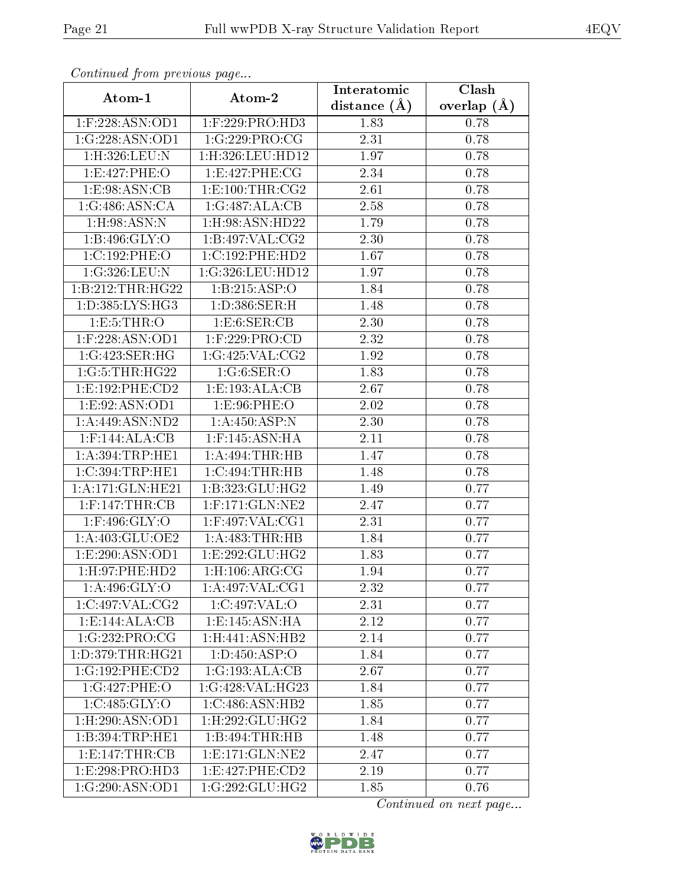| Continuea from previous page  |                                | Interatomic       | Clash           |
|-------------------------------|--------------------------------|-------------------|-----------------|
| Atom-1                        | Atom-2                         | distance $(A)$    | overlap $(\AA)$ |
| 1:F:228:ASN:OD1               | $1:$ F:229:PRO:HD3             | 1.83              | 0.78            |
| 1:G:228:ASN:OD1               | 1:G:229:PRO:CG                 | 2.31              | 0.78            |
| $1:$ H $:326:$ LEU $:$ N      | $1:$ H $:326:$ LEU $:$ HD $12$ | 1.97              | 0.78            |
| 1:E:427:PHE:O                 | 1:E:427:PHE:CG                 | $\overline{2}.34$ | 0.78            |
| 1: E:98: ASN: CB              | 1: E: 100: THR: CG2            | 2.61              | 0.78            |
| 1:G:486:ASN:CA                | 1:G:487:ALA:CB                 | 2.58              | 0.78            |
| $1:$ H $:98:$ ASN:N           | 1:H:98:ASN:HD22                | 1.79              | 0.78            |
| 1:B:496:GLY:O                 | 1:B:497:VAL:CG2                | 2.30              | 0.78            |
| $1:C:192:\overline{PHE:O}$    | 1:C:192:PHE:HD2                | 1.67              | 0.78            |
| 1:G:326:LEU:N                 | 1:G:326:LEU:HD12               | 1.97              | 0.78            |
| 1:B:212:THR:HG22              | 1:B:215:ASP:O                  | 1.84              | 0.78            |
| 1:D:385:LYS:HG3               | 1:D:386:SER:H                  | 1.48              | 0.78            |
| 1:E:5:THR:O                   | 1: E: 6: SER: CB               | 2.30              | 0.78            |
| $1:$ F:228:ASN:OD1            | $1:$ F:229:PRO:CD              | 2.32              | 0.78            |
| 1:G:423:SER:HG                | 1:G:425:VAL:CG2                | 1.92              | 0.78            |
| 1:G:5:THR:HG22                | 1:G:6:SER:O                    | 1.83              | 0.78            |
| 1: E: 192: PHE: CD2           | 1:E:193:ALA:CB                 | 2.67              | 0.78            |
| 1:E:92:ASN:OD1                | 1:E:96:PHE:O                   | 2.02              | 0.78            |
| 1: A:449: ASN:ND2             | 1: A:450:ASP:N                 | 2.30              | 0.78            |
| $1:$ F:144:ALA:CB             | 1:F:145:ASN:HA                 | 2.11              | 0.78            |
| 1: A:394:TRP:HE1              | 1:A:494:THR:HB                 | 1.47              | 0.78            |
| 1:C:394:TRP:HE1               | 1:C:494:THR:HB                 | 1.48              | 0.78            |
| 1:A:171:GLN:HE21              | 1:B:323:GLU:HG2                | 1.49              | 0.77            |
| $1:$ F:147:THR:CB             | $1:$ F:171:GLN:NE2             | 2.47              | 0.77            |
| 1:F:496:GLY:O                 | $1:$ F:497:VAL:CG1             | 2.31              | 0.77            |
| 1:A:403:GLU:OE2               | 1:A:483:THR:HB                 | 1.84              | 0.77            |
| 1:E:290:ASN:OD1               | 1: E: 292: GLU: HG2            | 1.83              | 0.77            |
| 1: H:97: PHE:HD2              | 1: H: 106: ARG: CG             | 1.94              | 0.77            |
| 1: A:496: GLY:O               | 1: A:497: VAL:CG1              | 2.32              | 0.77            |
| 1:C:497:VAL:CG2               | 1:C:497:VAL:O                  | 2.31              | 0.77            |
| 1:E:144:ALA:CB                | 1: E: 145: ASN: HA             | 2.12              | 0.77            |
| 1:G:232:PRO:CG                | 1: H:441: ASN:HB2              | 2.14              | 0.77            |
| 1: D: 379: THR: HG21          | 1: D: 450: ASP: O              | <b>1.84</b>       | 0.77            |
| 1:G:192:PHE:CD2               | 1:G:193:ALA:CB                 | 2.67              | 0.77            |
| 1:G:427:PHE:O                 | 1:G:428:VAL:HG23               | 1.84              | 0.77            |
| 1:C:485:GLY:O                 | 1:C:486:ASN:HB2                | 1.85              | 0.77            |
| $1:$ H $:290:$ ASN $:$ OD $1$ | $1:$ H $:292:$ GLU $:$ HG2     | 1.84              | 0.77            |
| 1:B:394:TRP:HE1               | 1:B:494:THR:HB                 | 1.48              | 0.77            |
| 1:E:147:THR:CB                | 1: E: 171: GLN: NE2            | 2.47              | 0.77            |
| 1:E:298:PRO:HD3               | 1:E:427:PHE:CD2                | 2.19              | 0.77            |
| 1:G:290:ASN:OD1               | $1:G:292:GL\overline{U:HG2}$   | 1.85              | 0.76            |

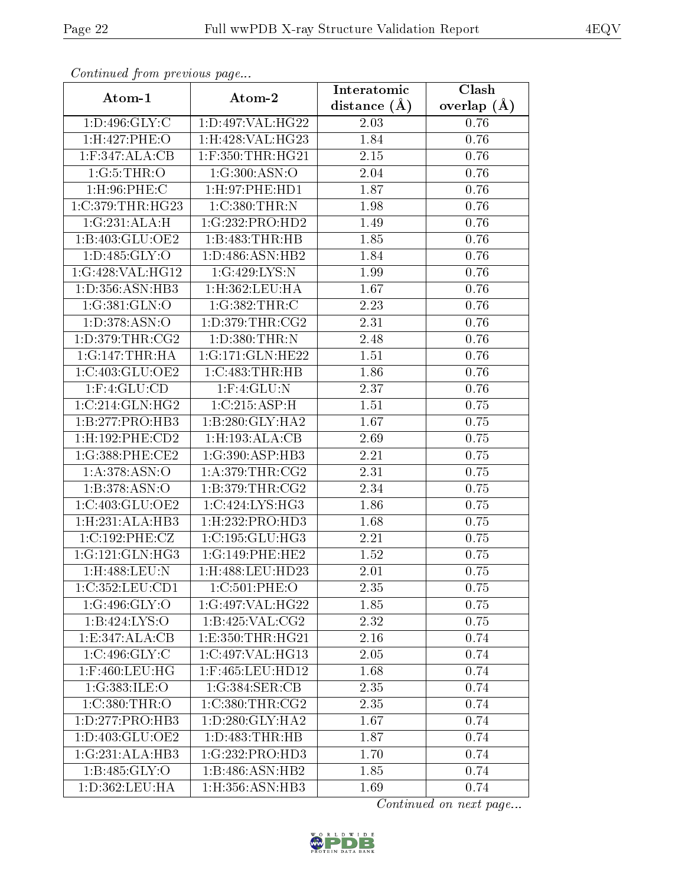| Communica from precious page   |                                | Interatomic    | Clash           |
|--------------------------------|--------------------------------|----------------|-----------------|
| Atom-1                         | Atom-2                         | distance $(A)$ | overlap $(\AA)$ |
| 1: D: 496: GLY: C              | 1:D:497:VAL:HG22               | 2.03           | $0.76\,$        |
| 1:H:427:PHE:O                  | 1:H:428:VAL:HG23               | 1.84           | 0.76            |
| $1:$ F:347:ALA:CB              | $1:$ F:350:THR:HG21            | 2.15           | 0.76            |
| 1:G:5:THR:O                    | 1:G:300:ASN:O                  | 2.04           | 0.76            |
| $1:$ H $:96:$ PHE $:$ C        | 1: H: 97: PHE: HD1             | 1.87           | 0.76            |
| 1:C:379:THR:HG23               | 1:C:380:THR:N                  | 1.98           | 0.76            |
| 1:G:231:ALA:H                  | 1:G:232:PRO:HD2                | 1.49           | 0.76            |
| 1:B:403:GLU:OE2                | 1:B:483:THR:HB                 | 1.85           | 0.76            |
| 1: D: 485: GLY: O              | 1: D:486: ASN:HB2              | 1.84           | 0.76            |
| 1:G:428:VAL:HG12               | 1:G:429:LYS:N                  | 1.99           | 0.76            |
| 1:D:356:ASN:HB3                | 1:H:362:LEU:HA                 | 1.67           | 0.76            |
| 1:G:381:GLN:O                  | 1:G:382:THR:C                  | 2.23           | 0.76            |
| 1: D: 378: ASN: O              | 1: D: 379: THR: CG2            | 2.31           | 0.76            |
| 1: D: 379: THR: CG2            | 1:D:380:THR:N                  | 2.48           | 0.76            |
| 1:G:147:THR:HA                 | 1:G:171:GLN:HE22               | 1.51           | 0.76            |
| 1:C:403:GLU:OE2                | 1:C:483:THR:HB                 | 1.86           | 0.76            |
| $1:$ F:4:GLU:CD                | $1:$ F: $4:$ GLU:N             | 2.37           | 0.76            |
| 1:C:214:GLN:HG2                | 1:C:215:ASP:H                  | 1.51           | 0.75            |
| 1:B:277:PRO:HB3                | 1:B:280:GLY:HA2                | 1.67           | 0.75            |
| 1:H:192:PHE:CD2                | 1:H:193:ALA:CB                 | 2.69           | 0.75            |
| 1:G:388:PHE:CE2                | 1:G:390:ASP:HB3                | 2.21           | 0.75            |
| $1: A:378.\overline{ASN:O}$    | 1: A:379:THR:CG2               | 2.31           | 0.75            |
| 1: B: 378: ASN:O               | 1: B: 379: THR: CG2            | 2.34           | 0.75            |
| 1:C:403:GLU:OE2                | 1:C:424:LYS:HG3                | 1.86           | 0.75            |
| 1:H:231:ALA:HB3                | 1:H:232:PRO:HD3                | 1.68           | 0.75            |
| 1:C:192:PHE:CZ                 | 1:C:195:GLU:HG3                | 2.21           | 0.75            |
| 1:G:121:GLN:HG3                | 1:G:149:PHE:HE2                | 1.52           | 0.75            |
| $1:$ H:488:LEU: $\overline{N}$ | $1:$ H $:488:$ LEU $:$ HD $23$ | 2.01           | 0.75            |
| 1:C:352:LEU:CD1                | 1:C:501:PHE:O                  | 2.35           | 0.75            |
| 1:G:496:GLY:O                  | $1:G:497:\overline{VAL}:HG22$  | 1.85           | 0.75            |
| 1:B:424:LYS:O                  | 1: B:425: VAL: CG2             | 2.32           | 0.75            |
| 1:E:347:ALA:CB                 | 1: E: 350: THR: HG21           | 2.16           | 0.74            |
| 1:C:496:GLY:C                  | 1:C:497:VAL:HG13               | 2.05           | 0.74            |
| $1:$ F:460:LEU:HG              | $1:$ F:465:LEU:HD12            | 1.68           | 0.74            |
| 1:G:383:ILE:O                  | 1:G:384:SER:CB                 | 2.35           | 0.74            |
| 1:C:380:THR:O                  | 1:C:380:THR:CG2                | 2.35           | 0.74            |
| 1: D: 277: PRO: HB3            | 1: D:280: GLY:HA2              | 1.67           | 0.74            |
| 1:D:403:GLU:OE2                | 1: D: 483: THR: HB             | 1.87           | 0.74            |
| 1:G:231:ALA:HB3                | 1:G:232:PRO:HD3                | 1.70           | 0.74            |
| 1:B:485:GLY:O                  | 1:B:486:ASN:HB2                | 1.85           | 0.74            |
| 1:D:362:LEU:HA                 | 1:H:356:ASN:HB3                | 1.69           | 0.74            |

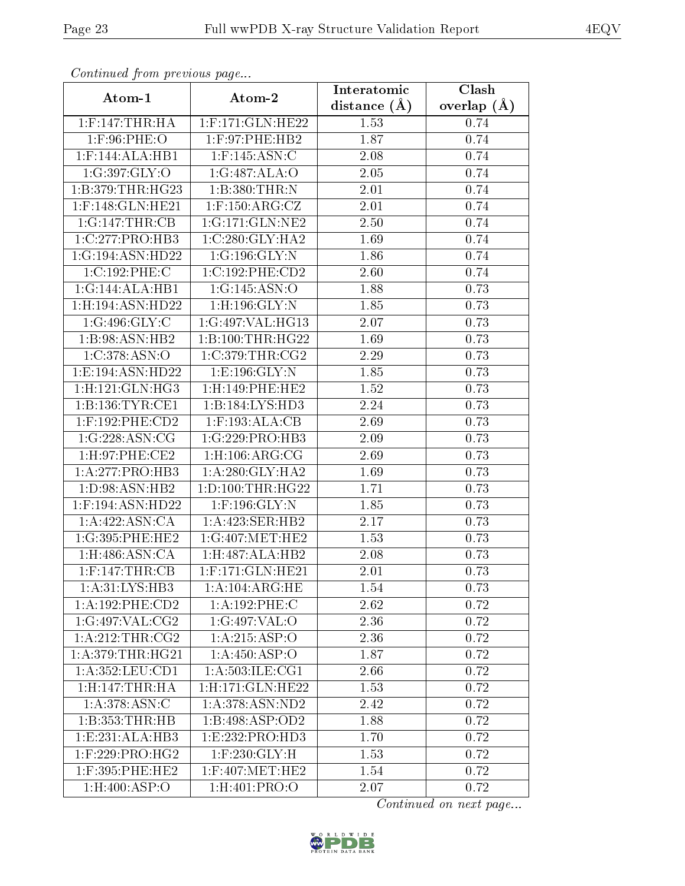| Continuatu from previous page |                              | Interatomic      | Clash         |
|-------------------------------|------------------------------|------------------|---------------|
| Atom-1                        | Atom-2                       | distance $(\AA)$ | overlap $(A)$ |
| $1:$ F:147:THR:HA             | $1:$ F:171:GLN:HE22          | 1.53             | 0.74          |
| $1:$ F:96:PHE:O               | 1:F:97:PHE:HB2               | 1.87             | 0.74          |
| $1:$ F:144:ALA:HB1            | $1:$ F:145:ASN:C             | 2.08             | 0.74          |
| 1:G:397:GLY:O                 | 1:G:487:ALA:O                | 2.05             | 0.74          |
| 1:B:379:THR:HG23              | 1:B:380:THR:N                | 2.01             | 0.74          |
| $1:$ F:148:GLN:HE21           | $1:$ F:150:ARG:CZ            | 2.01             | 0.74          |
| 1:G:147:THR:CB                | 1:G:171:GLN:NE2              | 2.50             | 0.74          |
| 1:C:277:PRO:HB3               | $1:C:280:GLY:H\overline{A2}$ | 1.69             | 0.74          |
| 1:G:194:ASN:HD22              | 1:G:196:GLY:N                | 1.86             | 0.74          |
| 1:C:192:PHE:C                 | 1:C:192:PHE:CD2              | 2.60             | 0.74          |
| 1:G:144:ALA:HB1               | 1:G:145:ASN:O                | 1.88             | 0.73          |
| 1:H:194:ASN:HD22              | $1:$ H $:196:$ GLY $:$ N     | 1.85             | 0.73          |
| 1:G:496:GLY:C                 | 1:G:497:VAL:HG13             | 2.07             | 0.73          |
| 1:B:98:ASN:HB2                | 1:B:100:THR:HG22             | 1.69             | 0.73          |
| 1:C:378:ASN:O                 | 1:C:379:THR:CG2              | 2.29             | 0.73          |
| 1:E:194:ASN:HD22              | 1: E: 196: GLY:N             | 1.85             | 0.73          |
| 1:H:121:GLN:HG3               | 1:H:149:PHE:HE2              | 1.52             | 0.73          |
| 1:B:136:TYR:CE1               | 1:B:184:LYS:HD3              | 2.24             | 0.73          |
| $1:$ F:192:PHE:CD2            | $1:$ F:193:ALA:CB            | 2.69             | 0.73          |
| 1:G:228:ASN:CG                | 1:G:229:PRO:HB3              | 2.09             | 0.73          |
| 1: H:97: PHE:CE2              | 1: H: 106: ARG: CG           | 2.69             | 0.73          |
| 1:A:277:PRO:HB3               | 1: A:280: GLY:HA2            | 1.69             | 0.73          |
| 1: D:98: ASN:HB2              | 1: D: 100: THR: HG22         | 1.71             | 0.73          |
| 1:F:194:ASN:HD22              | $1:$ F:196:GLY:N             | 1.85             | 0.73          |
| 1: A:422: ASN:CA              | 1:A:423:SER:HB2              | 2.17             | 0.73          |
| 1:G:395:PHE:HE2               | 1:G:407:MET:HE2              | 1.53             | 0.73          |
| 1: H:486: ASN:CA              | 1:H:487:ALA:HB2              | 2.08             | 0.73          |
| $1:$ F:147:THR:CB             | $1:$ F:171:GLN:HE21          | 2.01             | 0.73          |
| 1:A:31:LYS:HB3                | 1:A:104:ARG:HE               | 1.54             | 0.73          |
| 1:A:192:PHE:CD2               | 1:A:192:PHE:C                | 2.62             | 0.72          |
| 1:G:497:VAL:CG2               | 1:G:497:VAL:O                | 2.36             | 0.72          |
| 1:A:212:THR:CG2               | 1:A:215:ASP:O                | 2.36             | 0.72          |
| 1: A:379:THR:HG21             | 1: A:450: ASP:O              | 1.87             | 0.72          |
| 1:A:352:LEU:CD1               | 1:A:503:ILE:CG1              | 2.66             | 0.72          |
| 1:H:147:THR:HA                | 1:H:171:GLN:HE22             | 1.53             | 0.72          |
| 1:A:378:ASN:C                 | 1: A:378: ASN:ND2            | 2.42             | 0.72          |
| 1:B:353:THR:HB                | 1:B:498:ASP:OD2              | 1.88             | 0.72          |
| 1:E:231:ALA:HB3               | 1:E:232:PRO:HD3              | 1.70             | 0.72          |
| $1:$ F:229:PRO:HG2            | $1:$ F:230: $GLY:$ H         | 1.53             | 0.72          |
| $1:$ F:395:PHE:HE2            | $1:$ F:407:MET:HE2           | 1.54             | 0.72          |
| $1:$ H:400:ASP:O              | 1:H:401:PRO:O                | 2.07             | 0.72          |

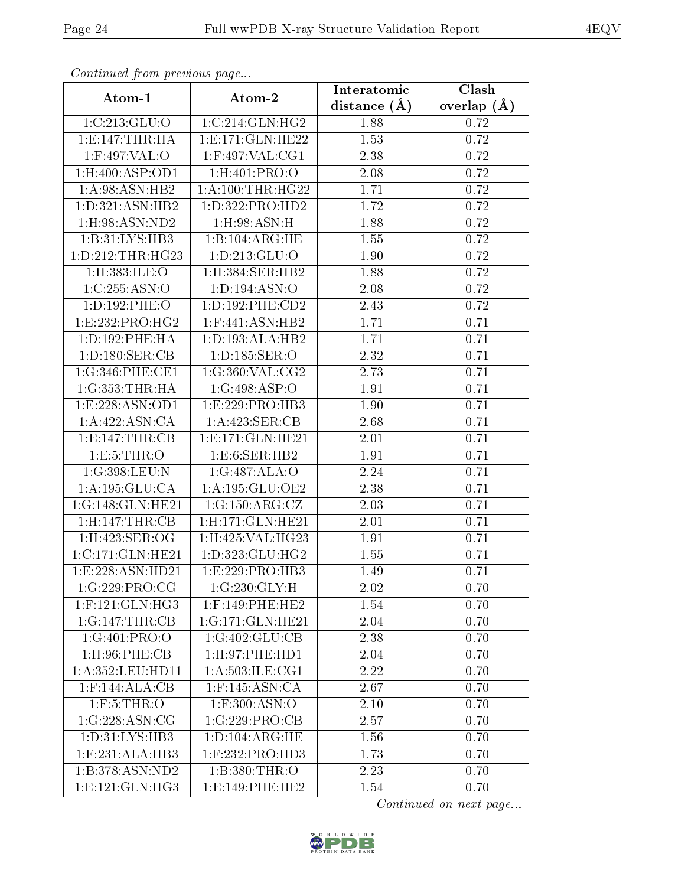| Continued from previous page  |                                    | Interatomic    | Clash           |
|-------------------------------|------------------------------------|----------------|-----------------|
| Atom-1                        | Atom-2                             | distance $(A)$ | overlap $(\AA)$ |
| 1:C:213:GLU:O                 | 1:C:214:GLN:HG2                    | 1.88           | 0.72            |
| 1: E: 147: THR: HA            | 1:E:171:GLN:HE22                   | 1.53           | 0.72            |
| $1:$ F:497:VAL:O              | $1:$ F:497:VAL:CG1                 | 2.38           | 0.72            |
| 1: H:400: ASP:OD1             | 1:H:401:PRO:O                      | 2.08           | 0.72            |
| 1: A:98: ASN: HB2             | 1: A:100:THR:HG22                  | 1.71           | 0.72            |
| 1: D: 321: ASN: HB2           | 1: D: 322: PRO: HD2                | 1.72           | 0.72            |
| $1:$ H:98:ASN:ND2             | $1:$ H:98:ASN:H                    | 1.88           | 0.72            |
| 1:B:31:LYS:HB3                | 1:B:104:ARG:HE                     | 1.55           | 0.72            |
| 1:D:212:THR:HG23              | 1:D:213:GLU:O                      | 1.90           | 0.72            |
| 1:H:383:ILE:O                 | 1:H:384:SER:HB2                    | 1.88           | 0.72            |
| 1:C:255:ASN:O                 | 1: D: 194: ASN: O                  | 2.08           | 0.72            |
| 1:D:192:PHE:O                 | 1: D: 192: PHE: CD2                | 2.43           | 0.72            |
| 1:E:232:PRO:HG2               | 1:F:441:ASN:HB2                    | 1.71           | 0.71            |
| 1: D: 192: PHE: HA            | 1: D: 193: ALA: HB2                | 1.71           | 0.71            |
| 1: D: 180: SER: CB            | 1:D:185:SER:O                      | 2.32           | 0.71            |
| 1:G:346:PHE:CE1               | 1:G:360:VAL:CG2                    | 2.73           | 0.71            |
| 1:G:353:THR:HA                | 1:G:498:ASP:O                      | 1.91           | 0.71            |
| 1: E: 228: ASN: OD1           | 1:E:229:PRO:HB3                    | 1.90           | 0.71            |
| $1:A:422:\overline{ASN:CA}$   | $1:A:423:\overline{\text{SER}:CB}$ | 2.68           | 0.71            |
| 1: E: 147: THR: CB            | 1: E: 171: GLN: HE21               | 2.01           | 0.71            |
| 1: E: 5: THR: O               | 1: E: 6: SER: HB2                  | 1.91           | 0.71            |
| 1:G:398:LEU:N                 | 1:G:487:ALA:O                      | 2.24           | 0.71            |
| 1:A:195:GLU:CA                | 1:A:195:GLU:OE2                    | 2.38           | 0.71            |
| 1:G:148:GLN:HE21              | 1:G:150:ARG:CZ                     | 2.03           | 0.71            |
| 1: H: 147: THR: CB            | 1:H:171:GLN:HE21                   | 2.01           | 0.71            |
| $1:$ H:423:SER:OG             | 1:H:425:VAL:HG23                   | 1.91           | 0.71            |
| 1:C:171:GLN:HE21              | 1: D: 323: GLU: HG2                | 1.55           | 0.71            |
| 1:E:228:ASN:HD21              | 1:E:229:PRO:HB3                    | 1.49           | 0.71            |
| 1:G:229:PRO:CG                | 1:G:230:GLY:H                      | 2.02           | 0.70            |
| $1:$ F:121: $GLN$ :HG3        | $1:$ F:149:PHE:HE2                 | 1.54           | 0.70            |
| 1:G:147:THR:CB                | 1:G:171:GLN:HE21                   | 2.04           | 0.70            |
| 1:G:401:PRO:O                 | 1:G:402:GLU:CB                     | 2.38           | 0.70            |
| $1:$ H $:96:$ PHE $:$ CB      | 1: H: 97: PHE: HD1                 | 2.04           | 0.70            |
| $1:A:352:L\overline{EU:HDI1}$ | 1:A:503:ILE:CG1                    | 2.22           | 0.70            |
| $1:$ F:144:ALA:CB             | $1:$ F:145:ASN:CA                  | 2.67           | 0.70            |
| $1:$ F:5:THR:O                | $1:$ F:300:ASN:O                   | 2.10           | 0.70            |
| 1:G:228:ASN:CG                | 1:G:229:PRO:CB                     | 2.57           | 0.70            |
| 1: D: 31: LYS: HB3            | 1: D: 104: ARG: HE                 | 1.56           | 0.70            |
| $1:$ F:231:ALA:HB3            | $1:$ F:232:PRO:HD3                 | 1.73           | 0.70            |
| 1:B:378:ASN:ND2               | 1:B:380:THR:O                      | 2.23           | 0.70            |
| 1:E:121:GLN:HG3               | 1: E: 149: PHE: HE2                | 1.54           | 0.70            |

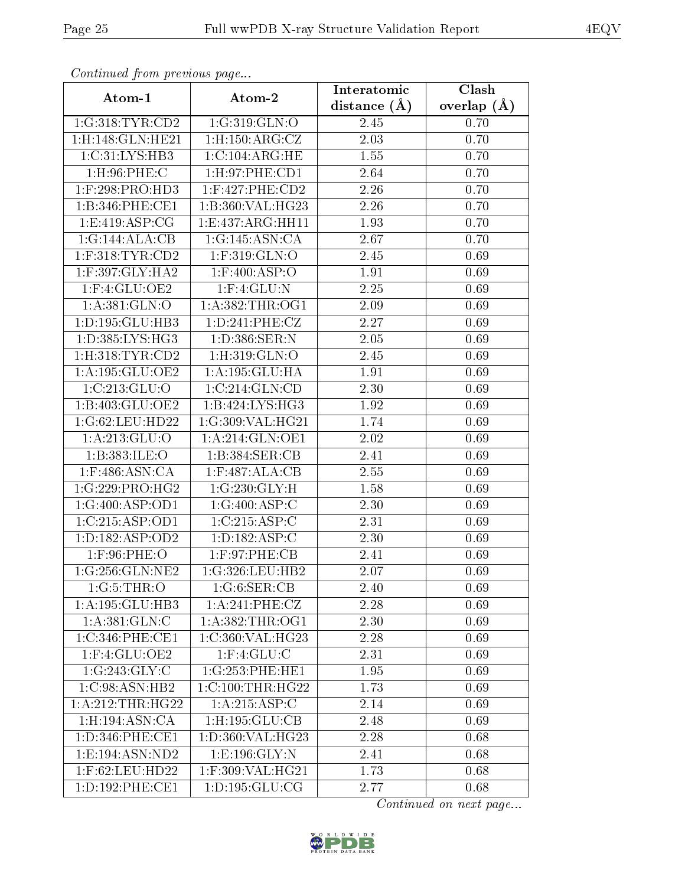| contentava promo provisão pago |                       | Interatomic    | Clash           |
|--------------------------------|-----------------------|----------------|-----------------|
| Atom-1                         | Atom-2                | distance $(A)$ | overlap $(\AA)$ |
| 1:G:318:TYR:CD2                | 1:G:319:GLN:O         | 2.45           | 0.70            |
| $1:$ H $:148:$ GLN $:$ HE $21$ | 1: H: 150: ARG: CZ    | 2.03           | 0.70            |
| 1:C:31:LYS:HB3                 | 1:C:104:ARG:HE        | 1.55           | 0.70            |
| $1:$ H:96:PHE:C                | 1: H:97: PHE:CD1      | 2.64           | 0.70            |
| 1:F:298:PRO:HD3                | $1:$ F:427:PHE:CD2    | 2.26           | 0.70            |
| 1:B:346:PHE:CE1                | 1:B:360:VAL:HG23      | 2.26           | 0.70            |
| 1: E:419: ASP:CG               | 1:E:437:ARG:HH11      | 1.93           | 0.70            |
| 1:G:144:ALA:CB                 | 1:G:145:ASN:CA        | 2.67           | 0.70            |
| $1:$ F:318:TYR:CD2             | 1:F:319:GLN:O         | 2.45           | 0.69            |
| $1:$ F:397:GLY:HA2             | $1:$ F:400:ASP:O      | 1.91           | 0.69            |
| $1:$ F:4:GLU:OE2               | $1:$ F: $4:$ GLU:N    | 2.25           | 0.69            |
| 1: A:381: GLN:O                | 1: A: 382: THR: OG1   | 2.09           | 0.69            |
| 1: D: 195: GLU: HB3            | 1: D: 241: PHE: CZ    | 2.27           | 0.69            |
| 1:D:385:LYS:HG3                | 1: D:386: SER: N      | 2.05           | 0.69            |
| 1: H: 318: TYR: CD2            | 1:H:319:GLN:O         | 2.45           | 0.69            |
| 1:A:195:GLU:OE2                | 1:A:195:GLU:HA        | 1.91           | 0.69            |
| 1:C:213:GLU:O                  | 1:C:214:GLN:CD        | 2.30           | 0.69            |
| 1:B:403:GLU:OE2                | 1:B:424:LYS:HG3       | 1.92           | 0.69            |
| 1:G:62:LEU:HD22                | 1:G:309:VAL:HG21      | 1.74           | 0.69            |
| 1: A:213: GLU:O                | 1:A:214:GLN:OE1       | 2.02           | 0.69            |
| 1:B:383:ILE:O                  | 1:B:384:SER:CB        | 2.41           | 0.69            |
| $1:$ F:486:ASN:CA              | $1:$ F:487:ALA:CB     | 2.55           | 0.69            |
| 1:G:229:PRO:HG2                | 1:G:230:GLY:H         | 1.58           | 0.69            |
| 1:G:400:ASP:OD1                | 1:G:400:ASP:C         | 2.30           | 0.69            |
| 1:C:215:ASP:OD1                | 1:C:215:ASP:C         | 2.31           | 0.69            |
| 1:D:182:ASP:OD2                | 1: D: 182: ASP: C     | 2.30           | 0.69            |
| $1:$ F:96:PHE:O                | 1: F:97: PHE:CB       | 2.41           | 0.69            |
| 1:G:256:GLN:NE2                | 1:G:326:LEU:HB2       | 2.07           | 0.69            |
| 1:G:5:THR:O                    | 1:G:6:SER:CB          | 2.40           | 0.69            |
| 1:A:195:GLU:HB3                | 1: A:241:PHE:CZ       | 2.28           | 0.69            |
| 1: A:381: GLN: C               | 1: A: 382: THR: OG1   | 2.30           | 0.69            |
| 1:C:346:PHE:CE1                | 1:C:360:VAL:HG23      | 2.28           | 0.69            |
| 1:F:4:GLU:OE2                  | $1:$ F: $4:$ GLU: $C$ | 2.31           | 0.69            |
| 1:G:243:GLY:C                  | 1:G:253:PHE:HE1       | 1.95           | 0.69            |
| 1: C:98: ASN: HB2              | 1:C:100:THR:HG22      | 1.73           | 0.69            |
| 1:A:212:THR:HG22               | 1:A:215:ASP:C         | 2.14           | 0.69            |
| 1: H: 194: ASN: CA             | 1:H:195:GLU:CB        | 2.48           | 0.69            |
| 1: D: 346: PHE: CE1            | 1:D:360:VAL:HG23      | 2.28           | 0.68            |
| 1:E:194:ASN:ND2                | 1:E:196:GLY:N         | 2.41           | 0.68            |
| $1:$ F:62:LEU:HD22             | 1:F:309:VAL:HG21      | 1.73           | 0.68            |
| 1:D:192:PHE:CE1                | 1: D: 195: GLU: CG    | 2.77           | 0.68            |

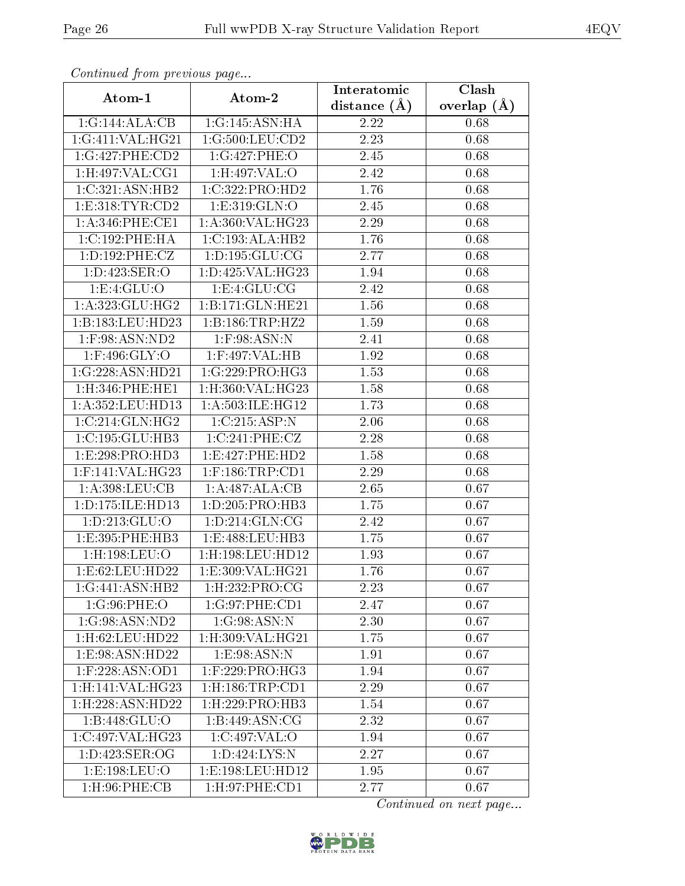| Continued from previous page |                            | Interatomic    | Clash         |
|------------------------------|----------------------------|----------------|---------------|
| Atom-1                       | Atom-2                     | distance $(A)$ | overlap $(A)$ |
| 1:G:144:ALA:CB               | 1:G:145:ASN:HA             | 2.22           | 0.68          |
| 1:G:411:VAL:HG21             | 1:G:500:LEU:CD2            | 2.23           | 0.68          |
| 1:G:427:PHE:CD2              | 1:G:427:PHE:O              | 2.45           | 0.68          |
| 1: H:497: VAL: CG1           | 1: H:497: VAL: O           | 2.42           | 0.68          |
| 1:C:321:ASN:HB2              | 1:C:322:PRO:HD2            | 1.76           | 0.68          |
| 1: E: 318: TYR: CD2          | 1: E: 319: GLN: O          | 2.45           | 0.68          |
| 1:A:346:PHE:CE1              | 1:A:360:VAL:HG23           | 2.29           | 0.68          |
| 1:C:192:PHE:HA               | 1:C:193:ALA:HB2            | 1.76           | 0.68          |
| 1: D: 192: PHE: CZ           | 1: D: 195: GLU: CG         | 2.77           | 0.68          |
| 1: D: 423: SER: O            | 1:D:425:VAL:HG23           | 1.94           | 0.68          |
| 1: E: 4: GLU: O              | 1:E:4:GLU:CG               | 2.42           | 0.68          |
| 1: A: 323: GLU: HG2          | 1:B:171:GLN:HE21           | 1.56           | 0.68          |
| 1:B:183:LEU:HD23             | 1:B:186:TRP:HZ2            | 1.59           | 0.68          |
| 1:F:98:ASN:ND2               | $1:$ F:98:ASN:N            | 2.41           | 0.68          |
| $1:$ F:496:GLY:O             | 1:F:497:VAL:HB             | 1.92           | 0.68          |
| 1:G:228:ASN:HD21             | 1:G:229:PRO:HG3            | 1.53           | 0.68          |
| 1:H:346:PHE:HE1              | 1:H:360:VAL:HG23           | 1.58           | 0.68          |
| 1: A: 352: LEU: HD13         | 1: A:503: ILE: HG12        | 1.73           | 0.68          |
| 1:C:214:GLN:HG2              | 1:C:215:ASP:N              | 2.06           | 0.68          |
| 1:C:195:GLU:HB3              | 1:C:241:PHE:CZ             | 2.28           | 0.68          |
| 1:E:298:PRO:HD3              | 1:E:427:PHE:HD2            | 1.58           | 0.68          |
| $1:$ F:141:VAL:HG23          | $1:$ F:186:TRP:CD1         | 2.29           | 0.68          |
| 1: A:398:LEU:CB              | 1:A:487:ALA:CB             | 2.65           | 0.67          |
| 1:D:175:ILE:HD13             | 1:D:205:PRO:HB3            | 1.75           | 0.67          |
| 1: D: 213: GLU: O            | 1: D: 214: GLN: CG         | 2.42           | 0.67          |
| 1:E:395:PHE:HB3              | 1:E:488:LEU:HB3            | 1.75           | 0.67          |
| $1:$ H:198:LEU:O             | 1:H:198:LEU:HD12           | 1.93           | 0.67          |
| 1:E:62:LEU:HD22              | 1: E: 309: VAL: HG21       | 1.76           | 0.67          |
| 1:G:441:ASN:HB2              | 1:H:232:PRO:CG             | 2.23           | 0.67          |
| 1:G:96:PHE:O                 | 1:G:97:PHE:CD1             | 2.47           | 0.67          |
| 1:G:98:ASN:ND2               | 1:G:98:ASN:N               | 2.30           | 0.67          |
| 1:H:62:LEU:HD22              | 1:H:309:VAL:HG21           | 1.75           | 0.67          |
| 1:E:98:ASN:HD22              | 1: E:98: ASN:N             | 1.91           | 0.67          |
| 1:F:228:ASN:OD1              | 1:F:229:PRO:HG3            | 1.94           | 0.67          |
| 1:H:141:VAL:HG23             | 1:H:186:TRP:CD1            | 2.29           | 0.67          |
| 1:H:228:ASN:HD22             | $1:$ H $:229:$ PRO $:$ HB3 | 1.54           | 0.67          |
| $1:B:448:GLU:\overline{O}$   | 1:B:449:ASN:CG             | 2.32           | 0.67          |
| 1:C:497:VAL:HG23             | 1:C:497:VAL:O              | 1.94           | 0.67          |
| 1:D:423:SER:OG               | 1: D: 424: LYS: N          | 2.27           | 0.67          |
| 1: E: 198: LEU: O            | 1:E:198:LEU:HD12           | 1.95           | 0.67          |
| $1:$ H $:96:$ PHE $:$ CB     | 1: H:97: PHE:CD1           | 2.77           | 0.67          |

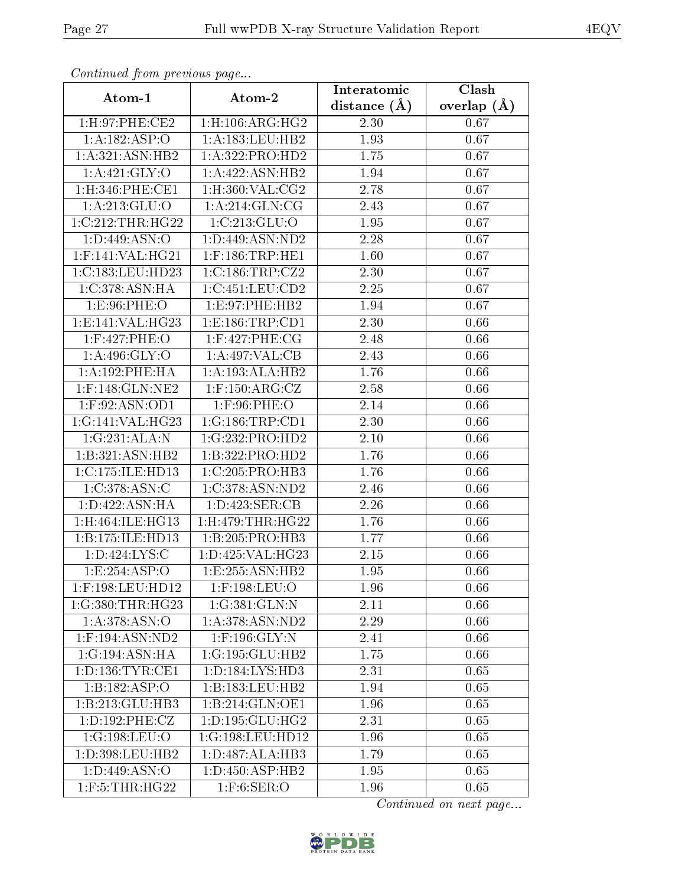| Continuati pont previous page |                                         | Interatomic    | Clash             |
|-------------------------------|-----------------------------------------|----------------|-------------------|
| Atom-1                        | Atom-2                                  | distance $(A)$ | overlap $(\AA)$   |
| 1:H:97:PHE:CE2                | $1:$ H $:106:$ ARG:HG $2$               | 2.30           | 0.67              |
| 1:A:182:ASP:O                 | 1: A: 183: LEU: HB2                     | 1.93           | $\overline{0.67}$ |
| 1:A:321:ASN:HB2               | 1:A:322:PRO:HD2                         | 1.75           | 0.67              |
| 1:A:421:GLY:O                 | 1:A:422:ASN:HB2                         | 1.94           | 0.67              |
| $1:$ H $:346:$ PHE $:$ CE1    | $1:$ H:360:VAL: $\overline{\text{CG2}}$ | 2.78           | 0.67              |
| 1: A:213: GLU:O               | 1: A:214: GLN:CG                        | 2.43           | 0.67              |
| 1:C:212:THR:HG22              | 1:C:213:GLU:O                           | 1.95           | 0.67              |
| 1: D: 449: ASN: O             | 1:D:449:ASN:ND2                         | 2.28           | 0.67              |
| $1:$ F:141:VAL:HG21           | $1:$ F:186:TRP:HE1                      | 1.60           | 0.67              |
| 1:C:183:LEU:HD23              | 1:C:186:TRP:CZ2                         | 2.30           | 0.67              |
| 1: C:378: ASN: HA             | 1:C:451:LEU:CD2                         | 2.25           | 0.67              |
| 1:E:96:PHE:O                  | 1: E: 97: PHE: HB2                      | 1.94           | 0.67              |
| 1:E:141:VAL:HG23              | 1: E: 186: TRP: CD1                     | 2.30           | 0.66              |
| 1:F:427:PHE:O                 | $1:$ F:427:PHE:CG                       | 2.48           | 0.66              |
| 1: A:496: GLY:O               | 1:A:497:VAL:CB                          | 2.43           | 0.66              |
| 1:A:192:PHE:HA                | 1:A:193:ALA:HB2                         | 1.76           | 0.66              |
| $1:$ F:148:GLN:NE2            | $1:$ F:150:ARG:CZ                       | 2.58           | 0.66              |
| 1:F:92:ASN:OD1                | $1:$ F:96:PHE:O                         | 2.14           | 0.66              |
| 1:G:141:VAL:HG23              | 1:G:186:TRP:CD1                         | 2.30           | 0.66              |
| 1:G:231:ALA:N                 | 1:G:232:PRO:HD2                         | 2.10           | 0.66              |
| 1:B:321:ASN:HB2               | 1:B:322:PRO:HD2                         | 1.76           | 0.66              |
| 1:C:175:ILE:HD13              | 1:C:205:PRO:HB3                         | 1.76           | 0.66              |
| 1:C:378:ASN:C                 | 1:C:378:ASN:ND2                         | 2.46           | 0.66              |
| 1:D:422:ASN:HA                | 1:D:423:SER:CB                          | 2.26           | $\overline{0.66}$ |
| 1:H:464:ILE:HGI3              | 1:H:479:THR:HG22                        | 1.76           | 0.66              |
| 1:B:175:ILE:HD13              | 1:B:205:PRO:HB3                         | 1.77           | 0.66              |
| 1:D:424:LYS:C                 | 1:D:425:VAL:HG23                        | 2.15           | 0.66              |
| 1:E:254:ASP:O                 | 1:E:255:ASN:HB2                         | 1.95           | 0.66              |
| 1:F:198:LEU:HD12              | 1:F:198:LEU:O                           | 1.96           | 0.66              |
| 1:G:380:THR:HG23              | 1:G:381:GLN:N                           | 2.11           | 0.66              |
| 1: A: 378: ASN: O             | 1: A:378: ASN:ND2                       | 2.29           | 0.66              |
| $1:$ F:194:ASN:ND2            | $1:$ F:196:GLY:N                        | 2.41           | 0.66              |
| 1:G:194:ASN:HA                | 1:G:195:GLU:HB2                         | 1.75           | 0.66              |
| 1: D: 136: TYR: CE1           | 1: D: 184: LYS: HD3                     | 2.31           | 0.65              |
| 1:B:182:ASP:O                 | 1: B: 183: LEU: HB2                     | 1.94           | 0.65              |
| 1:B:213:GLU:HB3               | 1:B:214:GLN:OE1                         | 1.96           | 0.65              |
| 1:D:192:PHE:CZ                | 1: D: 195: GLU: HG2                     | 2.31           | 0.65              |
| 1:G:198:LEU:O                 | 1:G:198:LEU:HD12                        | 1.96           | 0.65              |
| 1:D:398:LEU:HB2               | 1:D:487:ALA:HB3                         | 1.79           | 0.65              |
| 1: D: 449: ASN:O              | 1: D: 450: ASP: HB2                     | 1.95           | 0.65              |
| $1:$ F:5:THR:HG22             | $1:$ F:6:SER:O                          | 1.96           | 0.65              |

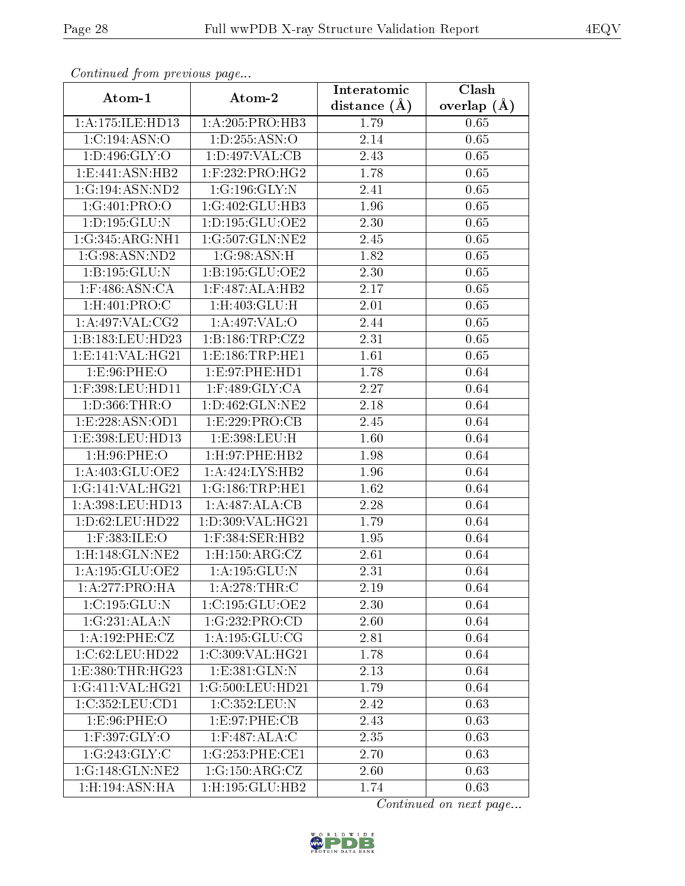| Communica from previous page     |                          | Interatomic    | Clash           |
|----------------------------------|--------------------------|----------------|-----------------|
| Atom-1                           | Atom-2                   | distance $(A)$ | overlap $(\AA)$ |
| 1:A:175:ILE:HD13                 | 1: A:205: PRO:HB3        | 1.79           | 0.65            |
| 1:C:194:ASN:O                    | 1: D: 255: ASN:O         | 2.14           | 0.65            |
| 1: D:496: GLY:O                  | 1: D:497: VAL: CB        | 2.43           | 0.65            |
| 1:E:441:ASN:HB2                  | 1:F:232:PRO:HG2          | 1.78           | 0.65            |
| 1:G:194:ASN:ND2                  | 1:G:196:GLY:N            | 2.41           | 0.65            |
| 1:G:401:PRO:O                    | 1:G:402:GLU:HB3          | 1.96           | 0.65            |
| 1:D:195:GLU:N                    | 1:D:195:GLU:OE2          | 2.30           | 0.65            |
| 1:G:345:ARG:NH1                  | 1:G:507:GLN:NE2          | 2.45           | 0.65            |
| 1:G:98:ASN:ND2                   | 1:G:98:ASN:H             | 1.82           | 0.65            |
| 1:B:195:GLU:N                    | 1:B:195:GLU:OE2          | 2.30           | 0.65            |
| 1:F:486:ASN:CA                   | 1:F:487:ALA:HB2          | 2.17           | 0.65            |
| 1:H:401:PRO:C                    | $1:$ H $:403:$ GLU $:$ H | 2.01           | 0.65            |
| 1: A:497: VAL: CG2               | 1:A:497:VAL:O            | 2.44           | 0.65            |
| 1:B:183:LEU:HD23                 | 1: B: 186: TRP: CZ2      | 2.31           | 0.65            |
| 1: E: 141: VAL: HG <sub>21</sub> | 1: E: 186: TRP: HE1      | 1.61           | 0.65            |
| 1:E:96:PHE:O                     | 1: E: 97: PHE: HD1       | 1.78           | 0.64            |
| 1:F:398:LEU:HD11                 | $1:$ F:489:GLY:CA        | 2.27           | 0.64            |
| 1:D:366:THR:O                    | 1:D:462:GLN:NE2          | 2.18           | 0.64            |
| 1:E:228:ASN:OD1                  | 1:E:229:PRO:CB           | 2.45           | 0.64            |
| 1:E:398:LEU:HD13                 | 1:E:398:LEU:H            | 1.60           | 0.64            |
| 1:H:96:PHE:O                     | 1:H:97:PHE:HB2           | 1.98           | 0.64            |
| 1: A:403: GLU:OE2                | 1:A:424:LYS:HB2          | 1.96           | 0.64            |
| 1:G:141:VAL:HG21                 | 1:G:186:TRP:HE1          | 1.62           | 0.64            |
| 1:A:398:LEU:HD13                 | 1:A:487:ALA:CB           | 2.28           | 0.64            |
| 1:D:62:LEU:HD22                  | 1:D:309:VAL:HG21         | 1.79           | 0.64            |
| $1:$ F:383:ILE:O                 | $1:$ F:384:SER:HB2       | 1.95           | 0.64            |
| 1:H:148:GLN:NE2                  | $1:$ H $:150:$ ARG:CZ    | 2.61           | 0.64            |
| 1:A:195:GLU:OE2                  | 1:A:195:GLU:N            | 2.31           | 0.64            |
| 1: A:277: PRO:HA                 | 1: A:278:THR:C           | 2.19           | 0.64            |
| 1:C:195:GLU:N                    | 1:C:195:GLU:OE2          | 2.30           | 0.64            |
| 1:G:231:ALA:N                    | 1:G:232:PRO:CD           | 2.60           | 0.64            |
| 1:A:192:PHE:CZ                   | 1: A: 195: GLU: CG       | 2.81           | 0.64            |
| 1:C:62:LEU:HD22                  | 1:C:309:VAL:HG21         | 1.78           | 0.64            |
| 1:E:380:THR:HG23                 | 1:E:381:GLN:N            | 2.13           | 0.64            |
| 1:G:411:VAL:HG21                 | 1:G:500:LEU:HD21         | 1.79           | 0.64            |
| 1:C:352:LEU:CD1                  | 1:C:352:LEU:N            | 2.42           | 0.63            |
| 1:E:96:PHE:O                     | 1:E:97:PHE:CB            | 2.43           | 0.63            |
| 1:F:397:GLY:O                    | 1:F:487:ALA:C            | 2.35           | 0.63            |
| 1:G:243:GLY:C                    | 1:G:253:PHE:CE1          | 2.70           | 0.63            |
| 1:G:148:GLN:NE2                  | 1:G:150:ARG:CZ           | 2.60           | 0.63            |
| 1: H: 194: ASN: HA               | 1:H:195:GLU:HB2          | 1.74           | 0.63            |

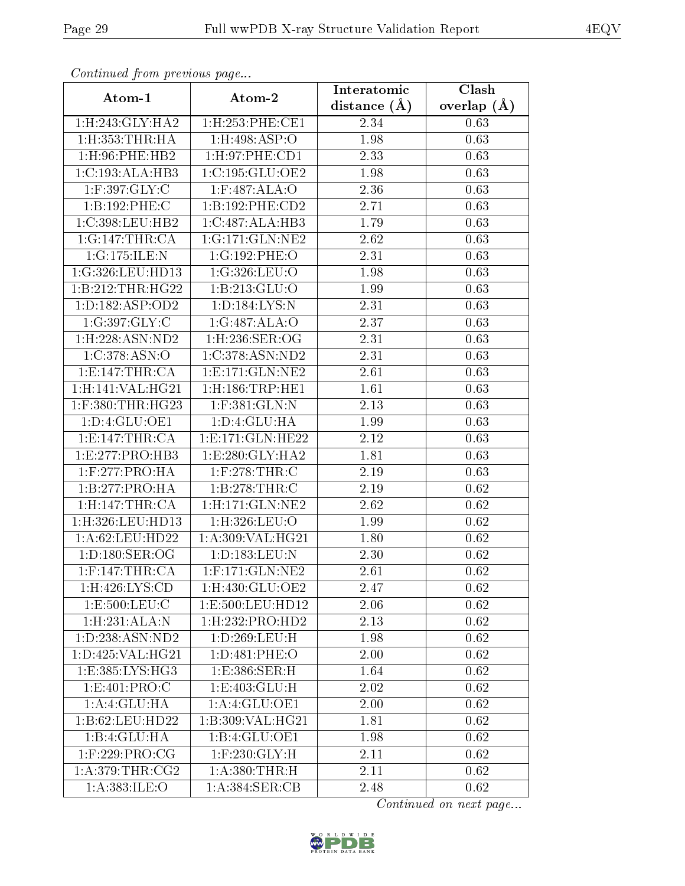| Communica from precious page    |                               | Interatomic    | Clash             |
|---------------------------------|-------------------------------|----------------|-------------------|
| Atom-1                          | Atom-2                        | distance $(A)$ | overlap $(\AA)$   |
| 1:H:243:GLY:HA2                 | 1:H:253:PHE:CE1               | 2.34           | 0.63              |
| $1:$ H $:353:$ THR $:$ HA       | $1:$ H:498:ASP:O              | 1.98           | 0.63              |
| 1: H:96: PHE:HB2                | 1:H:97:PHE:CD1                | 2.33           | 0.63              |
| 1:C:193:ALA:HB3                 | 1:C:195:GLU:OE2               | 1.98           | 0.63              |
| 1:F:397:GLY:C                   | 1:F:487:ALA:O                 | 2.36           | 0.63              |
| 1:B:192:PHE:C                   | 1:B:192:PHE:CD2               | 2.71           | 0.63              |
| 1:C:398:LEU:HB2                 | 1:C:487:ALA:HB3               | 1.79           | 0.63              |
| 1:G:147:THR:CA                  | 1:G:171:GLN:NE2               | 2.62           | 0.63              |
| 1:G:175:ILE:N                   | 1:G:192:PHE:O                 | 2.31           | 0.63              |
| 1:G:326:LEU:HD13                | 1:G:326:LEU:O                 | 1.98           | 0.63              |
| 1:B:212:THR:HG22                | 1:B:213:GLU:O                 | 1.99           | 0.63              |
| 1: D: 182: ASP: OD2             | 1:D:184:LYS:N                 | 2.31           | 0.63              |
| 1:G:397:GLY:C                   | 1:G:487:ALA:O                 | 2.37           | 0.63              |
| $1:$ H:228:ASN:ND2              | 1:H:236:SER:OG                | 2.31           | 0.63              |
| 1:C:378:ASN:O                   | 1:C:378:ASN:ND2               | 2.31           | 0.63              |
| 1:E:147:THR:CA                  | 1: E: 171: GLN: NE2           | 2.61           | 0.63              |
| 1:H:141:VAL:HG21                | $1:$ H $:186:$ TRP $:$ HE $1$ | 1.61           | 0.63              |
| 1:F:380:THR:HG23                | 1:F:381:GLN:N                 | 2.13           | 0.63              |
| 1: D: 4: GLU: OE1               | 1: D: 4: GLU: HA              | 1.99           | 0.63              |
| 1: E: 147: THR: CA              | 1:E:171:GLN:HE22              | 2.12           | 0.63              |
| 1: E: 277: PRO: HB3             | 1: E: 280: GLY: HA2           | 1.81           | 0.63              |
| 1:F:277:PRO:HA                  | $1:$ F:278:THR:C              | 2.19           | 0.63              |
| 1:B:277:PRO:HA                  | 1:B:278:THR:C                 | 2.19           | 0.62              |
| 1:H:147:THR:CA                  | $1:$ H $:171:$ GLN $:$ NE2    | 2.62           | 0.62              |
| 1:H:326:LEU:HD13                | 1:H:326:LEU:O                 | 1.99           | 0.62              |
| 1:A:62:LEU:HD22                 | 1: A:309: VAL:HG21            | 1.80           | 0.62              |
| 1: D: 180: SER: OG              | 1:D:183:LEU:N                 | 2.30           | 0.62              |
| $1:$ F:147:THR:CA               | $1:$ F:171:GLN:NE2            | 2.61           | 0.62              |
| 1:H:426:LYS:CD                  | 1:H:430:GLU:OE2               | 2.47           | 0.62              |
| 1:E:500:LEU:C                   | 1:E:500:LEU:HD12              | 2.06           | 0.62              |
| $1:$ H $:231:$ ALA:N            | $1:$ H $:232:$ PRO $:$ HD $2$ | 2.13           | 0.62              |
| 1:D:238:ASN:ND2                 | 1:D:269:LEU:H                 | 1.98           | 0.62              |
| 1: D:425: VAL:HG21              | 1:D:481:PHE:O                 | 2.00           | $\overline{0.62}$ |
| $1: E: 385: LY\overline{S:HG3}$ | 1: E: 386: SER:H              | 1.64           | 0.62              |
| 1: E: 401: PRO: C               | 1: E: 403: GLU: H             | 2.02           | 0.62              |
| 1:A:4:GLU:HA                    | 1:A:4:GLU:OE1                 | 2.00           | 0.62              |
| 1:B:62:LEU:HD22                 | 1:B:309:VAL:HG21              | 1.81           | 0.62              |
| 1:B:4:GLU:HA                    | 1:B:4:GLU:OE1                 | 1.98           | 0.62              |
| $1:$ F:229:PRO:CG               | $1:$ F:230:GLY:H              | 2.11           | 0.62              |
| 1: A:379:THR:CG2                | 1: A:380:THR:H                | 2.11           | 0.62              |
| 1: A: 383: ILE: O               | 1: A:384: SER: CB             | 2.48           | 0.62              |

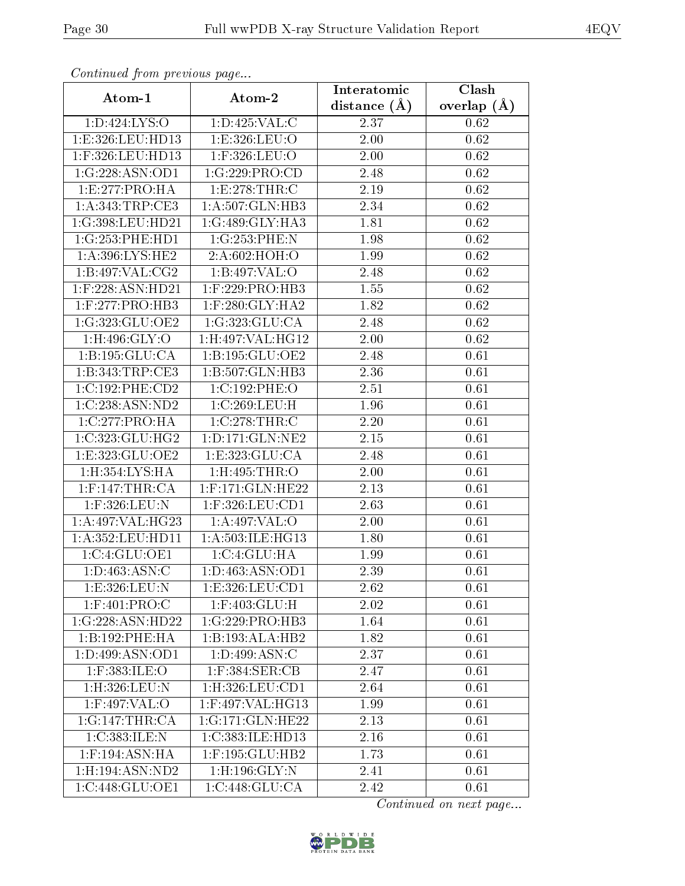| s o heen would giv me proceed was paged |                                   | Interatomic       | $\overline{\text{Clash}}$ |
|-----------------------------------------|-----------------------------------|-------------------|---------------------------|
| Atom-1                                  | Atom-2                            | distance $(A)$    | overlap $(A)$             |
| 1:D:424:LYS:O                           | 1: D: 425: VAL:C                  | 2.37              | 0.62                      |
| 1:E:326:LEU:HD13                        | 1:E:326:LEU:O                     | 2.00              | 0.62                      |
| $1:$ F:326:LEU:HD13                     | 1:F:326:LEU:O                     | 2.00              | 0.62                      |
| 1:G:228:ASN:OD1                         | 1:G:229:PRO:CD                    | 2.48              | 0.62                      |
| 1:E:277:PRO:HA                          | 1:E:278:THR:C                     | 2.19              | 0.62                      |
| 1: A: 343: TRP: CE3                     | 1:A:507:GLN:HB3                   | 2.34              | 0.62                      |
| 1:G:398:LEU:HD21                        | 1:G:489:GLY:HA3                   | 1.81              | 0.62                      |
| 1:G:253:PHE:HD1                         | 1:G:253:PHE:N                     | 1.98              | 0.62                      |
| 1:A:396:LYS:HE2                         | 2:A:602:HOH:O                     | 1.99              | 0.62                      |
| 1: B:497: VAL: CG2                      | 1:B:497:VAL:O                     | 2.48              | 0.62                      |
| 1:F:228:ASN:HD21                        | 1:F:229:PRO:HB3                   | 1.55              | 0.62                      |
| $1:$ F:277:PRO:HB3                      | $1:$ F:280:GLY:HA2                | 1.82              | 0.62                      |
| 1:G:323:GLU:OE2                         | 1:G:323:GLU:CA                    | 2.48              | 0.62                      |
| $1:$ H:496:GLY:O                        | 1:H:497:VAL:HG12                  | $\overline{2}.00$ | 0.62                      |
| 1: B: 195: GLU: CA                      | 1:B:195:GLU:OE2                   | 2.48              | 0.61                      |
| 1: B:343:TRP:CE3                        | 1:B:507:GLN:HB3                   | 2.36              | 0.61                      |
| 1:C:192:PHE:CD2                         | 1:C:192:PHE:O                     | 2.51              | 0.61                      |
| 1:C:238:ASN:ND2                         | 1:C:269:LEU:H                     | 1.96              | 0.61                      |
| 1:C:277:PRO:HA                          | 1:C:278:THR:C                     | 2.20              | 0.61                      |
| 1:C:323:CLU:HG2                         | 1: D: 171: GLN: NE2               | 2.15              | 0.61                      |
| 1:E:323:GLU:OE2                         | 1: E: 323: GLU: CA                | 2.48              | 0.61                      |
| 1:H:354:LYS:HA                          | 1:H:495:THR:O                     | 2.00              | 0.61                      |
| $1:$ F:147:THR:CA                       | 1:F:171:GLN:HE22                  | 2.13              | 0.61                      |
| 1:F:326:LEU:N                           | 1:F:326:LEU:CD1                   | 2.63              | 0.61                      |
| 1:A:497:VAL:HG23                        | 1:A:497:VAL:O                     | 2.00              | 0.61                      |
| 1: A: 352: LEU: HD11                    | 1:A:503:ILE:HG13                  | 1.80              | 0.61                      |
| 1: C: 4: GLU: OE1                       | 1:C:4:GLU:HA                      | 1.99              | 0.61                      |
| 1: D: 463: ASN:C                        | 1:D:463:ASN:OD1                   | 2.39              | 0.61                      |
| 1:E:326:LEU:N                           | 1: E: 326: LEU: CD1               | 2.62              | 0.61                      |
| 1:F:401:PRO:C                           | 1:F:403:GLU:H                     | $2.02\,$          | 0.61                      |
| $1:G:228:A\overline{SN:HD22}$           | 1:G:229:PRO:HB3                   | 1.64              | 0.61                      |
| 1:B:192:PHE:HA                          | $1:B:193:ALA:H\overline{B2}$      | 1.82              | 0.61                      |
| 1: D:499: ASN:OD1                       |                                   | 2.37              | 0.61                      |
| 1:F:383:ILE:O                           | $1:$ F:384:SER:CB                 | 2.47              | 0.61                      |
| $1:$ H $:326:$ LEU:N                    | 1: H:326: LEU: CD1                | 2.64              | 0.61                      |
| $1:$ F:497:VAL:O                        | $1:$ F:497:VAL:H $\overline{G13}$ | 1.99              | 0.61                      |
| 1:G:147:THR:CA                          | 1:G:171:GLN:HE22                  | 2.13              | 0.61                      |
| 1:C:383:ILE:N                           | 1:C:383:ILE:HD13                  | 2.16              | 0.61                      |
| $1:$ F:194:ASN:HA                       | 1:F:195:GLU:HB2                   | 1.73              | 0.61                      |
| 1:H:194:ASN:ND2                         | 1:H:196:GLY:N                     | 2.41              | 0.61                      |
| 1:C:448:GLU:OE1                         | 1:C:448:GLU:CA                    | 2.42              | 0.61                      |

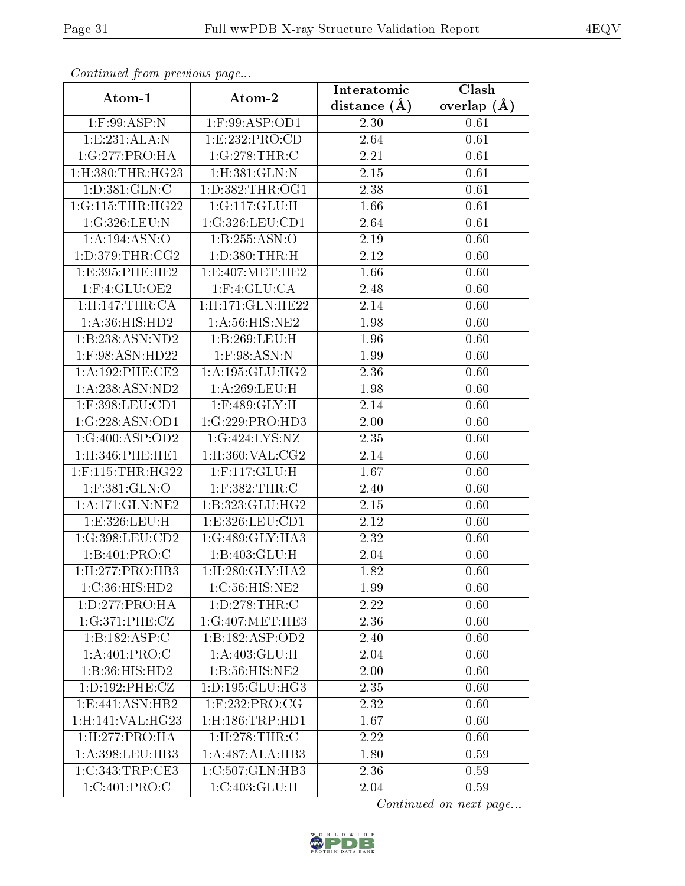| Comunaca jiom previous page   |                              | Interatomic    | Clash           |
|-------------------------------|------------------------------|----------------|-----------------|
| Atom-1                        | Atom-2                       | distance $(A)$ | overlap $(\AA)$ |
| $1:$ F:99:ASP:N               | 1:F:99:ASP:OD1               | 2.30           | 0.61            |
| 1: E: 231: ALA: N             | 1:E:232:PRO:CD               | 2.64           | 0.61            |
| 1:G:277:PRO:HA                | 1:G:278:THR:C                | 2.21           | 0.61            |
| 1:H:380:THR:HG23              | 1: H:381: GLN:N              | 2.15           | 0.61            |
| 1: D: 381: GLN: C             | 1: D: 382: THR: OG1          | 2.38           | 0.61            |
| 1:G:115:THR:HG22              | 1:G:117:GLU:H                | 1.66           | 0.61            |
| 1:G:326:LEU:N                 | 1:G:326:LEU:CD1              | 2.64           | 0.61            |
| 1: A: 194: ASN: O             | 1:B:255:ASN:O                | 2.19           | 0.60            |
| 1: D: 379: THR: CG2           | 1:D:380:THR:H                | 2.12           | 0.60            |
| 1: E: 395: PHE: HE2           | 1:E:407:MET:HE2              | 1.66           | 0.60            |
| $1:$ F:4:GLU:OE2              | $1:$ F: $4:$ GLU: $CA$       | 2.48           | 0.60            |
| 1:H:147:THR:CA                | 1:H:171:GLN:HE22             | 2.14           | 0.60            |
| 1:A:36:HIS:HD2                | 1:A:56:HIS:NE2               | 1.98           | 0.60            |
| 1:B:238:ASN:ND2               | 1:B:269:LEU:H                | 1.96           | 0.60            |
| 1:F:98:ASN:HD22               | $1:$ F:98:ASN:N              | 1.99           | 0.60            |
| 1:A:192:PHE:CE2               | 1: A: 195: GLU: HG2          | 2.36           | 0.60            |
| 1:A:238:ASN:ND2               | 1: A:269:LEU:H               | 1.98           | 0.60            |
| $1:$ F:398:LEU:CD1            | $1:$ F:489:GLY:H             | 2.14           | 0.60            |
| 1:G:228:ASN:OD1               | 1:G:229:PRO:HD3              | 2.00           | 0.60            |
| 1:G:400:ASP:OD2               | 1:G:424:LYS:NZ               | 2.35           | 0.60            |
| $1:$ H $:346:$ PHE $:$ HE $1$ | $1:$ H $:360:$ VAL $:$ CG2   | 2.14           | 0.60            |
| $1:$ F:115:THR:HG22           | 1:F:117:GLU:H                | 1.67           | 0.60            |
| $1:$ F:381:GLN:O              | $1:$ F:382:THR:C             | 2.40           | 0.60            |
| 1: A:171: GLN: NE2            | 1:B:323:GLU:HG2              | 2.15           | 0.60            |
| 1:E:326:LEU:H                 | 1:E:326:LEU:CD1              | 2.12           | 0.60            |
| 1:G:398:LEU:CD2               | 1:G:489:GLY:HA3              | 2.32           | 0.60            |
| 1:B:401:PRO:C                 | 1: B:403: GLU: H             | 2.04           | 0.60            |
| 1: H: 277: PRO:HB3            | 1: H:280: GLY: HA2           | 1.82           | 0.60            |
| 1:C:36:HIS:HD2                | 1:C:56:HIS:NE2               | 1.99           | 0.60            |
| 1:D:277:PRO:HA                | 1:D:278:THR:C                | 2.22           | 0.60            |
| 1:G:371:PHE:CZ                | $1:G:\overline{407:MET:HE3}$ | 2.36           | 0.60            |
| 1:B:182:ASP:C                 | 1:B:182:ASP:OD2              | 2.40           | 0.60            |
| 1: A:401: PRO:C               | 1: A:403: GLU: H             | 2.04           | 0.60            |
| 1:B:36:HIS:HD2                | 1:B:56:HIS:NE2               | 2.00           | 0.60            |
| 1: D: 192: PHE: CZ            | 1: D: 195: GLU: HG3          | 2.35           | 0.60            |
| 1: E: 441: ASN: HB2           | $1:$ F:232:PRO:CG            | 2.32           | 0.60            |
| 1:H:141:VAL:HG23              | 1: H: 186: TRP: HD1          | 1.67           | 0.60            |
| 1:H:277:PRO:HA                | $1:$ H $:278:$ THR $:$ C     | 2.22           | 0.60            |
| 1:A:398:LEU:HB3               | 1:A:487:ALA:HB3              | 1.80           | 0.59            |
| 1:C:343:TRP:CE3               | 1:C:507:GLN:HB3              | 2.36           | 0.59            |
| 1:C:401:PRO:C                 | 1:C:403:GLU:H                | 2.04           | 0.59            |

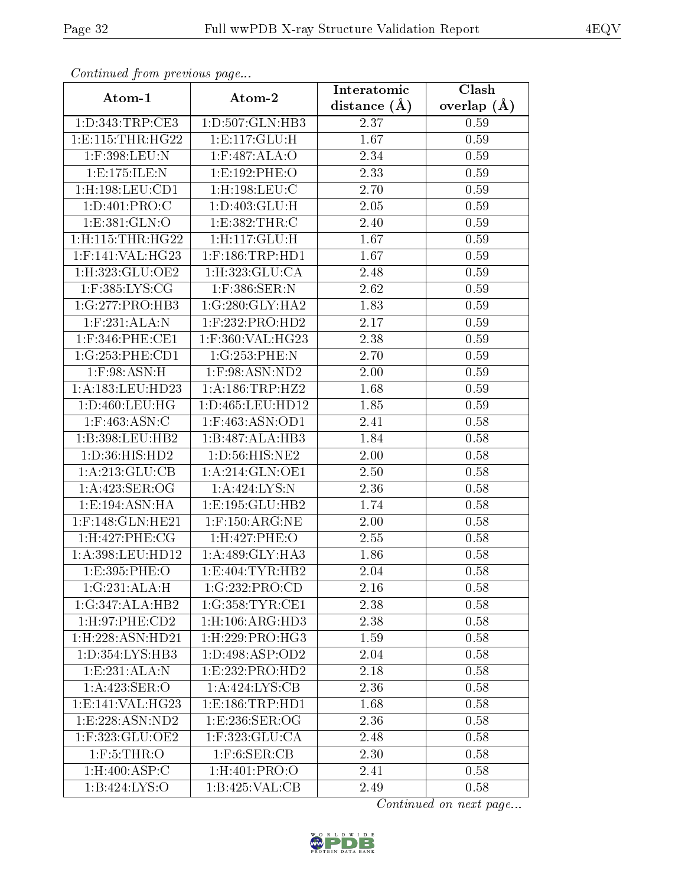| Commuca from previous page     |                                      | Interatomic       | $\overline{\text{Clash}}$ |
|--------------------------------|--------------------------------------|-------------------|---------------------------|
| Atom-1                         | Atom-2                               | distance $(\AA)$  | overlap $(A)$             |
| 1:D:343:TRP:CE3                | 1:D:507:GLN:HB3                      | 2.37              | 0.59                      |
| 1: E: 115: THR: HG22           | $1: E: 117: \overline{GLU:H}$        | $\overline{1.67}$ | 0.59                      |
| $1:$ F:398:LEU:N               | $1:$ F:487:ALA:O                     | 2.34              | 0.59                      |
| 1:E:175:ILE:N                  | 1:E:192:PHE:O                        | 2.33              | 0.59                      |
| $1:$ H $:198:$ LEU $:$ CD $1$  | $1:$ H $:198:$ LEU $:$ C             | 2.70              | 0.59                      |
| 1:D:401:PRO:C                  | 1: D: 403: GLU: H                    | 2.05              | 0.59                      |
| 1:E:381:GLN:O                  | 1:E:382:THR:C                        | 2.40              | 0.59                      |
| 1:H:115:THR:HG22               | 1: H: 117: GLU: H                    | 1.67              | 0.59                      |
| $1:$ F:141:VAL:HG23            | $1:$ F:186:TRP:HD1                   | 1.67              | 0.59                      |
| 1:H:323:GLU:OE2                | 1: H: 323: GLU: CA                   | 2.48              | 0.59                      |
| $1:$ F:385:LYS:CG              | $1:$ F:386:SER:N                     | 2.62              | 0.59                      |
| 1:G:277:PRO:HB3                | 1:G:280:GLY:HA2                      | 1.83              | 0.59                      |
| $1:$ F:231:ALA:N               | $1:$ F:232:PRO:HD2                   | 2.17              | 0.59                      |
| $1:$ F:346:PHE:CE1             | 1:F:360:VAL:HG23                     | 2.38              | 0.59                      |
| 1:G:253:PHE:CD1                | $1:G:253:PHE:\overline{N}$           | 2.70              | 0.59                      |
| $1:$ F:98:ASN:H                | $1:$ F:98:ASN:ND2                    | 2.00              | 0.59                      |
| 1: A: 183: LEU: HD23           | 1: A: 186: TRP: HZ2                  | 1.68              | 0.59                      |
| 1: D: 460: LEU: HG             | 1:D:465:LEU:HD12                     | 1.85              | 0.59                      |
| $1:$ F:463:ASN:C               | 1:F:463:ASN:OD1                      | 2.41              | 0.58                      |
| 1:B:398:LEU:HB2                | 1:B:487:ALA:HB3                      | 1.84              | 0.58                      |
| 1:D:36:HIS:HD2                 | 1:D:56:HIS:NE2                       | 2.00              | 0.58                      |
| 1: A:213: GLU:CB               | 1: A:214: GLN:OE1                    | 2.50              | 0.58                      |
| 1:A:423:SER:OG                 | 1:A:424:LYS:N                        | 2.36              | 0.58                      |
| 1:E:194:ASN:HA                 | 1:E:195:GLU:HB2                      | 1.74              | 0.58                      |
| 1:F:148:GLN:HE21               | $1:$ F:150:ARG:NE                    | 2.00              | 0.58                      |
| 1:H:427:PHE:CG                 | 1:H:427:PHE:O                        | 2.55              | 0.58                      |
| 1:A:398:LEU:HD12               | 1:A:489:GLY:HA3                      | 1.86              | 0.58                      |
| 1:E:395:PHE:O                  | 1: E:404: TYR:HB2                    | 2.04              | 0.58                      |
| $1:G:231:ALA:\overline{H}$     | 1:G:232:PRO:CD                       | 2.16              | $0.58\,$                  |
| 1:G:347:ALA:HB2                | 1:G:358:TYR:CE1                      | 2.38              | 0.58                      |
| 1: H:97: PHE:CD2               | 1: H: 106: ARG: HD3                  | 2.38              | 0.58                      |
| $1:$ H $:228:$ ASN $:$ HD $21$ | $1:$ H $:229:$ PRO $:$ HG3           | 1.59              | 0.58                      |
| 1: D: 354: LYS: HB3            | 1: D: 498: ASP: OD2                  | 2.04              | 0.58                      |
| 1:E:231:ALA:N                  | 1: E: 232: PRO: HD2                  | 2.18              | 0.58                      |
| 1:A:423:SER:O                  | 1:A:424:LYS:CB                       | 2.36              | 0.58                      |
| 1:E:141:VAL:HG23               | 1: E: 186: TRP: HD1                  | 1.68              | 0.58                      |
| 1: E: 228: ASN: ND2            | 1:E:236:SER:OG                       | 2.36              | 0.58                      |
| 1:F:323:GLU:OE2                | 1:F:323:GLU:CA                       | 2.48              | 0.58                      |
| $1:$ F:5:THR:O                 | $1:$ F:6:SER:CB                      | 2.30              | 0.58                      |
| $1: H:400: \overline{ASP:C}$   | 1:H:401:PRO:O                        | 2.41              | 0.58                      |
| 1:B:424:LYS:O                  | $1:B:425:V\overline{\mathrm{AL:CB}}$ | 2.49              | 0.58                      |

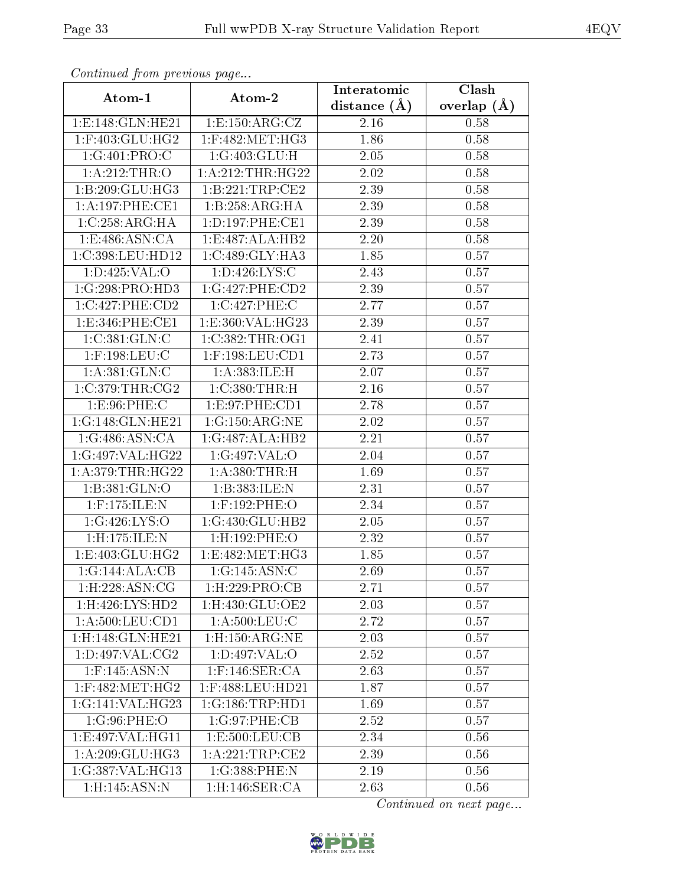| Commuca from previous page             |                               | Interatomic       | Clash         |
|----------------------------------------|-------------------------------|-------------------|---------------|
| Atom-1                                 | Atom-2                        | distance $(A)$    | overlap $(A)$ |
| 1: E: 148: GLN: HE21                   | 1:E:150:ARG:CZ                | 2.16              | 0.58          |
| 1:F:403:GLU:HG2                        | $1:$ F:482:MET:HG3            | 1.86              | 0.58          |
| 1:G:401:PRO:C                          | 1:G:403:GLU:H                 | 2.05              | 0.58          |
| 1:A:212:THR:O                          | 1: A:212:THR:HG22             | 2.02              | 0.58          |
| 1:B:209:GLU:HG3                        | 1:B:221:TRP:CE2               | 2.39              | 0.58          |
| 1: A:197:PHE:CE1                       | 1:B:258:ARG:HA                | 2.39              | 0.58          |
| 1:C:258:ARG:HA                         | 1: D: 197: PHE: CE1           | 2.39              | 0.58          |
| 1: E:486: ASN:CA                       | 1:E:487:ALA:HB2               | 2.20              | 0.58          |
| 1:C:398:LEU:HD12                       | 1:C:489:GLY:HA3               | 1.85              | 0.57          |
| 1: D: 425: VAL: O                      | 1: D: 426: LYS: C             | 2.43              | 0.57          |
| 1:G:298:PRO:HD3                        | 1:G:427:PHE:CD2               | 2.39              | 0.57          |
| 1:C:427:PHE:CD2                        | 1:C:427:PHE:C                 | 2.77              | 0.57          |
| 1:E:346:PHE:CE1                        | 1:E:360:VAL:HG23              | 2.39              | 0.57          |
| 1:C:381:GLN:C                          | 1:C:382:THR:OG1               | 2.41              | 0.57          |
| $1:$ F:198:LEU:C                       | 1:F:198:LEU:CD1               | 2.73              | 0.57          |
| 1: A:381: GLN: C                       | $1:$ A:383:ILE:H              | 2.07              | 0.57          |
| 1:C:379:THR:CG2                        | 1: C:380: THR:H               | 2.16              | 0.57          |
| 1: E: 96: PHE: C                       | 1:E:97:PHE:CD1                | 2.78              | 0.57          |
| 1:G:148:GLN:HE21                       | 1:G:150:ARG:NE                | 2.02              | 0.57          |
| 1:G:486:ASN:CA                         | 1:G:487:ALA:HB2               | 2.21              | 0.57          |
| 1:G:497:VAL:HG22                       | 1:G:497:VAL:O                 | 2.04              | 0.57          |
| 1: A:379:THR:HG22                      | 1: A:380:THR:H                | 1.69              | 0.57          |
| 1:B:381:GLN:O                          | 1:B:383:ILE:N                 | 2.31              | 0.57          |
| $1:$ F:175:ILE:N                       | $1:$ F:192:PHE:O              | 2.34              | 0.57          |
| 1:G:426:LYS:O                          | 1:G:430:GLU:HB2               | 2.05              | 0.57          |
| 1:H:175:ILE:N                          | 1:H:192:PHE:O                 | $\overline{2.32}$ | 0.57          |
| 1:E:403:GLU:HG2                        | 1:E:482:MET:HG3               | 1.85              | 0.57          |
| $1:G:144:ALA:C\overline{B}$            | 1:G:145:ASN:C                 | 2.69              | 0.57          |
| $1:$ H $:228:$ ASN $:$ CG              | $1:$ H $:229:$ PRO $:$ CB     | 2.71              | 0.57          |
| 1:H:426:LYS:HD2                        | $1:$ H $:430:$ GLU $:$ OE $2$ | 2.03              | 0.57          |
| $1: A:500: \overline{\textrm{EU:CD1}}$ | $1: A:500:$ LEU: $C$          | 2.72              | 0.57          |
| $1:$ H:148:GLN:HE21                    | $1:$ H $:150:$ ARG:NE         | 2.03              | 0.57          |
| 1: D: 497: VAL: CG2                    | 1: D:497: VAL:O               | 2.52              | 0.57          |
| 1:F:145:ASN:N                          | $1:$ F:146:SER:CA             | 2.63              | 0.57          |
| $1:$ F:482:MET:HG2                     | $1:$ F:488:LEU:HD21           | 1.87              | 0.57          |
| 1:G:141:VAL:HG23                       | 1:G:186:TRP:HDI               | 1.69              | 0.57          |
| 1:G:96:PHE:O                           | 1:G:97:PHE:CB                 | 2.52              | 0.57          |
| 1:E:497:VAL:HG11                       | 1:E:500:LEU:CB                | 2.34              | 0.56          |
| 1: A:209: GLU:HG3                      | 1:A:221:TRP:CE2               | 2.39              | 0.56          |
| 1:G:387:VAL:HG13                       | 1:G:388:PHE:N                 | 2.19              | 0.56          |
| $1:$ H:145:ASN:N                       | $1:$ H $:146:$ SER $:$ CA     | 2.63              | 0.56          |

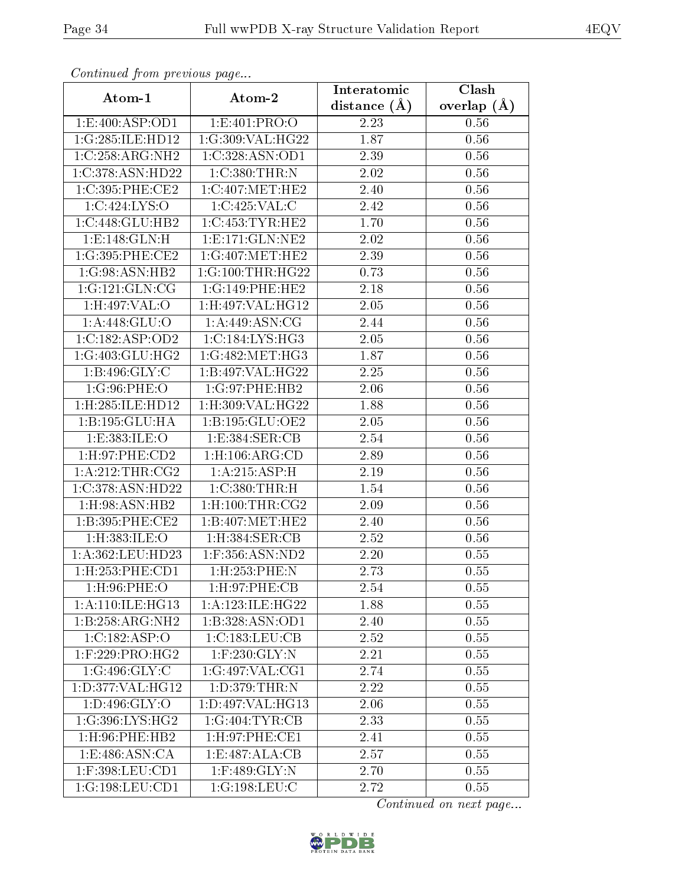| Continued from previous page  |                                | Interatomic      | Clash           |
|-------------------------------|--------------------------------|------------------|-----------------|
| Atom-1                        | Atom-2                         | distance $(\AA)$ | overlap $(\AA)$ |
| 1: E:400: ASP:OD1             | 1:E:401:PRO:O                  | 2.23             | 0.56            |
| 1:G:285:ILE:HD12              | 1:G:309:VAL:HG22               | 1.87             | 0.56            |
| 1:C:258:ARG:NH2               | 1:C:328:ASN:OD1                | 2.39             | 0.56            |
| 1:C:378:ASN:HD22              | 1:C:380:THR:N                  | 2.02             | 0.56            |
| 1:C:395:PHE:CE2               | 1:C:407:MET:HE2                | 2.40             | 0.56            |
| 1:C:424:LYS:O                 | 1:C:425:VAL:C                  | 2.42             | 0.56            |
| 1:C:448:GLU:HB2               | 1:C:453:TYR:HE2                | 1.70             | 0.56            |
| 1: E: 148: GLN: H             | 1: E: 171: GLN: NE2            | 2.02             | 0.56            |
| 1:G:395:PHE:CE2               | 1:G:407:MET:HE2                | 2.39             | 0.56            |
| 1:G:98:ASN:HB2                | 1:G:100:THR:HG22               | 0.73             | 0.56            |
| 1:G:121:GLN:CG                | 1:G:149:PHE:HE2                | 2.18             | 0.56            |
| 1:H:497:VAL:O                 | $1:$ H $:497:$ VAL $:$ H $G12$ | 2.05             | 0.56            |
| 1: A:448: GLU:O               | 1: A:449: ASN:CG               | 2.44             | 0.56            |
| 1:C:182:ASP:OD2               | 1:C:184:LYS:HG3                | 2.05             | 0.56            |
| 1:G:403:GLU:HG2               | 1:G:482:MET:HG3                | 1.87             | 0.56            |
| 1: B:496: GLY: C              | 1:B:497:VAL:HG22               | 2.25             | 0.56            |
| 1:G:96:PHE:O                  | 1:G:97:PHE:HB2                 | 2.06             | 0.56            |
| 1:H:285:ILE:HD12              | 1:H:309:VAL:HG22               | 1.88             | 0.56            |
| 1:B:195:GLU:HA                | 1:B:195:GLU:OE2                | 2.05             | 0.56            |
| 1:E:383:ILE:O                 | 1:E:384:SER:CB                 | 2.54             | 0.56            |
| 1: H:97: PHE:CD2              | $1:$ H $:106:$ ARG $:$ CD      | 2.89             | 0.56            |
| 1:A:212:THR:CG2               | 1: A:215: ASP:H                | 2.19             | 0.56            |
| 1:C:378:ASN:HD22              | 1:C:380:THR:H                  | 1.54             | 0.56            |
| 1:H:98:ASN:HB2                | $1:$ H:100:THR:CG2             | 2.09             | 0.56            |
| 1:B:395:PHE:CE2               | 1:B:407:MET:HE2                | 2.40             | 0.56            |
| 1:H:383:ILE:O                 | 1:H:384:SER:CB                 | 2.52             | 0.56            |
| 1:A:362:LEU:HD23              | 1:F:356:ASN:ND2                | 2.20             | 0.55            |
| 1: H: 253: PHE: CD1           | $1:$ H $:253:$ PHE $:$ N       | 2.73             | 0.55            |
| $1:$ H:96:PHE:O               | 1: H:97: PHE: CB               | 2.54             | 0.55            |
| 1: A:110: ILE: HG13           | 1: A: 123: ILE: HG22           | 1.88             | 0.55            |
| 1:B:258:ARG:NH2               | 1:B:328:ASN:OD1                | 2.40             | 0.55            |
| 1:C:182:ASP:O                 | 1:C:183:LEU:CB                 | 2.52             | 0.55            |
| $1:$ F:229:PRO:HG2            | $1:$ F:230:GLY:N               | 2.21             | 0.55            |
| $1:G:496:\overline{GLY:C}$    | 1:G:497:VAL:CG1                | 2.74             | 0.55            |
| 1:D:377:VAL:HG12              | 1: D: 379: THR:N               | 2.22             | 0.55            |
| 1: D: 496: GLY: O             | 1:D:497:VAL:HG13               | 2.06             | 0.55            |
| 1:G:396:LYS:HG2               | 1:G:404:TYR:CB                 | 2.33             | 0.55            |
| $1:$ H $:96:$ PHE $:$ HB $2$  | $1:$ H:97:PHE:CEI              | 2.41             | 0.55            |
| 1: E:486: ASN: C <sub>A</sub> | 1:E:487:ALA:CB                 | 2.57             | 0.55            |
| $1:$ F:398:LEU:CD $1$         | $1:$ F:489:GLY:N               | 2.70             | 0.55            |
| 1:G:198:LEU:CD1               | 1:G:198:LEU:C                  | 2.72             | 0.55            |

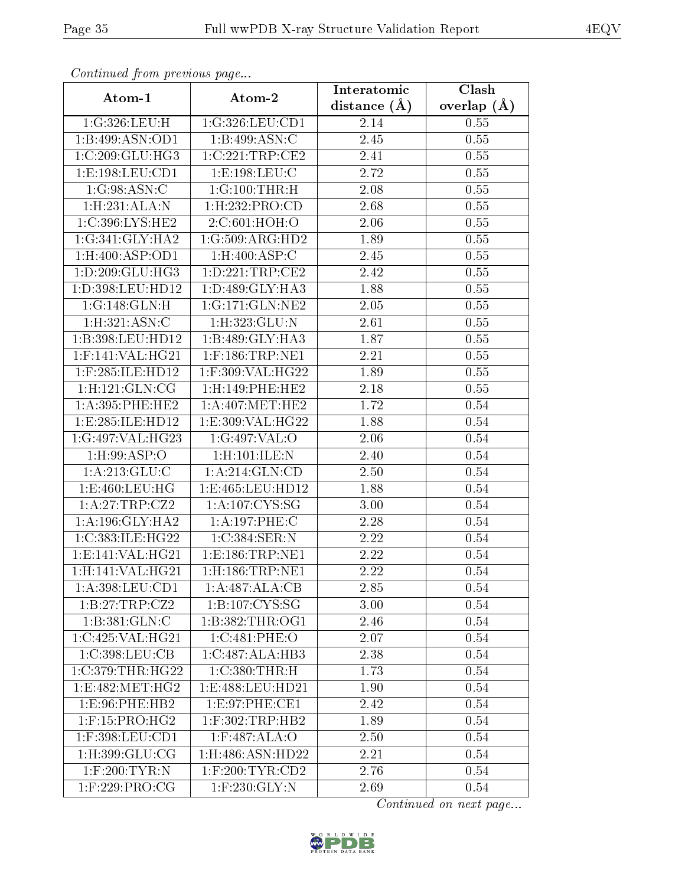| Communa from previous page<br>Atom-1            | Atom-2                                                 | Interatomic    | Clash           |
|-------------------------------------------------|--------------------------------------------------------|----------------|-----------------|
|                                                 |                                                        | distance $(A)$ | overlap $(\AA)$ |
| 1:G:326:LEU:H                                   | 1:G:326:LEU:CD1                                        | 2.14           | 0.55            |
| 1:B:499:ASN:OD1                                 | 1: B:499: ASN: C                                       | 2.45           | 0.55            |
| 1:C:209:GLU:HG3                                 | 1:C:221:TRP:CE2                                        | $2.41\,$       | 0.55            |
| 1:E:198:LEU:CD1                                 | 1:E:198:LEU:C                                          | 2.72           | 0.55            |
| 1:G:98:ASN:C                                    | 1:G:100:THR:H                                          | $2.08\,$       | 0.55            |
| 1:H:231:ALA:N                                   | $1:$ H $:232:$ PRO $:CD$                               | 2.68           | 0.55            |
| 1:C:396:LYS:HE2                                 | 2:C:601:HOH:O                                          | 2.06           | 0.55            |
| 1:G:341:GLY:HA2                                 | 1:G:509:ARG:HD2                                        | 1.89           | 0.55            |
| $1:$ H:400:ASP:OD1                              | $1:$ H:400:ASP:C                                       | 2.45           | 0.55            |
| 1:D:209:GLU:HG3                                 | 1: D: 221: TRP: CE2                                    | 2.42           | 0.55            |
| 1:D:398:LEU:HD12                                | 1: D:489: GLY:HA3                                      | 1.88           | 0.55            |
| 1:G:148:GLN:H                                   | 1:G:171:GLN:NE2                                        | 2.05           | 0.55            |
| 1: H: 321: ASN: C                               | 1:H:323:GLU:N                                          | 2.61           | 0.55            |
| 1:B:398:LEU:HD12                                | $1:B:489:GLY:\overline{HAS}$                           | 1.87           | 0.55            |
| 1:F:141:VAL:HG21                                | 1:F:186:TRP:NE1                                        | 2.21           | 0.55            |
| $1:$ F:285:ILE:HD12                             | $1:$ F:309:VAL:HG22                                    | 1.89           | 0.55            |
| $1:$ H $:121:$ GLN $:$ CG                       | 1:H:149:PHE:HE2                                        | 2.18           | 0.55            |
| 1: A:395:PHE:HE2                                | $1:\overline{A}:407:\overline{\text{MET}:HE2}$         | 1.72           | 0.54            |
| 1:E:285:ILE:HD12                                | 1:E:309:VAL:HG22                                       | 1.88           | 0.54            |
| 1:G:497:VAL:HG23                                | 1:G:497:VAL:O                                          | 2.06           | 0.54            |
| $1:$ H:99:ASP:O                                 | 1:H:101:ILE:N                                          | 2.40           | 0.54            |
| 1: A:213: GLU: C                                | 1: A:214: GLN:CD                                       | $2.50\,$       | 0.54            |
| 1: E: 460: LEU: HG                              | 1:E:465:LEU:HD12                                       | 1.88           | 0.54            |
| 1:A:27:TRP:CZ2                                  | 1: A: 107: CYS: SG                                     | 3.00           | 0.54            |
| 1: A:196: GLY:HA2                               | 1:A:197:PHE:C                                          | 2.28           | 0.54            |
| 1:C:383:ILE:HG22                                | 1:C:384:SER:N                                          | 2.22           | 0.54            |
| 1: E: 141: VAL: HG21                            | 1: E: 186: TRP: NE1                                    | 2.22           | 0.54            |
| 1:H:141:VAL:HG21                                | $1:$ H:186:TRP:NE1                                     | 2.22           | 0.54            |
| $1: A:398: LEU: \overline{CD1}$                 | 1:A:487:ALA:CB                                         | 2.85           | 0.54            |
| 1:B:27:TRP:CZ2                                  | 1:B:107:CYS:SG                                         | 3.00           | 0.54            |
| 1:B:381:GLN:C                                   | 1: B: 382: THR: OG1                                    | 2.46           | 0.54            |
| $1:C:425:V\overline{\mathrm{AL}:H\mathrm{G}21}$ | 1:C:481:PHE:O                                          | 2.07           | 0.54            |
| 1:C:398:LEU:CB                                  | $1:C:487:\stackrel{\frown}{\overline{\text{ALA:H}}B3}$ | 2.38           | 0.54            |
| 1:C:379:THR:HG22                                | 1: C:380: THR:H                                        | 1.73           | 0.54            |
| 1:E:482:MET:HG2                                 | 1:E:488:LEU:HD21                                       | 1.90           | 0.54            |
| 1:E:96:PHE:HB2                                  | 1:E:97:PHE:CE1                                         | 2.42           | 0.54            |
| $1:$ F:15:PRO:HG2                               | $1:$ F:302:TRP:HB2                                     | 1.89           | 0.54            |
| 1:F:398:LEU:CD1                                 | 1:F:487:ALA:O                                          | 2.50           | 0.54            |
| $1:$ H:399:GLU:CG                               | 1:H:486:ASN:HD22                                       | 2.21           | 0.54            |
| $1:$ F:200:TYR:N                                | $1:$ F:200:TYR:CD2                                     | 2.76           | 0.54            |
| 1:F:229:PRO:CG                                  | $1:$ F:230:GLY:N                                       | 2.69           | 0.54            |

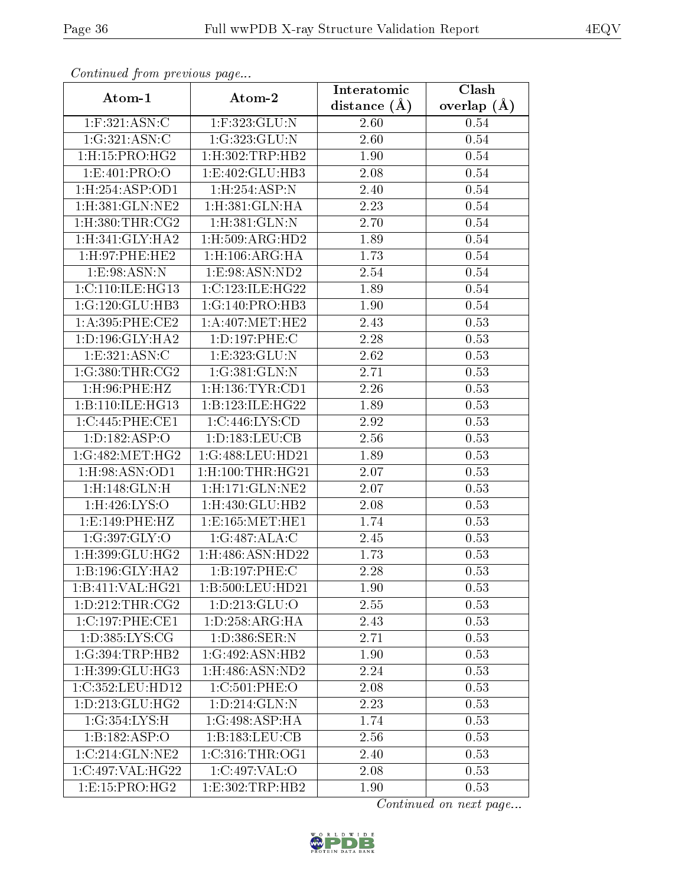| contentwear from procto de pago |                                    | Interatomic       | $\overline{\text{Clash}}$ |
|---------------------------------|------------------------------------|-------------------|---------------------------|
| Atom-1                          | Atom-2                             | distance $(A)$    | overlap $(A)$             |
| 1:F:321:ASN:C                   | 1:F:323:GLU:N                      | 2.60              | 0.54                      |
| 1:G:321:ASN:C                   | 1:G:323:GLU:N                      | 2.60              | 0.54                      |
| $1:$ H $:15:$ PRO $:$ H $G2$    | $1:$ H $:302:$ TRP $:$ HB $2$      | 1.90              | 0.54                      |
| 1: E: 401: PRO: O               | 1: E:402: GLU:HB3                  | 2.08              | 0.54                      |
| 1:H:254:ASP:OD1                 | 1:H:254:ASP:N                      | 2.40              | 0.54                      |
| 1:H:381:GLN:NE2                 | 1:H:381:GLN:HA                     | 2.23              | 0.54                      |
| $1:$ H $:380:$ THR $:$ CG2      | 1: H:381: GLN:N                    | 2.70              | 0.54                      |
| 1: H:341: GLY:HA2               | 1: H: 509: ARG: HD2                | 1.89              | 0.54                      |
| 1:H:97:PHE:HE2                  | 1: H: 106: ARG: HA                 | 1.73              | 0.54                      |
| 1: E: 98: ASN: N                | 1:E:98:ASN:ND2                     | 2.54              | 0.54                      |
| 1: C: 110: ILE: HG13            | 1:C:123:ILE:HG22                   | 1.89              | 0.54                      |
| 1:G:120:GLU:HB3                 | 1:G:140:PRO:HB3                    | 1.90              | 0.54                      |
| 1:A:395:PHE:CE2                 | 1: A:407: MET:HE2                  | 2.43              | 0.53                      |
| 1: D: 196: GLY: HA2             | 1:D:197:PHE:C                      | $\overline{2}.28$ | 0.53                      |
| 1:E:321:ASN:C                   | 1:E:323:GLU:N                      | 2.62              | 0.53                      |
| 1:G:380:THR:CG2                 | 1:G:381:GLN:N                      | 2.71              | 0.53                      |
| $1:$ H $:96:$ PHE $:$ HZ        | $1:$ H $:136:$ TYR $:$ CD $1$      | 2.26              | 0.53                      |
| 1:B:110:ILE:HG13                | 1:B:123:ILE:HG22                   | 1.89              | 0.53                      |
| 1:C:445:PHE:CE1                 | $1:C:446:\overline{\text{LYS:CD}}$ | 2.92              | 0.53                      |
| 1: D: 182: ASP: O               | 1: D: 183: LEU: CB                 | 2.56              | 0.53                      |
| 1:G:482:MET:HG2                 | 1:G:488:LEU:HD21                   | 1.89              | 0.53                      |
| 1:H:98:ASN:OD1                  | $1:$ H $:100:$ THR $:$ H $G21$     | 2.07              | 0.53                      |
| $1:$ H $:148:$ GLN $:$ H        | $1:$ H $:171:$ GLN $:$ NE2         | 2.07              | 0.53                      |
| 1:H:426:LYS:O                   | 1:H:430:GLU:HB2                    | 2.08              | 0.53                      |
| 1:E:149:PHE:HZ                  | 1: E: 165: MET: HE1                | 1.74              | 0.53                      |
| 1:G:397:GLY:O                   | 1:G:487:ALA:C                      | 2.45              | 0.53                      |
| $1:$ H:399:GLU:HG2              | 1:H:486:ASN:HD22                   | 1.73              | 0.53                      |
| 1:B:196:GLY:HA2                 | 1:B:197:PHE:C                      | 2.28              | 0.53                      |
| 1:B:411:VAL:HG21                | 1:B:500:LEU:HD21                   | 1.90              | 0.53                      |
| 1: D: 212: THR: CG2             | 1:D:213:GLU:O                      | 2.55              | 0.53                      |
| 1:C:197:PHE:CE1                 | 1: D: 258: ARG: HA                 | 2.43              | 0.53                      |
| 1: D: 385: LYS: CG              | 1: D:386: SER: N                   | 2.71              | 0.53                      |
| 1:G:394:TRP:HB2                 | 1:G:492:ASN:HB2                    | 1.90              | 0.53                      |
| 1:H:399:GLU:HG3                 | 1:H:486:ASN:ND2                    | 2.24              | 0.53                      |
| 1:C:352:LEU:HD12                | 1:C:501:PHE:O                      | 2.08              | 0.53                      |
| 1: D: 213: GLU: HG2             | 1: D: 214: GLN:N                   | 2.23              | 0.53                      |
| 1:G:354:LYS:H                   | 1:G:498:ASP:HA                     | 1.74              | 0.53                      |
| 1:B:182:ASP:O                   | 1:B:183:LEU:CB                     | 2.56              | 0.53                      |
| 1:C:214:GLN:NE2                 | 1:C:316:THR:OG1                    | 2.40              | 0.53                      |
| 1:C:497:VAL:HG22                | 1:C:497:VAL:O                      | 2.08              | 0.53                      |
| $1: E: 15: P\overline{RO:HG2}$  | 1: E: 302: TRP: HB2                | 1.90              | 0.53                      |

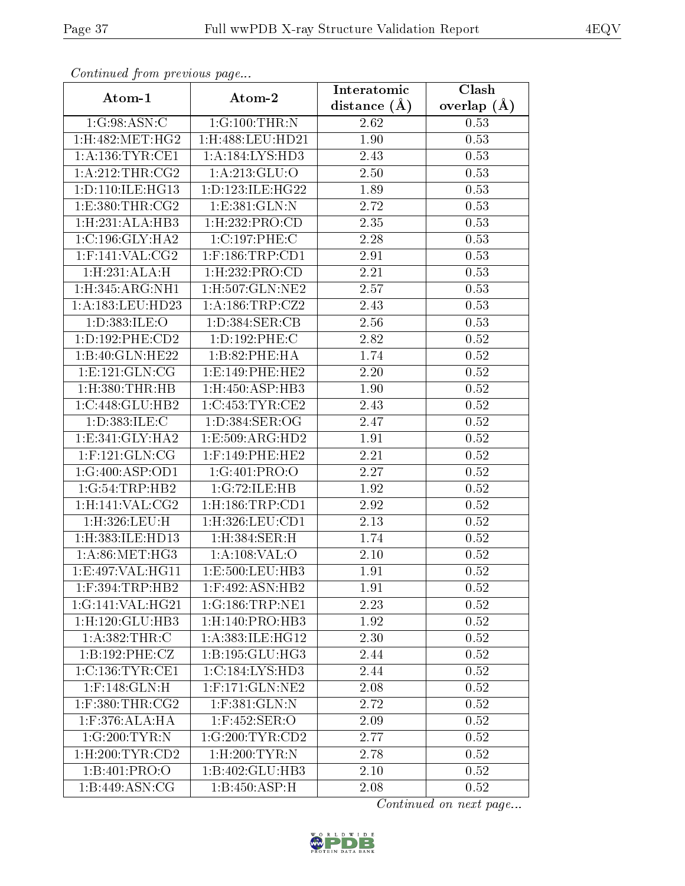| contentava promono ao pago | Atom-2                    | Interatomic       | $\overline{\text{Clash}}$ |
|----------------------------|---------------------------|-------------------|---------------------------|
| Atom-1                     |                           | distance $(A)$    | overlap $(\AA)$           |
| 1:G:98:ASN:C               | 1:G:100:THR:N             | 2.62              | 0.53                      |
| 1:H:482:MET:HG2            | 1:H:488:LEU:HD21          | 1.90              | 0.53                      |
| 1: A: 136: TYR: CE1        | 1: A: 184: LYS: HD3       | 2.43              | 0.53                      |
| 1: A:212:THR:CG2           | 1: A:213: GLU:O           | 2.50              | 0.53                      |
| 1: D: 110: ILE: HG13       | 1: D: 123: ILE: HG22      | 1.89              | 0.53                      |
| 1: E: 380: THR: CG2        | 1:E:381:GLN:N             | 2.72              | 0.53                      |
| 1:H:231:ALA:HB3            | 1:H:232:PRO:CD            | 2.35              | 0.53                      |
| 1: C: 196: GLY: HA2        | 1:C:197:PHE:C             | 2.28              | 0.53                      |
| $1:$ F:141:VAL:CG2         | $1:$ F:186:TRP:CD1        | 2.91              | 0.53                      |
| 1:H:231:ALA:H              | $1:$ H $:232:$ PRO $:$ CD | 2.21              | 0.53                      |
| 1: H: 345: ARG: NH1        | 1:H:507:GLN:NE2           | 2.57              | 0.53                      |
| 1:A:183:LEU:HD23           | 1: A: 186: TRP: CZ2       | $\overline{2.43}$ | 0.53                      |
| 1:D:383:ILE:O              | 1: D: 384: SER: CB        | 2.56              | 0.53                      |
| 1: D: 192: PHE: CD2        | 1: D: 192: PHE: C         | 2.82              | 0.52                      |
| 1:B:40:GLN:HE22            | 1:B:82:PHE:HA             | 1.74              | 0.52                      |
| 1: E: 121: GLN: CG         | 1: E: 149: PHE: HE2       | 2.20              | 0.52                      |
| $1:$ H $:380:$ THR $:$ HB  | 1:H:450:ASP:HB3           | 1.90              | 0.52                      |
| 1:C:448:GLU:HB2            | 1:C:453:TYR:CE2           | 2.43              | $0.52\,$                  |
| 1: D: 383: ILE:C           | 1: D: 384: SER: OG        | 2.47              | 0.52                      |
| 1:E:341:GLY:HA2            | 1:E:509:ARG:HD2           | 1.91              | 0.52                      |
| $1:$ F:121:GLN:CG          | $1:$ F:149:PHE:HE2        | 2.21              | 0.52                      |
| 1:G:400:ASP:OD1            | 1:G:401:PRO:O             | 2.27              | 0.52                      |
| 1:G:54:TRP:HB2             | 1:G:72:ILE:HB             | 1.92              | 0.52                      |
| 1:H:141:VAL:CG2            | 1:H:186:TRP:CD1           | 2.92              | 0.52                      |
| 1:H:326:LEU:H              | 1: H:326: LEU: CD1        | 2.13              | 0.52                      |
| 1:H:383:ILE:HD13           | 1:H:384:SER:H             | 1.74              | 0.52                      |
| 1: A:86: MET:HG3           | 1: A: 108: VAL: O         | 2.10              | 0.52                      |
| 1:E:497:VAL:HG11           | 1:E:500:LEU:HB3           | 1.91              | 0.52                      |
| $1:$ F:394:TRP:HB2         | 1:F:492:ASN:HB2           | 1.91              | 0.52                      |
| 1:G:141:VAL:HG21           | 1:G:186:TRP:NE1           | 2.23              | 0.52                      |
| 1: H: 120: GLU: HB3        | 1: H: 140: PRO:HB3        | 1.92              | 0.52                      |
| 1:A:382:THR:C              | 1: A: 383: ILE: HG12      | 2.30              | 0.52                      |
| 1:B:192:PHE:CZ             | 1:B:195:GLU:HG3           | 2.44              | 0.52                      |
| 1:C:136:TYR:CE1            | 1:C:184:LYS:HD3           | 2.44              | 0.52                      |
| $1:$ F:148: $GLN$ :H       | $1:$ F:171:GLN:NE2        | 2.08              | 0.52                      |
| $1:$ F:380:THR:CG2         | 1:F:381:GLN:N             | 2.72              | 0.52                      |
| 1:F:376:ALA:HA             | $1:$ F:452:SER:O          | 2.09              | 0.52                      |
| 1:G:200:TYR:N              | 1:G:200:TYR:CD2           | 2.77              | 0.52                      |
| 1: H:200: TYR: CD2         | $1:$ H $:200:$ TYR:N      | 2.78              | 0.52                      |
| 1:B:401:PRO:O              | 1:B:402:GLU:HB3           | 2.10              | 0.52                      |
| 1:B:449:ASN:CG             | 1:B:450:ASP:H             | 2.08              | 0.52                      |

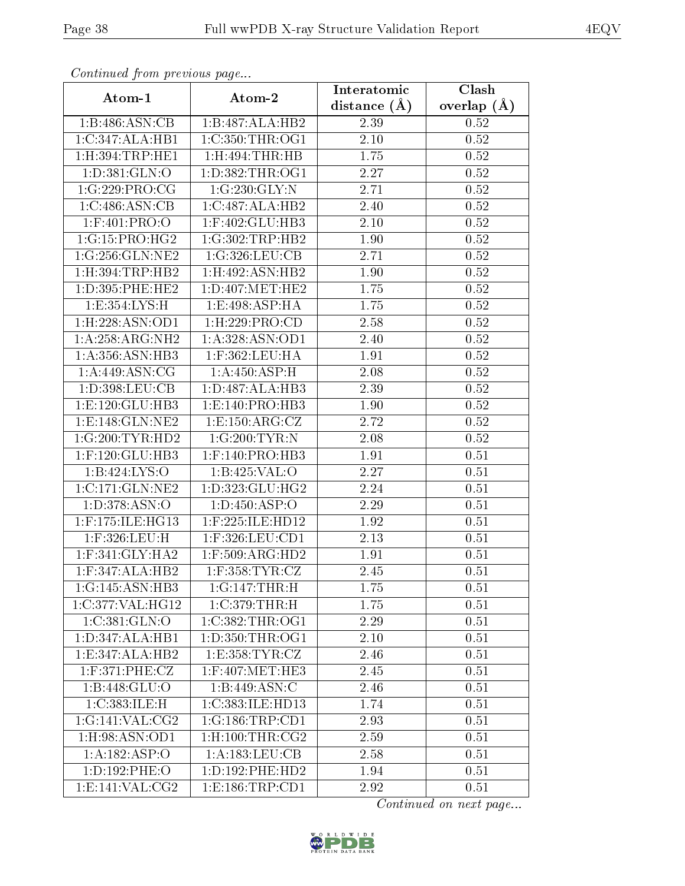| Communica from precious page        |                                         | Interatomic    | Clash           |
|-------------------------------------|-----------------------------------------|----------------|-----------------|
| Atom-1                              | Atom-2                                  | distance $(A)$ | overlap $(\AA)$ |
| 1:B:486:ASN:CB                      | 1:B:487:ALA:HB2                         | 2.39           | 0.52            |
| 1:C:347:ALA:HB1                     | 1:C:350:THR:OG1                         | 2.10           | 0.52            |
| 1: H:394: TRP: HE1                  | $1:$ H:494:THR:HB                       | 1.75           | 0.52            |
| 1: D: 381: GLN: O                   | 1: D: 382: THR: OG1                     | 2.27           | 0.52            |
| 1:G:229:PRO:CG                      | 1:G:230:GLY:N                           | 2.71           | 0.52            |
| 1:C:486:ASN:CB                      | 1:C:487:ALA:HB2                         | 2.40           | 0.52            |
| $1:$ F:401:PRO:O                    | $1:$ F:402:GLU:HB3                      | 2.10           | 0.52            |
| 1:G:15:PRO:HG2                      | 1:G:302:TRP:HB2                         | 1.90           | 0.52            |
| 1:G:256:GLN:NE2                     | 1:G:326:LEU:CB                          | 2.71           | 0.52            |
| 1: H: 394: TRP: HB2                 | $1:$ H $:492:$ ASN $:$ HB $2$           | 1.90           | 0.52            |
| 1:D:395:PHE:HE2                     | 1: D: 407: MET: HE2                     | 1.75           | $0.52\,$        |
| 1:E:354:LYS:H                       | 1:E:498:ASP:HA                          | 1.75           | 0.52            |
| 1:H:228:ASN:OD1                     | 1:H:229:PRO:CD                          | 2.58           | 0.52            |
| 1: A:258:ARG:NH2                    | 1: A: 328: ASN: OD1                     | 2.40           | 0.52            |
| 1:A:356:ASN:HB3                     | $1:$ F:362:LEU:HA                       | 1.91           | 0.52            |
| 1:A:449:ASN:CG                      | 1: A:450:ASP:H                          | 2.08           | 0.52            |
| 1:D:398:LEU:CB                      | 1:D:487:ALA:HB3                         | 2.39           | 0.52            |
| 1: E: 120: GLU: HB3                 | 1: E: 140: PRO: HB3                     | 1.90           | 0.52            |
| 1:E:148:GLN:NE2                     | 1: E: 150: ARG: CZ                      | 2.72           | 0.52            |
| 1:G:200:TYR:HD2                     | 1:G:200:TYR:N                           | $2.08\,$       | 0.52            |
| $1:$ F:120: $GLU$ :HB3              | $1:$ F:140:PRO:HB3                      | 1.91           | 0.51            |
| $1:B:424:\overline{LYS:O}$          | 1:B:425:VAL:O                           | 2.27           | 0.51            |
| 1:C:171:GLN:NE2                     | 1: D: 323: GLU: HG2                     | 2.24           | 0.51            |
| 1:D:378:ASN:O                       | 1:D:450:ASP:O                           | 2.29           | 0.51            |
| 1:F:175:ILE:HG13                    | 1:F:225:ILE:HD12                        | 1.92           | 0.51            |
| 1:F:326:LEU:H                       | $1:$ F:326:LEU:CD1                      | 2.13           | 0.51            |
| $1:$ F:341:GLY:HA2                  | 1:F:509:ARG:HD2                         | 1.91           | 0.51            |
| $1:$ F:347:ALA:HB2                  | $1:$ F:358:TYR:CZ                       | 2.45           | 0.51            |
| $1:G:145:\overline{\text{ASN:HB3}}$ | 1:G:147:THR:H                           | 1.75           | 0.51            |
| 1:C:377:VAL:HG12                    | 1:C:379:THR:H                           | 1.75           | 0.51            |
| 1:C:381:GLN:O                       | 1:C:382:THR:OG1                         | 2.29           | 0.51            |
| 1: D: 347: ALA: HB1                 | 1:D:350:THR:OG1                         | 2.10           | 0.51            |
| 1:E:347:ALA:HB2                     | 1: E: 358: TYR: CZ                      | 2.46           | 0.51            |
| $1:$ F:371:PHE:CZ                   | $1:$ F:407:MET:HE3                      | 2.45           | 0.51            |
| 1:B:448:GLU:O                       | $1:B:449:ASN:\overline{C}$              | 2.46           | 0.51            |
| 1:C:383:ILE:H                       | 1:C:383:ILE:HD13                        | 1.74           | 0.51            |
| 1:G:141:VAL:CG2                     | 1:G:186:TRP:CD1                         | 2.93           | 0.51            |
| 1:H:98:ASN:OD1                      | $1:$ H:100:THR: $\overline{\text{CG2}}$ | 2.59           | 0.51            |
| 1: A: 182: ASP: O                   | 1: A: 183: LEU: CB                      | 2.58           | 0.51            |
| 1:D:192:PHE:O                       | 1: D: 192: PHE: HD2                     | 1.94           | 0.51            |
| 1:E:141:VAL:CG2                     | 1: E: 186: TRP: CD1                     | 2.92           | 0.51            |

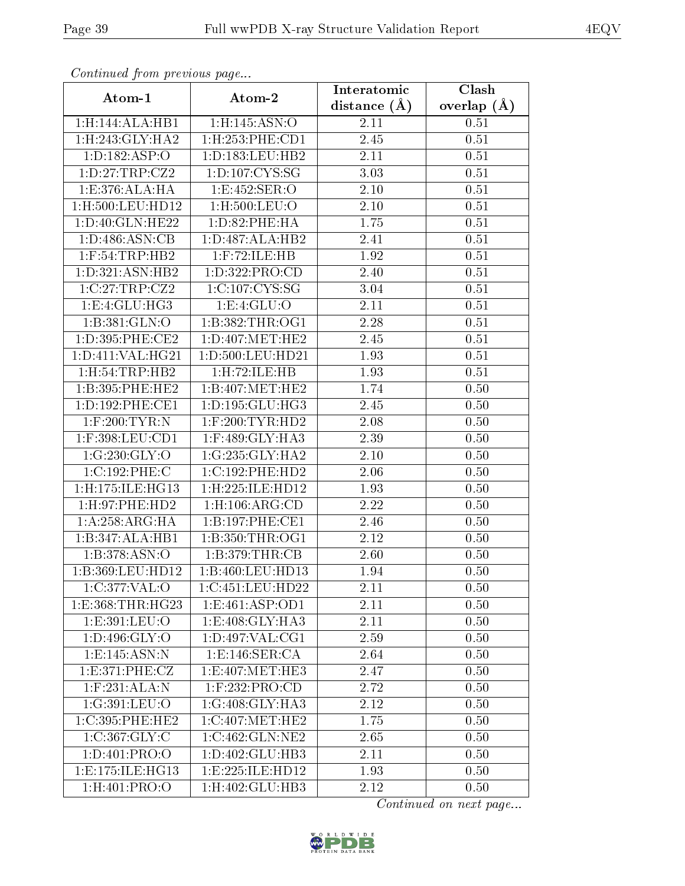| Comunaca jiom previous page |                                | Interatomic      | Clash           |
|-----------------------------|--------------------------------|------------------|-----------------|
| Atom-1                      | Atom-2                         | distance $(\AA)$ | overlap $(\AA)$ |
| 1:H:144:ALA:HB1             | 1:H:145:ASN:O                  | 2.11             | 0.51            |
| 1:H:243:GLY:HA2             | 1: H: 253: PHE: CD1            | 2.45             | 0.51            |
| 1: D: 182: ASP: O           | 1: D: 183: LEU: HB2            | 2.11             | 0.51            |
| 1: D: 27: TRP: CZ2          | 1: D: 107: CYS: S <sub>G</sub> | 3.03             | 0.51            |
| 1:E:376:ALA:HA              | 1:E:452:SER:O                  | 2.10             | 0.51            |
| 1:H:500:LEU:HD12            | $1:$ H $:500:$ LEU $:$ O       | 2.10             | 0.51            |
| 1:D:40:GLN:HE22             | 1: D:82: PHE: HA               | 1.75             | 0.51            |
| 1: D: 486: ASN: CB          | 1: D: 487: ALA: HB2            | 2.41             | 0.51            |
| $1:$ F:54:TRP:HB2           | $1:$ F:72:ILE:HB               | 1.92             | 0.51            |
| 1: D: 321: ASN: HB2         | 1:D:322:PRO:CD                 | 2.40             | 0.51            |
| 1:C:27:TRP:CZ2              | 1:C:107:CYS:SG                 | 3.04             | 0.51            |
| 1:E:4:GLU:HG3               | 1: E: 4: GLU: O                | 2.11             | 0.51            |
| 1:B:381:GLN:O               | 1: B: 382: THR:OG1             | 2.28             | 0.51            |
| 1: D:395: PHE:CE2           | $1: D: 407$ : MET: HE $2$      | 2.45             | 0.51            |
| 1:D:411:VAL:HG21            | 1:D:500:LEU:HD21               | 1.93             | 0.51            |
| 1:H:54:TRP:HB2              | 1:H:72:ILE:HB                  | 1.93             | 0.51            |
| 1:B:395:PHE:HE2             | 1:B:407:MET:HE2                | 1.74             | 0.50            |
| 1: D: 192: PHE: CE1         | 1: D: 195: GLU: HG3            | 2.45             | 0.50            |
| $1:$ F:200:TYR:N            | $1:$ F:200:TYR:HD2             | 2.08             | 0.50            |
| $1:$ F:398:LEU:CD1          | $1:$ F:489:GLY:HA3             | 2.39             | 0.50            |
| 1:G:230:GLY:O               | 1:G:235:GLY:HA2                | 2.10             | 0.50            |
| 1:C:192:PHE:C               | 1:C:192:PHE:HD2                | 2.06             | 0.50            |
| 1:H:175:ILE:HG13            | 1:H:225:ILE:HD12               | 1.93             | 0.50            |
| 1: H: 97: PHE: HD2          | 1: H: 106: ARG: CD             | 2.22             | 0.50            |
| 1:A:258:ARG:HA              | 1:B:197:PHE:CE1                | 2.46             | 0.50            |
| 1:B:347:ALA:HB1             | 1: B:350: THR:OG1              | 2.12             | 0.50            |
| 1: B: 378: ASN:O            | 1:B:379:THR:CB                 | 2.60             | 0.50            |
| 1:B:369:LEU:HD12            | 1:B:460:LEU:HD13               | 1.94             | 0.50            |
| 1:C:377:VAL:O               | 1:C:451:LEU:HD22               | 2.11             | 0.50            |
| 1:E:368:THR:HG23            | 1:E:461:ASP:OD1                | 2.11             | 0.50            |
| 1:E:391:LEU:O               | 1:E:408:GLY:HA3                | 2.11             | 0.50            |
| 1: D: 496: GLY: O           | 1: D: 497: VAL: CG1            | 2.59             | 0.50            |
| 1:E:145:ASN:N               | 1: E: 146: SER: CA             | 2.64             | 0.50            |
| 1:E:371:PHE:CZ              | 1:E:407:MET:HE3                | 2.47             | 0.50            |
| $1:$ F:231:ALA:N            | $1:$ F:232:PRO:CD              | 2.72             | 0.50            |
| 1:G:391:LEU:O               | 1:G:408:GLY:HA3                | 2.12             | $0.50\,$        |
| 1:C:395:PHE:HE2             | 1:C:407:MET:HE2                | 1.75             | 0.50            |
| 1:C:367:GLY:C               | 1:C:462:GLN:NE2                | 2.65             | 0.50            |
| 1: D:401: PRO:O             | 1:D:402:GLU:HB3                | 2.11             | 0.50            |
| 1: E: 175: ILE: HG13        | 1:E:225:ILE:HD12               | 1.93             | 0.50            |
| 1:H:401:PRO:O               | $1:$ H:402:GLU:HB3             | 2.12             | 0.50            |

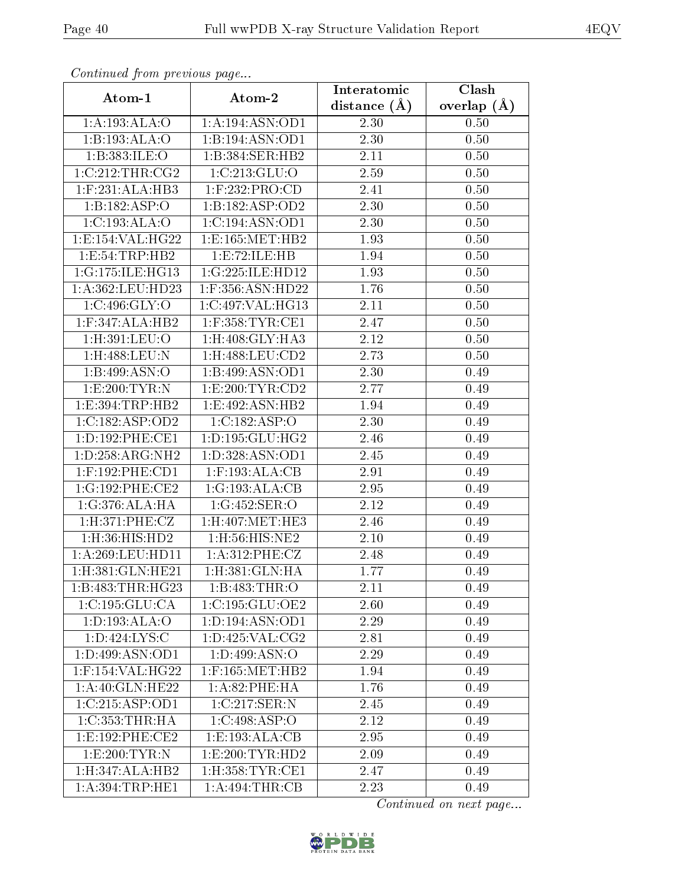| Communa from previous page     |                              | Interatomic    | Clash           |
|--------------------------------|------------------------------|----------------|-----------------|
| Atom-1                         | Atom-2                       | distance $(A)$ | overlap $(\AA)$ |
| 1:A:193:ALA:O                  | 1:A:194:ASN:OD1              | 2.30           | 0.50            |
| 1:B:193:ALA:O                  | 1:B:194:ASN:OD1              | 2.30           | 0.50            |
| 1:B:383:ILE:O                  | 1:B:384:SER:HB2              | 2.11           | 0.50            |
| 1:C:212:THR:CG2                | 1:C:213:GLU:O                | 2.59           | 0.50            |
| $1:$ F:231:ALA:HB3             | $1:$ F:232:PRO:CD            | 2.41           | 0.50            |
| 1:B:182:ASP:O                  | 1:B:182:ASP:OD2              | 2.30           | 0.50            |
| 1:C:193:ALA:O                  | 1:C:194:ASN:OD1              | 2.30           | 0.50            |
| 1: E: 154: VAL: HG22           | 1:E:165:MET:HB2              | 1.93           | 0.50            |
| 1:E:54:TRP:HB2                 | 1:E:72:ILE:HB                | 1.94           | 0.50            |
| 1:G:175:ILE:HG13               | 1:G:225:ILE:HD12             | 1.93           | 0.50            |
| 1:A:362:LEU:HD23               | 1:F:356:ASN:HD22             | 1.76           | 0.50            |
| 1:C:496:GLY:O                  | 1:C:497:VAL:HG13             | 2.11           | 0.50            |
| $1:$ F:347:ALA:HB2             | $1:$ F:358:TYR:CE1           | 2.47           | 0.50            |
| 1:H:391:LEU:O                  | $1:H:408:GLY:\overline{HAS}$ | 2.12           | 0.50            |
| 1:H:488:LEU:N                  | 1:H:488:LEU:CD2              | 2.73           | 0.50            |
| 1:B:499:ASN:O                  | 1:B:499:ASN:OD1              | 2.30           | 0.49            |
| 1: E:200: TYR: N               | 1:E:200:TYR:CD2              | 2.77           | 0.49            |
| 1:E:394:TRP:HB2                | 1:E:492:ASN:HB2              | 1.94           | 0.49            |
| 1:C:182:ASP:OD2                | 1:C:182:ASP:O                | 2.30           | 0.49            |
| 1: D: 192: PHE: CE1            | 1: D: 195: GLU: HG2          | 2.46           | 0.49            |
| 1: D: 258: ARG: NH2            | 1:D:328:ASN:OD1              | 2.45           | 0.49            |
| $1:$ F:192:PHE:CD1             | $1:$ F:193:ALA:CB            | 2.91           | 0.49            |
| 1:G:192:PHE:CE2                | 1:G:193:ALA:CB               | 2.95           | 0.49            |
| 1:G:376:ALA:HA                 | 1:G:452:SER:O                | 2.12           | 0.49            |
| 1:H:371:PHE:CZ                 | $1:$ H $:407:$ MET $:$ HE3   | 2.46           | 0.49            |
| 1: H: 36: HIS: HD2             | 1:H:56:HIS:NE2               | 2.10           | 0.49            |
| 1: A:269:LEU:HD11              | 1:A:312:PHE:CZ               | 2.48           | 0.49            |
| $1:$ H $:381:$ GLN $:$ HE $21$ | $1:$ H $:381:$ GLN $:$ HA    | 1.77           | 0.49            |
| 1:B:483:THR:HG23               | 1:B:483:THR:O                | 2.11           | 0.49            |
| 1:C:195:GLU:CA                 | 1:C:195:GLU:OE2              | 2.60           | 0.49            |
| 1: D: 193: ALA: O              | 1: D: 194: ASN: OD1          | 2.29           | 0.49            |
| 1:D:424:LYS:C                  | 1: D: 425: VAL: CG2          | 2.81           | 0.49            |
| 1: D:499: ASN:OD1              | 1: D: 499: ASN: O            | 2.29           | 0.49            |
| 1:F:154:VAL:HG22               | $1:$ F:165:MET:HB2           | 1.94           | 0.49            |
| 1:A:40:GLN:HE22                | 1: A:82:PHE:HA               | 1.76           | 0.49            |
| 1:C:215:ASP:OD1                | 1:C:217:SER:N                | 2.45           | 0.49            |
| 1:C:353:THR:HA                 | 1:C:498:ASP:O                | 2.12           | 0.49            |
| 1:E:192:PHE:CE2                | 1:E:193:ALA:CB               | 2.95           | 0.49            |
| 1: E:200: TYR: N               | 1: E: 200: TYR: HD2          | 2.09           | 0.49            |
| 1:H:347:ALA:HB2                | $1:$ H:358:TYR:CE1           | 2.47           | 0.49            |
| 1: A:394:TRP:HE1               | 1:A:494:THR:CB               | 2.23           | 0.49            |

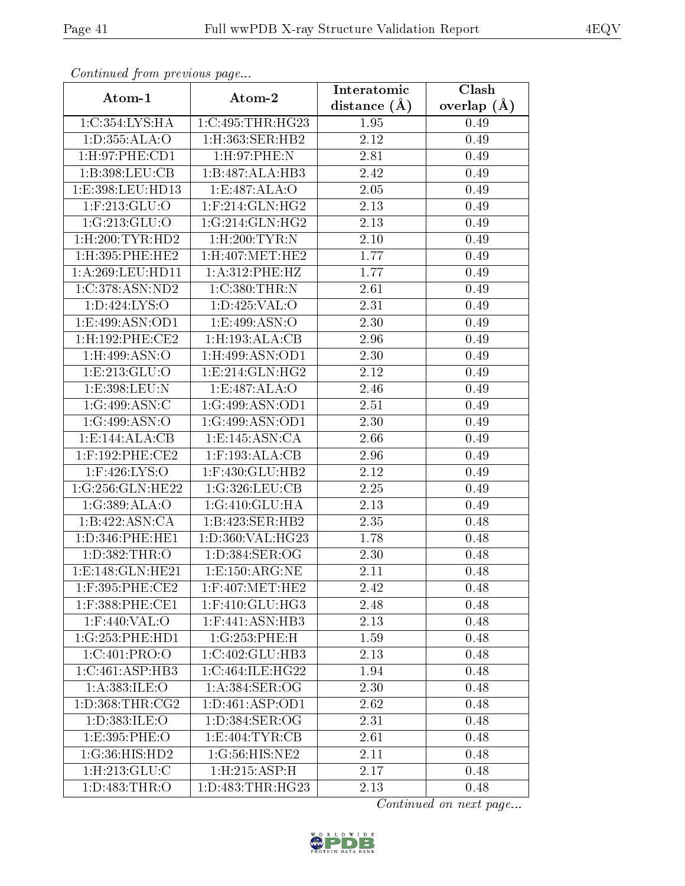| Continuati pont previous page |                               | Interatomic       | Clash           |
|-------------------------------|-------------------------------|-------------------|-----------------|
| Atom-1                        | Atom-2                        | distance $(A)$    | overlap $(\AA)$ |
| 1:C:354:LYS:HA                | 1:C:495:THR:HG23              | 1.95              | 0.49            |
| 1: D: 355: ALA: O             | $1:$ H $:363:$ SER $:$ HB $2$ | $\overline{2.12}$ | 0.49            |
| 1: H:97: PHE:CD1              | 1:H:97:PHE:N                  | 2.81              | 0.49            |
| 1:B:398:LEU:CB                | 1:B:487:ALA:HB3               | 2.42              | 0.49            |
| 1:E:398:LEU:HD13              | 1:E:487:ALA:O                 | 2.05              | 0.49            |
| $1:$ F:213:GLU:O              | $1:$ F:214:GLN:HG2            | 2.13              | 0.49            |
| 1:G:213:GLU:O                 | 1:G:214:GLN:HG2               | 2.13              | 0.49            |
| $1:$ H $:200:$ TYR:HD2        | $1:$ H $:200:$ TYR:N          | 2.10              | 0.49            |
| 1:H:395:PHE:HE2               | 1:H:407:MET:HE2               | 1.77              | 0.49            |
| 1:A:269:LEU:HD11              | 1: A:312: PHE:HZ              | $\overline{1.77}$ | 0.49            |
| 1:C:378:ASN:ND2               | 1:C:380:THR:N                 | 2.61              | 0.49            |
| 1: D: 424: LYS: O             | 1:D:425:VAL:O                 | 2.31              | 0.49            |
| 1:E:499:ASN:OD1               | 1: E:499: ASN:O               | 2.30              | 0.49            |
| 1: H: 192: PHE: CE2           | $1:$ H:193:ALA:CB             | 2.96              | 0.49            |
| 1:H:499:ASN:O                 | 1:H:499:ASN:OD1               | 2.30              | 0.49            |
| 1: E: 213: GLU: O             | 1: E: 214: GLN: HG2           | 2.12              | 0.49            |
| 1: E: 398: LEU: N             | 1:E:487:ALA:O                 | 2.46              | 0.49            |
| 1:G:499:ASN:C                 | 1:G:499:ASN:OD1               | 2.51              | 0.49            |
| 1:G:499:ASN:O                 | 1:G:499:ASN:OD1               | 2.30              | 0.49            |
| 1: E: 144: ALA: CB            | 1: E:145: ASN:CA              | 2.66              | 0.49            |
| $1:$ F:192:PHE:CE2            | $1:$ F:193:ALA:CB             | 2.96              | 0.49            |
| $1:$ F:426:LYS:O              | $1:$ F:430:GLU:HB2            | 2.12              | 0.49            |
| 1:G:256:GLN:HE22              | 1:G:326:LEU:CB                | 2.25              | 0.49            |
| 1:G:389:ALA:O                 | 1:G:410:GLU:HA                | 2.13              | 0.49            |
| 1:B:422:ASN:CA                | 1:B:423:SER:HB2               | 2.35              | 0.48            |
| 1: D: 346: PHE: HE1           | 1: D: 360: VAL: HG23          | 1.78              | 0.48            |
| 1:D:382:THR:O                 | 1: D: 384: SER: OG            | 2.30              | 0.48            |
| 1:E:148:GLN:HE21              | 1: E: 150: ARG: NE            | 2.11              | 0.48            |
| 1:F:395:PHE:CE2               | $1:$ F:407:MET:HE2            | 2.42              | 0.48            |
| $1:$ F:388:PHE:CE1            | $1:$ F:410:GLU:HG3            | 2.48              | 0.48            |
| $1:$ F:440:VAL:O              | $1:$ F:441:ASN:HB3            | 2.13              | 0.48            |
| 1:G:253:PHE:HDI               | 1:G:253:PHE:H                 | 1.59              | 0.48            |
| 1:C:401:PRO:O                 | 1:C:402:GLU:HB3               | 2.13              | 0.48            |
| 1:C:461:ASP:HB3               | 1:C:464:ILE:HG22              | 1.94              | 0.48            |
| 1:A:383:ILE:O                 | 1: A: 384: SER: OG            | 2.30              | 0.48            |
| 1: D: 368: THR: CG2           | 1: D: 461: ASP: OD1           | 2.62              | 0.48            |
| 1: D: 383: ILE: O             | 1: D: 384: SER: OG            | 2.31              | 0.48            |
| 1:E:395:PHE:O                 | 1:E:404:TYR:CB                | 2.61              | 0.48            |
| 1:G:36:HIS:HD2                | 1:G:56:HIS:NE2                | 2.11              | 0.48            |
| $1:$ H $:213:$ GLU $:$ C      | 1:H:215:ASP:H                 | 2.17              | 0.48            |
| 1:D:483:THR:O                 | 1:D:483:THR:HG23              | 2.13              | 0.48            |

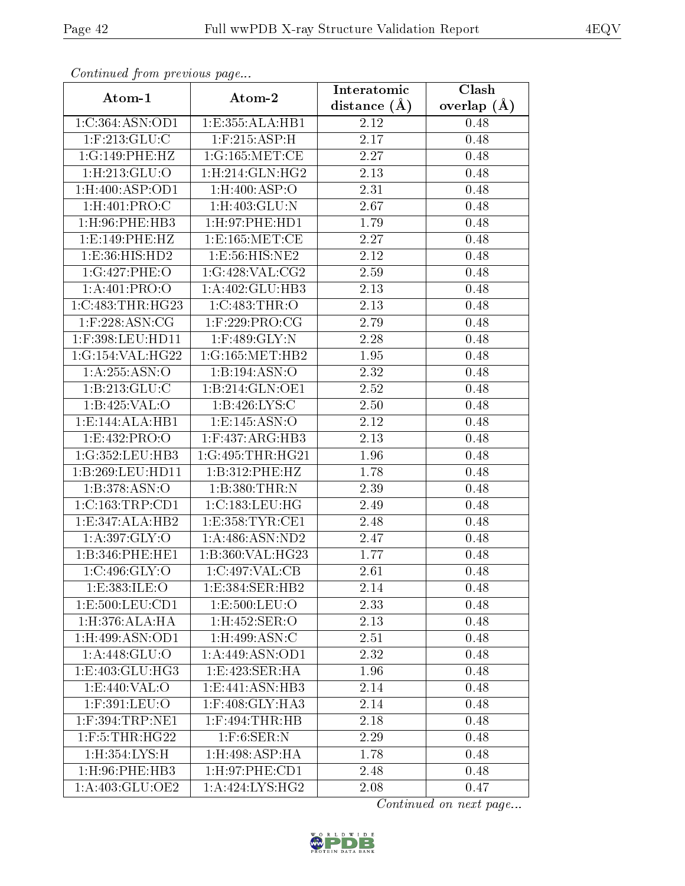| Communa from previous page    |                                      | Interatomic    | Clash           |
|-------------------------------|--------------------------------------|----------------|-----------------|
| Atom-1                        | Atom-2                               | distance $(A)$ | overlap $(\AA)$ |
| 1:C:364:ASN:OD1               | 1:E:355:ALA:HB1                      | 2.12           | 0.48            |
| $1:$ F:213:GLU:C              | $1:$ F:215:ASP:H                     | 2.17           | 0.48            |
| 1:G:149:PHE:HZ                | 1:G:165:MET:CE                       | 2.27           | 0.48            |
| 1: H: 213: GLU: O             | 1: H:214: GLN: HG2                   | 2.13           | 0.48            |
| $1:$ H $:400:$ ASP $:$ OD $1$ | $1:$ H $:400:$ ASP $:$ O             | 2.31           | 0.48            |
| $1:$ H:401:PRO:C              | $1:$ H $:403:$ GLU $:$ N             | 2.67           | 0.48            |
| $1:$ H $:96:$ PHE $:$ HB $3$  | 1: H: 97: PHE: HD1                   | 1.79           | 0.48            |
| 1:E:149:PHE:HZ                | $1:$ E:165:MET:CE                    | 2.27           | 0.48            |
| 1:E:36:HIS:HD2                | 1:E:56:HIS:NE2                       | 2.12           | 0.48            |
| 1:G:427:PHE:O                 | 1:G:428:VAL:CG2                      | 2.59           | 0.48            |
| 1:A:401:PRO:O                 | 1:A:402:GLU:HB3                      | 2.13           | 0.48            |
| 1:C:483:THR:HG23              | 1:C:483:THR:O                        | 2.13           | 0.48            |
| $1:$ F:228:ASN:CG             | $1:$ F:229:PRO:CG                    | 2.79           | 0.48            |
| 1:F:398:LEU:HD11              | $1:$ F:489:GLY:N                     | 2.28           | 0.48            |
| 1:G:154:VAL:HG22              | 1:G:165:MET:HB2                      | 1.95           | 0.48            |
| 1: A: 255: ASN: O             | 1:B:194:ASN:O                        | 2.32           | 0.48            |
| 1:B:213:GLU:C                 | 1:B:214:GLN:OE1                      | 2.52           | 0.48            |
| 1:B:425:VAL:O                 | 1: B:426: LYS: C                     | 2.50           | 0.48            |
| 1:E:144:ALA:HB1               | 1:E:145:ASN:O                        | 2.12           | 0.48            |
| 1:E:432:PRO:O                 | $1:$ F:437:ARG:HB3                   | 2.13           | 0.48            |
| 1:G:352:LEU:HB3               | 1:G:495:THR:HG21                     | 1.96           | 0.48            |
| 1:B:269:LEU:HD11              | 1:B:312:PHE:HZ                       | 1.78           | 0.48            |
| 1:B:378:ASN:O                 | 1:B:380:THR:N                        | 2.39           | 0.48            |
| 1:C:163:TRP:CD1               | 1:C:183:LEU:HG                       | 2.49           | 0.48            |
| 1:E:347:ALA:HB2               | 1:E:358:TYR:CE1                      | 2.48           | 0.48            |
| 1: A: 397: GLY: O             | 1:A:486:ASN:ND2                      | 2.47           | 0.48            |
| 1:B:346:PHE:HE1               | $1:\overline{B}:360:\text{VAL}:HG23$ | 1.77           | 0.48            |
| 1:C:496:GLY:O                 | 1:C:497:VAL:CB                       | 2.61           | 0.48            |
| 1:E:383:ILE:O                 | 1:E:384:SER:HB2                      | 2.14           | 0.48            |
| 1:E:500:LEU:CD1               | 1: E: 500: LEU: O                    | 2.33           | 0.48            |
| 1: H: 376: ALA: HA            | $1:$ H:452:SER:O                     | 2.13           | 0.48            |
| $1:$ H:499:ASN:OD1            | $1:$ H:499:ASN:C                     | 2.51           | 0.48            |
| 1: A:448: GLU:O               | 1:A:449:ASN:OD1                      | 2.32           | 0.48            |
| 1:E:403:GLU:HG3               | 1:E:423:SER:HA                       | 1.96           | 0.48            |
| $1: E:440: VAL: \overline{O}$ | 1:E:441:ASN:HB3                      | 2.14           | 0.48            |
| 1:F:391:LEU:O                 | 1:F:408:GLY:HA3                      | 2.14           | 0.48            |
| $1:$ F:394:TRP:NE1            | $1:$ F:494:THR:HB                    | 2.18           | 0.48            |
| 1:F:5:THR:HG22                | $1:$ F:6:SER:N                       | 2.29           | 0.48            |
| 1:H:354:LYS:H                 | $1:$ H $:498:$ ASP $:$ HA            | 1.78           | 0.48            |
| 1:H:96:PHE:HB3                | 1: H:97: PHE:CD1                     | 2.48           | 0.48            |
| 1: A:403: GLU:OE2             | $1: A:424: LY\overline{S:HG2}$       | 2.08           | 0.47            |

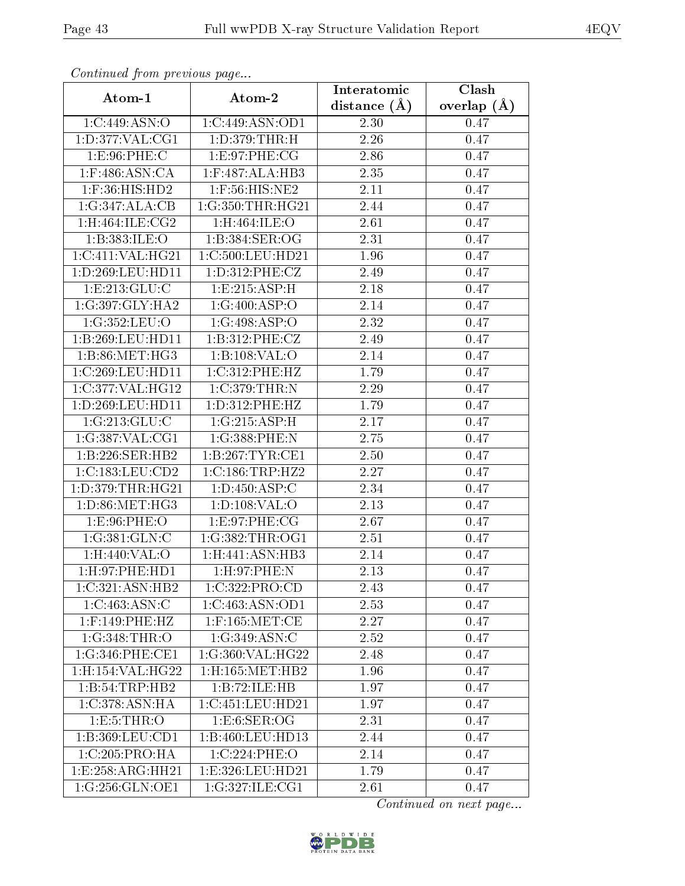| Continuati pont previous page           |                    | Interatomic       | Clash           |
|-----------------------------------------|--------------------|-------------------|-----------------|
| Atom-1                                  | Atom-2             | distance $(A)$    | overlap $(\AA)$ |
| 1:C:449:ASN:O                           | 1:C:449:ASN:OD1    | 2.30              | 0.47            |
| 1: D: 377: VAL: CG1                     | 1: D: 379: THR:H   | 2.26              | 0.47            |
| 1: E:96: PHE: C                         | 1:E:97:PHE:CG      | $2.86\,$          | 0.47            |
| $1:$ F:486:ASN:CA                       | $1:$ F:487:ALA:HB3 | 2.35              | 0.47            |
| $1:$ F:36:HIS:HD2                       | $1:$ F:56:HIS:NE2  | 2.11              | 0.47            |
| 1:G:347:ALA:CB                          | 1:G:350:THR:HG21   | 2.44              | 0.47            |
| 1:H:464:ILE:CG2                         | 1:H:464:ILE:O      | 2.61              | 0.47            |
| 1:B:383:ILE:O                           | $1:5:384$ :SER:OG  | 2.31              | 0.47            |
| 1:C:411:VAL:HG21                        | 1:C:500:LEU:HD21   | 1.96              | 0.47            |
| 1:D:269:LEU:HD11                        | 1: D: 312: PHE: CZ | 2.49              | 0.47            |
| 1: E: 213: GLU: C                       | 1:E:215:ASP:H      | 2.18              | 0.47            |
| 1:G:397:GLY:HA2                         | 1:G:400:ASP:O      | 2.14              | 0.47            |
| 1:G:352:LEU:O                           | 1:G:498:ASP:O      | 2.32              | 0.47            |
| 1:B:269:LEU:HD11                        | 1:B:312:PHE:CZ     | 2.49              | 0.47            |
| 1:B:86:MET:HG3                          | 1:B:108:VAL:O      | 2.14              | 0.47            |
| 1:C:269:LEU:HD11                        | 1:C:312:PHE:HZ     | 1.79              | 0.47            |
| 1:C:377:VAL:HG12                        | 1:C:379:THR:N      | 2.29              | 0.47            |
| 1:D:269:LEU:HD11                        | 1: D: 312: PHE: HZ | 1.79              | 0.47            |
| 1:G:213:GLU:C                           | 1:G:215:ASP:H      | 2.17              | 0.47            |
| 1:G:387:VAL:CG1                         | 1:G:388:PHE:N      | 2.75              | 0.47            |
| 1:B:226:SER:HB2                         | 1:B:267:TYR:CE1    | $\overline{2.50}$ | 0.47            |
| 1:C:183:LEU:CD2                         | 1:C:186:TRP:HZ2    | 2.27              | 0.47            |
| 1: D: 379: THR: HG21                    | 1: D: 450: ASP: C  | 2.34              | 0.47            |
| 1: D:86:MET:HG3                         | 1: D: 108: VAL: O  | 2.13              | 0.47            |
| 1:E:96:PHE:O                            | 1:E:97:PHE:CG      | 2.67              | 0.47            |
| 1:G:381:GLN:C                           | 1:G:382:THR:OG1    | 2.51              | 0.47            |
| 1:H:440:VAL:O                           | 1:H:441:ASN:HB3    | 2.14              | 0.47            |
| 1: H: 97: PHE: HD1                      | 1: H:97: PHE:N     | 2.13              | 0.47            |
| $1:C:321:A\overline{SN:H}B2$            | 1:C:322:PRO:CD     | 2.43              | 0.47            |
| 1:C:463:ASN:C                           | 1:C:463:ASN:OD1    | 2.53              | 0.47            |
| $1:$ F:149:PHE:HZ                       | $1:$ F:165:MET:CE  | 2.27              | 0.47            |
| 1:G:348:THR:O                           | 1:G:349:ASN:C      | 2.52              | 0.47            |
| 1:G:346:PHE:CE1                         | 1:G:360:VAL:HG22   | 2.48              | 0.47            |
| 1:H:154:VAL:HG22                        | 1:H:165:MET:HB2    | 1.96              | 0.47            |
| 1:B:54:TRP:HB2                          | 1:B:72:ILE:HB      | 1.97              | 0.47            |
| 1:C:378:ASN:HA                          | 1:C:451:LEU:HD21   | 1.97              | 0.47            |
| 1: E: 5: THR: O                         | 1: E:6: SER:OG     | 2.31              | 0.47            |
| $1: B:369: \overline{\textrm{LEU:CD1}}$ | 1:B:460:LEU:HD13   | 2.44              | 0.47            |
| 1:C:205:PRO:HA                          | 1:C:224:PHE:O      | 2.14              | 0.47            |
| 1:E:258:ARG:HH21                        | 1:E:326:LEU:HD21   | 1.79              | 0.47            |
| 1:G:256:GLN:OE1                         | 1:G:327:ILE:CG1    | 2.61              | 0.47            |

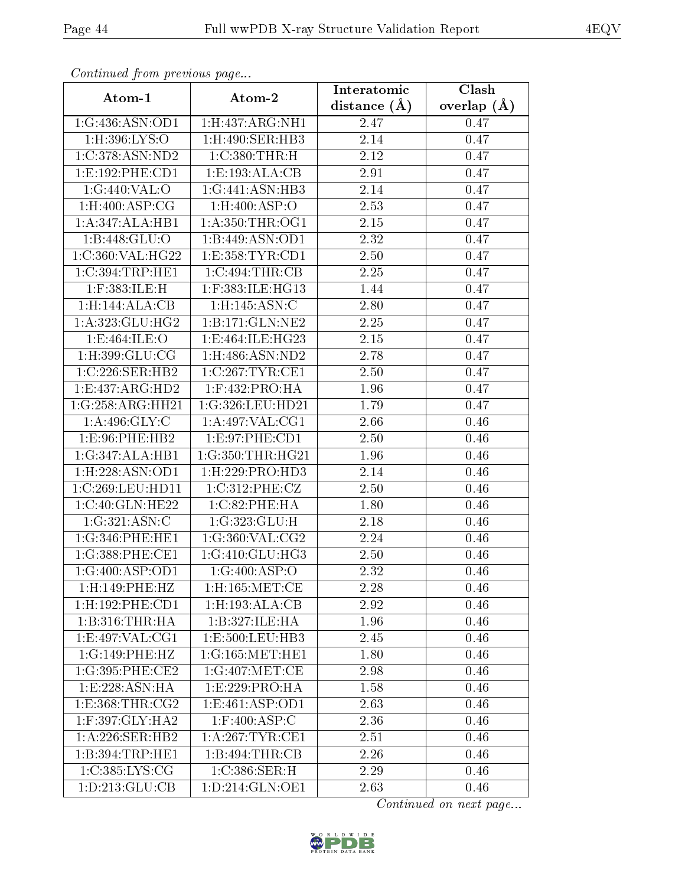| Commuca from previous page   |                           | Interatomic    | Clash           |
|------------------------------|---------------------------|----------------|-----------------|
| Atom-1                       | Atom-2                    | distance $(A)$ | overlap $(\AA)$ |
| 1:G:436:ASN:OD1              | 1: H:437: ARG: NH1        | 2.47           | 0.47            |
| 1:H:396:LYS:O                | 1:H:490:SER:HB3           | 2.14           | 0.47            |
| 1:C:378:ASN:ND2              | 1:C:380:THR:H             | 2.12           | 0.47            |
| 1: E: 192: PHE: CD1          | 1:E:193:ALA:CB            | 2.91           | 0.47            |
| $1:G:440:\overline{VAL:O}$   | 1:G:441:ASN:HB3           | 2.14           | 0.47            |
| $1:$ H:400:ASP:CG            | $1:$ H: $400:$ ASP: $O$   | 2.53           | 0.47            |
| 1:A:347:ALA:HB1              | 1: A: 350: THR: OG1       | 2.15           | 0.47            |
| 1:B:448:GLU:O                | 1:B:449:ASN:OD1           | 2.32           | 0.47            |
| 1:C:360:VAL:HG22             | 1:E:358:TYR:CD1           | 2.50           | 0.47            |
| 1:C:394:TRP:HE1              | 1:C:494:THR:CB            | 2.25           | 0.47            |
| $1:$ F:383:ILE:H             | 1:F:383:ILE:HG13          | 1.44           | 0.47            |
| 1:H:144:ALA:CB               | $1:$ H:145:ASN:C          | 2.80           | 0.47            |
| 1: A: 323: GLU: HG2          | 1:B:171:GLN:NE2           | 2.25           | 0.47            |
| 1:E:464:ILE:O                | 1:E:464:ILE:HG23          | 2.15           | 0.47            |
| 1:H:399:GLU:CG               | 1:H:486:ASN:ND2           | 2.78           | 0.47            |
| 1:C:226:SER:HB2              | 1:C:267:TYR:CE1           | 2.50           | 0.47            |
| 1:E:437:ARG:HD2              | $1:$ F:432:PRO:HA         | 1.96           | 0.47            |
| 1:G:258:ARG:HH21             | 1:G:326:LEU:HD21          | 1.79           | 0.47            |
| 1: A:496: GLY: C             | 1: A:497: VAL:CG1         | 2.66           | 0.46            |
| 1:E:96:PHE:HB2               | 1:E:97:PHE:CD1            | 2.50           | 0.46            |
| 1:G:347:ALA:HB1              | 1:G:350:THR:HG21          | 1.96           | 0.46            |
| 1: H: 228: ASN: OD1          | 1: H: 229: PRO: HD3       | 2.14           | 0.46            |
| 1:C:269:LEU:HD11             | 1:C:312:PHE:CZ            | 2.50           | 0.46            |
| 1:C:40:GLN:HE22              | 1:C:82:PHE:HA             | 1.80           | 0.46            |
| 1:G:321:ASN:C                | 1:G:323:GLU:H             | 2.18           | 0.46            |
| 1:G:346:PHE:HE1              | 1:G:360:VAL:CG2           | 2.24           | 0.46            |
| 1:G:388:PHE:CE1              | 1:G:410:GLU:HG3           | 2.50           | 0.46            |
| $1:G:400:AS\overline{P:OD1}$ | 1:G:400:ASP:O             | 2.32           | 0.46            |
| 1:H:149:PHE:HZ               | $1:$ H $:165:$ MET $:$ CE | 2.28           | 0.46            |
| 1: H: 192: PHE: CD1          | $1:$ H $:193:$ ALA $:$ CB | 2.92           | 0.46            |
| 1: B:316: THR:HA             | 1:B:327:ILE:HA            | 1.96           | 0.46            |
| 1:E:497:VAL:CG1              | 1:E:500:LEU:HB3           | 2.45           | 0.46            |
| 1:G:149:PHE:HZ               | 1:G:165:MET:HE1           | 1.80           | 0.46            |
| 1:G:395:PHE:CE2              | 1:G:407:MET:CE            | 2.98           | 0.46            |
| 1:E:228:ASN:HA               | 1: E: 229: PRO:HA         | 1.58           | 0.46            |
| 1: E: 368: THR: CG2          | 1: E: 461: ASP: OD1       | 2.63           | $0.46\,$        |
| $1:$ F:397:GLY:HA2           | $1:$ F:400:ASP:C          | 2.36           | 0.46            |
| 1:A:226:SER:HB2              | 1:A:267:TYR:CE1           | 2.51           | 0.46            |
| 1:B:394:TRP:HE1              | 1:B:494:THR:CB            | 2.26           | 0.46            |
| 1:C:385:LYS:CG               | 1:C:386:SER:H             | 2.29           | 0.46            |
| 1: D: 213: GLU: CB           | 1:D:214:GLN:OE1           | 2.63           | 0.46            |

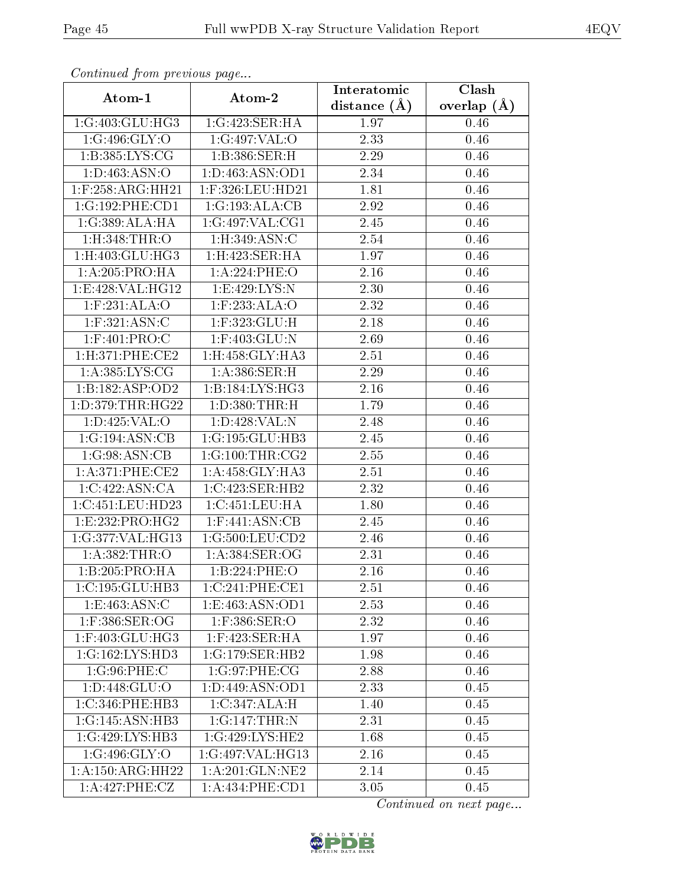| Continuea from previous page  |                          | Interatomic       | Clash           |
|-------------------------------|--------------------------|-------------------|-----------------|
| Atom-1                        | Atom-2                   | distance $(A)$    | overlap $(\AA)$ |
| 1:G:403:GLU:HG3               | 1:G:423:SER:HA           | 1.97              | 0.46            |
| 1:G:496:GLY:O                 | 1:G:497:VAL:O            | $\overline{2.33}$ | 0.46            |
| 1: B: 385: LYS: CG            | 1:B:386:SER:H            | 2.29              | 0.46            |
| 1: D: 463: ASN:O              | 1:D:463:ASN:OD1          | $\overline{2}.34$ | 0.46            |
| $1:$ F:258:ARG:HH21           | 1:F:326:LEU:HD21         | 1.81              | 0.46            |
| 1:G:192:PHE:CD1               | 1:G:193:ALA:CB           | 2.92              | 0.46            |
| 1:G:389:ALA:HA                | 1:G:497:VAL:CG1          | 2.45              | 0.46            |
| 1:H:348:THR:O                 | $1:$ H $:349:$ ASN $:$ C | 2.54              | 0.46            |
| $1:$ H $:403:$ GLU $:$ H $G3$ | 1: H:423: SER: HA        | 1.97              | 0.46            |
| 1: A:205:PRO:HA               | 1:A:224:PHE:O            | 2.16              | 0.46            |
| 1:E:428:VAL:HG12              | 1:E:429:LYS:N            | 2.30              | 0.46            |
| $1:$ F:231:ALA:O              | 1:F:233:ALA:O            | 2.32              | 0.46            |
| $1:$ F:321:ASN:C              | 1:F:323:GLU:H            | 2.18              | 0.46            |
| $1:$ F:401:PRO:C              | $1:$ F:403:GLU:N         | 2.69              | 0.46            |
| 1: H:371: PHE:CE2             | 1:H:458:GLY:HA3          | 2.51              | 0.46            |
| 1: A: 385: LYS: CG            | 1: A:386: SER:H          | 2.29              | 0.46            |
| 1:B:182:ASP:OD2               | 1:B:184:LYS:HG3          | 2.16              | 0.46            |
| 1:D:379:THR:HG22              | 1: D: 380: THR:H         | 1.79              | 0.46            |
| 1:D:425:VAL:O                 | 1:D:428:VAL:N            | 2.48              | 0.46            |
| 1:G:194:ASN:CB                | 1:G:195:GLU:HB3          | 2.45              | 0.46            |
| 1:G:98:ASN:CB                 | 1:G:100:THR:CG2          | 2.55              | 0.46            |
| 1: A:371:PHE:CE2              | 1:A:458:GLY:HA3          | 2.51              | 0.46            |
| 1:C:422:ASN:CA                | 1:C:423:SER:HB2          | 2.32              | 0.46            |
| 1:C:451:LEU:HD23              | 1:C:451:LEU:HA           | 1.80              | 0.46            |
| 1:E:232:PRO:HG2               | $1:$ F:441:ASN:CB        | 2.45              | 0.46            |
| 1:G:377:VAL:HG13              | 1:G:500:LEU:CD2          | $\overline{2}.46$ | 0.46            |
| 1:A:382:THR:O                 | 1: A:384: SER:OG         | 2.31              | 0.46            |
| 1:B:205:PRO:HA                | 1:B:224:PHE:O            | 2.16              | 0.46            |
| 1:C:195:GLU:HB3               | 1:C:241:PHE:CE1          | 2.51              | 0.46            |
| 1: E: 463: ASN: C             | 1:E:463:ASN:OD1          | 2.53              | 0.46            |
| 1:F:386:SER:OG                | $1:$ F:386:SER:O         | 2.32              | 0.46            |
| 1:F:403:GLU:HG3               | $1:$ F:423:SER:HA        | 1.97              | 0.46            |
| 1:G:162:LYS:HD3               | 1:G:179:SER:HB2          | 1.98              | 0.46            |
| 1:G:96:PHE:C                  | 1:G:97:PHE:CG            | 2.88              | 0.46            |
| 1: D:448: GLU:O               | 1:D:449:ASN:OD1          | 2.33              | 0.45            |
| 1:C:346:PHE:HB3               | 1:C:347:ALA:H            | 1.40              | 0.45            |
| 1:G:145:ASN:HB3               | 1:G:147:THR:N            | 2.31              | 0.45            |
| 1:G:429:LYS:HB3               | 1:G:429:LYS:HE2          | 1.68              | 0.45            |
| 1:G:496:GLY:O                 | 1:G:497:VAL:HG13         | 2.16              | 0.45            |
| $1:A:150:A\overline{RG:HH22}$ | 1:A:201:GLN:NE2          | 2.14              | 0.45            |
| 1:A:427:PHE:CZ                | 1:A:434:PHE:CD1          | 3.05              | 0.45            |

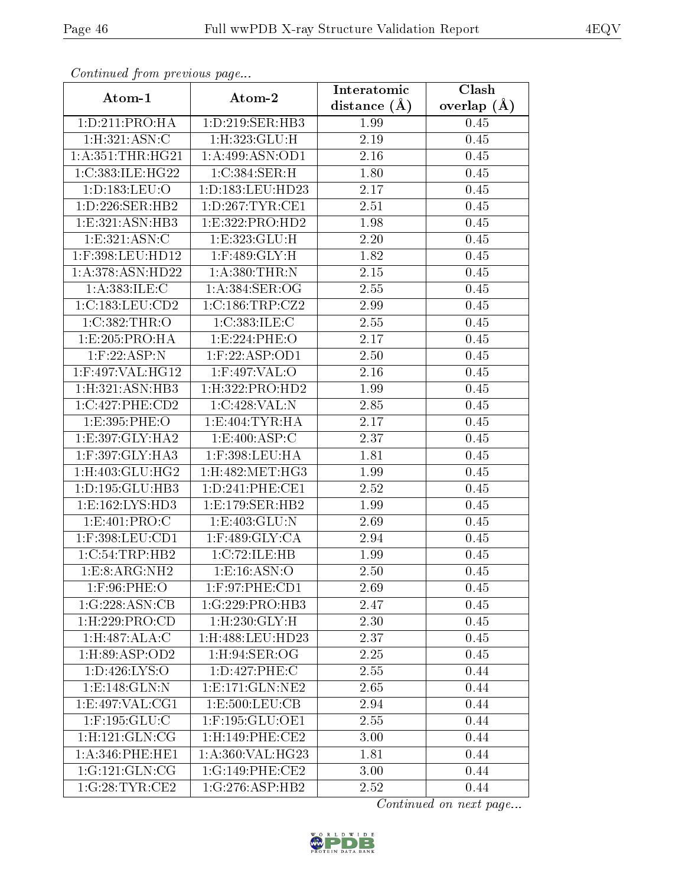| Communa from previous page    |                                     | Interatomic    | Clash         |
|-------------------------------|-------------------------------------|----------------|---------------|
| Atom-1                        | Atom-2                              | distance $(A)$ | overlap $(A)$ |
| 1: D: 211: PRO: HA            | 1: D: 219: SER: HB3                 | 1.99           | 0.45          |
| 1:H:321:ASN:C                 | $1:$ H $:323:$ GLU $:$ H            | 2.19           | 0.45          |
| 1: A: 351: THR: HG21          | 1:A:499:ASN:OD1                     | 2.16           | 0.45          |
| 1:C:383:ILE:HG22              | 1:C:384:SER:H                       | 1.80           | 0.45          |
| 1: D: 183: LEU: O             | 1: D: 183: LEU: HD23                | 2.17           | 0.45          |
| 1: D: 226: SER: HB2           | 1: D: 267: TYR: CE1                 | 2.51           | 0.45          |
| 1:E:321:ASN:HB3               | 1:E:322:PRO:HD2                     | 1.98           | 0.45          |
| 1:E:321:ASN:C                 | 1:E:323:GLU:H                       | 2.20           | 0.45          |
| 1:F:398:LEU:HD12              | $1:$ F:489:GLY:H                    | 1.82           | 0.45          |
| 1:A:378:ASN:HD22              | 1:A:380:THR:N                       | 2.15           | 0.45          |
| 1:A:383:ILE:C                 | 1:A:384:SER:OG                      | 2.55           | 0.45          |
| 1:C:183:LEU:CD2               | 1:C:186:TRP:CZ2                     | 2.99           | 0.45          |
| 1:C:382:THR:O                 | 1:C:383:ILE:C                       | 2.55           | 0.45          |
| 1:E:205:PRO:HA                | 1:E:224:PHE:O                       | 2.17           | 0.45          |
| $1:$ F:22:ASP:N               | 1:F:22:ASP:OD1                      | 2.50           | 0.45          |
| 1:F:497:VAL:HG12              | 1:F:497:VAL:O                       | 2.16           | 0.45          |
| 1: H:321: ASN: HB3            | 1:H:322:PRO:HD2                     | 1.99           | 0.45          |
| 1:C:427:PHE:CD2               | 1:C:428:VAL:N                       | 2.85           | 0.45          |
| 1:E:395:PHE:O                 | 1:E:404:TYR:HA                      | 2.17           | 0.45          |
| 1: E:397: GLY:HA2             | 1: E:400: ASP:C                     | 2.37           | 0.45          |
| 1:F:397:GLY:HA3               | 1:F:398:LEU:HA                      | 1.81           | 0.45          |
| $1:$ H $:403:$ GLU $:$ H $G2$ | 1:H:482:MET:HG3                     | 1.99           | 0.45          |
| 1: D: 195: GLU: HB3           | 1: D: 241: PHE: CE1                 | 2.52           | 0.45          |
| 1:E:162:LYS:HD3               | 1: E: 179: SER: HB2                 | 1.99           | 0.45          |
| 1: E: 401: PRO: C             | 1: E: 403: GLU:N                    | 2.69           | 0.45          |
| 1:F:398:LEU:CD1               | $1:$ F:489:GLY:CA                   | 2.94           | 0.45          |
| 1:C:54:TRP:HB2                | 1:C:72:ILE:HB                       | 1.99           | 0.45          |
| 1:E:8:ARG:NH2                 | $1: E: 16: \overline{\text{ASN:O}}$ | 2.50           | 0.45          |
| $1:$ F:96:PHE:O               | 1:F:97:PHE:CD1                      | 2.69           | 0.45          |
| 1:G:228:ASN:CB                | 1:G:229:PRO:HB3                     | 2.47           | $0.45\,$      |
| 1: H: 229: PRO:CD             | $1:$ H $:230:$ GLY $:$ H            | 2.30           | 0.45          |
| 1: H:487: ALA: C              | 1:H:488:LEU:HD23                    | 2.37           | $0.45\,$      |
| 1:H:89:ASP:OD2                | $1:$ H $:94:$ SER $:$ OG            | 2.25           | 0.45          |
| 1:D:426:LYS:O                 | 1:D:427:PHE:C                       | 2.55           | 0.44          |
| 1:E:148:GLN:N                 | 1: E: 171: GLN: NE2                 | 2.65           | 0.44          |
| 1:E:497:VAL:CG1               | 1: E: 500: LEU: CB                  | 2.94           | 0.44          |
| $1:$ F:195: $GLU$ :C          | $1:$ F:195:GLU:OE1                  | 2.55           | 0.44          |
| $1:$ H:121:GLN:CG             | 1:H:149:PHE:CE2                     | 3.00           | 0.44          |
| $1: A:346:$ PHE:HE $1$        | 1:A:360:VAL:HG23                    | 1.81           | 0.44          |
| 1:G:121:GLN:CG                | 1:G:149:PHE:CE2                     | 3.00           | 0.44          |
| 1:G:28:TYR:CE2                | 1:G:276:ASP:HB2                     | 2.52           | 0.44          |

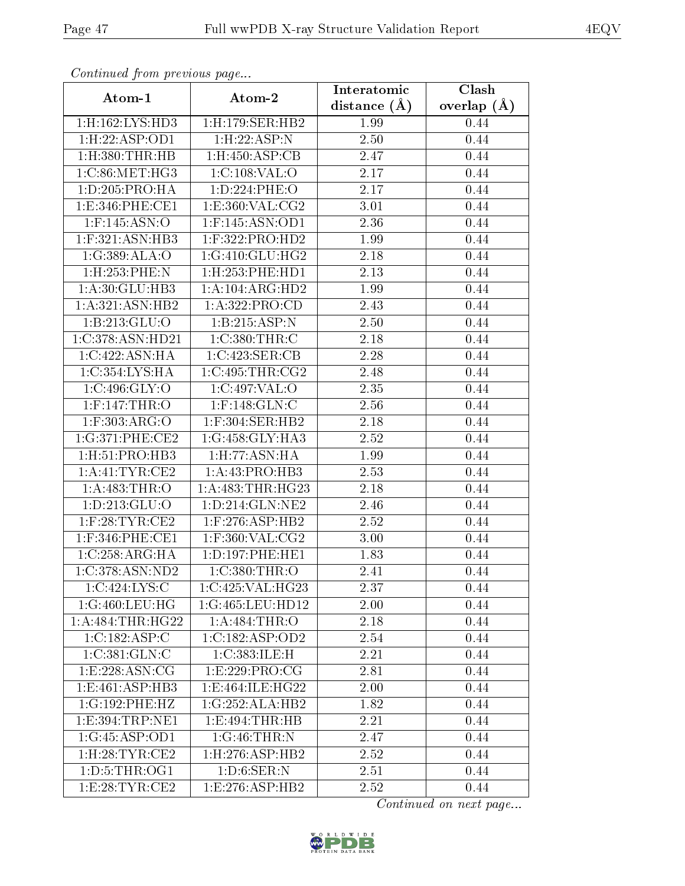| Continuatu from previous page |                          | Interatomic    | Clash         |
|-------------------------------|--------------------------|----------------|---------------|
| Atom-1                        | Atom-2                   | distance $(A)$ | overlap $(A)$ |
| 1:H:162:LYS:HD3               | 1:H:179:SER:HB2          | 1.99           | 0.44          |
| 1:H:22:ASP:OD1                | 1: H: 22: ASP: N         | 2.50           | 0.44          |
| $1:$ H $:380:$ THR $:$ HB     | $1:$ H: $450:$ ASP: $CB$ | 2.47           | $0.44\,$      |
| 1:C:86:MET:HG3                | 1:C:108:VAL:O            | 2.17           | 0.44          |
| 1: D: 205: PRO: HA            | 1:D:224:PHE:O            | 2.17           | 0.44          |
| 1:E:346:PHE:CE1               | 1: E: 360: VAL: CG2      | 3.01           | 0.44          |
| $1:$ F:145:ASN:O              | $1:$ F:145:ASN:OD1       | 2.36           | 0.44          |
| $1:$ F:321:ASN:HB3            | $1:$ F:322:PRO:HD2       | 1.99           | 0.44          |
| 1:G:389:ALA:O                 | 1:G:410:GLU:HG2          | 2.18           | 0.44          |
| 1:H:253:PHE:N                 | 1:H:253:PHE:HD1          | 2.13           | 0.44          |
| 1:A:30:GLU:HB3                | 1:A:104:ARG:HD2          | 1.99           | 0.44          |
| 1:A:321:ASN:HB2               | 1:A:322:PRO:CD           | 2.43           | 0.44          |
| 1:B:213:GLU:O                 | 1:B:215:ASP:N            | 2.50           | 0.44          |
| 1:C:378:ASN:HD21              | 1:C:380:THR:C            | 2.18           | 0.44          |
| 1:C:422:ASN:HA                | 1:C:423:SER:CB           | 2.28           | 0.44          |
| 1:C:354:LYS:HA                | 1:C:495:THR:CG2          | 2.48           | 0.44          |
| 1:C:496:GLY:O                 | 1:C:497:VAL:O            | 2.35           | 0.44          |
| $1:$ F:147:THR:O              | $1:$ F:148: $GLN$ :C     | 2.56           | 0.44          |
| 1:F:303:ARG:O                 | 1:F:304:SER:HB2          | 2.18           | 0.44          |
| 1:G:371:PHE:CE2               | 1:G:458:GLY:HA3          | 2.52           | 0.44          |
| 1: H: 51: PRO: HB3            | 1: H: 77: ASN: HA        | 1.99           | 0.44          |
| 1:A:41:TYR:CE2                | 1:A:43:PRO:HB3           | 2.53           | 0.44          |
| 1: A:483:THR:O                | 1: A:483:THR:HG23        | 2.18           | 0.44          |
| 1: D: 213: GLU: O             | 1:D:214:GLN:NE2          | 2.46           | 0.44          |
| $1:$ F:28:TYR:CE2             | $1:$ F:276:ASP:HB2       | 2.52           | 0.44          |
| $1:$ F:346:PHE:CE1            | $1:$ F:360:VAL:CG2       | 3.00           | 0.44          |
| 1:C:258:ARG:HA                | 1: D: 197: PHE: HE1      | 1.83           | 0.44          |
| 1:C:378:ASN:ND2               | $1:C:380$ : THR: O       | 2.41           | 0.44          |
| 1:C:424:LYS:C                 | 1:C:425:VAL:HG23         | 2.37           | 0.44          |
| 1:G:460:LEU:HG                | 1:G:465:LEU:HD12         | 2.00           | 0.44          |
| 1: A:484:THR:HG22             | 1:A:484:THR:O            | 2.18           | 0.44          |
| 1:C:182:ASP:C                 | 1:C:182:ASP:OD2          | 2.54           | 0.44          |
| 1:C:381:GLN:C                 | 1:C:383:ILE:H            | 2.21           | 0.44          |
| 1:E:228:ASN:CG                | 1:E:229:PRO:CG           | 2.81           | 0.44          |
| 1:E:461:ASP:HB3               | 1:E:464:ILE:HG22         | 2.00           | 0.44          |
| 1:G:192:PHE:HZ                | 1:G:252:ALA:HB2          | 1.82           | 0.44          |
| 1: E: 394: TRP: NE1           | 1: E:494: THR:HB         | 2.21           | 0.44          |
| 1:G:45:ASP:OD1                | 1:G:46:THR:N             | 2.47           | 0.44          |
| $1:$ H $:28:TYR:CE2$          | 1: H: 276: ASP: HB2      | 2.52           | 0.44          |
| 1: D: 5: THE: OG1             | 1: D:6: SER: N           | 2.51           | 0.44          |
| 1:E:28:TYR:CE2                | 1: E: 276: ASP: HB2      | 2.52           | 0.44          |

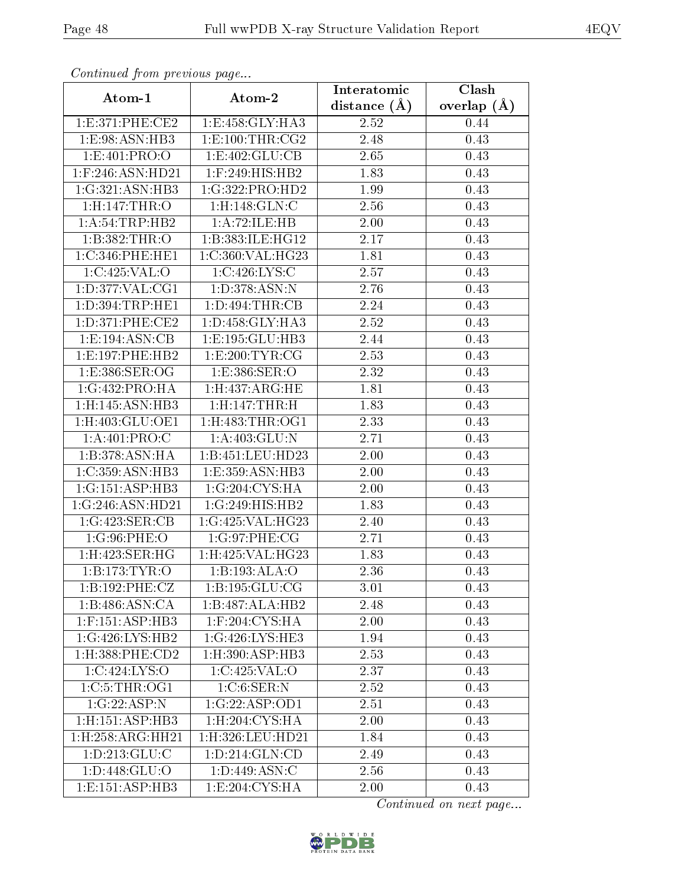| Commuca from previous page        |                                        | Interatomic    | Clash         |
|-----------------------------------|----------------------------------------|----------------|---------------|
| Atom-1                            | Atom-2                                 | distance $(A)$ | overlap $(A)$ |
| 1:E:371:PHE:CE2                   | 1:E:458:GLY:HA3                        | 2.52           | 0.44          |
| 1:E:98:ASN:HB3                    | 1:E:100:THR:CG2                        | 2.48           | 0.43          |
| 1: E: 401: PRO: O                 | 1: E:402: GLU:CB                       | 2.65           | 0.43          |
| 1:F:246:ASN:HD21                  | 1:F:249:HIS:HB2                        | 1.83           | 0.43          |
| 1:G:321:ASN:HB3                   | 1:G:322:PRO:HD2                        | 1.99           | 0.43          |
| 1:H:147:THR:O                     | $1:$ H:148: $GLN$ :C                   | 2.56           | 0.43          |
| 1: A:54:TRP:HB2                   | 1:A:72:ILE:HB                          | 2.00           | 0.43          |
| 1:B:382:THR:O                     | 1:B:383:ILE:HG12                       | 2.17           | 0.43          |
| 1:C:346:PHE:HE1                   | 1:C:360:VAL:HG23                       | 1.81           | 0.43          |
| 1:C:425:VAL:O                     | 1:C:426:LYS:C                          | 2.57           | 0.43          |
| 1:D:377:VAL:CG1                   | 1: D: 378: ASN: N                      | 2.76           | 0.43          |
| 1: D: 394: TRP: HE1               | 1: D: 494: THR: CB                     | 2.24           | 0.43          |
| 1: D:371: PHE:CE2                 | 1: D: 458: GLY: HA3                    | 2.52           | 0.43          |
| 1:E:194:ASN:CB                    | 1:E:195:GLU:HB3                        | 2.44           | 0.43          |
| 1:E:197:PHE:HB2                   | 1:E:200:TYR:CG                         | 2.53           | 0.43          |
| 1:E:386:SER:OG                    | 1:E:386:SER:O                          | 2.32           | 0.43          |
| 1:G:432:PRO:HA                    | $1:$ H $:437:$ ARG $:$ HE              | 1.81           | 0.43          |
| $1:$ H:145:ASN: $\overline{H}$ B3 | 1:H:147:THR:H                          | 1.83           | 0.43          |
| 1:H:403:GLU:OE1                   | 1:H:483:THR:OG1                        | 2.33           | 0.43          |
| 1: A:401: PRO:C                   | 1:A:403:GLU:N                          | 2.71           | 0.43          |
| 1:B:378:ASN:HA                    | 1:B:451:LEU:HD23                       | 2.00           | 0.43          |
| 1:C:359:ASN:HB3                   | 1:E:359:ASN:HB3                        | 2.00           | 0.43          |
| 1:G:151:ASP:HB3                   | 1:G:204:CYS:HA                         | 2.00           | 0.43          |
| 1:G:246:ASN:HD21                  | 1:G:249:HIS:HB2                        | 1.83           | 0.43          |
| 1:G:423:SER:CB                    | 1:G:425:VAL:HG23                       | 2.40           | 0.43          |
| $1:G:96:\overline{PHE:O}$         | 1:G:97:PHE:CG                          | 2.71           | 0.43          |
| 1:H:423:SER:HG                    | 1: H:425: VAL:HG23                     | 1.83           | 0.43          |
| 1:B:173:TYR:O                     | $1:B:193:ALA:\overline{O}$             | 2.36           | 0.43          |
| 1:B:192:PHE:CZ                    | 1:B:195:GLU:CG                         | 3.01           | 0.43          |
| 1:B:486:ASN:CA                    | 1:B:487:ALA:HB2                        | 2.48           | 0.43          |
| $1:$ F:151:ASP:HB3                | $1:$ F:204: $\overline{\text{CYS:HA}}$ | 2.00           | 0.43          |
| 1:G:426:LYS:HB2                   | 1:G:426:LYS:HE3                        | 1.94           | 0.43          |
| $1:$ H:388:PHE: $CD2$             | 1:H:390:ASP:HB3                        | 2.53           | 0.43          |
| 1:C:424:LYS:O                     | 1:C:425:VAL:O                          | 2.37           | 0.43          |
| 1:C:5:THR:OG1                     | 1:C:6:SER:N                            | 2.52           | 0.43          |
| 1:G:22:ASP:N                      | 1:G:22:ASP:OD1                         | 2.51           | 0.43          |
| 1:H:151:ASP:HB3                   | 1:H:204:CYS:HA                         | 2.00           | 0.43          |
| 1:H:258:ARG:HH21                  | 1:H:326:LEU:HD21                       | 1.84           | 0.43          |
| 1: D: 213: GLU: C                 | 1: D: 214: GLN: CD                     | 2.49           | 0.43          |
| 1:D:448:GLU:O                     | 1: D:449: ASN: C                       | 2.56           | 0.43          |
| 1: E: 151: ASP: HB3               | 1: E:204: CYS:HA                       | 2.00           | 0.43          |

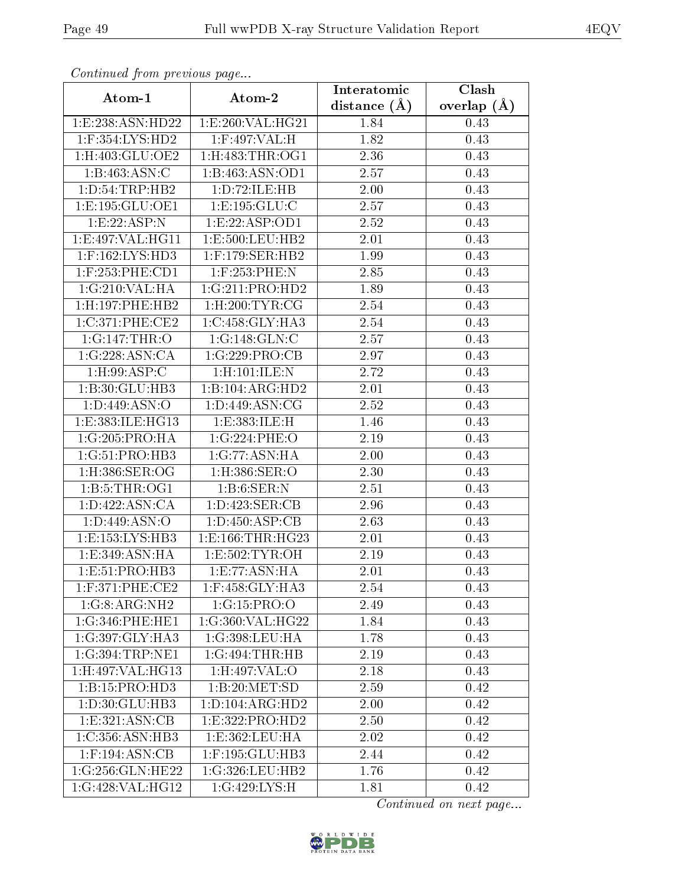| Continuati pont previous page |                           | Interatomic    | $\overline{\text{Clash}}$ |
|-------------------------------|---------------------------|----------------|---------------------------|
| Atom-1                        | Atom-2                    | distance $(A)$ | overlap $(\AA)$           |
| 1:E:238:ASN:HD22              | 1:E:260:VAL:HG21          | 1.84           | 0.43                      |
| $1:$ F:354:LYS:HD2            | 1:F:497:VAL:H             | 1.82           | 0.43                      |
| $1:$ H:403:GLU:OE2            | 1: H:483: THR:OG1         | 2.36           | 0.43                      |
| 1:B:463:ASN:C                 | 1:B:463:ASN:OD1           | 2.57           | 0.43                      |
| 1: D: 54: TRP: HB2            | 1:D:72:ILE:HB             | $2.00\,$       | 0.43                      |
| 1: E: 195: GLU: OE1           | 1: E: 195: GLU: C         | 2.57           | 0.43                      |
| 1:E:22:ASP:N                  | 1:E:22:ASP:OD1            | 2.52           | 0.43                      |
| 1:E:497:VAL:HG11              | 1:E:500:LEU:HB2           | 2.01           | 0.43                      |
| 1:F:162:LYS:HD3               | $1:$ F:179:SER:HB2        | 1.99           | 0.43                      |
| $1:$ F:253:PHE:CD1            | 1:F:253:PHE:N             | 2.85           | 0.43                      |
| 1:G:210:VAL:HA                | 1:G:211:PRO:HD2           | 1.89           | 0.43                      |
| 1:H:197:PHE:HB2               | $1:$ H $:200:$ TYR $:$ CG | 2.54           | 0.43                      |
| 1:C:371:PHE:CE2               | 1:C:458:GLY:HA3           | 2.54           | 0.43                      |
| 1:G:147:THR:O                 | 1:G:148:GLN:C             | 2.57           | 0.43                      |
| 1:G:228:ASN:CA                | 1:G:229:PRO:CB            | 2.97           | 0.43                      |
| $1:$ H:99:ASP:C               | 1:H:101:ILE:N             | 2.72           | 0.43                      |
| 1:B:30:GLU:HB3                | 1:B:104:ARG:HD2           | 2.01           | 0.43                      |
| 1:D:449:ASN:O                 | 1: D:449: ASN: CG         | 2.52           | 0.43                      |
| 1:E:383:ILE:HG13              | 1:E:383:ILE:H             | 1.46           | 0.43                      |
| 1:G:205:PRO:HA                | 1:G:224:PHE:O             | 2.19           | 0.43                      |
| 1:G:51:PRO:HB3                | 1:G:77:ASN:HA             | 2.00           | 0.43                      |
| 1:H:386:SER:OG                | $1:$ H:386:SER:O          | 2.30           | 0.43                      |
| 1: B:5: THE:OG1               | 1: B:6: SER: N            | 2.51           | 0.43                      |
| 1: D:422: ASN:CA              | 1:D:423:SER:CB            | 2.96           | 0.43                      |
| 1: D:449: ASN:O               | 1: D: 450: ASP: CB        | 2.63           | 0.43                      |
| 1: E: 153: LYS: HB3           | 1: E: 166: THR: HG23      | 2.01           | 0.43                      |
| 1:E:349:ASN:HA                | 1: E: 502: TYR: OH        | 2.19           | 0.43                      |
| 1:E:51:PRO:HB3                | 1: E: 77: ASN: HA         | 2.01           | 0.43                      |
| $1:$ F:371:PHE:CE2            | 1:F:458:GLY:HA3           | 2.54           | 0.43                      |
| 1:G:8:ARG:NH2                 | 1:G:15:PRO:O              | 2.49           | 0.43                      |
| 1:G:346:PHE:HE1               | 1:G:360:VAL:HG22          | 1.84           | 0.43                      |
| 1:G:397:GLY:HA3               | 1:G:398:LEU:HA            | 1.78           | $0.43\,$                  |
| 1:G:394:TRP:NE1               | 1:G:494:THR:HB            | 2.19           | 0.43                      |
| 1:H:497:VAL:HG13              | 1:H:497:VAL:O             | 2.18           | 0.43                      |
| 1:B:15:PRO:HD3                | 1:B:20:MET:SD             | 2.59           | 0.42                      |
| 1: D:30: GLU:HB3              | 1: D: 104: ARG: HD2       | 2.00           | 0.42                      |
| 1: E: 321: ASN: CB            | 1: E: 322: PRO: HD2       | 2.50           | 0.42                      |
| 1:C:356:ASN:HB3               | 1: E: 362: LEU: HA        | 2.02           | 0.42                      |
| $1:$ F:194:ASN:CB             | 1:F:195:GLU:HB3           | 2.44           | 0.42                      |
| 1:G:256:GLN:HE22              | 1:G:326:LEU:HB2           | 1.76           | 0.42                      |
| 1:G:428:VAL:HG12              | 1:G:429:LYS:H             | 1.81           | 0.42                      |

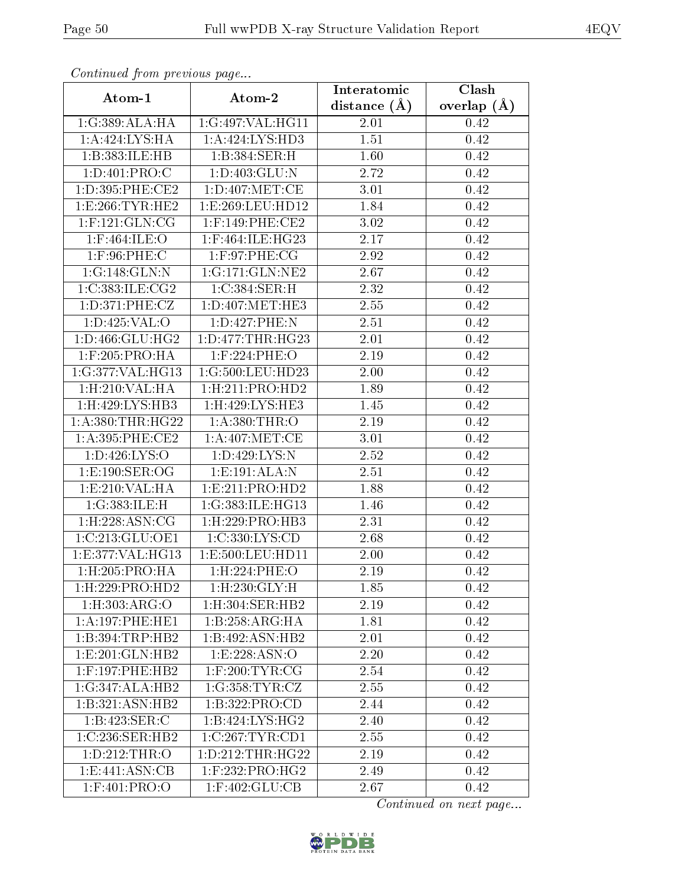| contentava promo provisão pago |                               | Interatomic    | $\overline{\text{Clash}}$ |  |
|--------------------------------|-------------------------------|----------------|---------------------------|--|
| Atom-1                         | Atom-2                        | distance $(A)$ | overlap $(\AA)$           |  |
| 1:G:389:ALA:HA                 | 1:G:497:VAL:HG11              | 2.01           | 0.42                      |  |
| $1:A:424:LYS:\overline{HA}$    | 1:A:424:LYS:HD3               | 1.51           | 0.42                      |  |
| 1:B:383:ILE:HB                 | 1:B:384:SER:H                 | 1.60           | 0.42                      |  |
| 1:D:401:PRO:C                  | 1: D:403: GLU:N               | 2.72           | 0.42                      |  |
| 1:D:395:PHE:CE2                | $1: D: 407$ :MET:CE           | 3.01           | 0.42                      |  |
| 1: E:266: TYR: HE2             | 1:E:269:LEU:HD12              | 1.84           | 0.42                      |  |
| $1:$ F:121:GLN:CG              | $1:$ F:149:PHE:CE2            | 3.02           | 0.42                      |  |
| $1:$ F:464:ILE:O               | 1:F:464:ILE:HG23              | 2.17           | 0.42                      |  |
| $1:$ F:96:PHE:C                | 1:F:97:PHE:CG                 | 2.92           | 0.42                      |  |
| 1:G:148:GLN:N                  | 1:G:171:GLN:NE2               | 2.67           | 0.42                      |  |
| 1:C:383:ILE:CG2                | 1:C:384:SER:H                 | 2.32           | 0.42                      |  |
| 1: D: 371: PHE: CZ             | $1: D: 407$ : MET: HE3        | 2.55           | 0.42                      |  |
| 1: D: 425: VAL: O              | 1:D:427:PHE:N                 | 2.51           | 0.42                      |  |
| 1: D: 466: GLU: HG2            | 1: D: 477: THR: HG23          | 2.01           | 0.42                      |  |
| $1:$ F:205:PRO:HA              | $1:$ F:224:PHE:O              | 2.19           | 0.42                      |  |
| 1:G:377:VAL:HG13               | 1:G:500:LEU:HD23              | 2.00           | 0.42                      |  |
| 1: H:210: VAL: HA              | 1: H:211: PRO:HD2             | 1.89           | 0.42                      |  |
| 1:H:429:LYS:HB3                | 1:H:429:LYS:HE3               | 1.45           | 0.42                      |  |
| 1: A: 380: THR: HG22           | 1: A:380:THR:O                | 2.19           | 0.42                      |  |
| 1: A:395:PHE:CE2               | 1: A:407: MET:CE              | 3.01           | 0.42                      |  |
| 1: D: 426: LYS: O              | 1: D:429: LYS:N               | 2.52           | 0.42                      |  |
| 1:E:190:SER:OG                 | 1:E:191:ALA:N                 | 2.51           | 0.42                      |  |
| 1:E:210:VAL:HA                 | 1:E:211:PRO:HD2               | 1.88           | 0.42                      |  |
| 1:G:383:ILE:H                  | 1:G:383:ILE:HG13              | 1.46           | 0.42                      |  |
| 1:H:228:ASN:CG                 | $1:$ H $:229:$ PRO $:$ HB3    | 2.31           | 0.42                      |  |
| 1:C:213:GLU:OE1                | 1:C:330:LYS:CD                | 2.68           | 0.42                      |  |
| 1:E:377:VAL:HG13               | 1:E:500:LEU:HD11              | 2.00           | 0.42                      |  |
| 1:H:205:PRO:HA                 | 1:H:224:PHE:O                 | 2.19           | 0.42                      |  |
| $1:$ H $:229:$ PRO $:$ HD $2$  | $1:$ H $:230:$ GLY $:$ H      | 1.85           | 0.42                      |  |
| 1: H: 303: ARG: O              | $1:$ H $:304:$ SER $:$ HB $2$ | 2.19           | 0.42                      |  |
| 1: A:197:PHE:HE1               | 1:B:258:ARG:HA                | 1.81           | 0.42                      |  |
| 1:B:394:TRP:HB2                | 1:B:492:ASN:HB2               | 2.01           | 0.42                      |  |
| 1: E: 201: GLN: HB2            | 1:E:228:ASN:O                 | 2.20           | 0.42                      |  |
| $1:$ F:197:PHE:HB2             | $1:$ F:200:TYR:CG             | 2.54           | 0.42                      |  |
| 1:G:347:ALA:HB2                | 1:G:358:TYR:CZ                | 2.55           | 0.42                      |  |
| 1:B:321:ASN:HB2                | 1:B:322:PRO:CD                | 2.44           | 0.42                      |  |
| 1:B:423:SER:C                  | 1:B:424:LYS:HG2               | 2.40           | 0.42                      |  |
| 1:C:236:SER:HB2                | 1:C:267:TYR:CD1               | 2.55           | 0.42                      |  |
| 1: D: 212: THR:O               | 1: D: 212: THR: HG22          | 2.19           | 0.42                      |  |
| 1:E:441:ASN:CB                 | $1:$ F:232:PRO:HG2            | 2.49           | 0.42                      |  |
| 1:F:401:PRO:O                  | 1:F:402:GLU:CB                | 2.67           | 0.42                      |  |

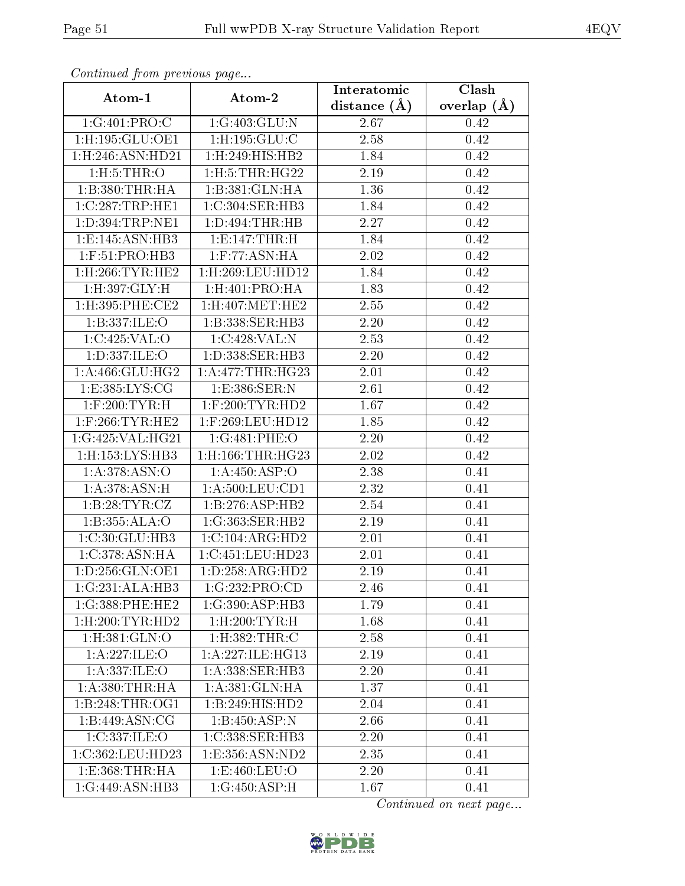| Communica from precious page    |                              | Interatomic       | Clash           |  |
|---------------------------------|------------------------------|-------------------|-----------------|--|
| Atom-1                          | Atom-2                       | distance $(A)$    | overlap $(\AA)$ |  |
| 1:G:401:PRO:C                   | 1:G:403:GLU:N                | 2.67              | 0.42            |  |
| 1:H:195:GLU:OE1                 | $1:$ H:195: $GLU$ :C         | 2.58              | 0.42            |  |
| 1:H:246:ASN:HD21                | 1:H:249:HIS:HB2              | 1.84              | 0.42            |  |
| 1: H: 5: THR: O                 | $1:$ H $:5:$ THR $:$ H $G22$ | 2.19              | 0.42            |  |
| 1:B:380:THR:HA                  | 1:B:381:GLN:HA               | 1.36              | 0.42            |  |
| 1:C:287:TRP:HE1                 | 1:C:304:SER:HB3              | 1.84              | 0.42            |  |
| 1:D:394:TRP:NE1                 | 1: D: 494: THR: HB           | $\overline{2.27}$ | 0.42            |  |
| 1:E:145:ASN:HB3                 | 1: E: 147: THR:H             | 1.84              | 0.42            |  |
| 1:F:51:PRO:HB3                  | $1:$ F:77:ASN:HA             | 2.02              | 0.42            |  |
| $1:$ H $:266:TYR:$ HE $2$       | 1:H:269:LEU:HD12             | 1.84              | 0.42            |  |
| 1:H:397:GLY:H                   | 1:H:401:PRO:HA               | 1.83              | 0.42            |  |
| $1:$ H:395:PHE:CE2              | $1:$ H $:407:$ MET $:$ HE2   | 2.55              | 0.42            |  |
| 1:B:337:ILE:O                   | 1:B:338:SER:HB3              | 2.20              | 0.42            |  |
| 1:C:425:VAL:O                   | 1:C:428:VAL:N                | 2.53              | 0.42            |  |
| 1:D:337:ILE:O                   | 1:D:338:SER:HB3              | 2.20              | 0.42            |  |
| 1: A:466: GLU:HG2               | 1: A:477:THR:HG23            | 2.01              | 0.42            |  |
| 1: E: 385: LYS: CG              | 1: E: 386: SER: N            | 2.61              | 0.42            |  |
| $1:$ F:200:TYR:H                | $1:$ F:200:TYR:HD2           | 1.67              | 0.42            |  |
| $1:$ F:266:TYR:HE2              | 1:F:269:LEU:HD12             | 1.85              | 0.42            |  |
| 1:G:425:VAL:HG21                | 1:G:481:PHE:O                | 2.20              | 0.42            |  |
| 1:H:153:LYS:HB3                 | $1:$ H:166:THR:HG23          | 2.02              | 0.42            |  |
| 1: A: 378: ASN: O               | 1:A:450:ASP:O                | 2.38              | 0.41            |  |
| 1: A:378: ASN:H                 | 1: A:500:LEU:CD1             | 2.32              | 0.41            |  |
| 1:B:28:TYR:CZ                   | 1:B:276:ASP:HB2              | 2.54              | 0.41            |  |
| 1:B:355:ALA:O                   | 1:G:363:SER:HB2              | 2.19              | 0.41            |  |
| 1:C:30:GLU:HB3                  | 1:C:104:ARG:HD2              | $\overline{2}.01$ | 0.41            |  |
| 1:C:378:ASN:HA                  | 1:C:451:LEU:HD23             | 2.01              | 0.41            |  |
| $1: D: 256:$ GLN:OE1            | $1:D:258:AR\overline{G:HD2}$ | 2.19              | 0.41            |  |
| 1:G:231:ALA:HB3                 | 1:G:232:PRO:CD               | 2.46              | 0.41            |  |
| 1:G:388:PHE:HE2                 | 1:G:390:ASP:HB3              | 1.79              | 0.41            |  |
| $1:$ H $:200:$ TYR:HD $2$       | $1:$ H $:200:$ TYR $:$ H     | 1.68              | 0.41            |  |
| 1:H:381:GLN:O                   | 1:H:382:THR:C                | 2.58              | 0.41            |  |
| 1: A:227: ILE: O                | 1: A:227: ILE: HG13          | 2.19              | 0.41            |  |
| 1:A:337:ILE:O                   | 1:A:338:SER:HB3              | 2.20              | 0.41            |  |
| 1: A:380:THR:HA                 | 1:A:381:GLN:HA               | 1.37              | 0.41            |  |
| 1:B:248:THR:OG1                 | 1:B:249:HIS:HD2              | 2.04              | 0.41            |  |
| 1:B:449:ASN:CG                  | 1:B:450:ASP:N                | 2.66              | 0.41            |  |
| 1:C:337:ILE:O                   | 1:C:338:SER:HB3              | 2.20              | 0.41            |  |
| 1:C:362:LEU:HD23                | 1: E: 356: ASN: ND2          | 2.35              | 0.41            |  |
| $1: E: 368: THR: \overline{HA}$ | 1: E:460: LEU:O              | 2.20              | 0.41            |  |
| 1:G:449:ASN:HB3                 | 1:G:450:ASP:H                | 1.67              | 0.41            |  |

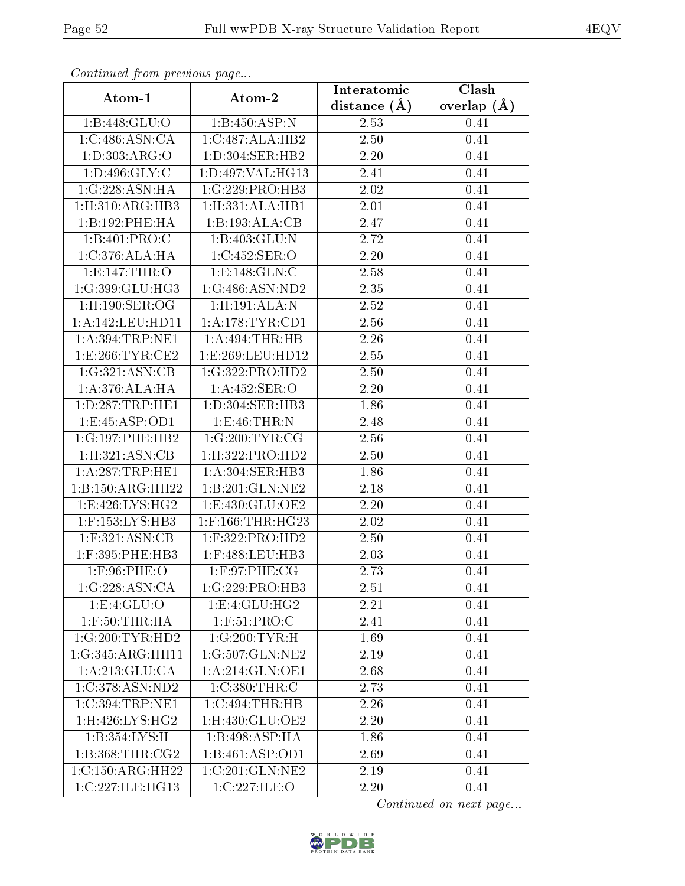| Continuatu jibin previous puge |                     | Interatomic       | Clash         |
|--------------------------------|---------------------|-------------------|---------------|
| Atom-1                         | Atom-2              | distance $(A)$    | overlap $(A)$ |
| 1:B:448:GLU:O                  | 1:B:450:ASP:N       | 2.53              | 0.41          |
| 1:C:486:ASN:CA                 | 1:C:487:ALA:HB2     | $\overline{2.50}$ | 0.41          |
| 1: D: 303: ARG: O              | $1: D:304:$ SER:HB2 | 2.20              | 0.41          |
| 1: D:496: GLY: C               | 1:D:497:VAL:HG13    | 2.41              | 0.41          |
| 1:G:228:ASN:HA                 | 1:G:229:PRO:HB3     | 2.02              | 0.41          |
| 1: H:310: ARG: HB3             | 1: H: 331: ALA: HB1 | 2.01              | 0.41          |
| 1:B:192:PHE:HA                 | 1:B:193:ALA:CB      | 2.47              | 0.41          |
| 1:B:401:PRO:C                  | 1:B:403:GLU:N       | 2.72              | 0.41          |
| 1:C:376:ALA:HA                 | 1:C:452:SER:O       | 2.20              | 0.41          |
| 1:E:147:THR:O                  | 1: E: 148: GLN: C   | 2.58              | 0.41          |
| 1:G:399:GLU:HG3                | 1:G:486:ASN:ND2     | 2.35              | 0.41          |
| 1:H:190:SER:OG                 | 1: H: 191: ALA: N   | 2.52              | 0.41          |
| 1:A:142:LEU:HD11               | 1: A:178:TYR:CD1    | 2.56              | 0.41          |
| 1: A:394:TRP:NE1               | 1: A:494:THR:HB     | 2.26              | 0.41          |
| 1:E:266:TYR:CE2                | 1:E:269:LEU:HD12    | 2.55              | 0.41          |
| 1:G:321:ASN:CB                 | 1:G:322:PRO:HD2     | 2.50              | 0.41          |
| 1:A:376:ALA:HA                 | 1:A:452:SER:O       | $\overline{2.20}$ | 0.41          |
| 1:D:287:TRP:HE1                | 1:D:304:SER:HB3     | 1.86              | 0.41          |
| 1:E:45:ASP:OD1                 | 1:E:46:THR:N        | 2.48              | 0.41          |
| 1:G:197:PHE:HB2                | 1:G:200:TYR:CG      | 2.56              | 0.41          |
| 1: H:321: ASN: CB              | 1: H:322: PRO:HD2   | 2.50              | 0.41          |
| 1:A:287:TRP:HE1                | 1:A:304:SER:HB3     | 1.86              | 0.41          |
| 1:B:150:ARG:HH22               | 1:B:201:GLN:NE2     | 2.18              | 0.41          |
| 1: E:426: LYS: HG2             | 1:E:430:GLU:OE2     | 2.20              | 0.41          |
| 1:F:153:LYS:HB3                | $1:$ F:166:THR:HG23 | $2.02\,$          | 0.41          |
| $1:$ F:321:ASN:CB              | $1:$ F:322:PRO:HD2  | 2.50              | 0.41          |
| 1:F:395:PHE:HB3                | 1:F:488:LEU:HB3     | 2.03              | 0.41          |
| $1:$ F:96:PHE:O                | $1:$ F:97:PHE:CG    | 2.73              | 0.41          |
| 1:G:228:ASN:CA                 | 1:G:229:PRO:HB3     | 2.51              | 0.41          |
| 1:E:4:GLU:O                    | 1:E:4:GLU:HG2       | 2.21              | 0.41          |
| $1:$ $F:50:THR:H$ A            | 1: F:51: PRO:C      | 2.41              | 0.41          |
| 1:G:200:TYR:HD2                | 1:G:200:TYR:H       | 1.69              | 0.41          |
| 1:G:345:ARG:HH11               | 1:G:507:GLN:NE2     | 2.19              | 0.41          |
| 1:A:213:GLU:CA                 | 1:A:214:GLN:OE1     | 2.68              | 0.41          |
| 1:C:378:ASN:ND2                | 1:C:380:THR:C       | 2.73              | 0.41          |
| 1:C:394:TRP:NE1                | 1:C:494:THR:HB      | 2.26              | 0.41          |
| $1:$ H $:426:LYS:HG2$          | 1:H:430:GLU:OE2     | 2.20              | 0.41          |
| 1:B:354:LYS:H                  | 1:B:498:ASP:HA      | 1.86              | 0.41          |
| 1: B: 368: THR: CG2            | 1:B:461:ASP:OD1     | 2.69              | 0.41          |
| 1:C:150:ARG:HH22               | 1:C:201:GLN:NE2     | 2.19              | 0.41          |
| 1:C:227:ILE:HG13               | 1:C:227:ILE:O       | 2.20              | 0.41          |

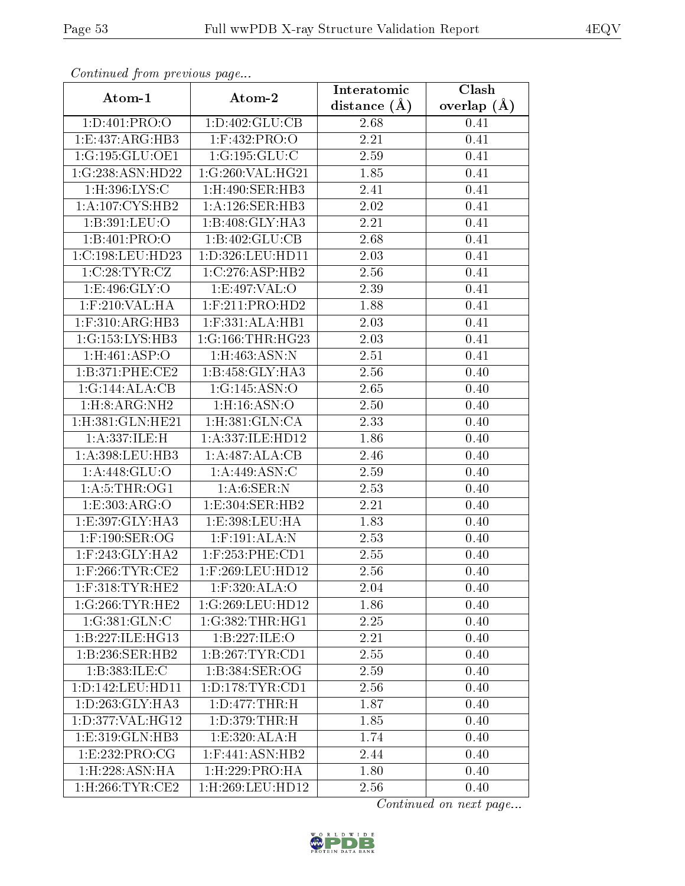| Continuata from previous page          |                           | Interatomic      | Clash           |
|----------------------------------------|---------------------------|------------------|-----------------|
| Atom-1                                 | Atom-2                    | distance $(\AA)$ | overlap $(\AA)$ |
| 1:D:401:PRO:O                          | 1:D:402:GLU:CB            | 2.68             | 0.41            |
| 1:E:437:ARG:HB3                        | 1:F:432:PRO:O             | 2.21             | 0.41            |
| 1:G:195:GLU:OE1                        | 1:G:195:GLU:C             | 2.59             | 0.41            |
| 1:G:238:ASN:HD22                       | 1:G:260:VAL:HG21          | 1.85             | 0.41            |
| 1:H:396:LYS:C                          | 1:H:490:SER:HB3           | 2.41             | 0.41            |
| 1: A: 107: CYS: HB2                    | 1:A:126:SER:HB3           | 2.02             | 0.41            |
| 1:B:391:LEU:O                          | 1:B:408:GLY:HA3           | 2.21             | 0.41            |
| 1:B:401:PRO:O                          | 1:B:402:GLU:CB            | 2.68             | 0.41            |
| 1:C:198:LEU:HD23                       | 1:D:326:LEU:HD11          | 2.03             | 0.41            |
| 1:C:28:TYR:CZ                          | 1:C:276:ASP:HB2           | 2.56             | 0.41            |
| 1: E:496: GLY:O                        | 1:E:497:VAL:O             | 2.39             | 0.41            |
| $1:$ F:210: $\overline{\text{VAL:HA}}$ | $1:$ F:211:PRO:HD2        | 1.88             | 0.41            |
| $1:$ F:310:ARG:HB3                     | $1:$ F:331:ALA:HB1        | 2.03             | 0.41            |
| 1:G:153:LYS:HB3                        | 1:G:166:THR:HG23          | 2.03             | 0.41            |
| 1:H:461:ASP:O                          | 1:H:463:ASN:N             | 2.51             | 0.41            |
| 1:B:371:PHE:CE2                        | $1:B:458:GLY:H\,A3$       | 2.56             | 0.40            |
| 1:G:144:ALA:CB                         | 1:G:145:ASN:O             | 2.65             | 0.40            |
| 1: H:8: ARG:NH2                        | 1:H:16:ASN:O              | 2.50             | 0.40            |
| 1:H:381:GLN:HE21                       | 1:H:381:GLN:CA            | 2.33             | 0.40            |
| 1:A:337:ILE:H                          | 1:A:337:ILE:HD12          | 1.86             | 0.40            |
| 1:A:398:LEU:HB3                        | 1:A:487:ALA:CB            | 2.46             | 0.40            |
| 1: A:448: GLU:O                        | 1: A:449: ASN: C          | 2.59             | 0.40            |
| 1: A:5:THR:OG1                         | 1: A:6: SER: N            | 2.53             | 0.40            |
| 1:E:303:ARG:O                          | 1:E:304:SER:HB2           | 2.21             | 0.40            |
| 1:E:397:GLY:HA3                        | 1:E:398:LEU:HA            | 1.83             | 0.40            |
| $1:$ F:190:SER:OG                      | $1:$ F:191:ALA:N          | 2.53             | 0.40            |
| $1:$ F:243:GLY:HA2                     | $1:$ F:253:PHE:CD1        | 2.55             | 0.40            |
| $1:$ F:266:TYR:CE2                     | 1:F:269:LEU:HD12          | 2.56             | 0.40            |
| $1:$ F:318:TYR:HE2                     | $1:$ F:320:ALA:O          | 2.04             | 0.40            |
| 1:G:266:TYR:HE2                        | 1:G:269:LEU:HD12          | 1.86             | 0.40            |
| 1:G:381:GLN:C                          | 1:G:382:THR:HGI           | 2.25             | 0.40            |
| 1:B:227:ILE:HG13                       | 1:B:227:ILE:O             | 2.21             | 0.40            |
| 1:B:236:SER:HB2                        | 1:B:267:TYR:CD1           | 2.55             | 0.40            |
| 1:B:383:ILE:C                          | 1:B:384:SER:OG            | 2.59             | 0.40            |
| 1: D: 142: LEU: HD11                   | 1: D: 178: TYR: CD1       | 2.56             | 0.40            |
| 1: D: 263: GLY: HA3                    | 1: D: 477: THR:H          | 1.87             | 0.40            |
| 1: D: 377: VAL:HG12                    | 1: D: 379: THR:H          | 1.85             | 0.40            |
| 1:E:319:GLN:HB3                        | 1:E:320:ALA:H             | 1.74             | 0.40            |
| 1:E:232:PRO:CG                         | $1:$ F:441:ASN:HB2        | 2.44             | 0.40            |
| 1: H: 228: ASN: HA                     | $1:$ H $:229:$ PRO $:$ HA | 1.80             | 0.40            |
| $1:$ H $:266:$ TYR $:$ CE2             | 1:H:269:LEU:HD12          | 2.56             | 0.40            |

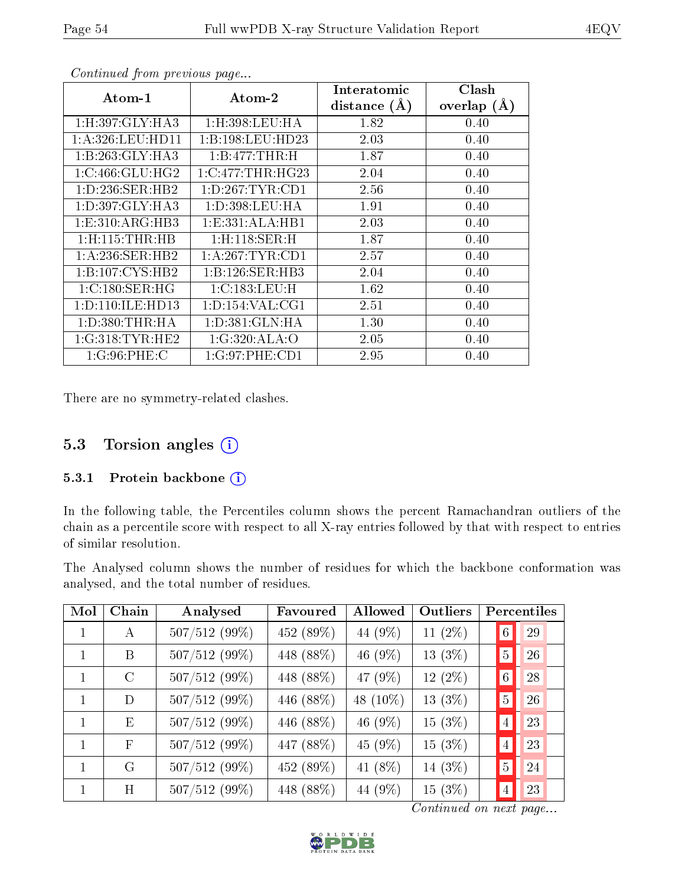| $\rm{Atom\text{-}1}$      | Atom-2                    | Interatomic    | Clash         |
|---------------------------|---------------------------|----------------|---------------|
|                           |                           | distance $(A)$ | overlap $(A)$ |
| 1:H:397:GLY:HA3           | $1:$ H $:398:$ LEU $:$ HA | 1.82           | 0.40          |
| 1:A:326:LEU:HD11          | 1:B:198:LEU:HD23          | 2.03           | 0.40          |
| 1:B:263:GLY:HA3           | 1:B:477:THR:H             | 1.87           | 0.40          |
| 1:C:466:GLU:HG2           | $1:C:477$ : THR: HG23     | 2.04           | 0.40          |
| 1:D:236:SER:HB2           | 1: D: 267: TYR: CD1       | 2.56           | 0.40          |
| 1:D:397:GLY:HA3           | 1: D: 398: LEU: HA        | 1.91           | 0.40          |
| 1: E: 310: ARG: HB3       | 1:E:331:ALA:HB1           | 2.03           | 0.40          |
| $1:$ H $:115:$ THR $:$ HB | $1:$ H $:118:$ SER $:$ H  | 1.87           | 0.40          |
| 1: A:236: SER:HB2         | 1: A:267:TYR:CD1          | 2.57           | 0.40          |
| 1:B:107:CYS:HB2           | 1:B:126:SER:HB3           | 2.04           | 0.40          |
| 1:C:180:SER:HG            | 1:C:183:LEU:H             | 1.62           | 0.40          |
| 1: D: 110: ILE: HD13      | 1: D: 154: VAL: CG1       | 2.51           | 0.40          |
| 1: D: 380: THR: HA        | 1: D: 381: GLN: HA        | 1.30           | 0.40          |
| 1:G:318:TYR:HE2           | 1:G:320:ALA:O             | 2.05           | 0.40          |
| 1:G:96:PHE:C              | 1:G:97:PHE:CD1            | 2.95           | 0.40          |

There are no symmetry-related clashes.

## 5.3 Torsion angles (i)

#### 5.3.1 Protein backbone (i)

In the following table, the Percentiles column shows the percent Ramachandran outliers of the chain as a percentile score with respect to all X-ray entries followed by that with respect to entries of similar resolution.

The Analysed column shows the number of residues for which the backbone conformation was analysed, and the total number of residues.

| Mol | Chain        | Analysed        | Favoured  | Allowed   | Outliers  |                 | Percentiles |
|-----|--------------|-----------------|-----------|-----------|-----------|-----------------|-------------|
|     | A            | 507/512 (99%)   | 452 (89%) | 44 (9%)   | $11(2\%)$ | $\vert 6 \vert$ | 29          |
|     | B            | 507/512 (99%)   | 448 (88%) | 46 (9%)   | $13(3\%)$ | $^{\prime}$ 5   | 26          |
|     | $\rm C$      | $507/512(99\%)$ | 448 (88%) | 47 (9%)   | $12(2\%)$ | $\vert 6 \vert$ | 28          |
|     | D            | $507/512(99\%)$ | 446 (88%) | 48 (10\%) | $13(3\%)$ | $5\phantom{.0}$ | 26          |
| 1   | Ε            | $507/512(99\%)$ | 446 (88%) | 46 (9%)   | $15(3\%)$ | $\vert 4 \vert$ | 23          |
| 1   | $\mathbf{F}$ | $507/512(99\%)$ | 447 (88%) | 45 (9%)   | $15(3\%)$ | $\overline{4}$  | 23          |
|     | G            | 507/512 (99%)   | 452 (89%) | 41 (8%)   | 14 (3%)   | $\overline{5}$  | 24          |
|     | H            | $507/512(99\%)$ | 448 (88%) | 44 (9%)   | 15(3%)    | $\overline{4}$  | 23          |

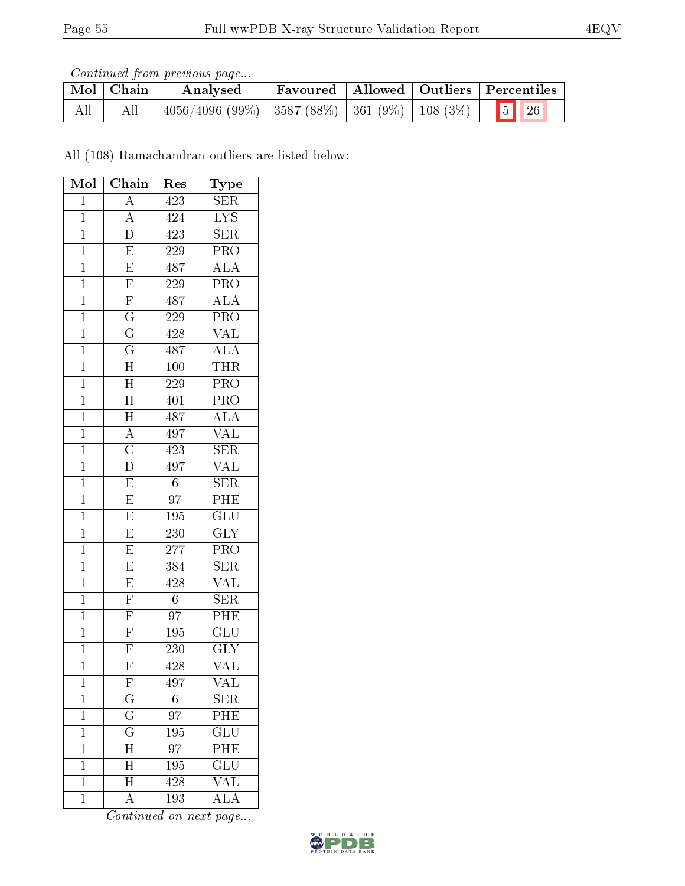Continued from previous page...

|     | Mol   Chain | Analysed                                            |  | Favoured   Allowed   Outliers   Percentiles |
|-----|-------------|-----------------------------------------------------|--|---------------------------------------------|
| All | All         | $4056/4096$ (99%) 3587 (88%) 361 (9%) 108 (3%) 5 26 |  |                                             |

All (108) Ramachandran outliers are listed below:

| Mol            | $\overline{\text{Chain}}$ | Res              | Type                      |
|----------------|---------------------------|------------------|---------------------------|
| $\mathbf 1$    | $\overline{A}$            | 423              | $\overline{\text{SER}}$   |
| $\overline{1}$ | $\overline{A}$            | 424              | $\overline{\text{LYS}}$   |
| $\mathbf{1}$   | $\overline{D}$            | 423              | <b>SER</b>                |
| $\overline{1}$ | $\overline{\mathrm{E}}$   | $\overline{229}$ | $\overline{\text{PRO}}$   |
| $\overline{1}$ | $\overline{E}$            | 487              | $\overline{ALA}$          |
| $\overline{1}$ | $\overline{\mathrm{F}}$   | $\overline{229}$ | $\overline{\text{PRO}}$   |
| $\mathbf{1}$   | $\frac{\overline{F}}{G}$  | 487              | $\overline{\rm ALA}$      |
| $\overline{1}$ |                           | 229              | $\overline{\text{PRO}}$   |
| $\overline{1}$ | $\overline{\mathrm{G}}$   | 428              | $\overline{\text{VAL}}$   |
| $\overline{1}$ | $\overline{\mathrm{G}}$   | 487              | $\overline{\text{ALA}}$   |
| $\mathbf{1}$   | $\overline{H}$            | $\overline{100}$ | THR                       |
| $\mathbf{1}$   | $\overline{\text{H}}$     | 229              | PRO                       |
| $\overline{1}$ | $\overline{\rm H}$        | 401              | PRO                       |
| $\overline{1}$ | $\overline{H}$            | 487              | <b>ALA</b>                |
| $\mathbf{1}$   | $\frac{\overline{A}}{C}$  | 497              | <b>VAL</b>                |
| $\mathbf{1}$   |                           | 423              | SER                       |
| $\overline{1}$ | $\overline{D}$            | 497              | $\overline{\text{VAL}}$   |
| $\overline{1}$ | $\overline{E}$            | $\boldsymbol{6}$ | SER                       |
| $\overline{1}$ | $\overline{E}$            | $\overline{97}$  | $\overline{\mathrm{PHE}}$ |
| $\mathbf{1}$   | $\overline{E}$            | $195\,$          | $\overline{\text{GLU}}$   |
| $\overline{1}$ | $\overline{E}$            | $\overline{230}$ | $\overline{\text{GLY}}$   |
| $\mathbf{1}$   | $\overline{E}$            | 277              | PRO                       |
| $\overline{1}$ | E                         | 384              | $\overline{\text{SER}}$   |
| $\overline{1}$ | $\overline{\mathrm{E}}$   | 428              | $\overline{\text{VAL}}$   |
| $\mathbf 1$    | $\overline{\mathrm{F}}$   | $6\phantom{.}$   | $\overline{\text{SER}}$   |
| $\overline{1}$ | $\overline{F}$            | 97               | $\overline{\rm{PHE}}$     |
| $\mathbf{1}$   | $\overline{F}$            | 195              | $\overline{\text{GLU}}$   |
| $\overline{1}$ | $\overline{\mathrm{F}}$   | 230              | <b>GLY</b>                |
| $\overline{1}$ | $\overline{\mathrm{F}}$   | $\overline{428}$ | VAL                       |
| 1              | $\boldsymbol{\mathrm{F}}$ | 497              | VAL                       |
| $\mathbf 1$    | $\overline{G}$            | $\overline{6}$   | SER                       |
| $\mathbf{1}$   | $\overline{\mathrm{G}}$   | 97               | PHE                       |
| $\mathbf 1$    | $\overline{\mathrm{G}}$   | 195              | $\overline{{\rm GLU}}$    |
| $\mathbf 1$    | $\overline{\rm H}$        | 97               | PHE                       |
| $\mathbf 1$    | H                         | 195              | $\overline{\text{GLU}}$   |
| $\mathbf 1$    | $\overline{\rm H}$        | $\overline{428}$ | $\overline{\text{VAL}}$   |
| $\mathbf 1$    | A                         | 193              | $\overline{\rm ALA}$      |

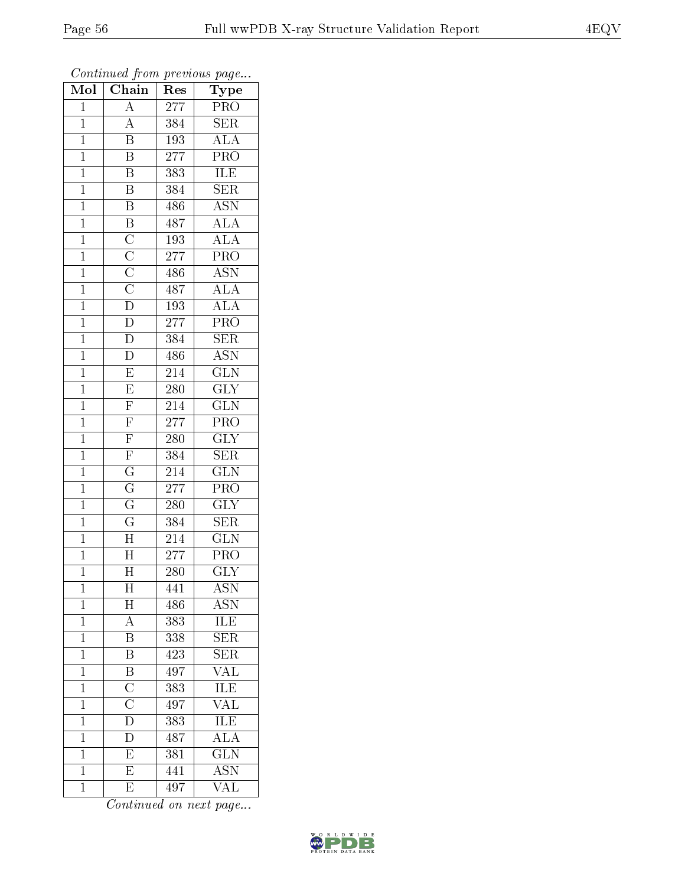| Mol            | $\overline{\text{Chain}}$                                               | Res              | Type                    |
|----------------|-------------------------------------------------------------------------|------------------|-------------------------|
| $\mathbf{1}$   | $\overline{\rm A}$                                                      | $\overline{277}$ | PRO                     |
| $\mathbf 1$    | $\overline{A}$                                                          | 384              | <b>SER</b>              |
| $\mathbf{1}$   | $\overline{\mathrm{B}}$                                                 | 193              | $\overline{\rm ALA}$    |
| $\overline{1}$ | $\overline{\mathrm{B}}$                                                 | 277              | $\overline{\text{PRO}}$ |
| $\overline{1}$ | $\overline{\mathbf{B}}$                                                 | 383              | <b>ILE</b>              |
| $\mathbf{1}$   | $\overline{\mathrm{B}}$                                                 | 384              | $\overline{\rm SER}$    |
| $\mathbf{1}$   | $\overline{\mathbf{B}}$                                                 | 486              | <b>ASN</b>              |
| $\mathbf{1}$   | $\overline{B}$                                                          | 487              | $\overline{ALA}$        |
| $\mathbf{1}$   | $\overline{C}$                                                          | 193              | ALA                     |
| $\overline{1}$ |                                                                         | $\overline{277}$ | $\overline{\text{PRO}}$ |
| $\mathbf{1}$   |                                                                         | 486              | $\overline{\text{ASN}}$ |
| $\mathbf{1}$   |                                                                         | 487              | $\overline{\rm ALA}$    |
| $\mathbf{1}$   | $\frac{\overline{C}}{\overline{C}}$ $\frac{\overline{C}}{\overline{D}}$ | 193              | $\overline{\text{ALA}}$ |
| $\overline{1}$ | $\overline{D}$                                                          | 277              | PRO                     |
| $\overline{1}$ | $\overline{\rm D}$                                                      | 384              | $\overline{\text{SER}}$ |
| $\mathbf{1}$   | $\overline{\rm D}$                                                      | 486              | <b>ASN</b>              |
| $\overline{1}$ | $\overline{E}$                                                          | $\overline{214}$ | $\overline{\text{GLN}}$ |
| $\mathbf{1}$   | $\overline{E}$                                                          | 280              | <b>GLY</b>              |
| $\overline{1}$ | $\overline{\mathrm{F}}$                                                 | 214              | $\overline{\text{GLN}}$ |
| $\overline{1}$ | $\overline{F}$                                                          | 277              | $\overline{\text{PRO}}$ |
| $\mathbf{1}$   | $\overline{\mathrm{F}}$                                                 | 280              | $\overline{\text{GLY}}$ |
| $\mathbf{1}$   | $\overline{\mathrm{F}}$                                                 | 384              | SER                     |
| $\overline{1}$ | $\overline{\mathrm{G}}$                                                 | 214              | $\overline{\text{GLN}}$ |
| $\overline{1}$ | $\overline{G}$                                                          | 277              | $\overline{\text{PRO}}$ |
| $\mathbf{1}$   | $\overline{G}$                                                          | 280              | $\overline{\text{GLY}}$ |
| $\mathbf{1}$   | $\overline{\mathrm{G}}$                                                 | 384              | <b>SER</b>              |
| $\mathbf{1}$   | $\overline{\rm H}$                                                      | 214              | $\overline{\text{GLN}}$ |
| $\mathbf{1}$   | $\overline{H}$                                                          | 277              | PRO                     |
| $\overline{1}$ | $\overline{\rm H}$                                                      | 280              | $\overline{\text{GLY}}$ |
| 1              | $\boldsymbol{\mathrm{H}}$                                               | 441              | <b>ASN</b>              |
| $\mathbf{1}$   | H                                                                       | 486              | ASN                     |
| $\mathbf 1$    | $\overline{A}$                                                          | 383              | ILE                     |
| $\mathbf{1}$   | B                                                                       | 338              | SER                     |
| $\mathbf 1$    | $\overline{\mathrm{B}}$                                                 | 423              | $\overline{\text{SER}}$ |
| $\mathbf{1}$   |                                                                         | 497              | $\sqrt{\text{AL}}$      |
| $\mathbf{1}$   | $\frac{\overline{\text{B}}}{\overline{\text{C}}}$                       | 383              | ILE                     |
| $\mathbf 1$    |                                                                         | 497              | <b>VAL</b>              |
| $\overline{1}$ | $\overline{\rm D}$                                                      | 383              | ILE                     |
| $\mathbf 1$    | $\rm \overline{D}$                                                      | 487              | $\overline{\rm ALA}$    |
| $\mathbf 1$    | $\overline{\mathrm{E}}$                                                 | 381              | $\overline{\text{GLN}}$ |
| $\mathbf{1}$   | $\overline{\mathrm{E}}$                                                 | 441              | <b>ASN</b>              |
| $\mathbf{1}$   | E                                                                       | 497              | $\overline{\text{VAL}}$ |

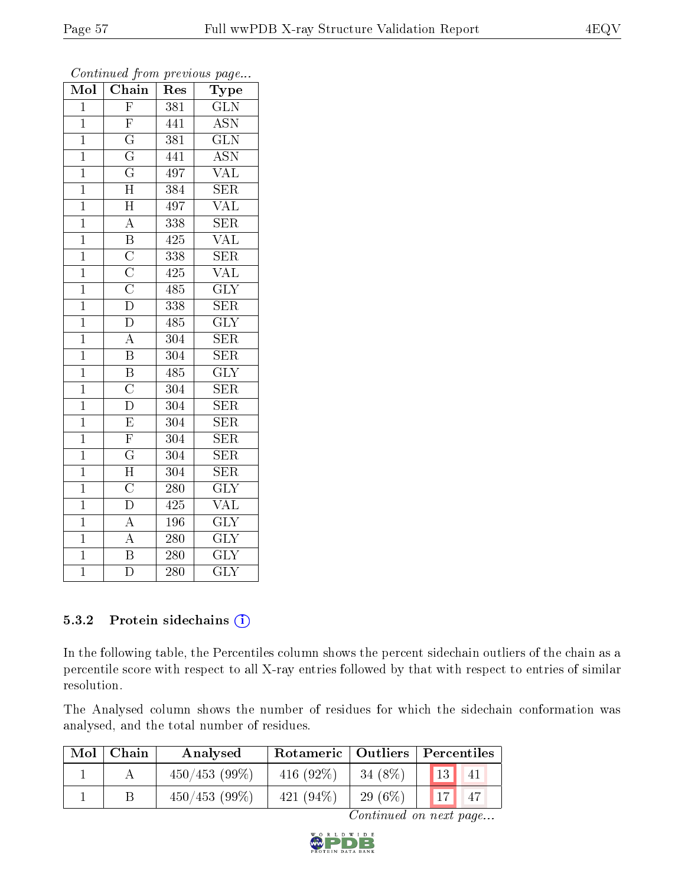| $\overline{\text{Mol}}$ | $\overline{\text{Chain}}$                                               | Res              | ${\rm \bar{Ty}pe}$      |
|-------------------------|-------------------------------------------------------------------------|------------------|-------------------------|
| $\mathbf{1}$            | $\overline{F}$                                                          | 381              | <b>GLN</b>              |
| $\mathbf{1}$            | $\overline{\mathrm{F}}$                                                 | 441              | <b>ASN</b>              |
| $\overline{1}$          | $\frac{\overline{G}}{\overline{G}}$                                     | 381              | $\overline{\text{GLN}}$ |
| $\overline{1}$          |                                                                         | 441              | ASN                     |
| $\mathbf{1}$            | $\overline{\mathrm{G}}$                                                 | 497              | $\overline{\text{VAL}}$ |
| $\mathbf 1$             | $\overline{\mathrm{H}}$                                                 | 384              | $\overline{\text{SER}}$ |
| $\mathbf{1}$            | $\overline{\rm H}$                                                      | 497              | $\overline{\text{VAL}}$ |
| $\mathbf{1}$            | $\overline{A}$                                                          | 338              | $\overline{\text{SER}}$ |
| $\mathbf{1}$            | $\overline{B}$                                                          | 425              | $\overline{\text{VAL}}$ |
| $\overline{1}$          | $\frac{\overline{C}}{\overline{C}}$ $\frac{\overline{C}}{\overline{D}}$ | 338              | $\overline{\text{SER}}$ |
| $\mathbf{1}$            |                                                                         | 425              | <b>VAL</b>              |
| $\overline{1}$          |                                                                         | 485              | $\overline{\text{GLY}}$ |
| $\overline{1}$          |                                                                         | 338              | $\overline{\text{SER}}$ |
| $\overline{1}$          | $\overline{\rm D}$                                                      | 485              | $\overline{\text{GLY}}$ |
| $\overline{1}$          | $\overline{A}$                                                          | 304              | $\overline{\text{SER}}$ |
| $\overline{1}$          | $\overline{\mathbf{B}}$                                                 | 304              | SER                     |
| $\overline{1}$          | $\overline{\mathbf{B}}$                                                 | 485              | $\overline{\text{GLY}}$ |
| $\overline{1}$          | $\overline{\rm C}$                                                      | 304              | SER                     |
| $\overline{1}$          | $\overline{\rm D}$                                                      | 304              | <b>SER</b>              |
| $\mathbf{1}$            | $\overline{\mathrm{E}}$                                                 | 304              | SER                     |
| $\mathbf{1}$            | $\overline{\mathrm{F}}$                                                 | 304              | <b>SER</b>              |
| $\overline{1}$          | $\overline{\mathrm{G}}$                                                 | 304              | $\overline{\text{SER}}$ |
| $\mathbf{1}$            | $\overline{H}$                                                          | 304              | SER                     |
| $\overline{1}$          | $\overline{\text{C}}$                                                   | 280              | $\overline{\text{GLY}}$ |
| $\overline{1}$          | $\overline{\mathbf{D}}$                                                 | 425              | $\rm V\overline{AL}$    |
| $\overline{1}$          | $\overline{A}$                                                          | 196              | $\overline{\text{GLY}}$ |
| $\overline{1}$          | $\overline{A}$                                                          | $\overline{280}$ | $\overline{\text{GLY}}$ |
| $\overline{1}$          | $\overline{\mathbf{B}}$                                                 | 280              | $\overline{\text{GLY}}$ |
| $\overline{1}$          | $\overline{\rm D}$                                                      | $\overline{280}$ | $\overline{\text{GLY}}$ |

#### 5.3.2 Protein sidechains (i)

In the following table, the Percentiles column shows the percent sidechain outliers of the chain as a percentile score with respect to all X-ray entries followed by that with respect to entries of similar resolution.

The Analysed column shows the number of residues for which the sidechain conformation was analysed, and the total number of residues.

| Mol | Chain | Analysed        | Rotameric   Outliers |           | Percentiles |    |
|-----|-------|-----------------|----------------------|-----------|-------------|----|
|     |       | $450/453(99\%)$ | $416(92\%$           | 34 (8%)   | 13          | 41 |
|     |       | 450/453(99%)    | $421(94\%$           | $29(6\%)$ | 17          |    |

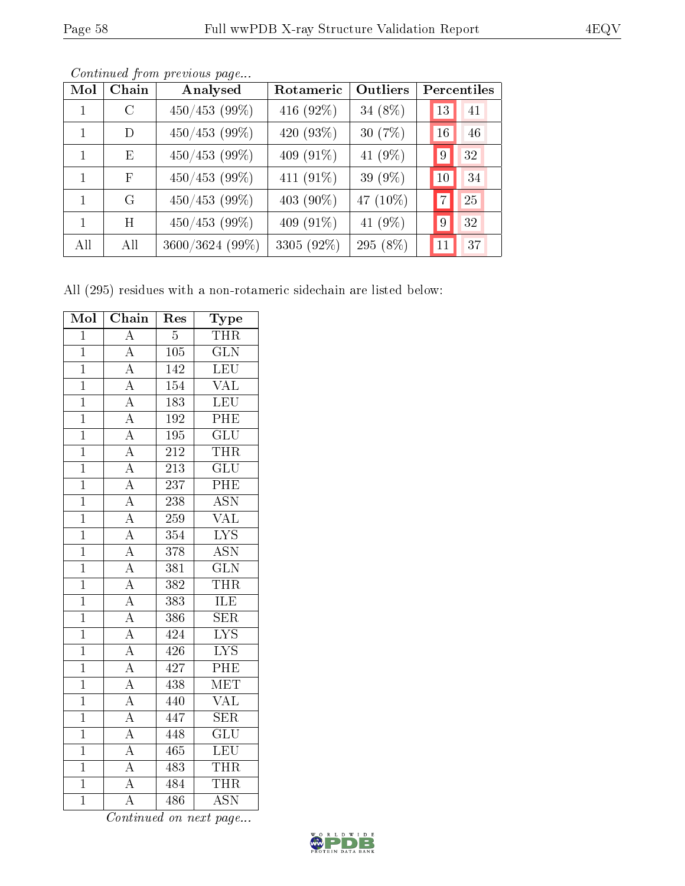| Mol          | $\overline{\text{Chain}}$ | Analysed        | Rotameric  | Outliers |    | Percentiles |
|--------------|---------------------------|-----------------|------------|----------|----|-------------|
| 1            | $\mathcal{C}$             | $450/453$ (99%) | 416 (92%)  | 34 (8%)  | 13 | 41          |
| $\mathbf{1}$ | D                         | $450/453$ (99%) | 420 (93%)  | 30 (7%)  | 16 | 46          |
| $\mathbf{1}$ | E                         | $450/453$ (99%) | 409 (91%)  | 41 (9%)  | 9  | 32          |
| $\mathbf{1}$ | F                         | $450/453$ (99%) | 411 (91%)  | 39 (9%)  | 10 | 34          |
| $\mathbf{1}$ | G                         | $450/453$ (99%) | 403 (90%)  | 47 (10%) |    | 25          |
| 1            | H                         | $450/453$ (99%) | 409 (91%)  | 41 (9%)  | 9  | 32          |
| All          | All                       | 3600/3624 (99%) | 3305 (92%) | 295 (8%) | 11 | 37          |

Continued from previous page...

All (295) residues with a non-rotameric sidechain are listed below:

| Mol            | Chain                                                                                                                                           | $\operatorname{Res}% \left( \mathcal{N}\right) \equiv\operatorname{Res}(\mathcal{N}_{0})\cap\mathcal{N}_{1}$ | Type                      |
|----------------|-------------------------------------------------------------------------------------------------------------------------------------------------|--------------------------------------------------------------------------------------------------------------|---------------------------|
| $\overline{1}$ | $\overline{A}$                                                                                                                                  | $\overline{5}$                                                                                               | <b>THR</b>                |
| $\overline{1}$ | $\overline{A}$                                                                                                                                  | 105                                                                                                          | $\overline{\text{GLN}}$   |
| $\mathbf{1}$   | $\frac{\overline{A}}{\overline{A}}$                                                                                                             | 142                                                                                                          | $\overline{\text{LEU}}$   |
| $\mathbf{1}$   |                                                                                                                                                 | 154                                                                                                          | $\overline{\text{VAL}}$   |
| $\overline{1}$ | $\frac{\overline{A}}{\overline{A}}$ $\frac{\overline{A}}{\overline{A}}$                                                                         | $\overline{183}$                                                                                             | LEU                       |
| $\overline{1}$ |                                                                                                                                                 | 192                                                                                                          | PHE                       |
| $\overline{1}$ |                                                                                                                                                 | 195                                                                                                          | $\overline{\text{GLU}}$   |
| $\overline{1}$ |                                                                                                                                                 | 212                                                                                                          | THR                       |
| $\overline{1}$ |                                                                                                                                                 | $\overline{213}$                                                                                             | $\overline{\text{GLU}}$   |
| $\overline{1}$ | $\frac{\overline{A}}{\overline{A}}$ $\frac{\overline{A}}{\overline{A}}$                                                                         | $\overline{237}$                                                                                             | PHE                       |
| $\overline{1}$ |                                                                                                                                                 | $\overline{238}$                                                                                             | $\overline{\text{ASN}}$   |
| $\overline{1}$ |                                                                                                                                                 | 259                                                                                                          | <b>VAL</b>                |
| $\mathbf{1}$   |                                                                                                                                                 | $\overline{354}$                                                                                             | $\overline{\text{LYS}}$   |
| $\overline{1}$ |                                                                                                                                                 | $\overline{378}$                                                                                             | $\overline{\text{ASN}}$   |
| $\mathbf{1}$   | $\frac{\overline{A}}{\overline{A}}$ $\frac{\overline{A}}{\overline{A}}$ $\frac{\overline{A}}{\overline{A}}$ $\frac{\overline{A}}{\overline{A}}$ | 381                                                                                                          | $\overline{\text{GLN}}$   |
| $\overline{1}$ |                                                                                                                                                 | 382                                                                                                          | <b>THR</b>                |
| $\overline{1}$ |                                                                                                                                                 | 383                                                                                                          | ILE                       |
| $\overline{1}$ |                                                                                                                                                 | 386                                                                                                          | $\overline{\text{SER}}$   |
| $\overline{1}$ |                                                                                                                                                 | 424                                                                                                          | $\overline{\text{LYS}}$   |
| $\overline{1}$ | $\overline{A}$                                                                                                                                  | 426                                                                                                          | $\overline{\text{LYS}}$   |
| $\overline{1}$ | $\overline{A}$                                                                                                                                  | 427                                                                                                          | $\overline{\mathrm{PHE}}$ |
| $\overline{1}$ | $\overline{A}$                                                                                                                                  | 438                                                                                                          | $\overline{\text{MET}}$   |
| $\overline{1}$ | $\overline{A}$                                                                                                                                  | 440                                                                                                          | $\overline{\text{VAL}}$   |
| $\overline{1}$ | $\overline{A}$                                                                                                                                  | 447                                                                                                          | SER                       |
| $\mathbf 1$    | $\overline{A}$                                                                                                                                  | 448                                                                                                          | $\overline{\text{GLU}}$   |
| $\overline{1}$ | $\overline{A}$                                                                                                                                  | 465                                                                                                          | $\overline{\text{LEU}}$   |
| $\mathbf 1$    | $\overline{A}$                                                                                                                                  | 483                                                                                                          | <b>THR</b>                |
| $\overline{1}$ | $\overline{A}$                                                                                                                                  | 484                                                                                                          | <b>THR</b>                |
| $\overline{1}$ | $\overline{\rm A}$                                                                                                                              | 486                                                                                                          | $\overline{\text{ASN}}$   |

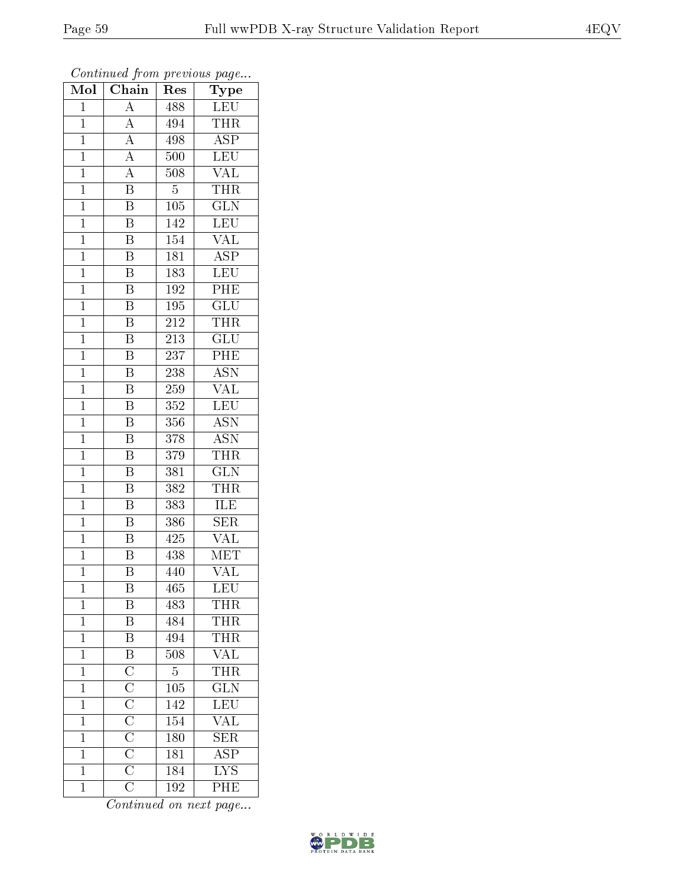| Mol            | Chain                                                                                                                                  | r -<br>Res       | $\mathbf{r}$ $\sim$ $\mathbf{v}$<br>Type |
|----------------|----------------------------------------------------------------------------------------------------------------------------------------|------------------|------------------------------------------|
| $\mathbf{1}$   | A                                                                                                                                      | 488              | LEU                                      |
| $\mathbf{1}$   | $\overline{A}$                                                                                                                         | 494              | THR                                      |
| $\mathbf{1}$   | $\overline{A}$                                                                                                                         | 498              | $\overline{\text{ASP}}$                  |
| $\mathbf{1}$   | $\overline{A}$                                                                                                                         | 500              | <b>LEU</b>                               |
| $\overline{1}$ | $\overline{A}$                                                                                                                         | 508              | $\overline{\text{VAL}}$                  |
| $\mathbf 1$    | $\overline{\mathrm{B}}$                                                                                                                | $\overline{5}$   | THR                                      |
| $\mathbf 1$    | $\overline{\mathrm{B}}$                                                                                                                | $\overline{105}$ | $\widetilde{{\rm GLN}}$                  |
| $\mathbf{1}$   | $\overline{\mathrm{B}}$                                                                                                                | 142              | <b>LEU</b>                               |
| $\overline{1}$ | $\overline{\mathrm{B}}$                                                                                                                | 154              | <b>VAL</b>                               |
| $\mathbf 1$    | $\overline{\mathrm{B}}$                                                                                                                | 181              | $\overline{\text{ASP}}$                  |
| $\mathbf{1}$   | $\overline{\mathrm{B}}$                                                                                                                | 183              | <b>LEU</b>                               |
| $\mathbf{1}$   | $\overline{\mathrm{B}}$                                                                                                                | 192              | PHE                                      |
| $\mathbf{1}$   | $\overline{\mathbf{B}}$                                                                                                                | 195              | $\overline{\text{GLU}}$                  |
| $\mathbf 1$    | B                                                                                                                                      | 212              | <b>THR</b>                               |
| $\overline{1}$ | $\overline{\mathrm{B}}$                                                                                                                | 213              | $\overline{\text{GLU}}$                  |
| $\mathbf{1}$   | Β                                                                                                                                      | 237              | PHE                                      |
| $\mathbf{1}$   | $\overline{\mathrm{B}}$                                                                                                                | $\overline{238}$ | $\overline{ASN}$                         |
| $\mathbf 1$    | B                                                                                                                                      | $\overline{2}59$ | $\rm \sqrt{AL}$                          |
| $\mathbf{1}$   | $\overline{\mathrm{B}}$                                                                                                                | 352              | LEU                                      |
| $\mathbf{1}$   | $\overline{\mathrm{B}}$                                                                                                                | 356              | $\overline{\text{ASN}}$                  |
| $\mathbf{1}$   | $\overline{\mathrm{B}}$                                                                                                                | 378              | <b>ASN</b>                               |
| $\mathbf{1}$   | $\overline{\mathrm{B}}$                                                                                                                | $\overline{379}$ | <b>THR</b>                               |
| $\mathbf 1$    | Β                                                                                                                                      | 381              | <b>GLN</b>                               |
| $\overline{1}$ | Β                                                                                                                                      | 382              | THR                                      |
| $\mathbf{1}$   | $\overline{\mathrm{B}}$                                                                                                                | 383              | ILE                                      |
| $\mathbf 1$    | $\overline{\mathrm{B}}$                                                                                                                | 386              | $\overline{\text{SER}}$                  |
| $\mathbf 1$    | $\overline{\mathrm{B}}$                                                                                                                | 425              | $\overline{\text{VAL}}$                  |
| $\overline{1}$ | $\overline{\mathrm{B}}$                                                                                                                | 438              | $\overline{\text{MET}}$                  |
| $\overline{1}$ | $\overline{\mathrm{B}}$                                                                                                                | 440              | $\overline{\text{VAL}}$                  |
| 1              | Β                                                                                                                                      | 465              | <b>LEU</b>                               |
| $\mathbf{1}$   | B                                                                                                                                      | 483              | THR                                      |
| $\overline{1}$ | $\overline{\mathrm{B}}$                                                                                                                | 484              | $\overline{\text{THR}}$                  |
| $\mathbf{1}$   | $\overline{B}$                                                                                                                         | 494              | THR                                      |
| $\overline{1}$ |                                                                                                                                        | $\overline{508}$ | $\overline{\text{VAL}}$                  |
| $\mathbf 1$    |                                                                                                                                        | $\overline{5}$   | THR                                      |
| $\mathbf 1$    |                                                                                                                                        | $\overline{105}$ | $\overline{\text{GLN}}$                  |
| $\mathbf 1$    | $\overline{B}$ $\overline{C}$ $\overline{C}$ $\overline{C}$ $\overline{C}$ $\overline{C}$ $\overline{C}$ $\overline{C}$ $\overline{C}$ | 142              | $\overline{\text{LEU}}$                  |
| $\mathbf 1$    |                                                                                                                                        | 154              | $\overline{\text{VAL}}$                  |
| $\mathbf 1$    |                                                                                                                                        | 180              | $\overline{\text{SER}}$                  |
| $\mathbf 1$    |                                                                                                                                        | $\overline{181}$ | $\overline{\text{ASP}}$                  |
| $\mathbf 1$    |                                                                                                                                        | $\overline{184}$ | $\overline{\text{LYS}}$                  |
| $\mathbf 1$    | $\overline{\rm C}$                                                                                                                     | 192              | PHE                                      |

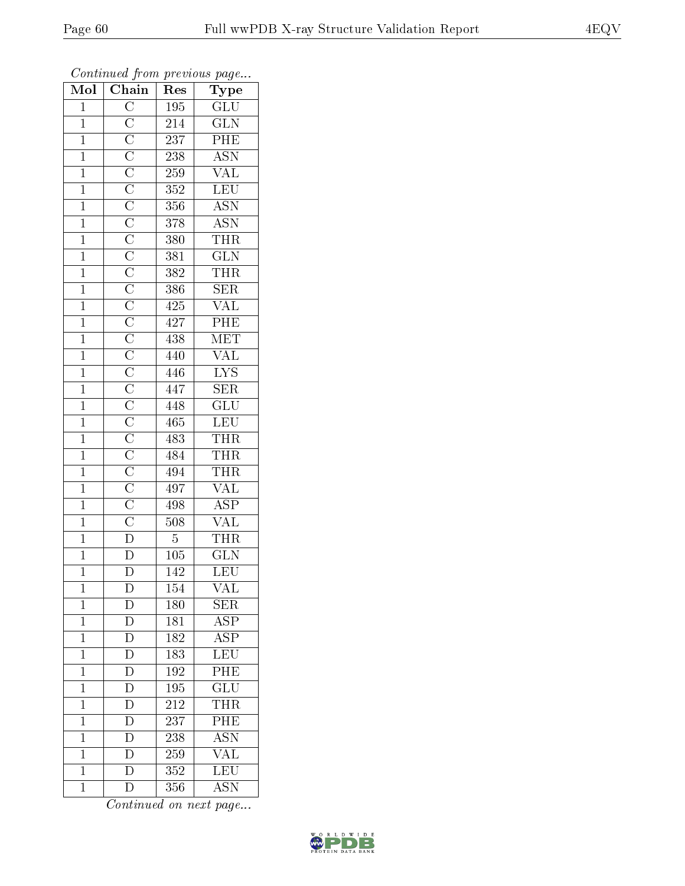| Mol            | Chain              | $\mathbf{r}$ . $\sim$<br>$\bar{R}$ es | $r \sim 3$<br>Type                                        |
|----------------|--------------------|---------------------------------------|-----------------------------------------------------------|
| $\mathbf{1}$   |                    | 195                                   | $\overline{\mathrm{GLU}}$                                 |
| $\overline{1}$ |                    | 214                                   | $\overline{\text{GLN}}$                                   |
| $\overline{1}$ |                    | <b>237</b>                            | PHE                                                       |
| $\mathbf{1}$   |                    | $\overline{238}$                      | <b>ASN</b>                                                |
| $\overline{1}$ |                    | 259                                   | $\overline{\text{VAL}}$                                   |
| $\overline{1}$ |                    | $\overline{352}$                      | LEU                                                       |
| $\overline{1}$ |                    | $3\sqrt{5}6$                          | $\frac{\overline{\mathrm{ASN}}}{\overline{\mathrm{ASN}}}$ |
| $\overline{1}$ |                    | 378                                   |                                                           |
| $\mathbf{1}$   |                    | 380                                   | <b>THR</b>                                                |
| $\overline{1}$ |                    | 381                                   | $\overline{\text{GLN}}$                                   |
| $\overline{1}$ |                    | 382                                   | $\overline{\text{THR}}$                                   |
| $\overline{1}$ |                    | 386                                   | $\overline{\text{SER}}$                                   |
| $\overline{1}$ |                    | 425                                   | <b>VAL</b>                                                |
| $\mathbf{1}$   |                    | 427                                   | $\overline{\text{PHE}}$                                   |
| $\overline{1}$ |                    | 438                                   | MET                                                       |
| $\mathbf{1}$   |                    | 440                                   | $\overline{\text{VAL}}$                                   |
| $\overline{1}$ |                    | 446                                   | $\overline{\text{LYS}}$                                   |
| $\mathbf{1}$   |                    | 447                                   | $\overline{\text{SER}}$                                   |
| $\mathbf{1}$   |                    | 448                                   | $\overline{\text{GLU}}$                                   |
| $\mathbf{1}$   |                    | 465                                   | LEU                                                       |
| $\overline{1}$ |                    | 483                                   | <b>THR</b>                                                |
| $\overline{1}$ |                    | 484                                   | $\frac{\overline{\text{THR}}}{\overline{\text{THR}}}$     |
| $\mathbf{1}$   |                    | 494                                   |                                                           |
| $\overline{1}$ |                    | 497                                   | $\frac{\overline{\text{VAL}}}{\text{ASP}}$                |
| $\overline{1}$ |                    | 498                                   |                                                           |
| $\overline{1}$ |                    | 508                                   | $\frac{\text{VAL}}{\text{THR}}$                           |
| $\overline{1}$ |                    | $\overline{5}$                        |                                                           |
| $\mathbf{1}$   | $\overline{\rm D}$ | $\overline{105}$                      | $\rm \overline{GLN}$                                      |
| $\overline{1}$ |                    | 142                                   | LEU                                                       |
| 1              | $\mathbf{D}$       | 154                                   | VAL                                                       |
| $\mathbf 1$    | $\overline{\rm D}$ | 180                                   | <b>SER</b>                                                |
| $\mathbf{1}$   | $\overline{D}$     | 181                                   | $\overline{\rm ASP}$                                      |
| $\mathbf{1}$   | $\overline{D}$     | 182                                   | <b>ASP</b>                                                |
| $\overline{1}$ | $\overline{D}$     | 183                                   | $\overline{\text{LEU}}$                                   |
| $\mathbf{1}$   | $\overline{D}$     | 192                                   | $P\overline{HE}$                                          |
| $\overline{1}$ | $\overline{D}$     | 195                                   | $\overline{\mathrm{GLU}}$                                 |
| $\mathbf 1$    | $\overline{D}$     | 212                                   | THR                                                       |
| $\mathbf 1$    | $\overline{\rm D}$ | 237                                   | $\overline{PHE}$                                          |
| $\mathbf 1$    | $\overline{D}$     | 238                                   | <b>ASN</b>                                                |
| $\mathbf 1$    | $\overline{\rm D}$ | 259                                   | <b>VAL</b>                                                |
| $\mathbf 1$    | $\overline{\rm D}$ | 352                                   | LEU                                                       |
| $\mathbf 1$    | $\overline{\rm D}$ | 356                                   | $\overline{\mathrm{ASN}}$                                 |

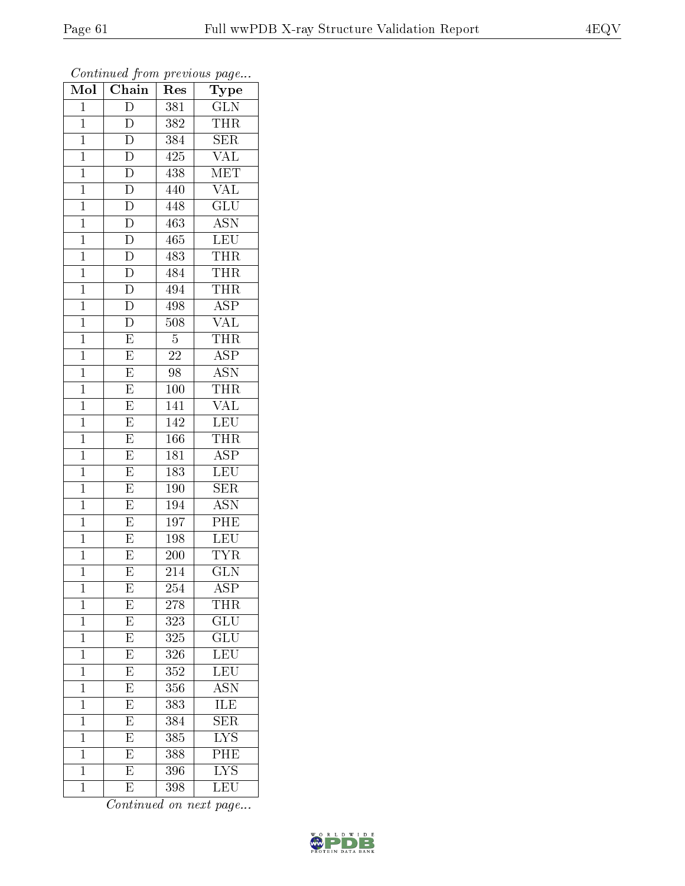| Mol            | Chain                   | Res              | Type                    |
|----------------|-------------------------|------------------|-------------------------|
| $\mathbf{1}$   | D                       | 381              | <b>GLN</b>              |
| $\mathbf 1$    | D                       | 382              | <b>THR</b>              |
| $\mathbf{1}$   | $\overline{D}$          | 384              | <b>SER</b>              |
| $\overline{1}$ | $\overline{\rm D}$      | 425              | <b>VAL</b>              |
| $\mathbf{1}$   | $\overline{D}$          | $\overline{438}$ | MET                     |
| $\mathbf{1}$   | $\overline{\rm D}$      | 440              | VAL                     |
| $\mathbf{1}$   | $\overline{\rm D}$      | 448              | $\overline{\text{GLU}}$ |
| $\mathbf{1}$   | $\overline{D}$          | $\overline{463}$ | <b>ASN</b>              |
| $\mathbf{1}$   | $\overline{D}$          | 465              | <b>LEU</b>              |
| $\mathbf 1$    | $\overline{\rm D}$      | 483              | <b>THR</b>              |
| $\mathbf{1}$   | $\overline{D}$          | 484              | THR                     |
| $\mathbf{1}$   | $\overline{D}$          | 494              | <b>THR</b>              |
| $\mathbf{1}$   | $\overline{\rm D}$      | 498              | $\overline{\text{ASP}}$ |
| $\mathbf{1}$   | $\overline{\rm D}$      | 508              | <b>VAL</b>              |
| $\mathbf{1}$   | $\overline{\mathrm{E}}$ | $\overline{5}$   | <b>THR</b>              |
| $\mathbf{1}$   | $\overline{\mathrm{E}}$ | 22               | $\overline{ASP}$        |
| $\mathbf{1}$   | $\overline{\mathrm{E}}$ | 98               | $\overline{\text{ASN}}$ |
| $\mathbf{1}$   | $\overline{\mathrm{E}}$ | 100              | <b>THR</b>              |
| $\mathbf 1$    | E                       | 141              | $\overline{\text{VAL}}$ |
| $\mathbf{1}$   | $\overline{\mathrm{E}}$ | 142              | LEU                     |
| $\mathbf{1}$   | $\overline{\mathrm{E}}$ | 166              | <b>THR</b>              |
| $\mathbf{1}$   | $\overline{E}$          | 181              | $\overline{\text{ASP}}$ |
| $\mathbf 1$    | $\overline{E}$          | 183              | LEU                     |
| $\mathbf{1}$   | $\overline{E}$          | 190              | $\overline{\text{SER}}$ |
| $\mathbf{1}$   | $\overline{\mathrm{E}}$ | 194              | <b>ASN</b>              |
| $\mathbf{1}$   | $\overline{\mathrm{E}}$ | $\overline{1}97$ | PHE                     |
| $\mathbf{1}$   | $\overline{\mathrm{E}}$ | 198              | LEU                     |
| $\mathbf{1}$   | E                       | 200              | <b>TYR</b>              |
| $\mathbf 1$    | $\overline{\mathrm{E}}$ | 214              | $\overline{\text{GLN}}$ |
| $\mathbf 1$    | E                       | 254              | ASP                     |
| $\mathbf{1}$   | E                       | 278              | THR                     |
| $\mathbf{1}$   | $\overline{E}$          | 323              | $\overline{\text{GLU}}$ |
| $\mathbf{1}$   | E                       | 325              | $\widetilde{{\rm GLU}}$ |
| $\mathbf 1$    | $\overline{\mathrm{E}}$ | $\overline{326}$ | $\overline{\text{LEU}}$ |
| $\mathbf{1}$   | $\overline{\mathrm{E}}$ | 352              | LEU <sup>-</sup>        |
| $\mathbf 1$    | $\overline{E}$          | 356              | <b>ASN</b>              |
| $\mathbf 1$    | $\overline{E}$          | 383              | <b>ILE</b>              |
| $\overline{1}$ | $\overline{\mathrm{E}}$ | 384              | $\overline{\text{SER}}$ |
| $\mathbf 1$    | $\overline{\mathrm{E}}$ | 385              | $\overline{\text{LYS}}$ |
| $\mathbf 1$    | $\overline{\mathrm{E}}$ | 388              | $\rm{P\overline{HE}}$   |
| $\mathbf{1}$   | $\overline{\mathrm{E}}$ | 396              | $\overline{\text{LYS}}$ |
| $\mathbf{1}$   | E                       | 398              | LEU                     |

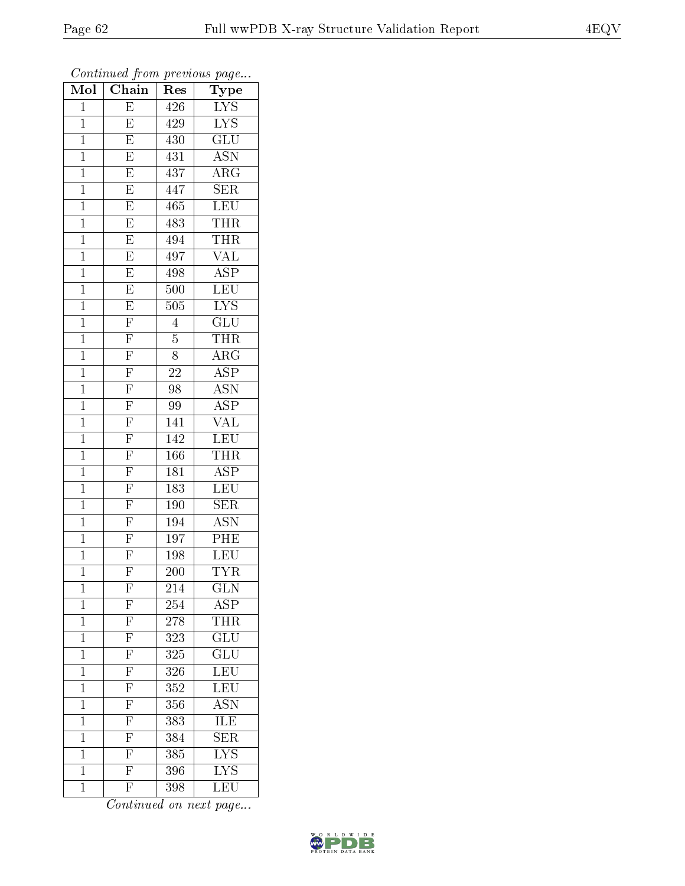| Mol            | $\sim$ $\sim$<br>$\overline{\text{Chain}}$        | r -<br>Res       | x.<br>™<br>Type           |
|----------------|---------------------------------------------------|------------------|---------------------------|
| $\mathbf 1$    | $\overline{\mathrm{E}}$                           | 426              | <b>LYS</b>                |
| $\mathbf{1}$   | E                                                 | 429              | $\overline{\text{LYS}}$   |
| $\mathbf{1}$   | $\overline{\mathrm{E}}$                           | 430              | $\overline{\text{GLU}}$   |
| $\mathbf 1$    | E                                                 | 431              | <b>ASN</b>                |
| $\overline{1}$ | $\overline{\mathrm{E}}$                           | 437              | $\overline{\rm{ARG}}$     |
| $\mathbf 1$    | $\overline{\mathrm{E}}$                           | 447              | SER                       |
| $\mathbf{1}$   | $\overline{\mathrm{E}}$                           | 465              | LEU                       |
| $\mathbf 1$    | $\overline{E}$                                    | 483              | <b>THR</b>                |
| $\mathbf{1}$   | $\overline{E}$                                    | 494              | THR                       |
| $\mathbf{1}$   | $\overline{\mathrm{E}}$                           | 497              | $\overline{\text{VAL}}$   |
| $\mathbf{1}$   | $\overline{\mathrm{E}}$                           | 498              | <b>ASP</b>                |
| $\mathbf{1}$   | $\overline{\mathrm{E}}$                           | 500              | LEU                       |
| $\mathbf{1}$   | $\overline{E}$                                    | 505              | <b>LYS</b>                |
| $\mathbf 1$    | $\overline{\mathrm{F}}$                           | $\overline{4}$   | $\widetilde{{\rm GLU}}$   |
| $\mathbf{1}$   |                                                   | $\overline{5}$   | THR                       |
| $\mathbf{1}$   | $\frac{\overline{F}}{\overline{F}}$               | 8                | $\rm{ARG}$                |
| $\mathbf{1}$   | $\overline{F}$                                    | $\overline{22}$  | <b>ASP</b>                |
| $\mathbf{1}$   | $\overline{F}$                                    | 98               | <b>ASN</b>                |
| $\mathbf{1}$   |                                                   | 99               | $\overline{\text{ASP}}$   |
| $\mathbf{1}$   | $\frac{\overline{\text{F}}}{\overline{\text{F}}}$ | 141              | <b>VAL</b>                |
| $\mathbf{1}$   |                                                   | 142              | <b>LEU</b>                |
| $\mathbf{1}$   | $\overline{\mathrm{F}}$                           | 166              | THR                       |
| $\mathbf 1$    | $\mathbf{F}$                                      | 181              | <b>ASP</b>                |
| $\overline{1}$ | $\overline{F}$                                    | 183              | $\overline{\text{LEU}}$   |
| $\overline{1}$ | $\overline{F}$                                    | 190              | $\overline{\text{SER}}$   |
| $\mathbf{1}$   | $\overline{F}$                                    | 194              | <b>ASN</b>                |
| $\mathbf 1$    | $\overline{F}$                                    | 197              | PHE                       |
| $\mathbf{1}$   | $\overline{\mathrm{F}}$                           | 198              | $\overline{\text{LEU}}$   |
| $\overline{1}$ | $\overline{\mathrm{F}}$                           | 200              | <b>TYR</b>                |
| 1              | $\mathbf{F}$                                      | 214              | $_{\rm GLN}$              |
| $\mathbf 1$    |                                                   | 254              | ASP                       |
| $\overline{1}$ | $\frac{\overline{F}}{\overline{F}}$               | 278              | <b>THR</b>                |
| $\mathbf{1}$   |                                                   | 323              | $\overline{\text{GLU}}$   |
| $\overline{1}$ | $\overline{\mathrm{F}}$                           | 325              | $\overline{\text{GLU}}$   |
| $\mathbf 1$    |                                                   | 326              | LEU                       |
| $\mathbf 1$    | $\frac{\overline{F}}{\overline{F}}$               | $\overline{352}$ | $\overline{\text{LEU}}$   |
| $\mathbf 1$    | $\overline{F}$                                    | 356              | $\overline{\mathrm{ASN}}$ |
| $\mathbf 1$    | $\overline{F}$                                    | 383              | $\overline{\text{ILE}}$   |
| $\mathbf 1$    | $\frac{\overline{\text{F}}}{\overline{\text{F}}}$ | 384              | $\overline{\text{SER}}$   |
| $\mathbf 1$    |                                                   | 385              | $\overline{\text{LYS}}$   |
| $\mathbf 1$    |                                                   | 396              | $\overline{\mathrm{LYS}}$ |
| $\mathbf{1}$   | $\overline{\mathrm{F}}$                           | 398              | LEU                       |

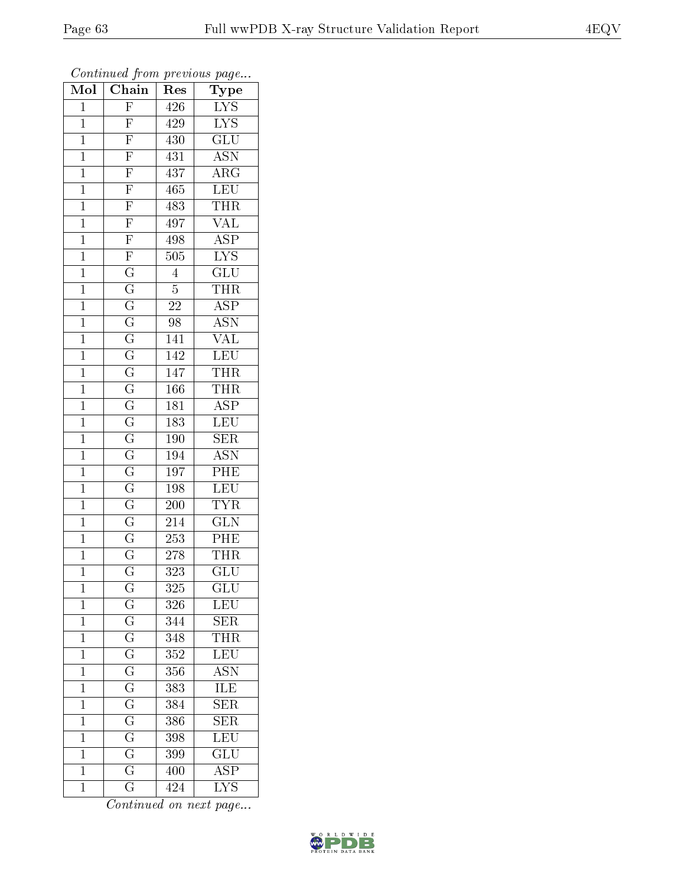| $\overline{\text{Mol}}$ | $\mathcal{L}$ , $\mathcal{L}$<br>$\overline{\text{Chain}}$              | x.<br>Res        | $\mathbf{r}$ $\mathbf{v}$<br>Type |
|-------------------------|-------------------------------------------------------------------------|------------------|-----------------------------------|
| $\mathbf 1$             | $\overline{F}$                                                          | 426              | $\overline{\text{LYS}}$           |
| $\mathbf{1}$            | $\overline{F}$                                                          | 429              | $\overline{\text{LYS}}$           |
| $\overline{1}$          | $\frac{\overline{F}}{\overline{F}}$                                     | 430              | $\overline{\text{GLU}}$           |
| $\mathbf{1}$            |                                                                         | 431              | $\overline{\mathrm{ASN}}$         |
| $\overline{1}$          | $\overline{\mathrm{F}}$                                                 | 437              | $\overline{\rm{ARG}}$             |
| $\mathbf 1$             | $\overline{\mathrm{F}}$                                                 | 465              | $\overline{\text{LEU}}$           |
| $\overline{1}$          | $\overline{F}$                                                          | 483              | THR                               |
| $\mathbf{1}$            |                                                                         | 497              | $\overline{\text{VAL}}$           |
| $\overline{1}$          | $\frac{\overline{F}}{\overline{F}}$ $\frac{\overline{F}}{\overline{G}}$ | 498              | $\overline{\text{ASP}}$           |
| $\mathbf{1}$            |                                                                         | 505              | $\overline{\text{LYS}}$           |
| $\mathbf{1}$            |                                                                         | $\overline{4}$   | $\overline{\text{GLU}}$           |
| $\mathbf{1}$            | $\overline{\mathrm{G}}$                                                 | $\overline{5}$   | <b>THR</b>                        |
| $\overline{1}$          | $\overline{\mathrm{G}}$                                                 | <b>22</b>        | $\overline{\text{ASP}}$           |
| $\mathbf{1}$            | $\overline{\mathrm{G}}$                                                 | 98               | $\overline{\mathrm{ASN}}$         |
| $\overline{1}$          |                                                                         | 141              | $\overline{\text{VAL}}$           |
| $\mathbf{1}$            | $\frac{\overline{G}}{\overline{G}}$                                     | 142              | <b>LEU</b>                        |
| $\mathbf{1}$            |                                                                         | 147              | <b>THR</b>                        |
| $\mathbf{1}$            | $\overline{\mathrm{G}}$                                                 | 166              | <b>THR</b>                        |
| $\mathbf{1}$            | $\overline{\mathrm{G}}$                                                 | 181              | $\overline{\text{ASP}}$           |
| $\overline{1}$          | $\frac{\overline{G}}{\overline{G}}$                                     | 183              | $\overline{\text{LEU}}$           |
| $\mathbf{1}$            |                                                                         | 190              | SER                               |
| $\overline{1}$          |                                                                         | 194              | <b>ASN</b>                        |
| $\mathbf{1}$            | $\overline{\mathrm{G}}$                                                 | 197              | PHE                               |
| $\overline{1}$          | $\overline{\mathrm{G}}$                                                 | 198              | $\overline{\text{LEU}}$           |
| $\overline{1}$          | $\overline{\rm G}$                                                      | 200              | <b>TYR</b>                        |
| $\mathbf{1}$            | $\overline{\rm G}$                                                      | 214              | $\overline{\text{GLN}}$           |
| $\mathbf{1}$            | $\overline{\mathrm{G}}$                                                 | 253              | PHE                               |
| $\overline{1}$          | $\overline{\text{G}}$                                                   | <b>278</b>       | THR                               |
| $\overline{1}$          | $\overline{\rm G}$                                                      | 323              | $\overline{{\rm GLU}}$            |
| 1                       | $\mathbf G$                                                             | 325              | GLU                               |
| $\mathbf{1}$            | $\overline{G}$                                                          | 326              | $\overline{\text{LEU}}$           |
| $\overline{1}$          | $\overline{G}$                                                          | 344              | $\overline{\text{SER}}$           |
| $\mathbf{1}$            | $\overline{\mathrm{G}}$                                                 | 348              | <b>THR</b>                        |
| $\overline{1}$          | $\overline{\mathrm{G}}$                                                 | $\overline{352}$ | $\overline{\text{LEU}}$           |
| $\mathbf{1}$            | $\overline{G}$                                                          | 356              | <b>ASN</b>                        |
| $\mathbf 1$             | $\overline{\mathrm{G}}$                                                 | 383              | $\overline{\text{ILE}}$           |
| $\mathbf 1$             | $\overline{\mathrm{G}}$                                                 | 384              | $\overline{\text{SER}}$           |
| $\mathbf{1}$            | $\overline{\rm G}$                                                      | 386              | SER                               |
| $\mathbf{1}$            | $\overline{G}$                                                          | 398              | LEU                               |
| $\mathbf{1}$            | $\overline{\mathrm{G}}$                                                 | 399              | $\overline{\text{GLU}}$           |
| $\mathbf 1$             | $\overline{\mathrm{G}}$                                                 | 400              | $\overline{\text{ASP}}$           |
| $\mathbf{1}$            | $\overline{\mathrm{G}}$                                                 | 424              | $\overline{\text{LYS}}$           |

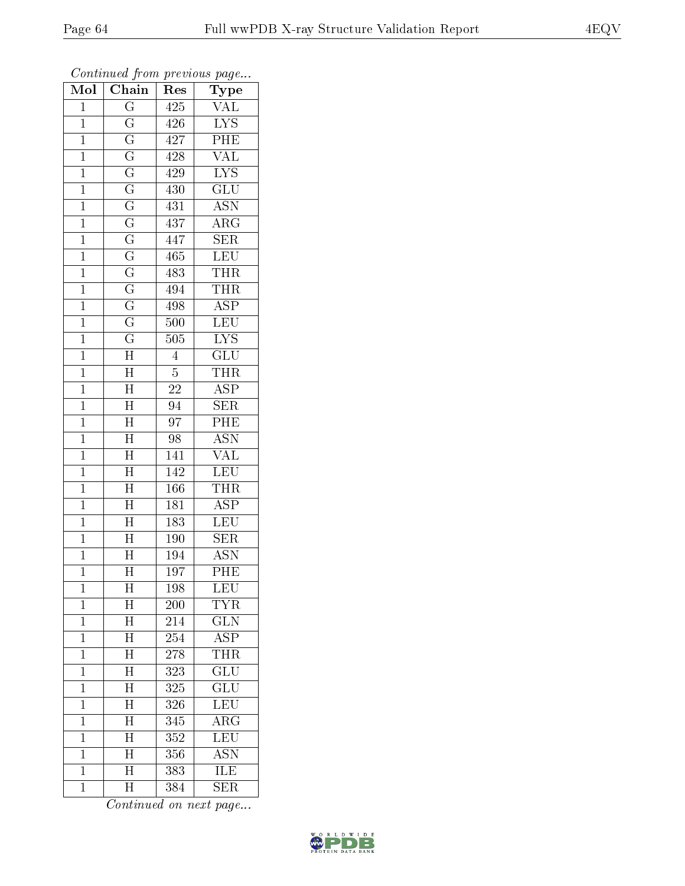| Mol            | Chain                     | Res              | Type                      |
|----------------|---------------------------|------------------|---------------------------|
| $\mathbf{1}$   | $\overline{\mathrm{G}}$   | 425              | VAL                       |
| $\mathbf 1$    | $\overline{\mathrm{G}}$   | 426              | $\overline{\text{LYS}}$   |
| $\mathbf{1}$   | $\overline{\mathrm{G}}$   | 427              | $\overline{\text{PHE}}$   |
| $\mathbf{1}$   | $\overline{G}$            | 428              | $\overline{\text{VAL}}$   |
| $\mathbf{1}$   | $\overline{\mathrm{G}}$   | 429              | $\overline{\text{LYS}}$   |
| $\mathbf{1}$   | $\overline{\mathrm{G}}$   | 430              | GLU                       |
| $\mathbf{1}$   | $\overline{\mathrm{G}}$   | 431              | <b>ASN</b>                |
| $\mathbf{1}$   | $\overline{\mathrm{G}}$   | 437              | $\rm{ARG}$                |
| $\mathbf{1}$   | $\overline{\mathrm{G}}$   | 447              | <b>SER</b>                |
| $\mathbf 1$    | $\overline{\mathrm{G}}$   | 465              | <b>LEU</b>                |
| $\mathbf{1}$   | $\overline{\mathrm{G}}$   | 483              | <b>THR</b>                |
| $\overline{1}$ | $\overline{\mathrm{G}}$   | 494              | THR                       |
| $\mathbf{1}$   | $\overline{G}$            | 498              | $\overline{\text{ASP}}$   |
| $\mathbf{1}$   | $\overline{\mathrm{G}}$   | 500              | LEU                       |
| $\mathbf 1$    | $\overline{\mathrm{G}}$   | 505              | $\overline{\text{LYS}}$   |
| $\mathbf 1$    | $\overline{\rm H}$        | $\overline{4}$   | GLU                       |
| $\overline{1}$ | $\overline{\rm H}$        | $\overline{5}$   | <b>THR</b>                |
| $\mathbf{1}$   | $\overline{\rm H}$        | 22               | ASP                       |
| $\mathbf 1$    | $\overline{\rm H}$        | 94               | $\overline{\text{SER}}$   |
| $\mathbf{1}$   | $\overline{H}$            | 97               | PHE                       |
| $\overline{1}$ | $\overline{H}$            | 98               | $\overline{\mathrm{ASN}}$ |
| $\overline{1}$ | $\overline{\rm H}$        | 141              | $\overline{\text{VAL}}$   |
| $\mathbf{1}$   | $\overline{\rm H}$        | 142              | <b>LEU</b>                |
| $\mathbf{1}$   | $\overline{\rm H}$        | 166              | $T\bar{H}\bar{R}$         |
| $\mathbf{1}$   | $\overline{H}$            | 181              | <b>ASP</b>                |
| $\mathbf{1}$   | $\overline{\rm H}$        | 183              | LEU                       |
| $\mathbf{1}$   | $\overline{H}$            | 190              | SER                       |
| $\mathbf{1}$   | $\overline{\rm H}$        | $\overline{194}$ | <b>ASN</b>                |
| $\mathbf 1$    | $\overline{\rm H}$        | $\overline{19}7$ | $\overline{\mathrm{PHE}}$ |
| $\mathbf 1$    | $\boldsymbol{\mathrm{H}}$ | 198              | LEU                       |
| $\mathbf 1$    | $\rm \bar{H}$             | 200              | TYR                       |
| $\mathbf 1$    | $\overline{H}$            | 214              | $\overline{\text{GLN}}$   |
| $\mathbf{1}$   | $\overline{\rm H}$        | 254              | $\overline{A}$ SP         |
| $\mathbf{1}$   | $\overline{\text{H}}$     | 278              | <b>THR</b>                |
| $\mathbf{1}$   | $\overline{\mathrm{H}}$   | 323              | $\mathrm{GLU}$            |
| $\mathbf 1$    | $\overline{\rm H}$        | 325              | $\overline{\text{GLU}}$   |
| $\mathbf{1}$   | $\overline{\mathrm{H}}$   | 326              | <b>LEU</b>                |
| $\mathbf 1$    | $\overline{\rm H}$        | 345              | $\rm{ARG}$                |
| $\mathbf{1}$   | $\overline{\mathrm{H}}$   | 352              | LEU                       |
| $\mathbf{1}$   | $\overline{\text{H}}$     | 356              | <b>ASN</b>                |
| $\mathbf{1}$   | $\overline{\rm H}$        | 383              | ILE                       |
| $\mathbf 1$    | $\overline{\text{H}}$     | 384              | <b>SER</b>                |

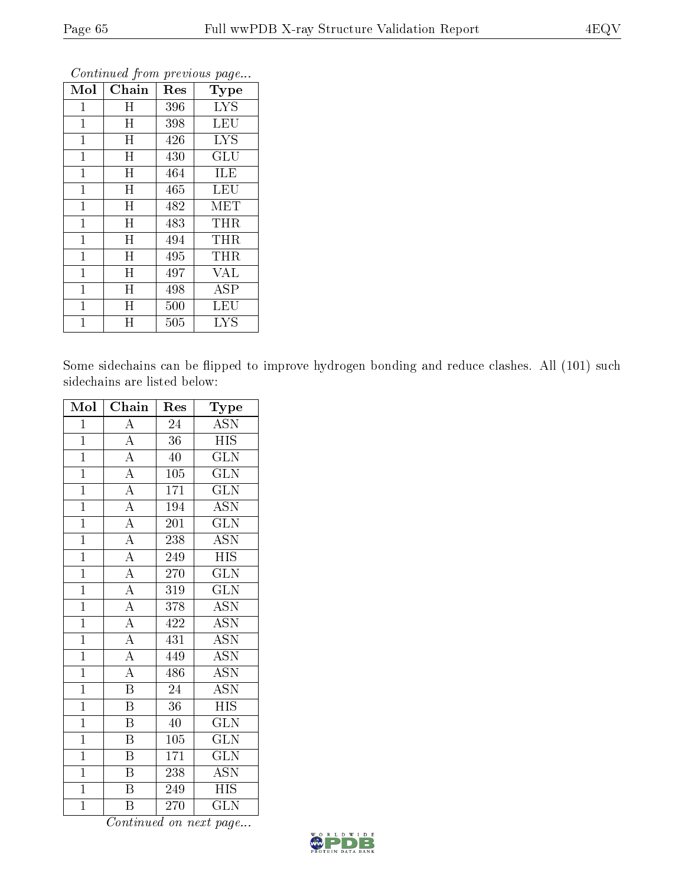| Mol            | Chain     | Res | Type       |
|----------------|-----------|-----|------------|
| 1              | Η         | 396 | <b>LYS</b> |
| 1              | Η         | 398 | LEU        |
| $\mathbf{1}$   | $H_{\rm}$ | 426 | <b>LYS</b> |
| $\mathbf 1$    | $H_{\rm}$ | 430 | GLU        |
| $\mathbf{1}$   | $H_{\rm}$ | 464 | ILE        |
| $\overline{1}$ | H         | 465 | LEU        |
| $\mathbf{1}$   | H         | 482 | MET        |
| $\mathbf 1$    | H         | 483 | THR        |
| $\mathbf 1$    | $H_{\rm}$ | 494 | THR        |
| 1              | Η         | 495 | THR        |
| $\mathbf 1$    | $H_{\rm}$ | 497 | <b>VAL</b> |
| 1              | $H_{\rm}$ | 498 | ĀSP        |
| $\mathbf{1}$   | $H_{\rm}$ | 500 | LEU        |
| 1              | H         | 505 | LYS        |

Some sidechains can be flipped to improve hydrogen bonding and reduce clashes. All (101) such sidechains are listed below:

| Mol            | Chain                   | Res | Type                      |
|----------------|-------------------------|-----|---------------------------|
| $\mathbf{1}$   | $\boldsymbol{A}$        | 24  | <b>ASN</b>                |
| $\mathbf{1}$   | $\overline{\rm A}$      | 36  | <b>HIS</b>                |
| $\overline{1}$ | $\overline{A}$          | 40  | $\overline{\text{GLN}}$   |
| $\mathbf{1}$   | $\overline{A}$          | 105 | <b>GLN</b>                |
| $\overline{1}$ | $\overline{A}$          | 171 | $\overline{\text{GLN}}$   |
| $\mathbf{1}$   | $\overline{A}$          | 194 | <b>ASN</b>                |
| $\overline{1}$ | $\overline{A}$          | 201 | $\overline{\text{GLN}}$   |
| $\mathbf{1}$   | $\overline{A}$          | 238 | <b>ASN</b>                |
| $\mathbf{1}$   | $\overline{\rm A}$      | 249 | <b>HIS</b>                |
| $\overline{1}$ | $\overline{A}$          | 270 | $\widetilde{{\rm GLN}}$   |
| $\overline{1}$ | $\overline{A}$          | 319 | <b>GLN</b>                |
| $\overline{1}$ | $\overline{A}$          | 378 | $\overline{\text{ASN}}$   |
| $\overline{1}$ | $\overline{A}$          | 422 | <b>ASN</b>                |
| $\overline{1}$ | $\overline{A}$          | 431 | $\overline{ASN}$          |
| $\overline{1}$ | $\overline{A}$          | 449 | <b>ASN</b>                |
| $\overline{1}$ | $\overline{A}$          | 486 | $\overline{\text{ASN}}$   |
| $\overline{1}$ | $\overline{\mathrm{B}}$ | 24  | $\overline{\mathrm{ASN}}$ |
| $\overline{1}$ | $\, {\bf B}$            | 36  | <b>HIS</b>                |
| $\overline{1}$ | $\overline{\mathrm{B}}$ | 40  | <b>GLN</b>                |
| $\overline{1}$ | Β                       | 105 | GLN                       |
| $\overline{1}$ | B                       | 171 | <b>GLN</b>                |
| $\overline{1}$ | $\overline{B}$          | 238 | $\overline{\mathrm{ASN}}$ |
| $\overline{1}$ | B                       | 249 | <b>HIS</b>                |
| $\overline{1}$ | $\overline{\mathrm{B}}$ | 270 | <b>GLN</b>                |

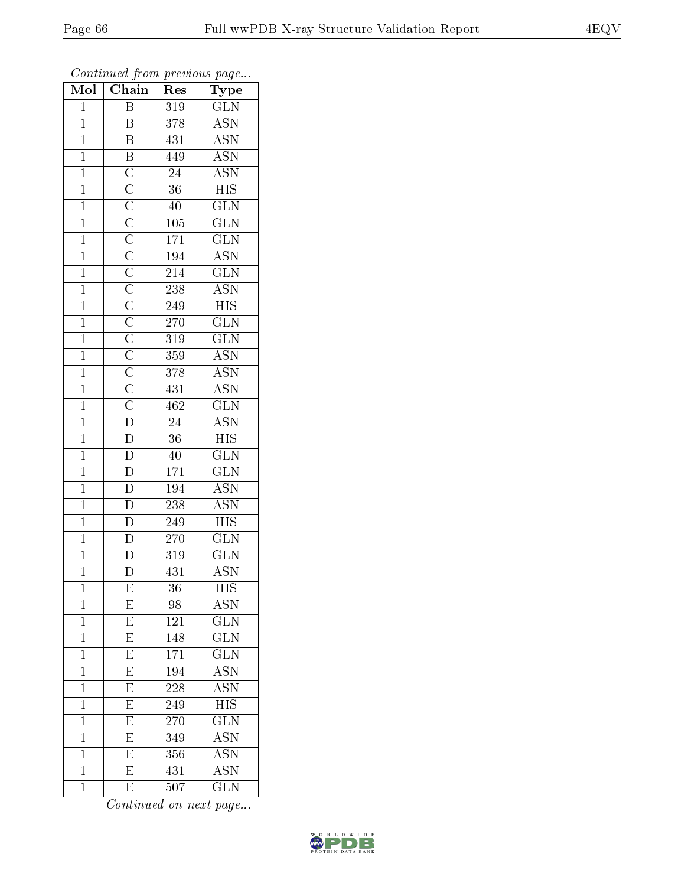| Mol            | Chain                                                                                  | Res              | ${\rm \bar{Type}}$        |
|----------------|----------------------------------------------------------------------------------------|------------------|---------------------------|
| $\mathbf{1}$   | $\overline{B}$                                                                         | 319              | <b>GLN</b>                |
| $\overline{1}$ | $\, {\bf B}$                                                                           | 378              | $\overline{\mathrm{ASN}}$ |
| $\mathbf{1}$   | $\overline{\mathbf{B}}$                                                                | 431              | $\overline{\text{ASN}}$   |
| $\mathbf{1}$   |                                                                                        | 449              | $\overline{\mathrm{ASN}}$ |
| $\overline{1}$ |                                                                                        | 24               | $\overline{\text{ASN}}$   |
| $\mathbf{1}$   |                                                                                        | 36               | <b>HIS</b>                |
| $\overline{1}$ |                                                                                        | 40               | $\overline{\text{GLN}}$   |
| $\mathbf{1}$   |                                                                                        | 105              | $\overline{\text{GLN}}$   |
| $\mathbf{1}$   |                                                                                        | 171              | $\overline{\text{GLN}}$   |
| $\mathbf{1}$   |                                                                                        | 194              | $\overline{\mathrm{ASN}}$ |
| $\mathbf{1}$   |                                                                                        | 214              | $\overline{\text{GLN}}$   |
| $\overline{1}$ |                                                                                        | 238              | $\overline{\mathrm{ASN}}$ |
| $\overline{1}$ |                                                                                        | 249              | $\overline{HIS}$          |
| $\mathbf{1}$   |                                                                                        | 270              | $\overline{\text{GLN}}$   |
| $\overline{1}$ |                                                                                        | $\overline{319}$ | $\overline{\text{GLN}}$   |
| $\mathbf{1}$   |                                                                                        | 359              | $\overline{\text{ASN}}$   |
| $\overline{1}$ |                                                                                        | 378              | $\overline{\text{ASN}}$   |
| $\mathbf{1}$   |                                                                                        | 431              | <b>ASN</b>                |
| $\mathbf{1}$   |                                                                                        | 462              | $\overline{\text{GLN}}$   |
| $\mathbf{1}$   |                                                                                        | $24\,$           | $\overline{\text{ASN}}$   |
| $\overline{1}$ |                                                                                        | $\overline{36}$  | $\overline{HIS}$          |
| $\overline{1}$ |                                                                                        | 40               | $\overline{\text{GLN}}$   |
| $\mathbf{1}$   |                                                                                        | 171              | $\overline{\text{GLN}}$   |
| $\overline{1}$ | $\overline{D}$<br>$\overline{D}$<br>$\overline{D}$<br>$\overline{D}$<br>$\overline{D}$ | 194              | $\overline{\text{ASN}}$   |
| $\mathbf{1}$   |                                                                                        | 238              | $\overline{\mathrm{ASN}}$ |
| $\mathbf{1}$   |                                                                                        | 249              | <b>HIS</b>                |
| $\mathbf{1}$   |                                                                                        | 270              | $\overline{\text{GLN}}$   |
| $\mathbf{1}$   | $\overline{D}$                                                                         | 319              | <b>GLN</b>                |
| $\mathbf 1$    | $\overline{\text{D}}$                                                                  | 431              | $\overline{\mathrm{ASN}}$ |
| 1              | E                                                                                      | 36               | <b>HIS</b>                |
| $\mathbf 1$    | E                                                                                      | 98               | $\overline{\text{ASN}}$   |
| $\mathbf 1$    | $\overline{\mathrm{E}}$                                                                | 121              | $\overline{\text{GLN}}$   |
| $\mathbf{1}$   | $\overline{E}$                                                                         | 148              | $\overline{{\rm GLN}}$    |
| $\mathbf{1}$   | $\overline{\mathrm{E}}$                                                                | 171              | $\overline{\text{GLN}}$   |
| $\mathbf{1}$   | E                                                                                      | 194              | $A\overline{\text{SN}}$   |
| $\mathbf 1$    | $\overline{E}$                                                                         | 228              | $\overline{\mathrm{ASN}}$ |
| $\mathbf{1}$   | $\overline{E}$                                                                         | 249              | <b>HIS</b>                |
| $\mathbf 1$    | $\overline{E}$                                                                         | 270              | $\overline{\text{GLN}}$   |
| $\mathbf{1}$   | $\overline{E}$                                                                         | 349              | $\bar{\rm ASN}$           |
| $\mathbf 1$    | $\overline{\mathrm{E}}$                                                                | 356              | ASN                       |
| $\bar{1}$      | $\overline{\mathrm{E}}$                                                                | 431              | $\overline{\mathrm{ASN}}$ |
| $\mathbf 1$    | E                                                                                      | 507              | <b>GLN</b>                |

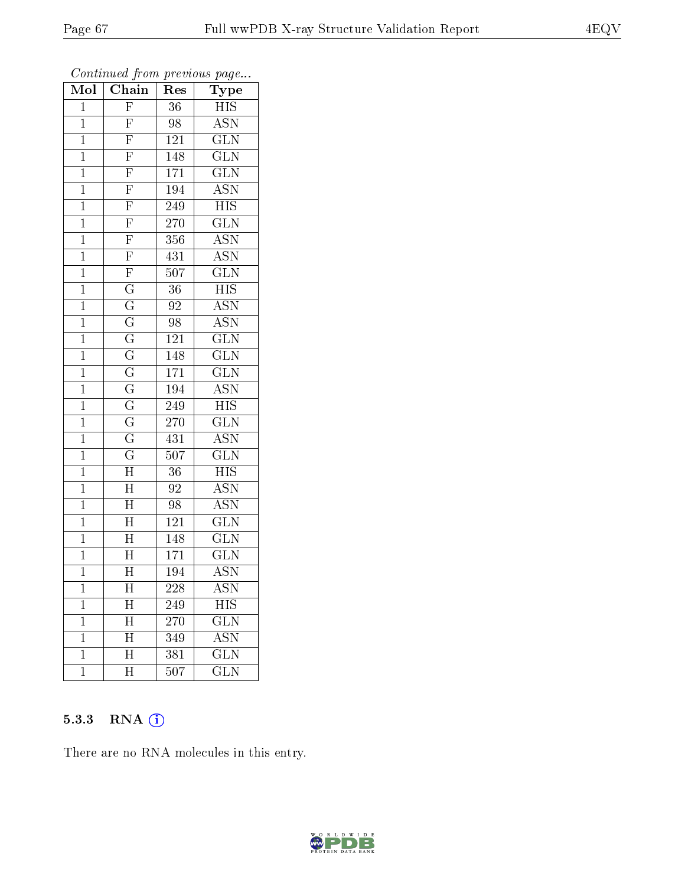| Mol            | Chain                               | $\operatorname{Res}% \left( \mathcal{N}\right) \equiv\operatorname{Res}(\mathcal{N}_{0})\cap\mathcal{N}_{1}$ | Type                      |
|----------------|-------------------------------------|--------------------------------------------------------------------------------------------------------------|---------------------------|
| $\mathbf{1}$   | $\overline{F}$                      | 36                                                                                                           | <b>HIS</b>                |
| $\mathbf{1}$   | $\overline{F}$                      | 98                                                                                                           | <b>ASN</b>                |
| $\mathbf{1}$   | $\overline{F}$                      | 121                                                                                                          | $\overline{\text{GLN}}$   |
| $\mathbf{1}$   | $\overline{\mathrm{F}}$             | 148                                                                                                          | $\overline{\text{GLN}}$   |
| $\overline{1}$ | $\overline{F}$                      | 171                                                                                                          | $\overline{\text{GLN}}$   |
| $\mathbf{1}$   | $\overline{F}$                      | 194                                                                                                          | <b>ASN</b>                |
| $\mathbf 1$    | $\overline{F}$                      | 249                                                                                                          | $H\overline{IS}$          |
| $\mathbf{1}$   | $\frac{\overline{F}}{\overline{F}}$ | 270                                                                                                          | $\overline{\text{GLN}}$   |
| $\mathbf{1}$   |                                     | 356                                                                                                          | $\overline{\mathrm{ASN}}$ |
| $\overline{1}$ |                                     | 431                                                                                                          | $\overline{\mathrm{ASN}}$ |
| $\mathbf{1}$   | $\frac{\overline{F}}{G}$            | 507                                                                                                          | $\overline{\text{GLN}}$   |
| $\mathbf{1}$   |                                     | 36                                                                                                           | $\overline{\mathrm{HIS}}$ |
| $\mathbf{1}$   | $\overline{\mathrm{G}}$             | 92                                                                                                           | $\overline{\text{ASN}}$   |
| $\mathbf 1$    | $\overline{\text{G}}$               | 98                                                                                                           | <b>ASN</b>                |
| $\overline{1}$ | $\overline{\mathrm{G}}$             | 121                                                                                                          | $\overline{\text{GLN}}$   |
| $\mathbf 1$    | $\overline{\rm G}$                  | 148                                                                                                          | $\widetilde{{\rm GLN}}$   |
| $\mathbf 1$    | $\overline{\mathrm{G}}$             | 171                                                                                                          | $\overline{\text{GLN}}$   |
| $\mathbf{1}$   | $\overline{G}$                      | 194                                                                                                          | $A\overline{SN}$          |
| $\overline{1}$ | $\overline{\mathrm{G}}$             | 249                                                                                                          | <b>HIS</b>                |
| $\mathbf{1}$   | $\overline{\mathrm{G}}$             | 270                                                                                                          | $\overline{\text{GLN}}$   |
| $\mathbf{1}$   | $\overline{\mathrm{G}}$             | 431                                                                                                          | <b>ASN</b>                |
| $\overline{1}$ | $\overline{\mathrm{G}}$             | $\overline{507}$                                                                                             | $\overline{\text{GLN}}$   |
| $\mathbf{1}$   | $\overline{\rm H}$                  | 36                                                                                                           | <b>HIS</b>                |
| $\overline{1}$ | $\overline{\rm H}$                  | $\overline{92}$                                                                                              | $\overline{\mathrm{ASN}}$ |
| $\mathbf{1}$   | $\overline{\mathrm{H}}$             | 98                                                                                                           | $\overline{\mathrm{ASN}}$ |
| $\mathbf 1$    | $\overline{\rm H}$                  | $\overline{121}$                                                                                             | $\overline{\text{GLN}}$   |
| $\mathbf{1}$   | $\overline{\rm H}$                  | 148                                                                                                          | $\overline{\text{GLN}}$   |
| $\mathbf{1}$   | $\overline{\rm H}$                  | 171                                                                                                          | $\overline{\text{GLN}}$   |
| $\overline{1}$ | $\overline{\rm H}$                  | 194                                                                                                          | $\overline{\mathrm{ASN}}$ |
| 1              | $\overline{\rm H}$                  | 228                                                                                                          | ASN                       |
| 1              | H                                   | 249                                                                                                          | <b>HIS</b>                |
| $\mathbf 1$    | $\overline{\mathrm{H}}$             | 270                                                                                                          | $\overline{\text{GLN}}$   |
| $\mathbf{1}$   | $\overline{\mathrm{H}}$             | 349                                                                                                          | $\rm \overline{ASN}$      |
| $\mathbf 1$    | $\overline{\rm H}$                  | 381                                                                                                          | $\overline{\text{GLN}}$   |
| $\mathbf 1$    | $\overline{\mathrm{H}}$             | 507                                                                                                          | <b>GLN</b>                |

#### 5.3.3 RNA (1)

There are no RNA molecules in this entry.

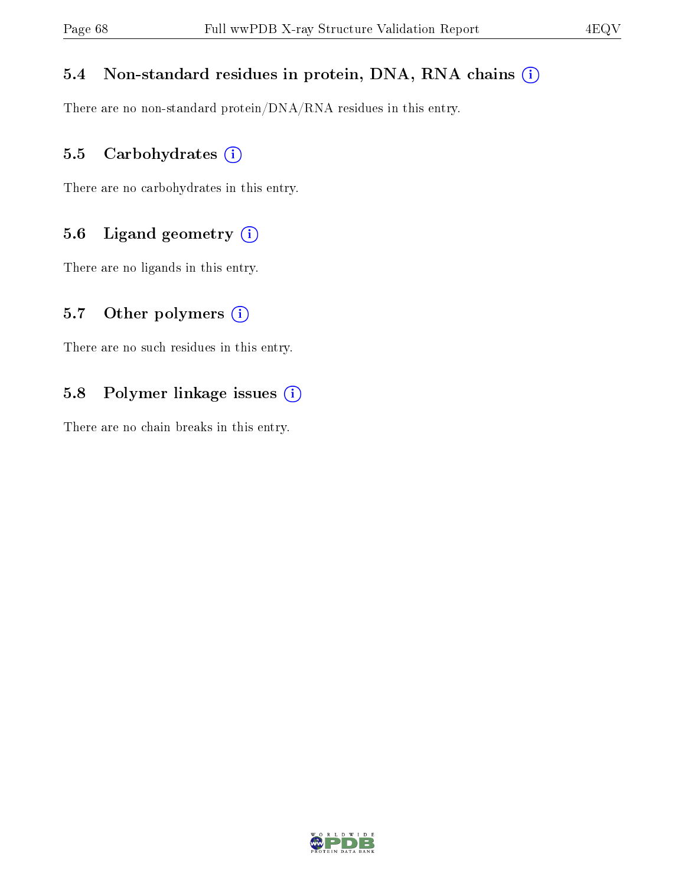## 5.4 Non-standard residues in protein, DNA, RNA chains (i)

There are no non-standard protein/DNA/RNA residues in this entry.

#### 5.5 Carbohydrates (i)

There are no carbohydrates in this entry.

## 5.6 Ligand geometry (i)

There are no ligands in this entry.

#### 5.7 [O](https://www.wwpdb.org/validation/2017/XrayValidationReportHelp#nonstandard_residues_and_ligands)ther polymers  $(i)$

There are no such residues in this entry.

## 5.8 Polymer linkage issues (i)

There are no chain breaks in this entry.

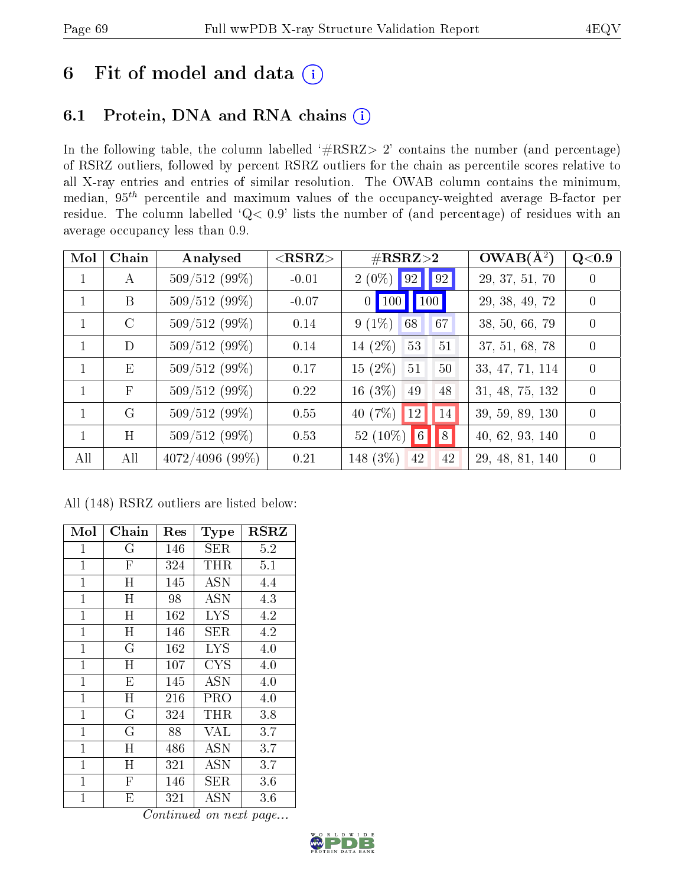# 6 Fit of model and data  $(i)$

## 6.1 Protein, DNA and RNA chains  $(i)$

In the following table, the column labelled  $#RSRZ> 2'$  contains the number (and percentage) of RSRZ outliers, followed by percent RSRZ outliers for the chain as percentile scores relative to all X-ray entries and entries of similar resolution. The OWAB column contains the minimum, median,  $95<sup>th</sup>$  percentile and maximum values of the occupancy-weighted average B-factor per residue. The column labelled ' $Q< 0.9$ ' lists the number of (and percentage) of residues with an average occupancy less than 0.9.

| Mol          | Chain         | Analysed          | $<$ RSRZ $>$ | $\#\text{RSRZ}{>}2$                                          | $OWAB(A^2)$     | Q <sub>0.9</sub> |
|--------------|---------------|-------------------|--------------|--------------------------------------------------------------|-----------------|------------------|
| $\mathbf 1$  | A             | $509/512(99\%)$   | $-0.01$      | $2(0\%)$ 92 92                                               | 29, 37, 51, 70  | $\left( \right)$ |
| $\mathbf{1}$ | B             | 509/512 (99%)     | $-0.07$      | $\vert$ 100 $\vert$<br>$\vert$ 100 $\vert$<br>0 <sup>1</sup> | 29, 38, 49, 72  | $\left( \right)$ |
| $\mathbf{1}$ | $\mathcal{C}$ | $509/512(99\%)$   | 0.14         | $9(1\%)$<br>67<br>68                                         | 38, 50, 66, 79  | $\Omega$         |
| $\mathbf{1}$ | D             | $509/512(99\%)$   | 0.14         | 14 $(2\%)$<br>53<br>51                                       | 37, 51, 68, 78  | $\overline{0}$   |
| 1            | Ε             | $509/512(99\%)$   | 0.17         | $15(2\%)$<br>51<br>50                                        | 33, 47, 71, 114 | $\Omega$         |
| $\mathbf{1}$ | $\mathbf{F}$  | $509/512(99\%)$   | 0.22         | 16(3%)<br>49<br>48                                           | 31, 48, 75, 132 | $\overline{0}$   |
| $\mathbf{1}$ | G             | $509/512(99\%)$   | 0.55         | 40(7%)<br>$ 12\rangle$<br> 14                                | 39, 59, 89, 130 | $\Omega$         |
| 1            | H             | $509/512(99\%)$   | 0.53         | $52(10\%)$ 6<br>   8                                         | 40, 62, 93, 140 | $\Omega$         |
| All          | All           | $4072/4096(99\%)$ | 0.21         | 148 (3%)<br>42<br>42                                         | 29, 48, 81, 140 | $\theta$         |

All (148) RSRZ outliers are listed below:

| Mol          | Chain                   | Res      | Type       | <b>RSRZ</b> |
|--------------|-------------------------|----------|------------|-------------|
| $\mathbf 1$  | G                       | 146      | <b>SER</b> | 5.2         |
| $\mathbf{1}$ | $\overline{F}$          | 324      | THR        | 5.1         |
| $\mathbf{1}$ | Η                       | 145      | ASN        | 4.4         |
| $\mathbf{1}$ | H                       | 98       | ASN        | 4.3         |
| $\mathbf 1$  | H                       | 162      | <b>LYS</b> | 4.2         |
| $\mathbf{1}$ | H                       | 146      | <b>SER</b> | 4.2         |
| $\mathbf{1}$ | $\overline{\mathrm{G}}$ | 162      | <b>LYS</b> | 4.0         |
| $\mathbf{1}$ | $\mathbf H$             | 107      | <b>CYS</b> | 4.0         |
| $\mathbf{1}$ | E                       | 145      | ASN        | 4.0         |
| $\mathbf{1}$ | $\mathbf H$             | $^{216}$ | PRO        | 4.0         |
| $\mathbf{1}$ | $\overline{G}$          | 324      | THR        | 3.8         |
| $\mathbf 1$  | G                       | 88       | <b>VAL</b> | 3.7         |
| $\mathbf{1}$ | H                       | 486      | <b>ASN</b> | 3.7         |
| $\mathbf{1}$ | $\mathbf H$             | 321      | <b>ASN</b> | 3.7         |
| $\mathbf{1}$ | $\overline{\mathrm{F}}$ | 146      | SER        | 3.6         |
| $\mathbf 1$  | Е                       | $321\,$  | ASN        | 3.6         |

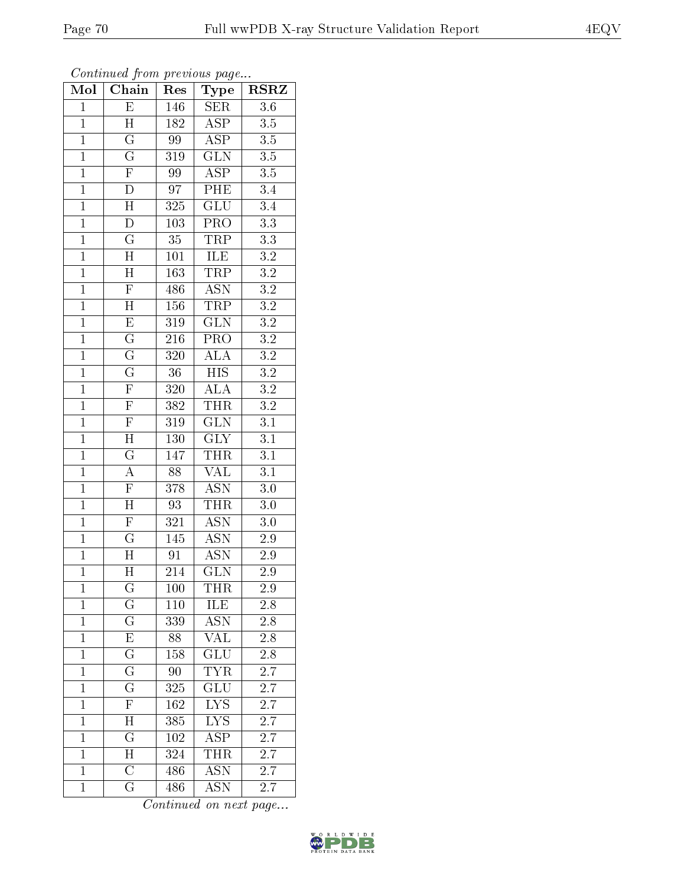| Mol            | Chain                   | Res              | Type                      | <b>RSRZ</b>      |
|----------------|-------------------------|------------------|---------------------------|------------------|
| $\mathbf{1}$   | $\overline{E}$          | 146              | <b>SER</b>                | $\overline{3.6}$ |
| $\mathbf{1}$   | H                       | 182              | <b>ASP</b>                | 3.5              |
| $\overline{1}$ | $\overline{\mathrm{G}}$ | 99               | $\overline{\text{ASP}}$   | $\overline{3.5}$ |
| $\mathbf{1}$   | $\overline{\mathrm{G}}$ | 319              | $\overline{\text{GLN}}$   | $3.5\,$          |
| $\overline{1}$ | $\overline{F}$          | 99               | <b>ASP</b>                | $\overline{3.5}$ |
| $\mathbf{1}$   | $\mathbf D$             | 97               | PHE                       | 3.4              |
| $\overline{1}$ | $\overline{H}$          | 325              | $\overline{\text{GLU}}$   | $3.4\,$          |
| $\mathbf{1}$   | ${\rm D}$               | 103              | $\overline{\text{PRO}}$   | $\overline{3.3}$ |
| $\overline{1}$ | $\overline{\mathrm{G}}$ | $\overline{35}$  | TRP                       | $\overline{3.3}$ |
| $\overline{1}$ | $\overline{\text{H}}$   | 101              | <b>ILE</b>                | $\overline{3.2}$ |
| $\overline{1}$ | $\overline{\rm H}$      | 163              | <b>TRP</b>                | $\overline{3.2}$ |
| $\overline{1}$ | $\overline{\mathrm{F}}$ | 486              | $\overline{\mathrm{ASN}}$ | $\overline{3.2}$ |
| $\overline{1}$ | $\overline{H}$          | 156              | <b>TRP</b>                | $\overline{3.2}$ |
| $\overline{1}$ | $\overline{\mathrm{E}}$ | 319              | <b>GLN</b>                | $\overline{3.2}$ |
| $\overline{1}$ | $\overline{\mathrm{G}}$ | 216              | $\overline{\text{PRO}}$   | $\overline{3.2}$ |
| $\overline{1}$ | $\overline{\mathrm{G}}$ | 320              | $\rm AL\overline{A}$      | $\overline{3.2}$ |
| $\overline{1}$ | $\overline{\mathrm{G}}$ | $\overline{36}$  | $\overline{HIS}$          | $\overline{3.2}$ |
| $\overline{1}$ | $\overline{F}$          | 320              | $\overline{ALA}$          | $\overline{3.2}$ |
| $\overline{1}$ | $\overline{F}$          | 382              | THR                       | $\overline{3.2}$ |
| $\mathbf{1}$   | $\overline{\mathrm{F}}$ | 319              | $\overline{\text{GLN}}$   | $\overline{3.1}$ |
| $\mathbf{1}$   | $\overline{\rm H}$      | 130              | $\overline{\text{GLY}}$   | $\overline{3.1}$ |
| $\overline{1}$ | $\overline{\mathrm{G}}$ | 147              | <b>THR</b>                | $\overline{3.1}$ |
| $\mathbf{1}$   | $\overline{\rm A}$      | 88               | VAL                       | $\overline{3.1}$ |
| $\overline{1}$ | $\overline{\mathrm{F}}$ | $\overline{378}$ | $\overline{\mathrm{ASN}}$ | $\overline{3.0}$ |
| $\mathbf{1}$   | $\overline{H}$          | 93               | THR                       | 3.0              |
| $\mathbf{1}$   | $\overline{\mathrm{F}}$ | 321              | <b>ASN</b>                | 3.0              |
| $\mathbf{1}$   | $\overline{\mathrm{G}}$ | 145              | $\overline{\text{ASN}}$   | $2.\overline{9}$ |
| $\overline{1}$ | $\overline{H}$          | 91               | <b>ASN</b>                | $\overline{2}.9$ |
| $\overline{1}$ | $\overline{\rm H}$      | $\overline{214}$ | $\overline{\text{GLN}}$   | $\overline{2.9}$ |
| $\mathbf{1}$   | $\overline{\mathrm{G}}$ | 100              | THR                       | 2.9              |
| $\mathbf{1}$   | G                       | 110              | ILE                       | $2.8\,$          |
| $\mathbf{1}$   | $\overline{\mathrm{G}}$ | 339              | <b>ASN</b>                | $\overline{2.8}$ |
| $\mathbf{1}$   | E                       | 88               | <b>VAL</b>                | 2.8              |
| $\overline{1}$ | $\overline{\mathrm{G}}$ | 158              | $\overline{{\rm GLU}}$    | 2.8              |
| $\mathbf{1}$   | G                       | 90               | TYR                       | 2.7              |
| $\mathbf{1}$   | $\overline{\mathrm{G}}$ | 325              | GLU                       | 2.7              |
| $\mathbf{1}$   | $\overline{\mathrm{F}}$ | 162              | <b>LYS</b>                | 2.7              |
| $\overline{1}$ | $\mathbf H$             | 385              | $L\overline{YS}$          | 2.7              |
| $\mathbf{1}$   | $\overline{\mathrm{G}}$ | 102              | $A\overline{SP}$          | 2.7              |
| $\mathbf{1}$   | H                       | 324              | <b>THR</b>                | 2.7              |
| $\mathbf{1}$   | $\overline{\mathrm{C}}$ | $48\overline{6}$ | $\overline{\text{ASN}}$   | 2.7              |
| $\mathbf{1}$   | $\rm G$                 | 486              | <b>ASN</b>                | 2.7              |

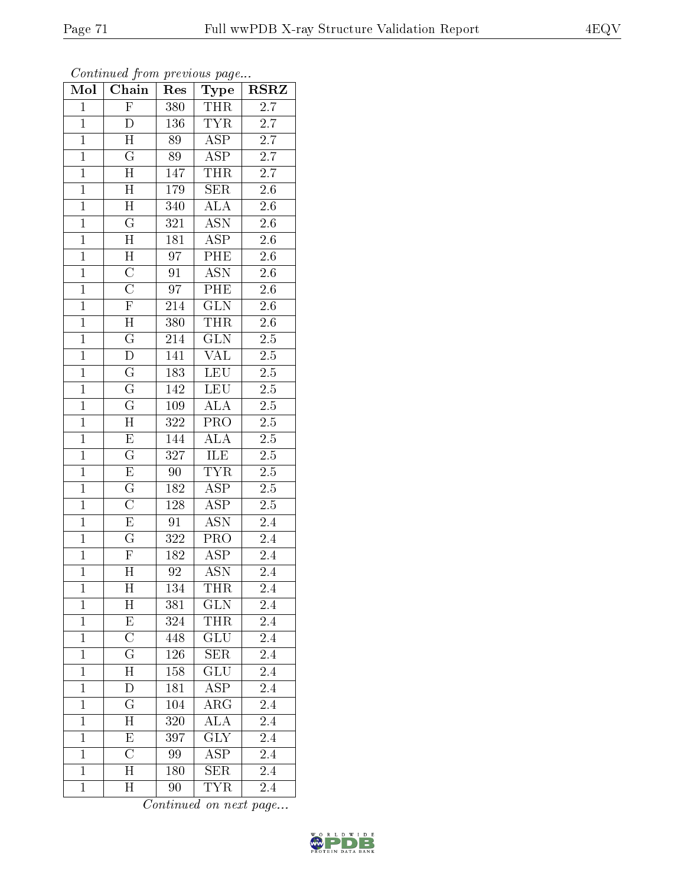| Mol            | Chain                     | Res             | Type                      | <b>RSRZ</b>      |
|----------------|---------------------------|-----------------|---------------------------|------------------|
| $\mathbf{1}$   | $\overline{F}$            | 380             | THR                       | 2.7              |
| $\mathbf{1}$   | D                         | 136             | <b>TYR</b>                | 2.7              |
| $\mathbf{1}$   | $\overline{\mathrm{H}}$   | 89              | $\overline{\text{ASP}}$   | 2.7              |
| $\overline{1}$ | $\overline{\mathrm{G}}$   | 89              | <b>ASP</b>                | $\overline{2.7}$ |
| $\overline{1}$ | $\overline{\rm H}$        | 147             | <b>THR</b>                | $\overline{2.7}$ |
| $\mathbf{1}$   | $\overline{\rm H}$        | 179             | <b>SER</b>                | 2.6              |
| $\mathbf{1}$   | $\mathbf H$               | 340             | ALA                       | $2.\overline{6}$ |
| $\overline{1}$ | $\overline{\mathrm{G}}$   | 321             | <b>ASN</b>                | 2.6              |
| $\overline{1}$ | $\boldsymbol{\mathrm{H}}$ | 181             | <b>ASP</b>                | 2.6              |
| $\overline{1}$ | $\overline{H}$            | $\overline{97}$ | PHE                       | $\overline{2.6}$ |
| $\mathbf{1}$   | $\overline{C}$            | 91              | <b>ASN</b>                | 2.6              |
| $\mathbf{1}$   | $\overline{\rm C}$        | 97              | $\overline{\rm PHE}$      | $2.\overline{6}$ |
| $\overline{1}$ | $\overline{\mathrm{F}}$   | 214             | GLN                       | 2.6              |
| $\overline{1}$ | $\overline{H}$            | 380             | <b>THR</b>                | $2.\overline{6}$ |
| $\overline{1}$ | $\overline{\mathrm{G}}$   | 214             | $\overline{\text{GLN}}$   | $\overline{2.5}$ |
| $\mathbf{1}$   | D                         | 141             | <b>VAL</b>                | $2.5\,$          |
| $\overline{1}$ | $\overline{\mathrm{G}}$   | 183             | <b>LEU</b>                | $\overline{2.5}$ |
| $\overline{1}$ | ${\bf G}$                 | 142             | <b>LEU</b>                | $2.\overline{5}$ |
| $\overline{1}$ | $\overline{\mathrm{G}}$   | 109             | $\overline{\rm ALA}$      | $2.5\,$          |
| $\overline{1}$ | $\overline{\mathrm{H}}$   | 322             | $\overline{\text{PRO}}$   | $\overline{2.5}$ |
| $\overline{1}$ | $\overline{\mathrm{E}}$   | 144             | <b>ALA</b>                | $2.5\,$          |
| $\overline{1}$ | $\overline{\mathrm{G}}$   | 327             | <b>ILE</b>                | $\overline{2.5}$ |
| $\overline{1}$ | $\overline{\mathrm{E}}$   | 90              | $\overline{\text{TYR}}$   | 2.5              |
| $\overline{1}$ | $\overline{\mathrm{G}}$   | 182             | $A\overline{SP}$          | 2.5              |
| $\mathbf{1}$   | $\overline{\rm C}$        | 128             | $\overline{\text{ASP}}$   | $2.5\,$          |
| $\mathbf{1}$   | $\overline{\mathrm{E}}$   | 91              | <b>ASN</b>                | 2.4              |
| $\mathbf{1}$   | $\overline{\mathrm{G}}$   | 322             | $\overline{\text{PRO}}$   | 2.4              |
| $\overline{1}$ | $\mathbf F$               | 182             | <b>ASP</b>                | 2.4              |
| $\overline{1}$ | $\overline{\rm H}$        | $\overline{92}$ | $\overline{\mathrm{ASN}}$ | 2.4              |
| $\mathbf{1}$   | Η                         | 134             | THR                       | $2.4\,$          |
| $\mathbf{1}$   | $\boldsymbol{\mathrm{H}}$ | 381             | <b>GLN</b>                | 2.4              |
| $\mathbf{1}$   | $\overline{\mathrm{E}}$   | 324             | THR                       | 2.4              |
| $\mathbf{1}$   | $\overline{C}$            | 448             | <b>GLU</b>                | 2.4              |
| $\mathbf{1}$   | $\overline{\mathrm{G}}$   | 126             | $\overline{\text{SER}}$   | $\overline{2.4}$ |
| $\mathbf{1}$   | $\boldsymbol{\mathrm{H}}$ | 158             | $\overline{\text{GLU}}$   | 2.4              |
| $\mathbf{1}$   | $\mathbf D$               | 181             | $\overline{\text{ASP}}$   | 2.4              |
| $\mathbf{1}$   | $\mathbf G$               | 104             | $\rm{ARG}$                | 2.4              |
| $\overline{1}$ | $\overline{\mathrm{H}}$   | 320             | $\overline{\rm ALA}$      | $2.\overline{4}$ |
| $\mathbf{1}$   | E                         | 397             | <b>GLY</b>                | 2.4              |
| $\mathbf{1}$   | $\overline{C}$            | 99              | ASP                       | 2.4              |
| $\mathbf{1}$   | $\mathbf H$               | 180             | $\overline{\text{SER}}$   | 2.4              |
| $\mathbf{1}$   | $\boldsymbol{\mathrm{H}}$ | 90              | <b>TYR</b>                | 2.4              |

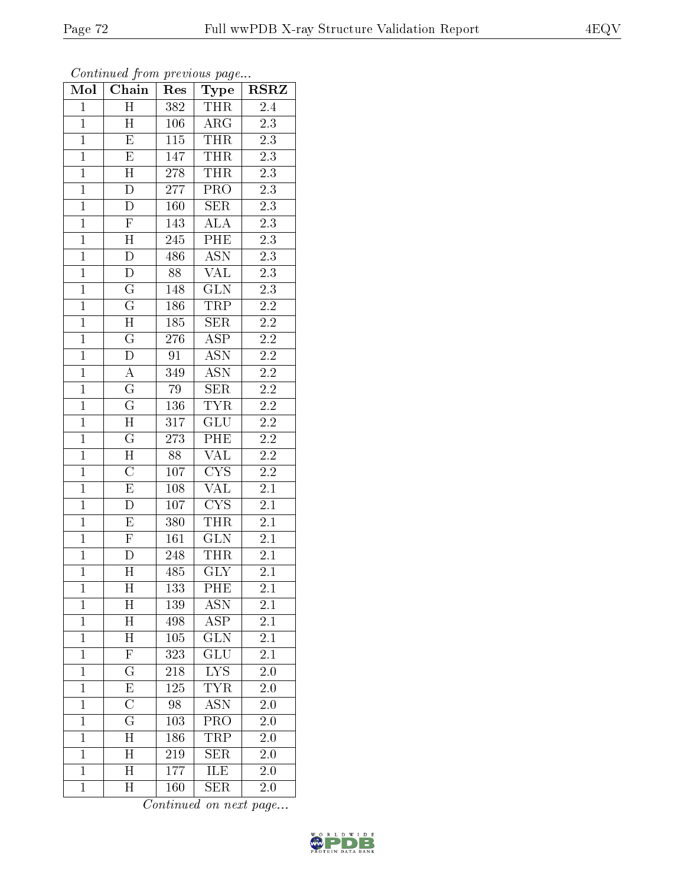| Mol            | Chain                     | Res              | Type                    | <b>RSRZ</b>      |
|----------------|---------------------------|------------------|-------------------------|------------------|
| $\mathbf 1$    | Η                         | 382              | <b>THR</b>              | 2.4              |
| $\mathbf 1$    | H                         | 106              | $\rm{ARG}$              | $\overline{2.3}$ |
| $\mathbf{1}$   | E                         | 115              | <b>THR</b>              | 2.3              |
| $\overline{1}$ | E                         | 147              | <b>THR</b>              | 2.3              |
| $\overline{1}$ | $\overline{\rm H}$        | 278              | <b>THR</b>              | $\overline{2.3}$ |
| $\mathbf{1}$   | $\mathbf{D}$              | 277              | PRO                     | 2.3              |
| $\mathbf{1}$   | $\overline{\rm D}$        | 160              | <b>SER</b>              | $\overline{2.3}$ |
| $\mathbf{1}$   | $\overline{\mathrm{F}}$   | 143              | <b>ALA</b>              | $\overline{2.3}$ |
| $\overline{1}$ | $\mathbf H$               | 245              | PHE                     | $\overline{2.3}$ |
| $\overline{1}$ | $\overline{\rm D}$        | 486              | <b>ASN</b>              | $\overline{2.3}$ |
| $\mathbf{1}$   | ${\rm D}$                 | 88               | VAL                     | $2.3\,$          |
| $\mathbf{1}$   | $\overline{\mathrm{G}}$   | 148              | $\overline{\text{GLN}}$ | 2.3              |
| $\overline{1}$ | $\overline{\mathrm{G}}$   | 186              | TRP                     | $\overline{2.2}$ |
| $\overline{1}$ | $\overline{H}$            | 185              | <b>SER</b>              | $2.\overline{2}$ |
| $\overline{1}$ | $\overline{\mathrm{G}}$   | 276              | $\overline{\rm ASP}$    | $\overline{2.2}$ |
| $\mathbf{1}$   | D                         | 91               | <b>ASN</b>              | $2.2\,$          |
| $\overline{1}$ | $\overline{A}$            | 349              | <b>ASN</b>              | $\overline{2.2}$ |
| $\mathbf{1}$   | $\mathbf G$               | 79               | <b>SER</b>              | 2.2              |
| $\overline{1}$ | $\overline{\mathrm{G}}$   | $\overline{136}$ | <b>TYR</b>              | $\overline{2.2}$ |
| $\overline{1}$ | $\overline{\mathrm{H}}$   | 317              | GLU                     | $\overline{2.2}$ |
| $\overline{1}$ | $\overline{\mathrm{G}}$   | 273              | PHE                     | 2.2              |
| $\overline{1}$ | $\overline{\rm H}$        | 88               | <b>VAL</b>              | $\overline{2.2}$ |
| $\overline{1}$ | $\overline{\rm C}$        | 107              | <b>CYS</b>              | $2.2\,$          |
| $\overline{1}$ | $\overline{\mathrm{E}}$   | 108              | $\overline{\text{VAL}}$ | 2.1              |
| $\mathbf{1}$   | $\overline{\rm D}$        | 107              | <b>CYS</b>              | 2.1              |
| $\mathbf{1}$   | $\mathbf E$               | 380              | <b>THR</b>              | 2.1              |
| $\mathbf{1}$   | $\overline{\mathrm{F}}$   | 161              | $\overline{\text{GLN}}$ | 2.1              |
| $\overline{1}$ | $\overline{\rm D}$        | 248              | <b>THR</b>              | 2.1              |
| $\overline{1}$ | $\overline{\rm H}$        | 485              | $\overline{\text{GLY}}$ | $\overline{2.1}$ |
| $\mathbf 1$    | Η                         | 133              | PHE                     | $2.1\,$          |
| $\mathbf{1}$   | $\boldsymbol{\mathrm{H}}$ | 139              | ASN                     | 2.1              |
| $\mathbf{1}$   | $\boldsymbol{\mathrm{H}}$ | 498              | $\overline{\text{ASP}}$ | 2.1              |
| $\mathbf{1}$   | Η                         | 105              | <b>GLN</b>              | 2.1              |
| $\overline{1}$ | $\overline{\mathrm{F}}$   | $\overline{323}$ | $\overline{\text{GLU}}$ | $\overline{2.1}$ |
| $\mathbf 1$    | $\mathbf G$               | 218              | <b>LYS</b>              | 2.0              |
| $\mathbf{1}$   | $\overline{\mathrm{E}}$   | 125              | TYR                     | 2.0              |
| $\mathbf{1}$   | $\overline{\rm C}$        | 98               | <b>ASN</b>              | 2.0              |
| $\overline{1}$ | $\overline{\mathrm{G}}$   | 103              | $\overline{\text{PRO}}$ | 2.0              |
| $\mathbf{1}$   | Η                         | 186              | TRP                     | 2.0              |
| $\overline{1}$ | H                         | 219              | <b>SER</b>              | 2.0              |
| $\mathbf{1}$   | $\mathbf H$               | 177              | ILE                     | 2.0              |
| $\mathbf{1}$   | Η                         | 160              | <b>SER</b>              | 2.0              |